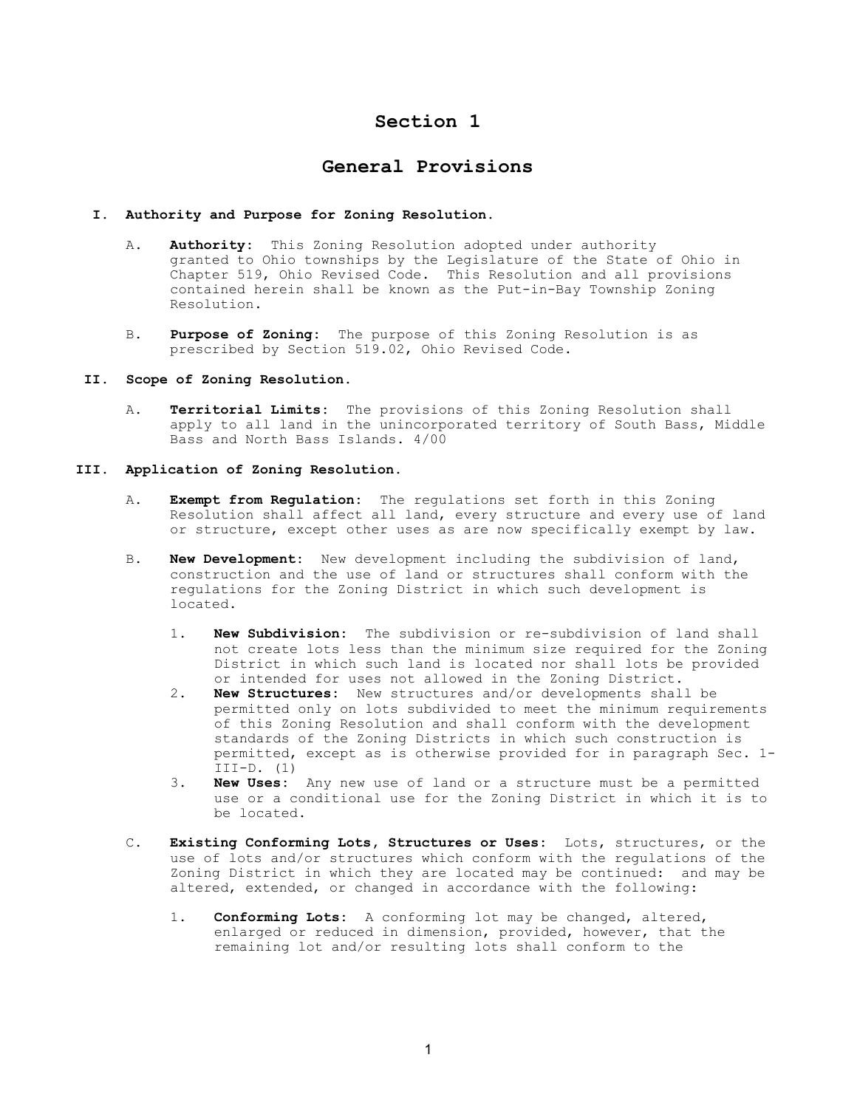# Section 1

## General Provisions

### I. Authority and Purpose for Zoning Resolution.

- A. Authority: This Zoning Resolution adopted under authority granted to Ohio townships by the Legislature of the State of Ohio in Chapter 519, Ohio Revised Code. This Resolution and all provisions contained herein shall be known as the Put-in-Bay Township Zoning Resolution.
- B. Purpose of Zoning: The purpose of this Zoning Resolution is as prescribed by Section 519.02, Ohio Revised Code.

### II. Scope of Zoning Resolution.

- A. Territorial Limits: The provisions of this Zoning Resolution shall apply to all land in the unincorporated territory of South Bass, Middle Bass and North Bass Islands. 4/00
- III. Application of Zoning Resolution.
	- A. Exempt from Regulation: The regulations set forth in this Zoning Resolution shall affect all land, every structure and every use of land or structure, except other uses as are now specifically exempt by law.
	- B. New Development: New development including the subdivision of land, construction and the use of land or structures shall conform with the regulations for the Zoning District in which such development is located.
		- 1. **New Subdivision:** The subdivision or re-subdivision of land shall not create lots less than the minimum size required for the Zoning District in which such land is located nor shall lots be provided or intended for uses not allowed in the Zoning District.
		- 2. New Structures: New structures and/or developments shall be permitted only on lots subdivided to meet the minimum requirements of this Zoning Resolution and shall conform with the development standards of the Zoning Districts in which such construction is permitted, except as is otherwise provided for in paragraph Sec. 1-  $III-D. (1)$ <br>3. **New Uses:**
		- New Uses: Any new use of land or a structure must be a permitted use or a conditional use for the Zoning District in which it is to be located.
	- C. Existing Conforming Lots, Structures or Uses: Lots, structures, or the use of lots and/or structures which conform with the regulations of the Zoning District in which they are located may be continued: and may be altered, extended, or changed in accordance with the following:
		- 1. **Conforming Lots:** A conforming lot may be changed, altered, enlarged or reduced in dimension, provided, however, that the remaining lot and/or resulting lots shall conform to the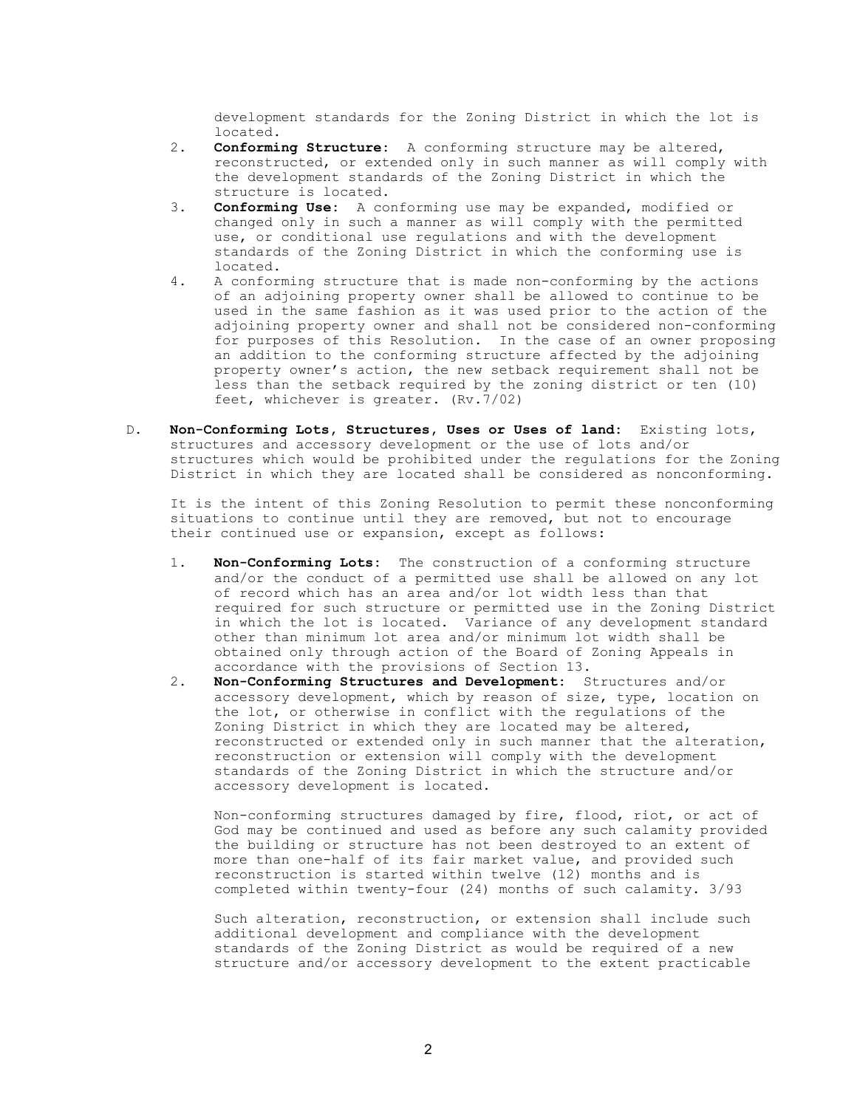development standards for the Zoning District in which the lot is

- located.<br>2. **Conformi** Conforming Structure: A conforming structure may be altered, reconstructed, or extended only in such manner as will comply with the development standards of the Zoning District in which the structure is located.<br>3. **Conforming Use:** A co
- Conforming Use: A conforming use may be expanded, modified or changed only in such a manner as will comply with the permitted use, or conditional use regulations and with the development standards of the Zoning District in which the conforming use is located.
- 4. A conforming structure that is made non-conforming by the actions of an adjoining property owner shall be allowed to continue to be used in the same fashion as it was used prior to the action of the adjoining property owner and shall not be considered non-conforming for purposes of this Resolution. In the case of an owner proposing an addition to the conforming structure affected by the adjoining property owner's action, the new setback requirement shall not be less than the setback required by the zoning district or ten (10) feet, whichever is greater. (Rv.7/02)
- D. Non-Conforming Lots, Structures, Uses or Uses of land: Existing lots, structures and accessory development or the use of lots and/or structures which would be prohibited under the regulations for the Zoning District in which they are located shall be considered as nonconforming.

 It is the intent of this Zoning Resolution to permit these nonconforming situations to continue until they are removed, but not to encourage their continued use or expansion, except as follows:

- 1. Non-Conforming Lots: The construction of a conforming structure and/or the conduct of a permitted use shall be allowed on any lot of record which has an area and/or lot width less than that required for such structure or permitted use in the Zoning District in which the lot is located. Variance of any development standard other than minimum lot area and/or minimum lot width shall be obtained only through action of the Board of Zoning Appeals in accordance with the provisions of Section 13.
- 2. Non-Conforming Structures and Development: Structures and/or accessory development, which by reason of size, type, location on the lot, or otherwise in conflict with the regulations of the Zoning District in which they are located may be altered, reconstructed or extended only in such manner that the alteration, reconstruction or extension will comply with the development standards of the Zoning District in which the structure and/or accessory development is located.

 Non-conforming structures damaged by fire, flood, riot, or act of God may be continued and used as before any such calamity provided the building or structure has not been destroyed to an extent of more than one-half of its fair market value, and provided such reconstruction is started within twelve (12) months and is completed within twenty-four (24) months of such calamity. 3/93

 Such alteration, reconstruction, or extension shall include such additional development and compliance with the development standards of the Zoning District as would be required of a new structure and/or accessory development to the extent practicable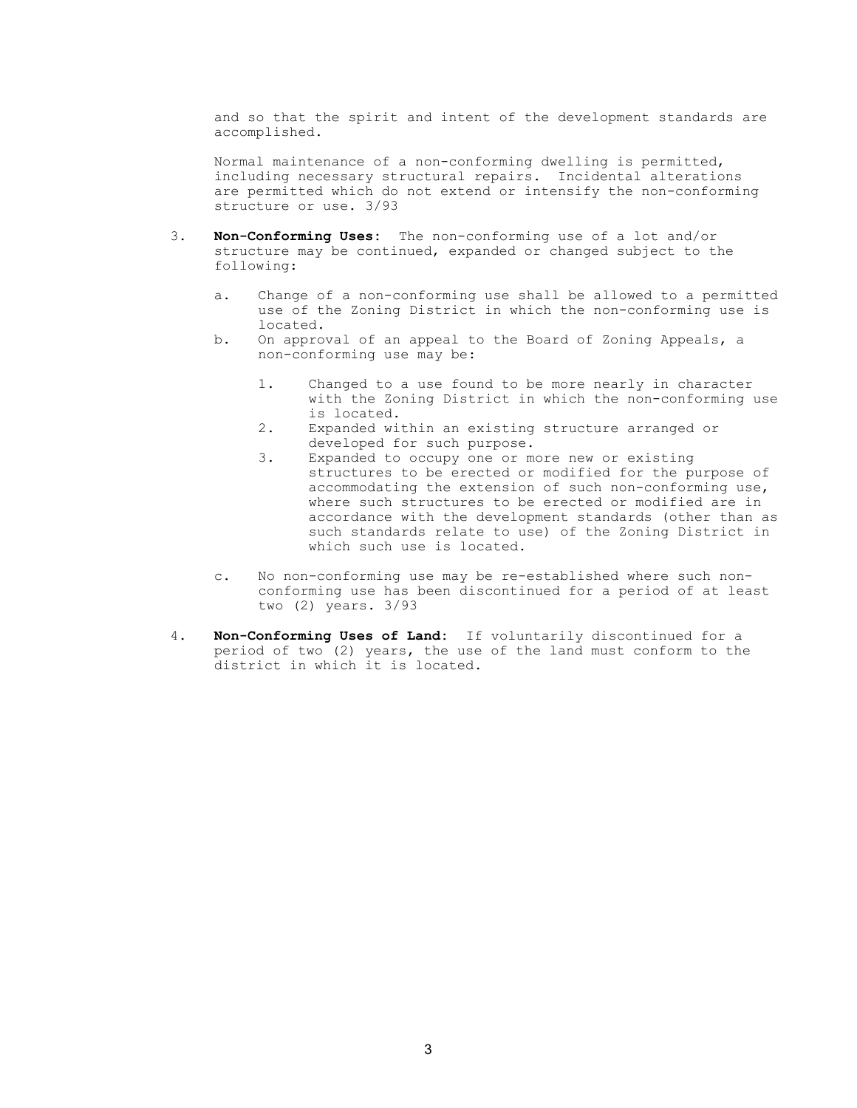and so that the spirit and intent of the development standards are accomplished.

 Normal maintenance of a non-conforming dwelling is permitted, including necessary structural repairs. Incidental alterations are permitted which do not extend or intensify the non-conforming structure or use. 3/93

- 3. Non-Conforming Uses: The non-conforming use of a lot and/or structure may be continued, expanded or changed subject to the following:
	- a. Change of a non-conforming use shall be allowed to a permitted use of the Zoning District in which the non-conforming use is located.
	- b. On approval of an appeal to the Board of Zoning Appeals, a non-conforming use may be:
		- 1. Changed to a use found to be more nearly in character with the Zoning District in which the non-conforming use is located.
		- 2. Expanded within an existing structure arranged or developed for such purpose.
		- 3. Expanded to occupy one or more new or existing structures to be erected or modified for the purpose of accommodating the extension of such non-conforming use, where such structures to be erected or modified are in accordance with the development standards (other than as such standards relate to use) of the Zoning District in which such use is located.
	- c. No non-conforming use may be re-established where such non conforming use has been discontinued for a period of at least two (2) years. 3/93
- 4. Non-Conforming Uses of Land: If voluntarily discontinued for a period of two (2) years, the use of the land must conform to the district in which it is located.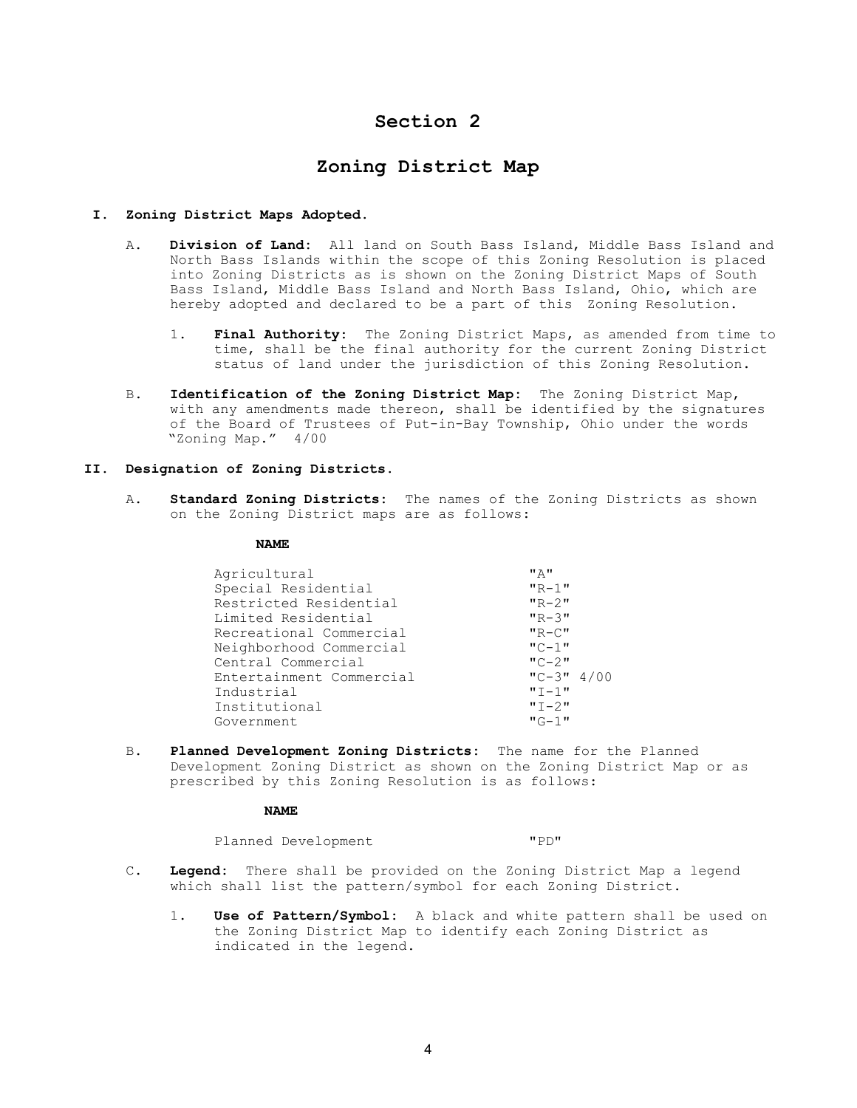# Section 2

# Zoning District Map

### I. Zoning District Maps Adopted.

- A. Division of Land: All land on South Bass Island, Middle Bass Island and North Bass Islands within the scope of this Zoning Resolution is placed into Zoning Districts as is shown on the Zoning District Maps of South Bass Island, Middle Bass Island and North Bass Island, Ohio, which are hereby adopted and declared to be a part of this Zoning Resolution.
	- 1. Final Authority: The Zoning District Maps, as amended from time to time, shall be the final authority for the current Zoning District status of land under the jurisdiction of this Zoning Resolution.
- B. Identification of the Zoning District Map: The Zoning District Map, with any amendments made thereon, shall be identified by the signatures of the Board of Trustees of Put-in-Bay Township, Ohio under the words "Zoning Map." 4/00

### II. Designation of Zoning Districts.

A. Standard Zoning Districts: The names of the Zoning Districts as shown on the Zoning District maps are as follows:

#### NAME

| "A"          |
|--------------|
| $"R-1"$      |
| $"R - 2"$    |
| $"R-3"$      |
| $"R-C"$      |
| $"C-1"$      |
| $"C-2"$      |
| $"C-3" 4/00$ |
| $"T-1"$      |
| $"T - 2"$    |
| $"G-1"$      |
|              |

 B. Planned Development Zoning Districts: The name for the Planned Development Zoning District as shown on the Zoning District Map or as prescribed by this Zoning Resolution is as follows:

### NAME

Planned Development "PD"

- C. Legend: There shall be provided on the Zoning District Map a legend which shall list the pattern/symbol for each Zoning District.
	- 1. Use of Pattern/Symbol: A black and white pattern shall be used on the Zoning District Map to identify each Zoning District as indicated in the legend.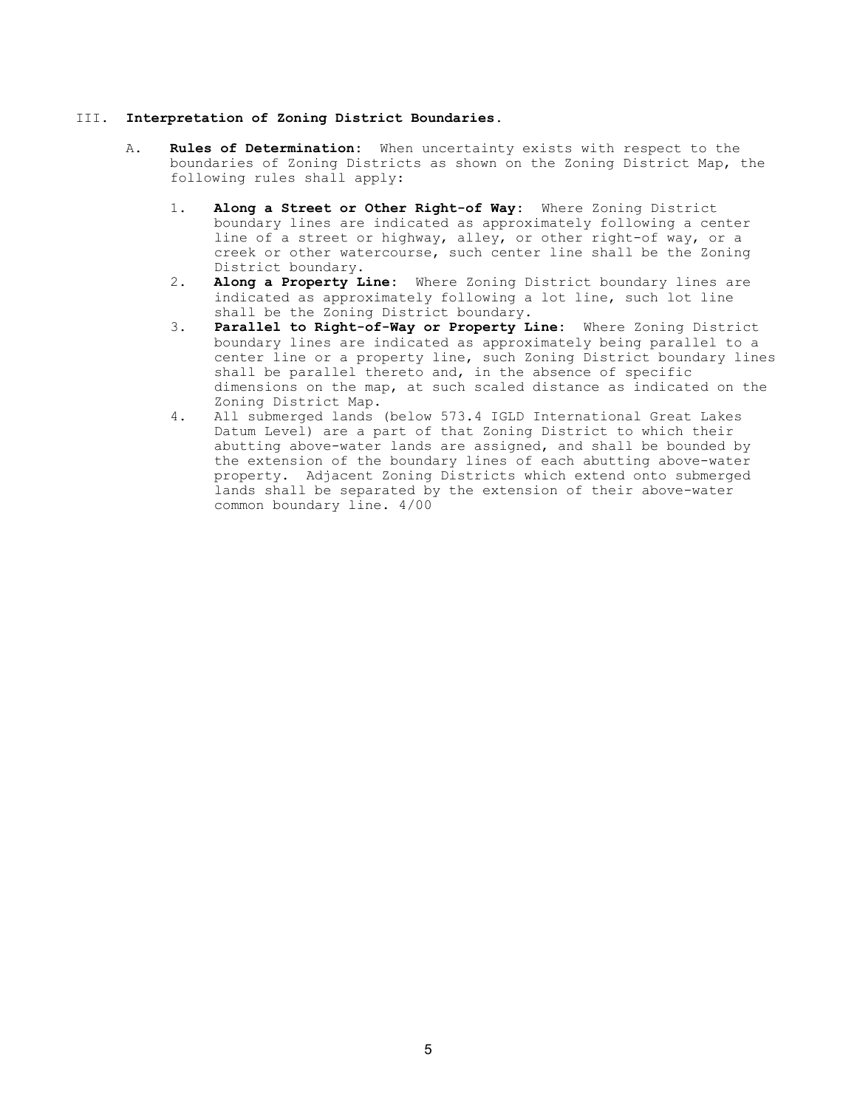### III. Interpretation of Zoning District Boundaries.

- A. Rules of Determination: When uncertainty exists with respect to the boundaries of Zoning Districts as shown on the Zoning District Map, the following rules shall apply:
	- 1. Along a Street or Other Right-of Way: Where Zoning District boundary lines are indicated as approximately following a center line of a street or highway, alley, or other right-of way, or a creek or other watercourse, such center line shall be the Zoning District boundary.
	- 2. Along a Property Line: Where Zoning District boundary lines are indicated as approximately following a lot line, such lot line shall be the Zoning District boundary.
	- 3. Parallel to Right-of-Way or Property Line: Where Zoning District boundary lines are indicated as approximately being parallel to a center line or a property line, such Zoning District boundary lines shall be parallel thereto and, in the absence of specific dimensions on the map, at such scaled distance as indicated on the Zoning District Map.
	- 4. All submerged lands (below 573.4 IGLD International Great Lakes Datum Level) are a part of that Zoning District to which their abutting above-water lands are assigned, and shall be bounded by the extension of the boundary lines of each abutting above-water property. Adjacent Zoning Districts which extend onto submerged lands shall be separated by the extension of their above-water common boundary line. 4/00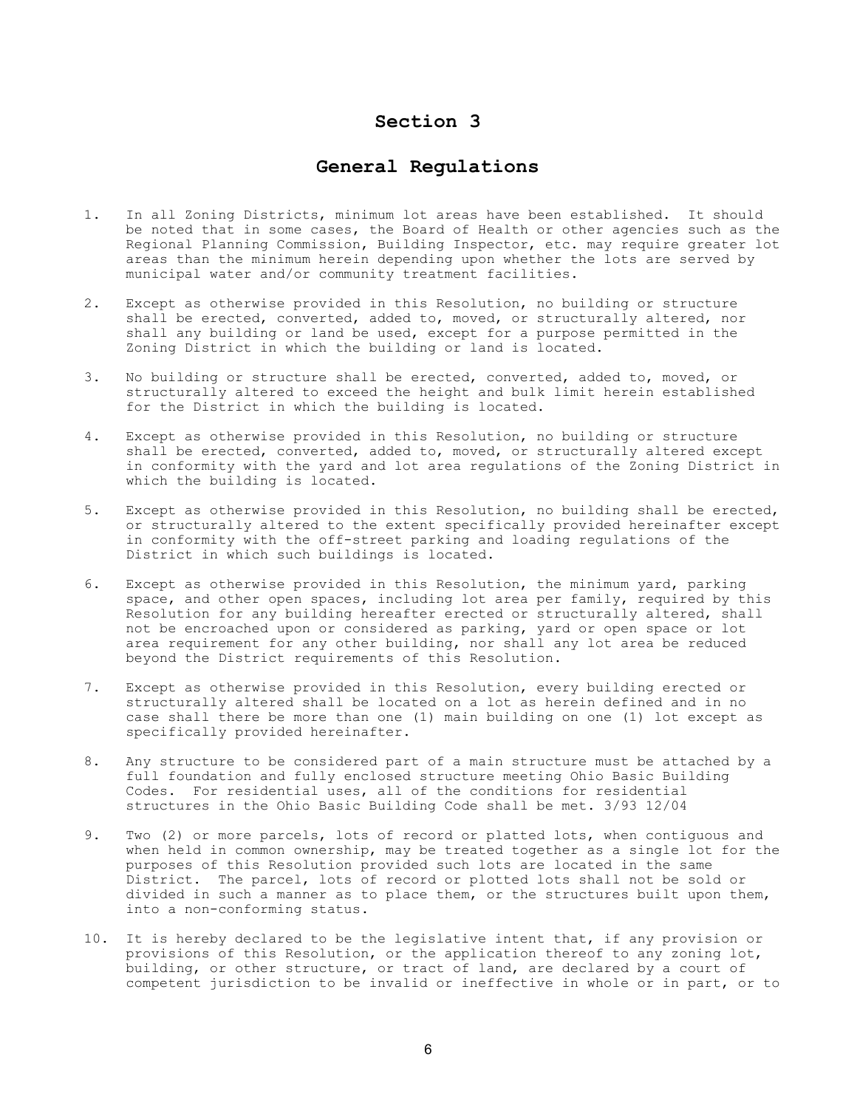# Section 3

# General Regulations

- 1. In all Zoning Districts, minimum lot areas have been established. It should be noted that in some cases, the Board of Health or other agencies such as the Regional Planning Commission, Building Inspector, etc. may require greater lot areas than the minimum herein depending upon whether the lots are served by municipal water and/or community treatment facilities.
- 2. Except as otherwise provided in this Resolution, no building or structure shall be erected, converted, added to, moved, or structurally altered, nor shall any building or land be used, except for a purpose permitted in the Zoning District in which the building or land is located.
- 3. No building or structure shall be erected, converted, added to, moved, or structurally altered to exceed the height and bulk limit herein established for the District in which the building is located.
- 4. Except as otherwise provided in this Resolution, no building or structure shall be erected, converted, added to, moved, or structurally altered except in conformity with the yard and lot area regulations of the Zoning District in which the building is located.
- 5. Except as otherwise provided in this Resolution, no building shall be erected, or structurally altered to the extent specifically provided hereinafter except in conformity with the off-street parking and loading regulations of the District in which such buildings is located.
- 6. Except as otherwise provided in this Resolution, the minimum yard, parking space, and other open spaces, including lot area per family, required by this Resolution for any building hereafter erected or structurally altered, shall not be encroached upon or considered as parking, yard or open space or lot area requirement for any other building, nor shall any lot area be reduced beyond the District requirements of this Resolution.
- 7. Except as otherwise provided in this Resolution, every building erected or structurally altered shall be located on a lot as herein defined and in no case shall there be more than one (1) main building on one (1) lot except as specifically provided hereinafter.
- 8. Any structure to be considered part of a main structure must be attached by a full foundation and fully enclosed structure meeting Ohio Basic Building Codes. For residential uses, all of the conditions for residential structures in the Ohio Basic Building Code shall be met. 3/93 12/04
- 9. Two (2) or more parcels, lots of record or platted lots, when contiguous and when held in common ownership, may be treated together as a single lot for the purposes of this Resolution provided such lots are located in the same District. The parcel, lots of record or plotted lots shall not be sold or divided in such a manner as to place them, or the structures built upon them, into a non-conforming status.
- 10. It is hereby declared to be the legislative intent that, if any provision or provisions of this Resolution, or the application thereof to any zoning lot, building, or other structure, or tract of land, are declared by a court of competent jurisdiction to be invalid or ineffective in whole or in part, or to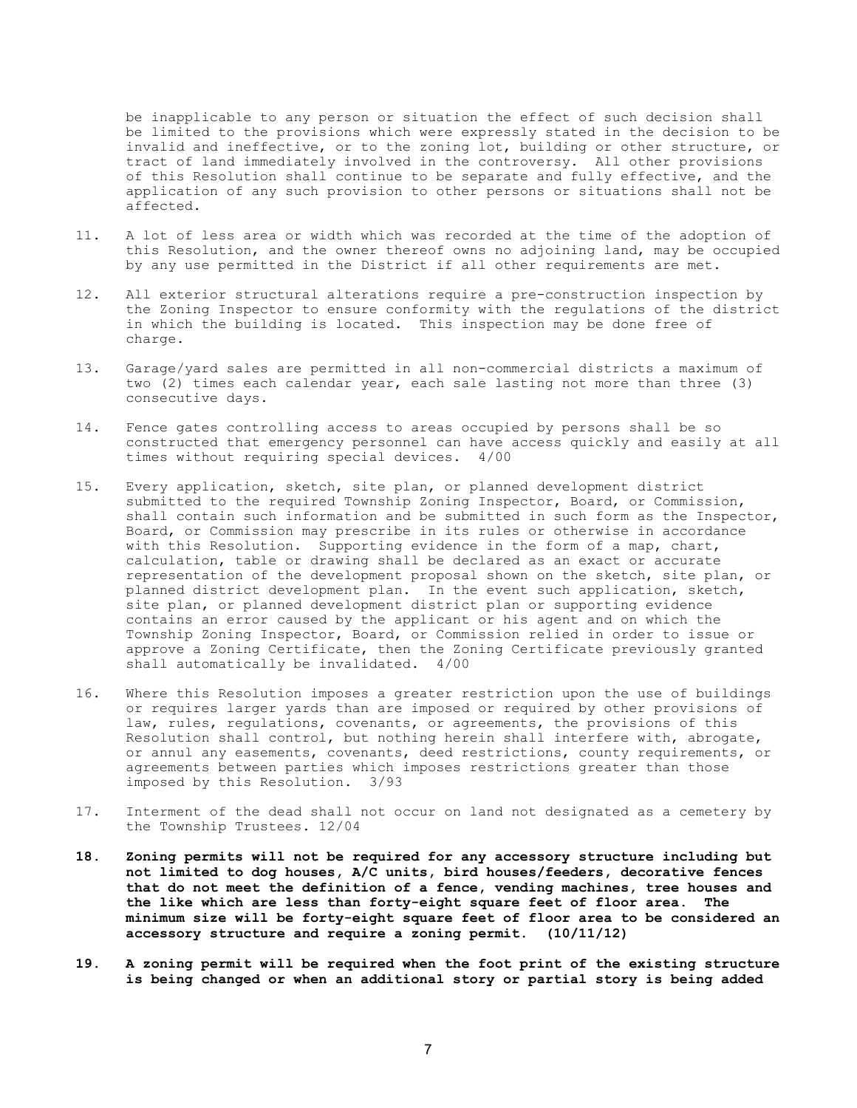be inapplicable to any person or situation the effect of such decision shall be limited to the provisions which were expressly stated in the decision to be invalid and ineffective, or to the zoning lot, building or other structure, or tract of land immediately involved in the controversy. All other provisions of this Resolution shall continue to be separate and fully effective, and the application of any such provision to other persons or situations shall not be affected.

- 11. A lot of less area or width which was recorded at the time of the adoption of this Resolution, and the owner thereof owns no adjoining land, may be occupied by any use permitted in the District if all other requirements are met.
- 12. All exterior structural alterations require a pre-construction inspection by the Zoning Inspector to ensure conformity with the regulations of the district in which the building is located. This inspection may be done free of charge.
- 13. Garage/yard sales are permitted in all non-commercial districts a maximum of two (2) times each calendar year, each sale lasting not more than three (3) consecutive days.
- 14. Fence gates controlling access to areas occupied by persons shall be so constructed that emergency personnel can have access quickly and easily at all times without requiring special devices. 4/00
- 15. Every application, sketch, site plan, or planned development district submitted to the required Township Zoning Inspector, Board, or Commission, shall contain such information and be submitted in such form as the Inspector, Board, or Commission may prescribe in its rules or otherwise in accordance with this Resolution. Supporting evidence in the form of a map, chart, calculation, table or drawing shall be declared as an exact or accurate representation of the development proposal shown on the sketch, site plan, or planned district development plan. In the event such application, sketch, site plan, or planned development district plan or supporting evidence contains an error caused by the applicant or his agent and on which the Township Zoning Inspector, Board, or Commission relied in order to issue or approve a Zoning Certificate, then the Zoning Certificate previously granted shall automatically be invalidated. 4/00
- 16. Where this Resolution imposes a greater restriction upon the use of buildings or requires larger yards than are imposed or required by other provisions of law, rules, regulations, covenants, or agreements, the provisions of this Resolution shall control, but nothing herein shall interfere with, abrogate, or annul any easements, covenants, deed restrictions, county requirements, or agreements between parties which imposes restrictions greater than those imposed by this Resolution. 3/93
- 17. Interment of the dead shall not occur on land not designated as a cemetery by the Township Trustees. 12/04
- 18. Zoning permits will not be required for any accessory structure including but not limited to dog houses, A/C units, bird houses/feeders, decorative fences that do not meet the definition of a fence, vending machines, tree houses and the like which are less than forty-eight square feet of floor area. The minimum size will be forty-eight square feet of floor area to be considered an accessory structure and require a zoning permit. (10/11/12)
- 19. A zoning permit will be required when the foot print of the existing structure is being changed or when an additional story or partial story is being added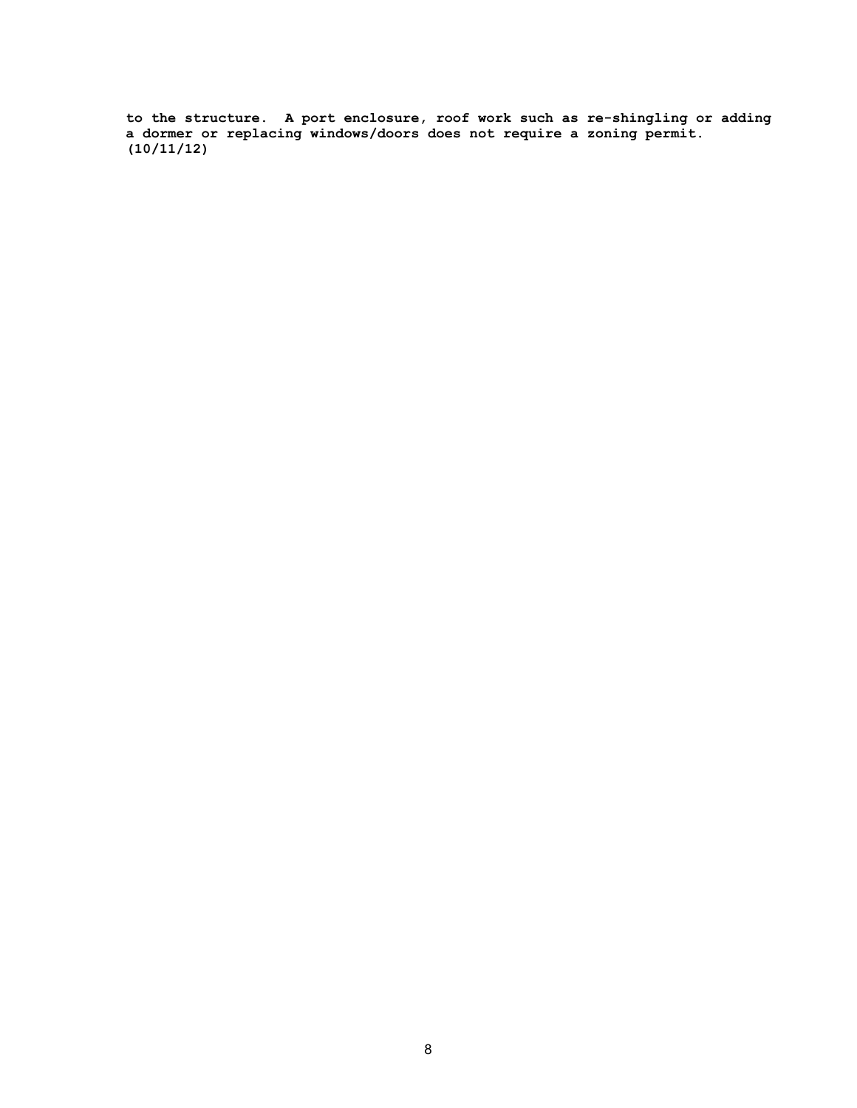to the structure. A port enclosure, roof work such as re-shingling or adding a dormer or replacing windows/doors does not require a zoning permit. (10/11/12)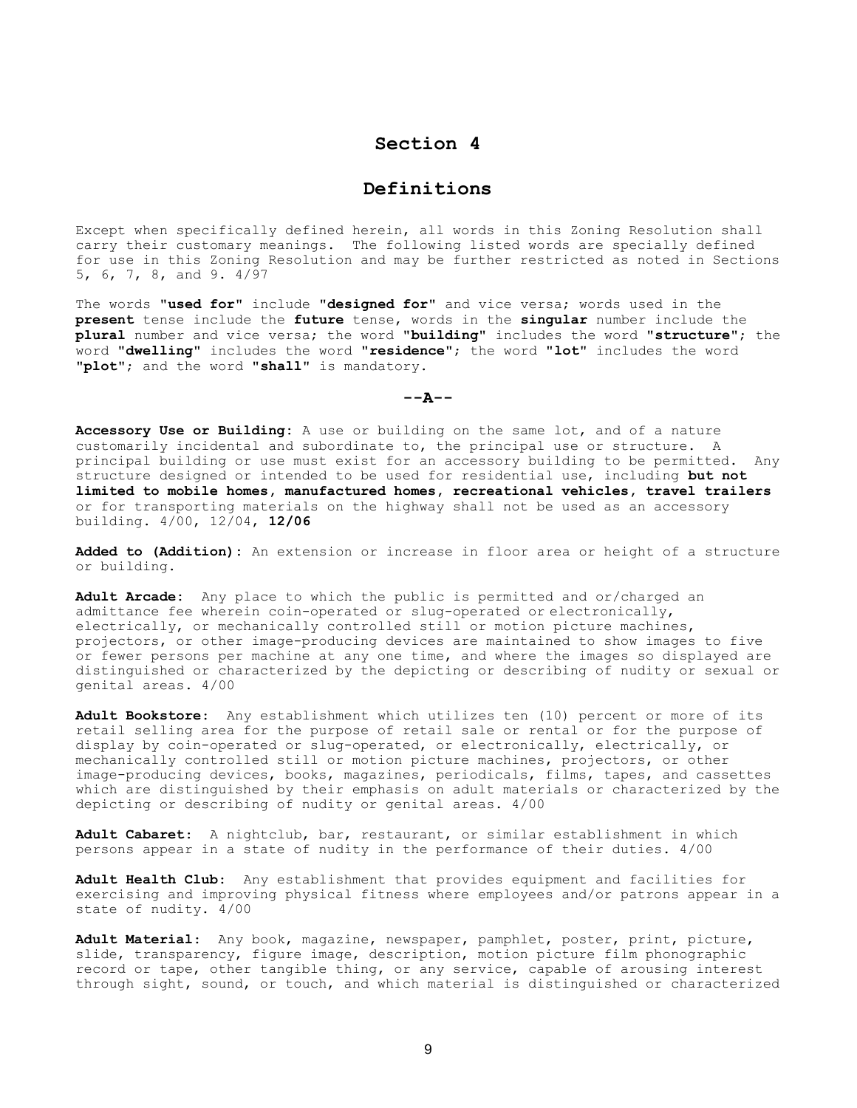## Section 4

## Definitions

Except when specifically defined herein, all words in this Zoning Resolution shall carry their customary meanings. The following listed words are specially defined for use in this Zoning Resolution and may be further restricted as noted in Sections 5, 6, 7, 8, and 9. 4/97

The words "used for" include "designed for" and vice versa; words used in the present tense include the future tense, words in the singular number include the plural number and vice versa; the word "building" includes the word "structure"; the word "dwelling" includes the word "residence"; the word "lot" includes the word "plot"; and the word "shall" is mandatory.

 $---A---$ 

Accessory Use or Building: A use or building on the same lot, and of a nature customarily incidental and subordinate to, the principal use or structure. A principal building or use must exist for an accessory building to be permitted. Any structure designed or intended to be used for residential use, including but not limited to mobile homes, manufactured homes, recreational vehicles, travel trailers or for transporting materials on the highway shall not be used as an accessory building. 4/00, 12/04, 12/06

Added to (Addition): An extension or increase in floor area or height of a structure or building.

Adult Arcade: Any place to which the public is permitted and or/charged an admittance fee wherein coin-operated or slug-operated or electronically, electrically, or mechanically controlled still or motion picture machines, projectors, or other image-producing devices are maintained to show images to five or fewer persons per machine at any one time, and where the images so displayed are distinguished or characterized by the depicting or describing of nudity or sexual or genital areas. 4/00

Adult Bookstore: Any establishment which utilizes ten (10) percent or more of its retail selling area for the purpose of retail sale or rental or for the purpose of display by coin-operated or slug-operated, or electronically, electrically, or mechanically controlled still or motion picture machines, projectors, or other image-producing devices, books, magazines, periodicals, films, tapes, and cassettes which are distinguished by their emphasis on adult materials or characterized by the depicting or describing of nudity or genital areas. 4/00

Adult Cabaret: A nightclub, bar, restaurant, or similar establishment in which persons appear in a state of nudity in the performance of their duties. 4/00

Adult Health Club: Any establishment that provides equipment and facilities for exercising and improving physical fitness where employees and/or patrons appear in a state of nudity. 4/00

Adult Material: Any book, magazine, newspaper, pamphlet, poster, print, picture, slide, transparency, figure image, description, motion picture film phonographic record or tape, other tangible thing, or any service, capable of arousing interest through sight, sound, or touch, and which material is distinguished or characterized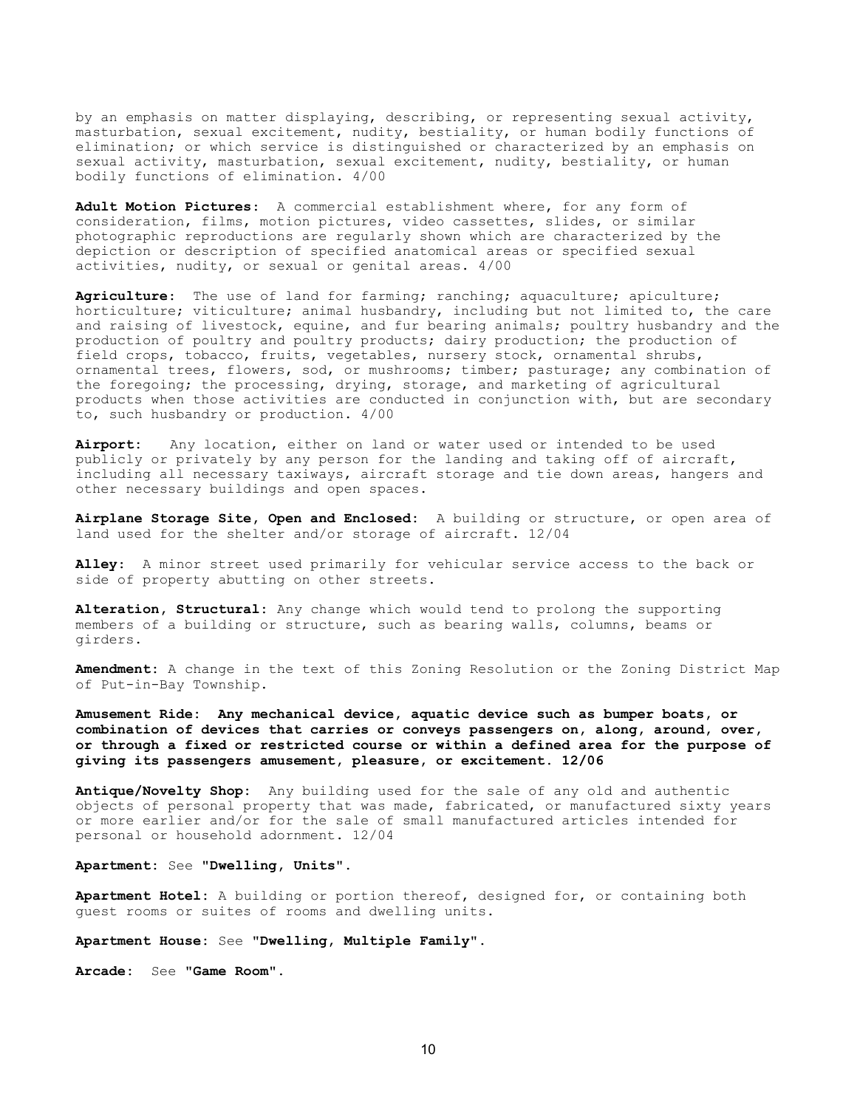by an emphasis on matter displaying, describing, or representing sexual activity, masturbation, sexual excitement, nudity, bestiality, or human bodily functions of elimination; or which service is distinguished or characterized by an emphasis on sexual activity, masturbation, sexual excitement, nudity, bestiality, or human bodily functions of elimination. 4/00

Adult Motion Pictures: A commercial establishment where, for any form of consideration, films, motion pictures, video cassettes, slides, or similar photographic reproductions are regularly shown which are characterized by the depiction or description of specified anatomical areas or specified sexual activities, nudity, or sexual or genital areas. 4/00

Agriculture: The use of land for farming; ranching; aquaculture; apiculture; horticulture; viticulture; animal husbandry, including but not limited to, the care and raising of livestock, equine, and fur bearing animals; poultry husbandry and the production of poultry and poultry products; dairy production; the production of field crops, tobacco, fruits, vegetables, nursery stock, ornamental shrubs, ornamental trees, flowers, sod, or mushrooms; timber; pasturage; any combination of the foregoing; the processing, drying, storage, and marketing of agricultural products when those activities are conducted in conjunction with, but are secondary to, such husbandry or production. 4/00

Airport: Any location, either on land or water used or intended to be used publicly or privately by any person for the landing and taking off of aircraft, including all necessary taxiways, aircraft storage and tie down areas, hangers and other necessary buildings and open spaces.

Airplane Storage Site, Open and Enclosed: A building or structure, or open area of land used for the shelter and/or storage of aircraft. 12/04

Alley: A minor street used primarily for vehicular service access to the back or side of property abutting on other streets.

Alteration, Structural: Any change which would tend to prolong the supporting members of a building or structure, such as bearing walls, columns, beams or girders.

Amendment: A change in the text of this Zoning Resolution or the Zoning District Map of Put-in-Bay Township.

Amusement Ride: Any mechanical device, aquatic device such as bumper boats, or combination of devices that carries or conveys passengers on, along, around, over, or through a fixed or restricted course or within a defined area for the purpose of giving its passengers amusement, pleasure, or excitement. 12/06

Antique/Novelty Shop: Any building used for the sale of any old and authentic objects of personal property that was made, fabricated, or manufactured sixty years or more earlier and/or for the sale of small manufactured articles intended for personal or household adornment. 12/04

Apartment: See "Dwelling, Units".

Apartment Hotel: A building or portion thereof, designed for, or containing both guest rooms or suites of rooms and dwelling units.

Apartment House: See "Dwelling, Multiple Family".

Arcade: See "Game Room".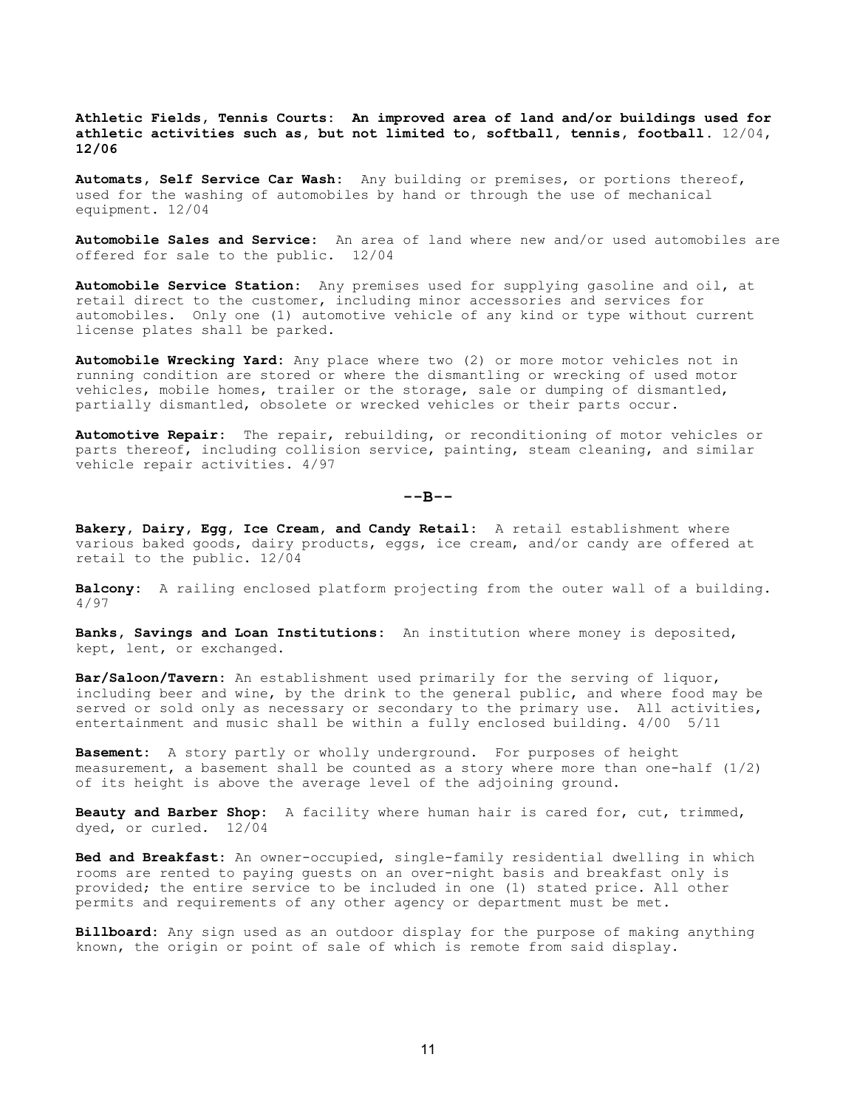Athletic Fields, Tennis Courts: An improved area of land and/or buildings used for athletic activities such as, but not limited to, softball, tennis, football.  $12/04$ , 12/06

Automats, Self Service Car Wash: Any building or premises, or portions thereof, used for the washing of automobiles by hand or through the use of mechanical equipment. 12/04

Automobile Sales and Service: An area of land where new and/or used automobiles are offered for sale to the public. 12/04

Automobile Service Station: Any premises used for supplying gasoline and oil, at retail direct to the customer, including minor accessories and services for automobiles. Only one (1) automotive vehicle of any kind or type without current license plates shall be parked.

Automobile Wrecking Yard: Any place where two (2) or more motor vehicles not in running condition are stored or where the dismantling or wrecking of used motor vehicles, mobile homes, trailer or the storage, sale or dumping of dismantled, partially dismantled, obsolete or wrecked vehicles or their parts occur.

Automotive Repair: The repair, rebuilding, or reconditioning of motor vehicles or parts thereof, including collision service, painting, steam cleaning, and similar vehicle repair activities. 4/97

 $--B--$ 

Bakery, Dairy, Egg, Ice Cream, and Candy Retail: A retail establishment where various baked goods, dairy products, eggs, ice cream, and/or candy are offered at retail to the public. 12/04

Balcony: A railing enclosed platform projecting from the outer wall of a building. 4/97

Banks, Savings and Loan Institutions: An institution where money is deposited, kept, lent, or exchanged.

Bar/Saloon/Tavern: An establishment used primarily for the serving of liquor, including beer and wine, by the drink to the general public, and where food may be served or sold only as necessary or secondary to the primary use. All activities, entertainment and music shall be within a fully enclosed building. 4/00 5/11

Basement: A story partly or wholly underground. For purposes of height measurement, a basement shall be counted as a story where more than one-half  $(1/2)$ of its height is above the average level of the adjoining ground.

Beauty and Barber Shop: A facility where human hair is cared for, cut, trimmed, dyed, or curled. 12/04

Bed and Breakfast: An owner-occupied, single-family residential dwelling in which rooms are rented to paying guests on an over-night basis and breakfast only is provided; the entire service to be included in one (1) stated price. All other permits and requirements of any other agency or department must be met.

Billboard: Any sign used as an outdoor display for the purpose of making anything known, the origin or point of sale of which is remote from said display.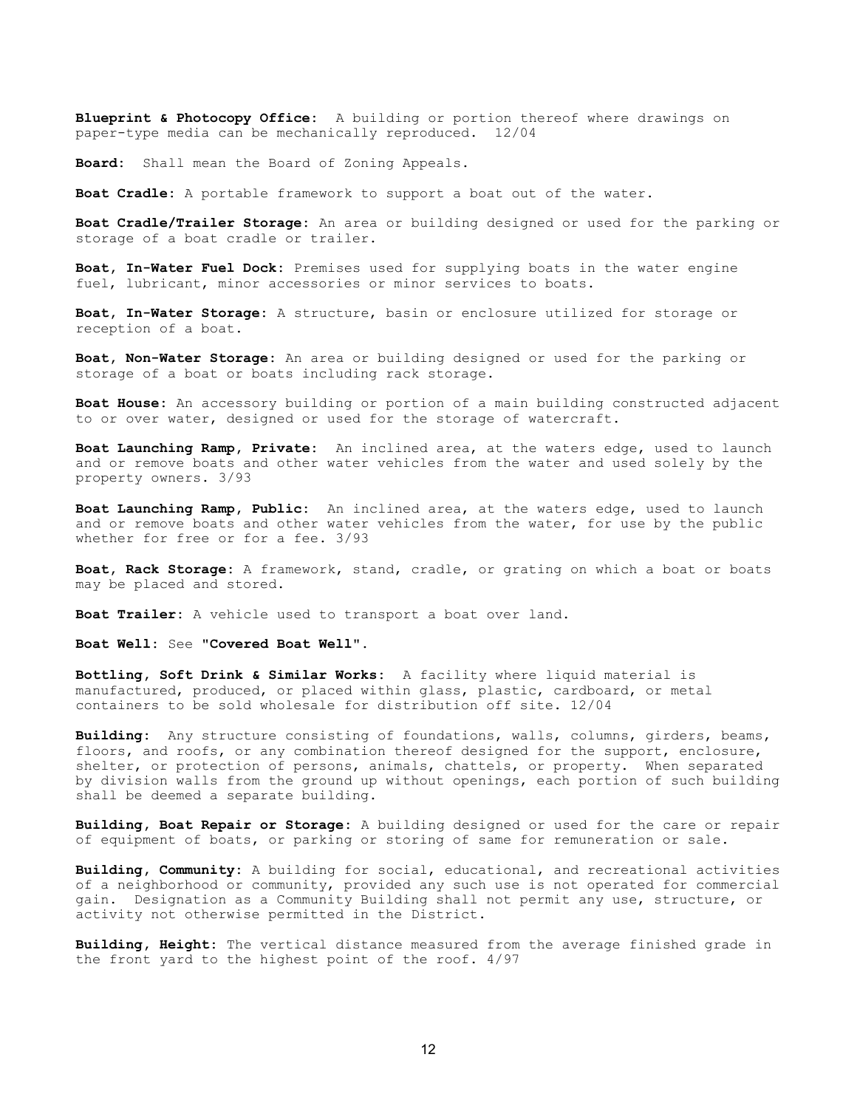Blueprint & Photocopy Office: A building or portion thereof where drawings on paper-type media can be mechanically reproduced. 12/04

Board: Shall mean the Board of Zoning Appeals.

Boat Cradle: A portable framework to support a boat out of the water.

Boat Cradle/Trailer Storage: An area or building designed or used for the parking or storage of a boat cradle or trailer.

Boat, In-Water Fuel Dock: Premises used for supplying boats in the water engine fuel, lubricant, minor accessories or minor services to boats.

Boat, In-Water Storage: A structure, basin or enclosure utilized for storage or reception of a boat.

Boat, Non-Water Storage: An area or building designed or used for the parking or storage of a boat or boats including rack storage.

Boat House: An accessory building or portion of a main building constructed adjacent to or over water, designed or used for the storage of watercraft.

Boat Launching Ramp, Private: An inclined area, at the waters edge, used to launch and or remove boats and other water vehicles from the water and used solely by the property owners. 3/93

Boat Launching Ramp, Public: An inclined area, at the waters edge, used to launch and or remove boats and other water vehicles from the water, for use by the public whether for free or for a fee. 3/93

Boat, Rack Storage: A framework, stand, cradle, or grating on which a boat or boats may be placed and stored.

Boat Trailer: A vehicle used to transport a boat over land.

Boat Well: See "Covered Boat Well".

Bottling, Soft Drink & Similar Works: A facility where liquid material is manufactured, produced, or placed within glass, plastic, cardboard, or metal containers to be sold wholesale for distribution off site. 12/04

Building: Any structure consisting of foundations, walls, columns, girders, beams, floors, and roofs, or any combination thereof designed for the support, enclosure, shelter, or protection of persons, animals, chattels, or property. When separated by division walls from the ground up without openings, each portion of such building shall be deemed a separate building.

Building, Boat Repair or Storage: A building designed or used for the care or repair of equipment of boats, or parking or storing of same for remuneration or sale.

Building, Community: A building for social, educational, and recreational activities of a neighborhood or community, provided any such use is not operated for commercial gain. Designation as a Community Building shall not permit any use, structure, or activity not otherwise permitted in the District.

Building, Height: The vertical distance measured from the average finished grade in the front yard to the highest point of the roof. 4/97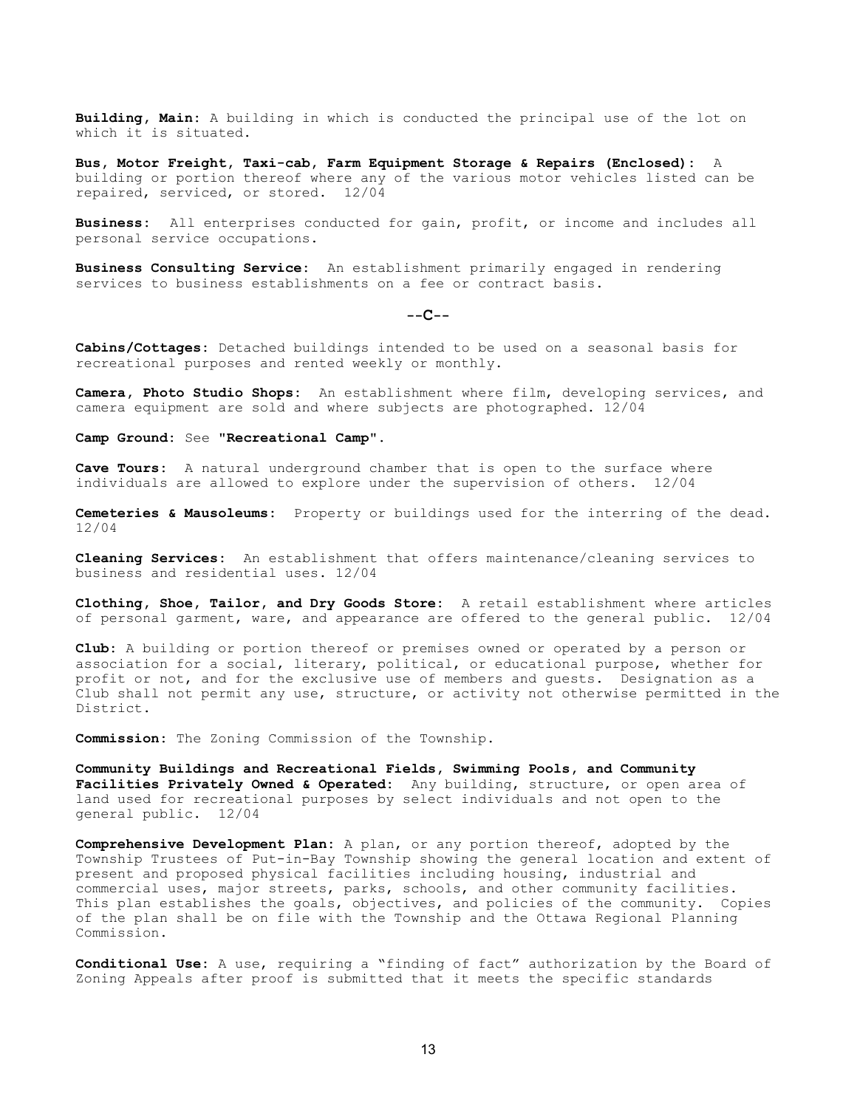Building, Main: A building in which is conducted the principal use of the lot on which it is situated.

Bus, Motor Freight, Taxi-cab, Farm Equipment Storage & Repairs (Enclosed): A building or portion thereof where any of the various motor vehicles listed can be repaired, serviced, or stored. 12/04

Business: All enterprises conducted for gain, profit, or income and includes all personal service occupations.

Business Consulting Service: An establishment primarily engaged in rendering services to business establishments on a fee or contract basis.

#### $-$ - $C$ - $-$

Cabins/Cottages: Detached buildings intended to be used on a seasonal basis for recreational purposes and rented weekly or monthly.

Camera, Photo Studio Shops: An establishment where film, developing services, and camera equipment are sold and where subjects are photographed. 12/04

Camp Ground: See "Recreational Camp".

Cave Tours: A natural underground chamber that is open to the surface where individuals are allowed to explore under the supervision of others. 12/04

Cemeteries & Mausoleums: Property or buildings used for the interring of the dead. 12/04

Cleaning Services: An establishment that offers maintenance/cleaning services to business and residential uses. 12/04

Clothing, Shoe, Tailor, and Dry Goods Store: A retail establishment where articles of personal garment, ware, and appearance are offered to the general public. 12/04

Club: A building or portion thereof or premises owned or operated by a person or association for a social, literary, political, or educational purpose, whether for profit or not, and for the exclusive use of members and guests. Designation as a Club shall not permit any use, structure, or activity not otherwise permitted in the District.

Commission: The Zoning Commission of the Township.

Community Buildings and Recreational Fields, Swimming Pools, and Community Facilities Privately Owned & Operated: Any building, structure, or open area of land used for recreational purposes by select individuals and not open to the general public. 12/04

Comprehensive Development Plan: A plan, or any portion thereof, adopted by the Township Trustees of Put-in-Bay Township showing the general location and extent of present and proposed physical facilities including housing, industrial and commercial uses, major streets, parks, schools, and other community facilities. This plan establishes the goals, objectives, and policies of the community. Copies of the plan shall be on file with the Township and the Ottawa Regional Planning Commission.

Conditional Use: A use, requiring a "finding of fact" authorization by the Board of Zoning Appeals after proof is submitted that it meets the specific standards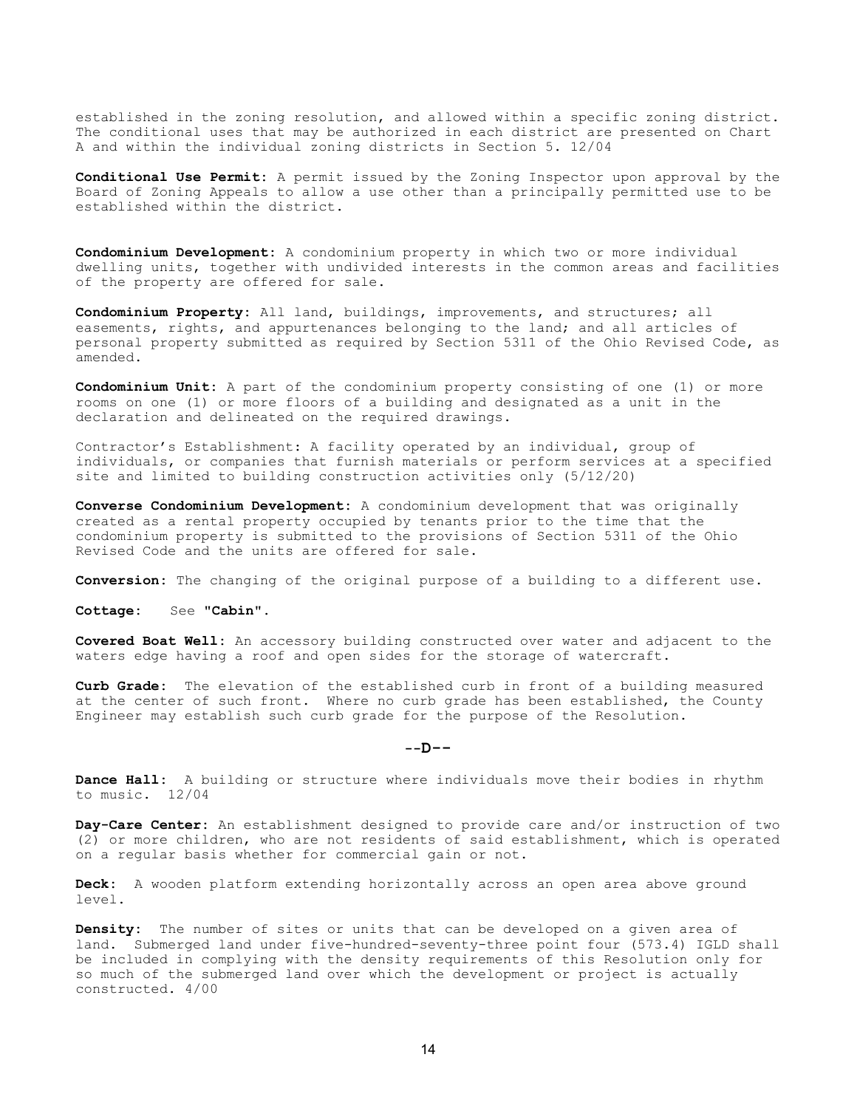established in the zoning resolution, and allowed within a specific zoning district. The conditional uses that may be authorized in each district are presented on Chart A and within the individual zoning districts in Section 5. 12/04

Conditional Use Permit: A permit issued by the Zoning Inspector upon approval by the Board of Zoning Appeals to allow a use other than a principally permitted use to be established within the district.

Condominium Development: A condominium property in which two or more individual dwelling units, together with undivided interests in the common areas and facilities of the property are offered for sale.

Condominium Property: All land, buildings, improvements, and structures; all easements, rights, and appurtenances belonging to the land; and all articles of personal property submitted as required by Section 5311 of the Ohio Revised Code, as amended.

Condominium Unit: A part of the condominium property consisting of one (1) or more rooms on one (1) or more floors of a building and designated as a unit in the declaration and delineated on the required drawings.

Contractor's Establishment: A facility operated by an individual, group of individuals, or companies that furnish materials or perform services at a specified site and limited to building construction activities only (5/12/20)

Converse Condominium Development: A condominium development that was originally created as a rental property occupied by tenants prior to the time that the condominium property is submitted to the provisions of Section 5311 of the Ohio Revised Code and the units are offered for sale.

Conversion: The changing of the original purpose of a building to a different use.

Cottage: See "Cabin".

Covered Boat Well: An accessory building constructed over water and adjacent to the waters edge having a roof and open sides for the storage of watercraft.

Curb Grade: The elevation of the established curb in front of a building measured at the center of such front. Where no curb grade has been established, the County Engineer may establish such curb grade for the purpose of the Resolution.

 $--D--$ 

Dance Hall: A building or structure where individuals move their bodies in rhythm to music. 12/04

Day-Care Center: An establishment designed to provide care and/or instruction of two (2) or more children, who are not residents of said establishment, which is operated on a regular basis whether for commercial gain or not.

Deck: A wooden platform extending horizontally across an open area above ground level.

Density: The number of sites or units that can be developed on a given area of land. Submerged land under five-hundred-seventy-three point four (573.4) IGLD shall be included in complying with the density requirements of this Resolution only for so much of the submerged land over which the development or project is actually constructed. 4/00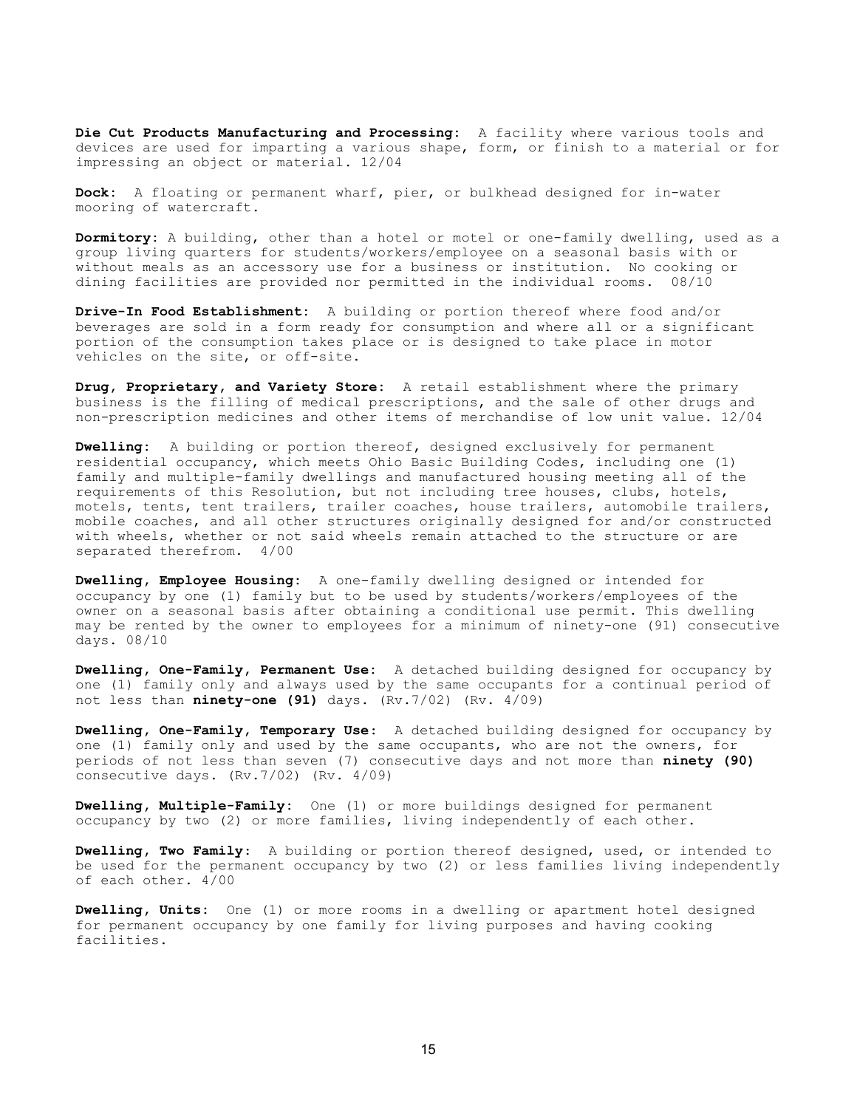Die Cut Products Manufacturing and Processing: A facility where various tools and devices are used for imparting a various shape, form, or finish to a material or for impressing an object or material. 12/04

Dock: A floating or permanent wharf, pier, or bulkhead designed for in-water mooring of watercraft.

Dormitory: A building, other than a hotel or motel or one-family dwelling, used as a group living quarters for students/workers/employee on a seasonal basis with or without meals as an accessory use for a business or institution. No cooking or dining facilities are provided nor permitted in the individual rooms. 08/10

Drive-In Food Establishment: A building or portion thereof where food and/or beverages are sold in a form ready for consumption and where all or a significant portion of the consumption takes place or is designed to take place in motor vehicles on the site, or off-site.

Drug, Proprietary, and Variety Store: A retail establishment where the primary business is the filling of medical prescriptions, and the sale of other drugs and non-prescription medicines and other items of merchandise of low unit value. 12/04

Dwelling: A building or portion thereof, designed exclusively for permanent residential occupancy, which meets Ohio Basic Building Codes, including one (1) family and multiple-family dwellings and manufactured housing meeting all of the requirements of this Resolution, but not including tree houses, clubs, hotels, motels, tents, tent trailers, trailer coaches, house trailers, automobile trailers, mobile coaches, and all other structures originally designed for and/or constructed with wheels, whether or not said wheels remain attached to the structure or are separated therefrom. 4/00

Dwelling, Employee Housing: A one-family dwelling designed or intended for occupancy by one (1) family but to be used by students/workers/employees of the owner on a seasonal basis after obtaining a conditional use permit. This dwelling may be rented by the owner to employees for a minimum of ninety-one (91) consecutive days. 08/10

Dwelling, One-Family, Permanent Use: A detached building designed for occupancy by one (1) family only and always used by the same occupants for a continual period of not less than  $\texttt{ninety-one}$  (91) days.  $(Rv.7/02)$  (Rv.  $4/09$ )

Dwelling, One-Family, Temporary Use: A detached building designed for occupancy by one (1) family only and used by the same occupants, who are not the owners, for periods of not less than seven (7) consecutive days and not more than ninety (90) consecutive days. (Rv.7/02) (Rv. 4/09)

**Dwelling, Multiple-Family:** One (1) or more buildings designed for permanent occupancy by two (2) or more families, living independently of each other.

Dwelling, Two Family: A building or portion thereof designed, used, or intended to be used for the permanent occupancy by two (2) or less families living independently of each other. 4/00

**Dwelling, Units:** One (1) or more rooms in a dwelling or apartment hotel designed for permanent occupancy by one family for living purposes and having cooking facilities.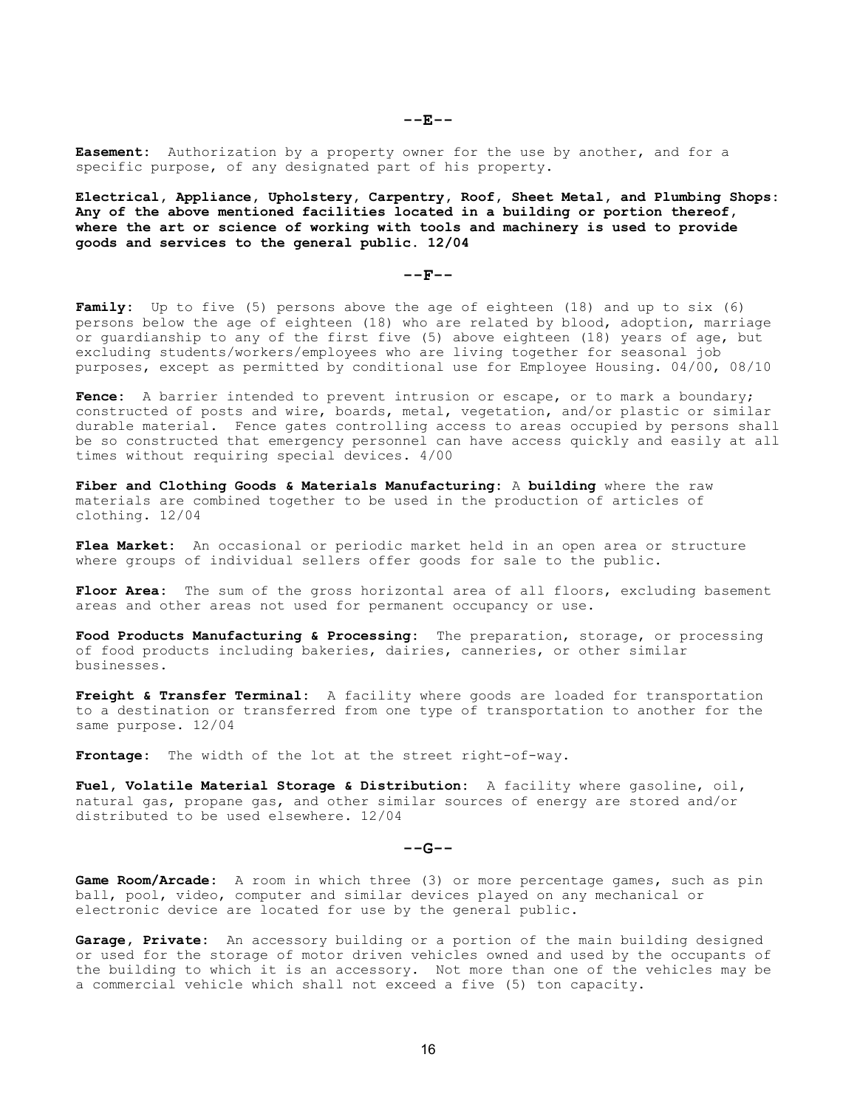Easement: Authorization by a property owner for the use by another, and for a specific purpose, of any designated part of his property.

Electrical, Appliance, Upholstery, Carpentry, Roof, Sheet Metal, and Plumbing Shops: Any of the above mentioned facilities located in a building or portion thereof, where the art or science of working with tools and machinery is used to provide goods and services to the general public. 12/04

### $--F--$

Family: Up to five (5) persons above the age of eighteen (18) and up to six (6) persons below the age of eighteen (18) who are related by blood, adoption, marriage or guardianship to any of the first five (5) above eighteen (18) years of age, but excluding students/workers/employees who are living together for seasonal job purposes, except as permitted by conditional use for Employee Housing. 04/00, 08/10

Fence: A barrier intended to prevent intrusion or escape, or to mark a boundary; constructed of posts and wire, boards, metal, vegetation, and/or plastic or similar durable material. Fence gates controlling access to areas occupied by persons shall be so constructed that emergency personnel can have access quickly and easily at all times without requiring special devices. 4/00

Fiber and Clothing Goods & Materials Manufacturing: A building where the raw materials are combined together to be used in the production of articles of clothing. 12/04

Flea Market: An occasional or periodic market held in an open area or structure where groups of individual sellers offer goods for sale to the public.

Floor Area: The sum of the gross horizontal area of all floors, excluding basement areas and other areas not used for permanent occupancy or use.

Food Products Manufacturing & Processing: The preparation, storage, or processing of food products including bakeries, dairies, canneries, or other similar businesses.

Freight & Transfer Terminal: A facility where goods are loaded for transportation to a destination or transferred from one type of transportation to another for the same purpose. 12/04

Frontage: The width of the lot at the street right-of-way.

Fuel, Volatile Material Storage & Distribution: A facility where gasoline, oil, natural gas, propane gas, and other similar sources of energy are stored and/or distributed to be used elsewhere. 12/04

### $- - G - -$

Game Room/Arcade: A room in which three (3) or more percentage games, such as pin ball, pool, video, computer and similar devices played on any mechanical or electronic device are located for use by the general public.

Garage, Private: An accessory building or a portion of the main building designed or used for the storage of motor driven vehicles owned and used by the occupants of the building to which it is an accessory. Not more than one of the vehicles may be a commercial vehicle which shall not exceed a five (5) ton capacity.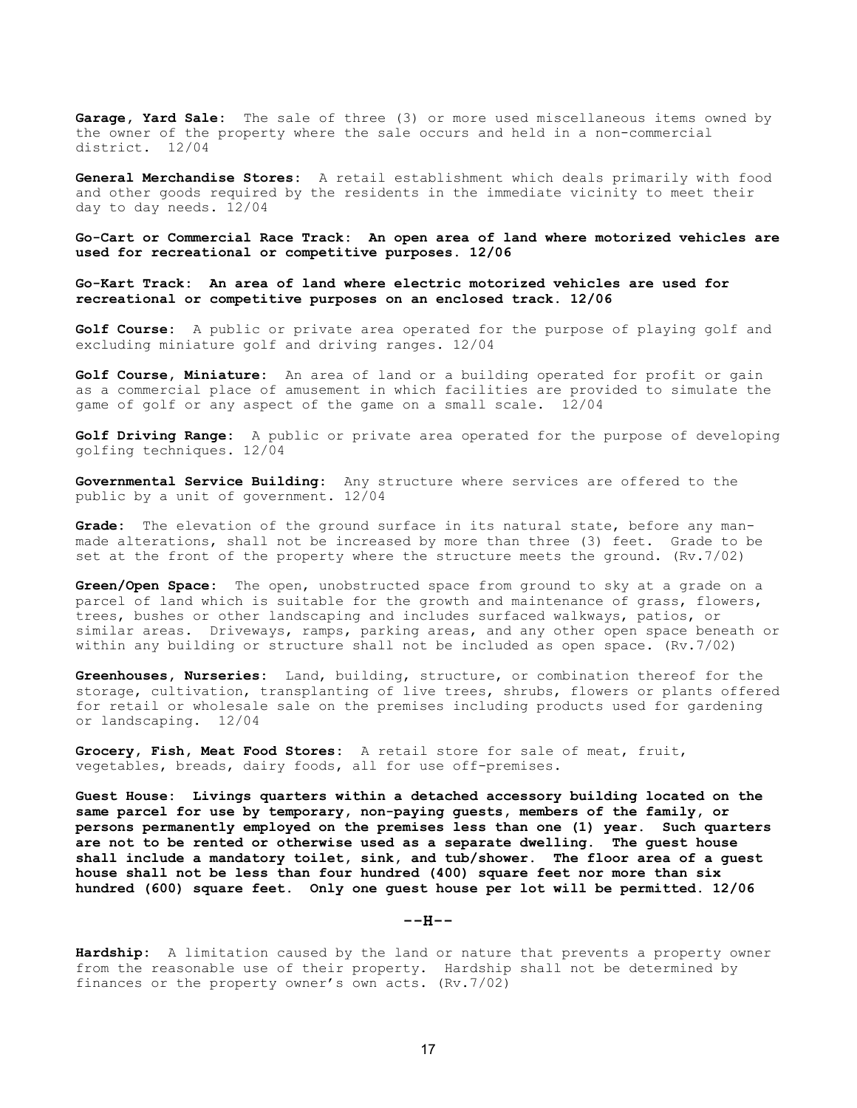Garage, Yard Sale: The sale of three (3) or more used miscellaneous items owned by the owner of the property where the sale occurs and held in a non-commercial<br>district. 12/04 district.

General Merchandise Stores: A retail establishment which deals primarily with food and other goods required by the residents in the immediate vicinity to meet their day to day needs. 12/04

Go-Cart or Commercial Race Track: An open area of land where motorized vehicles are used for recreational or competitive purposes. 12/06

Go-Kart Track: An area of land where electric motorized vehicles are used for recreational or competitive purposes on an enclosed track. 12/06

Golf Course: A public or private area operated for the purpose of playing golf and excluding miniature golf and driving ranges. 12/04

Golf Course, Miniature: An area of land or a building operated for profit or gain as a commercial place of amusement in which facilities are provided to simulate the game of golf or any aspect of the game on a small scale. 12/04

Golf Driving Range: A public or private area operated for the purpose of developing golfing techniques. 12/04

Governmental Service Building: Any structure where services are offered to the public by a unit of government. 12/04

Grade: The elevation of the ground surface in its natural state, before any manmade alterations, shall not be increased by more than three (3) feet. Grade to be set at the front of the property where the structure meets the ground. (Rv.7/02)

Green/Open Space: The open, unobstructed space from ground to sky at a grade on a parcel of land which is suitable for the growth and maintenance of grass, flowers, trees, bushes or other landscaping and includes surfaced walkways, patios, or similar areas. Driveways, ramps, parking areas, and any other open space beneath or within any building or structure shall not be included as open space. (Rv.7/02)

Greenhouses, Nurseries: Land, building, structure, or combination thereof for the storage, cultivation, transplanting of live trees, shrubs, flowers or plants offered for retail or wholesale sale on the premises including products used for gardening or landscaping. 12/04

Grocery, Fish, Meat Food Stores: A retail store for sale of meat, fruit, vegetables, breads, dairy foods, all for use off-premises.

Guest House: Livings quarters within a detached accessory building located on the same parcel for use by temporary, non-paying guests, members of the family, or persons permanently employed on the premises less than one (1) year. Such quarters are not to be rented or otherwise used as a separate dwelling. The guest house shall include a mandatory toilet, sink, and tub/shower. The floor area of a guest house shall not be less than four hundred (400) square feet nor more than six hundred (600) square feet. Only one guest house per lot will be permitted. 12/06

 $---H---$ 

Hardship: A limitation caused by the land or nature that prevents a property owner from the reasonable use of their property. Hardship shall not be determined by finances or the property owner's own acts. (Rv.7/02)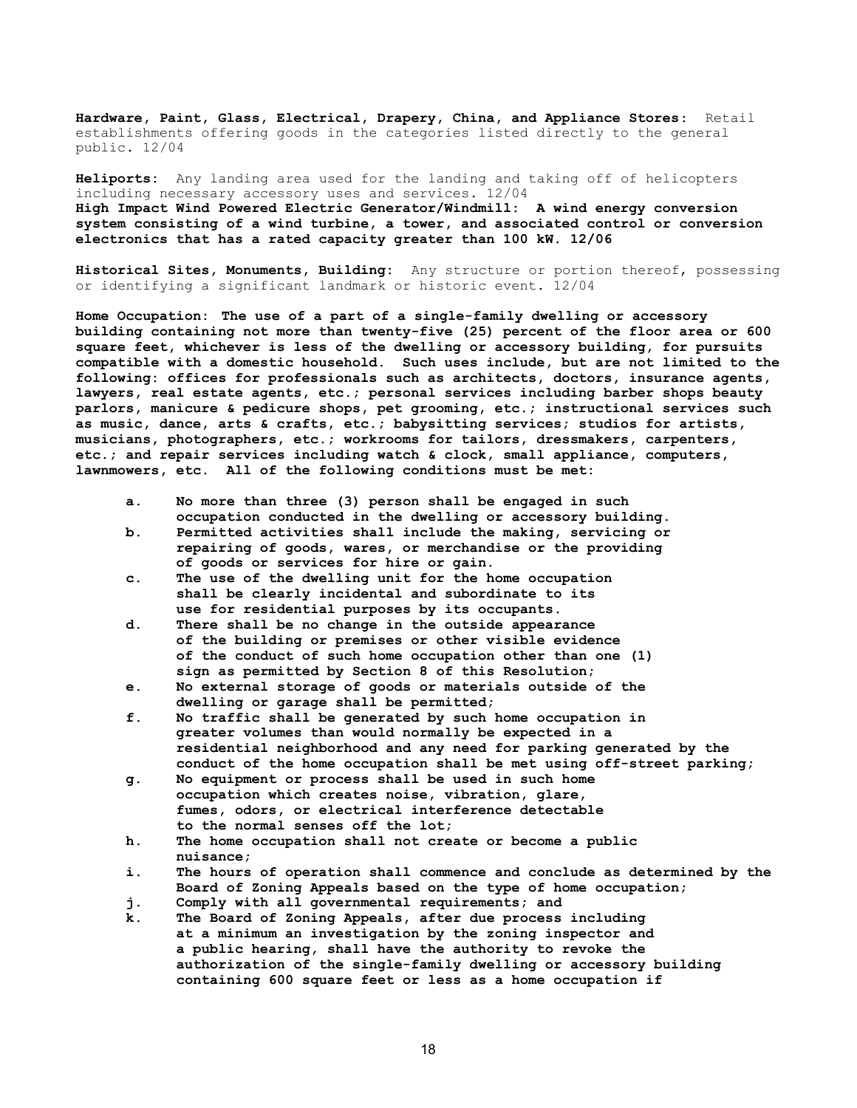Hardware, Paint, Glass, Electrical, Drapery, China, and Appliance Stores: Retail establishments offering goods in the categories listed directly to the general public. 12/04

Heliports: Any landing area used for the landing and taking off of helicopters including necessary accessory uses and services. 12/04 High Impact Wind Powered Electric Generator/Windmill: A wind energy conversion system consisting of a wind turbine, a tower, and associated control or conversion electronics that has a rated capacity greater than 100 kW. 12/06

Historical Sites, Monuments, Building: Any structure or portion thereof, possessing or identifying a significant landmark or historic event. 12/04

Home Occupation: The use of a part of a single-family dwelling or accessory building containing not more than twenty-five (25) percent of the floor area or 600 square feet, whichever is less of the dwelling or accessory building, for pursuits compatible with a domestic household. Such uses include, but are not limited to the following: offices for professionals such as architects, doctors, insurance agents, lawyers, real estate agents, etc.; personal services including barber shops beauty parlors, manicure & pedicure shops, pet grooming, etc.; instructional services such as music, dance, arts & crafts, etc.; babysitting services; studios for artists, musicians, photographers, etc.; workrooms for tailors, dressmakers, carpenters, etc.; and repair services including watch & clock, small appliance, computers, lawnmowers, etc. All of the following conditions must be met:

- a. No more than three (3) person shall be engaged in such occupation conducted in the dwelling or accessory building.
- b. Permitted activities shall include the making, servicing or repairing of goods, wares, or merchandise or the providing of goods or services for hire or gain.
- c. The use of the dwelling unit for the home occupation shall be clearly incidental and subordinate to its use for residential purposes by its occupants.
- d. There shall be no change in the outside appearance of the building or premises or other visible evidence of the conduct of such home occupation other than one (1) sign as permitted by Section 8 of this Resolution;
- e. No external storage of goods or materials outside of the dwelling or garage shall be permitted;
- f. No traffic shall be generated by such home occupation in greater volumes than would normally be expected in a residential neighborhood and any need for parking generated by the conduct of the home occupation shall be met using off-street parking;
- g. No equipment or process shall be used in such home occupation which creates noise, vibration, glare, fumes, odors, or electrical interference detectable to the normal senses off the lot;
- h. The home occupation shall not create or become a public nuisance;
- i. The hours of operation shall commence and conclude as determined by the Board of Zoning Appeals based on the type of home occupation;
- j. Comply with all governmental requirements; and
- k. The Board of Zoning Appeals, after due process including at a minimum an investigation by the zoning inspector and a public hearing, shall have the authority to revoke the authorization of the single-family dwelling or accessory building containing 600 square feet or less as a home occupation if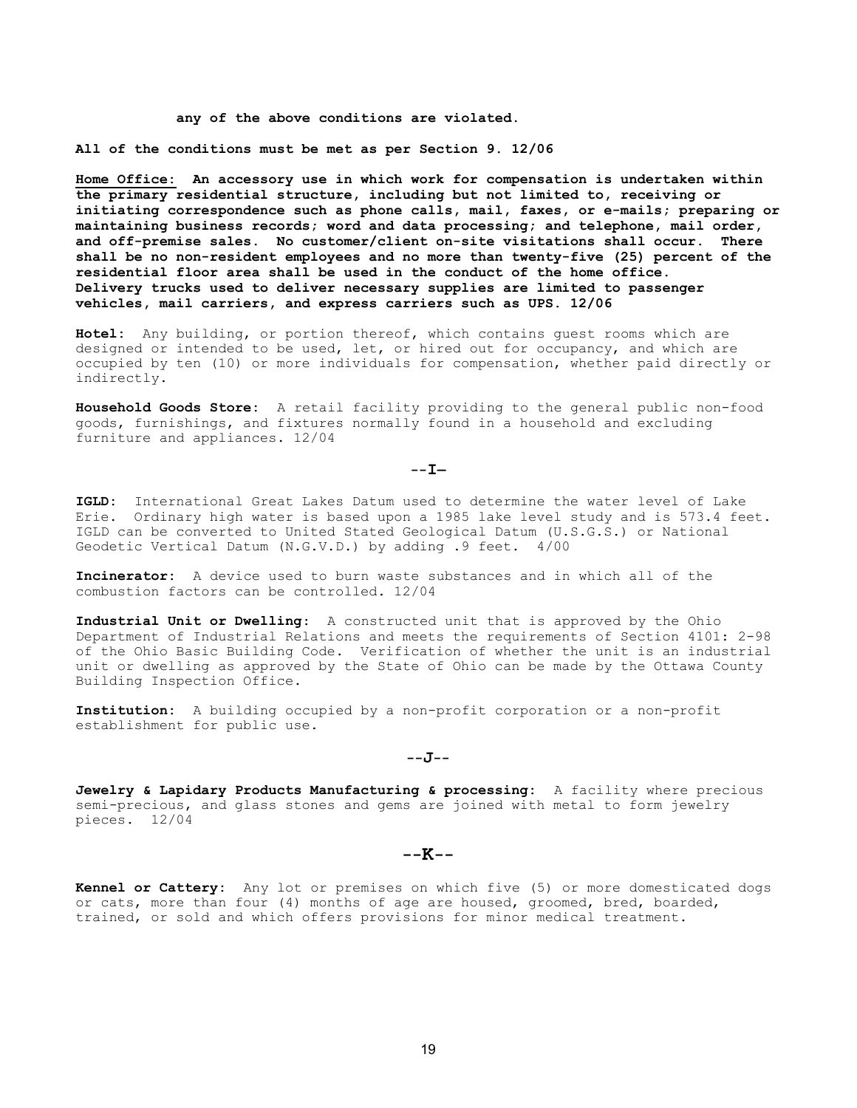#### any of the above conditions are violated.

All of the conditions must be met as per Section 9. 12/06

Home Office: An accessory use in which work for compensation is undertaken within the primary residential structure, including but not limited to, receiving or initiating correspondence such as phone calls, mail, faxes, or e-mails; preparing or maintaining business records; word and data processing; and telephone, mail order, and off-premise sales. No customer/client on-site visitations shall occur. There shall be no non-resident employees and no more than twenty-five (25) percent of the residential floor area shall be used in the conduct of the home office. Delivery trucks used to deliver necessary supplies are limited to passenger vehicles, mail carriers, and express carriers such as UPS. 12/06

Hotel: Any building, or portion thereof, which contains guest rooms which are designed or intended to be used, let, or hired out for occupancy, and which are occupied by ten (10) or more individuals for compensation, whether paid directly or indirectly.

Household Goods Store: A retail facility providing to the general public non-food goods, furnishings, and fixtures normally found in a household and excluding furniture and appliances. 12/04

### $--T$ —

IGLD: International Great Lakes Datum used to determine the water level of Lake Erie. Ordinary high water is based upon a 1985 lake level study and is 573.4 feet. IGLD can be converted to United Stated Geological Datum (U.S.G.S.) or National Geodetic Vertical Datum (N.G.V.D.) by adding .9 feet. 4/00

Incinerator: A device used to burn waste substances and in which all of the combustion factors can be controlled. 12/04

Industrial Unit or Dwelling: A constructed unit that is approved by the Ohio Department of Industrial Relations and meets the requirements of Section 4101: 2-98 of the Ohio Basic Building Code. Verification of whether the unit is an industrial unit or dwelling as approved by the State of Ohio can be made by the Ottawa County Building Inspection Office.

Institution: A building occupied by a non-profit corporation or a non-profit establishment for public use.

--J--

Jewelry & Lapidary Products Manufacturing & processing: A facility where precious semi-precious, and glass stones and gems are joined with metal to form jewelry pieces. 12/04

# $--K--$

Kennel or Cattery: Any lot or premises on which five (5) or more domesticated dogs or cats, more than four (4) months of age are housed, groomed, bred, boarded, trained, or sold and which offers provisions for minor medical treatment.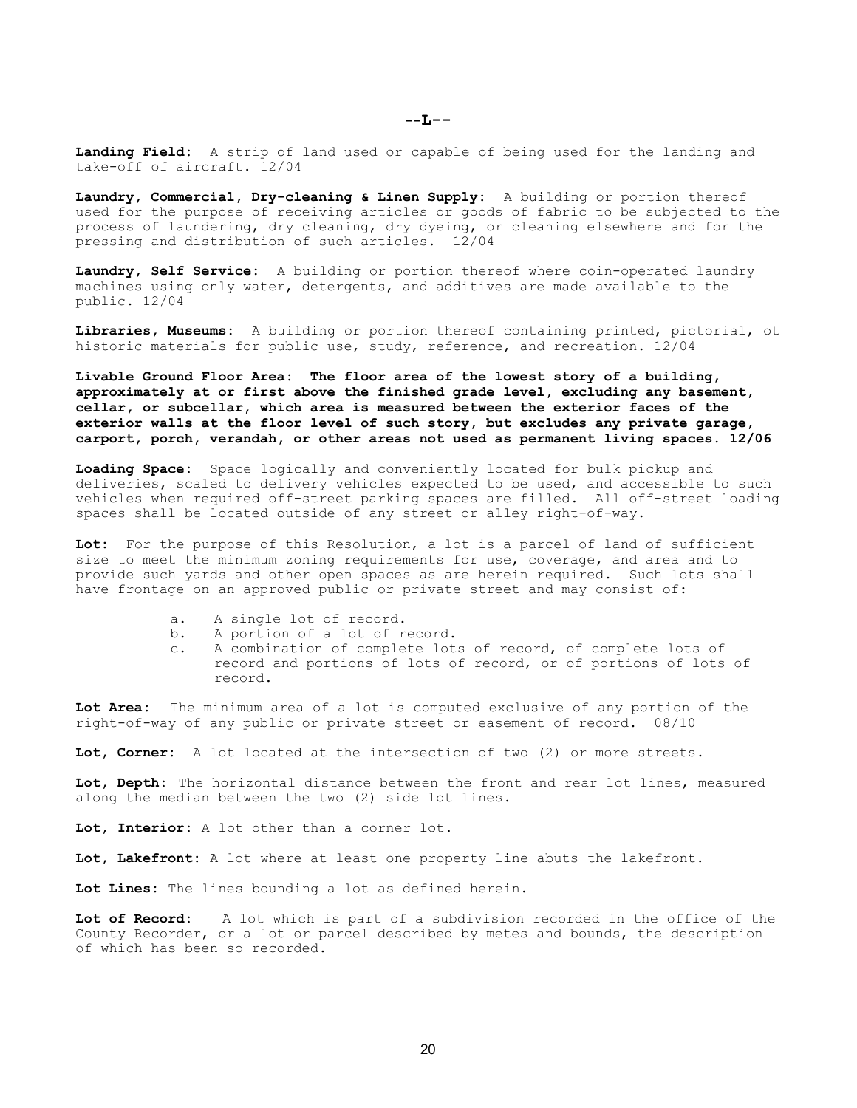$--L--$ 

Landing Field: A strip of land used or capable of being used for the landing and take-off of aircraft. 12/04

Laundry, Commercial, Dry-cleaning & Linen Supply: A building or portion thereof used for the purpose of receiving articles or goods of fabric to be subjected to the process of laundering, dry cleaning, dry dyeing, or cleaning elsewhere and for the pressing and distribution of such articles. 12/04

Laundry, Self Service: A building or portion thereof where coin-operated laundry machines using only water, detergents, and additives are made available to the public. 12/04

Libraries, Museums: A building or portion thereof containing printed, pictorial, ot historic materials for public use, study, reference, and recreation. 12/04

Livable Ground Floor Area: The floor area of the lowest story of a building, approximately at or first above the finished grade level, excluding any basement, cellar, or subcellar, which area is measured between the exterior faces of the exterior walls at the floor level of such story, but excludes any private garage, carport, porch, verandah, or other areas not used as permanent living spaces. 12/06

Loading Space: Space logically and conveniently located for bulk pickup and deliveries, scaled to delivery vehicles expected to be used, and accessible to such vehicles when required off-street parking spaces are filled. All off-street loading spaces shall be located outside of any street or alley right-of-way.

Lot: For the purpose of this Resolution, a lot is a parcel of land of sufficient size to meet the minimum zoning requirements for use, coverage, and area and to provide such yards and other open spaces as are herein required. Such lots shall have frontage on an approved public or private street and may consist of:

- a. A single lot of record.
- b. A portion of a lot of record.
- c. A combination of complete lots of record, of complete lots of record and portions of lots of record, or of portions of lots of record.

Lot Area: The minimum area of a lot is computed exclusive of any portion of the right-of-way of any public or private street or easement of record. 08/10

Lot, Corner: A lot located at the intersection of two (2) or more streets.

Lot, Depth: The horizontal distance between the front and rear lot lines, measured along the median between the two (2) side lot lines.

Lot, Interior: A lot other than a corner lot.

Lot, Lakefront: A lot where at least one property line abuts the lakefront.

Lot Lines: The lines bounding a lot as defined herein.

Lot of Record: A lot which is part of a subdivision recorded in the office of the County Recorder, or a lot or parcel described by metes and bounds, the description of which has been so recorded.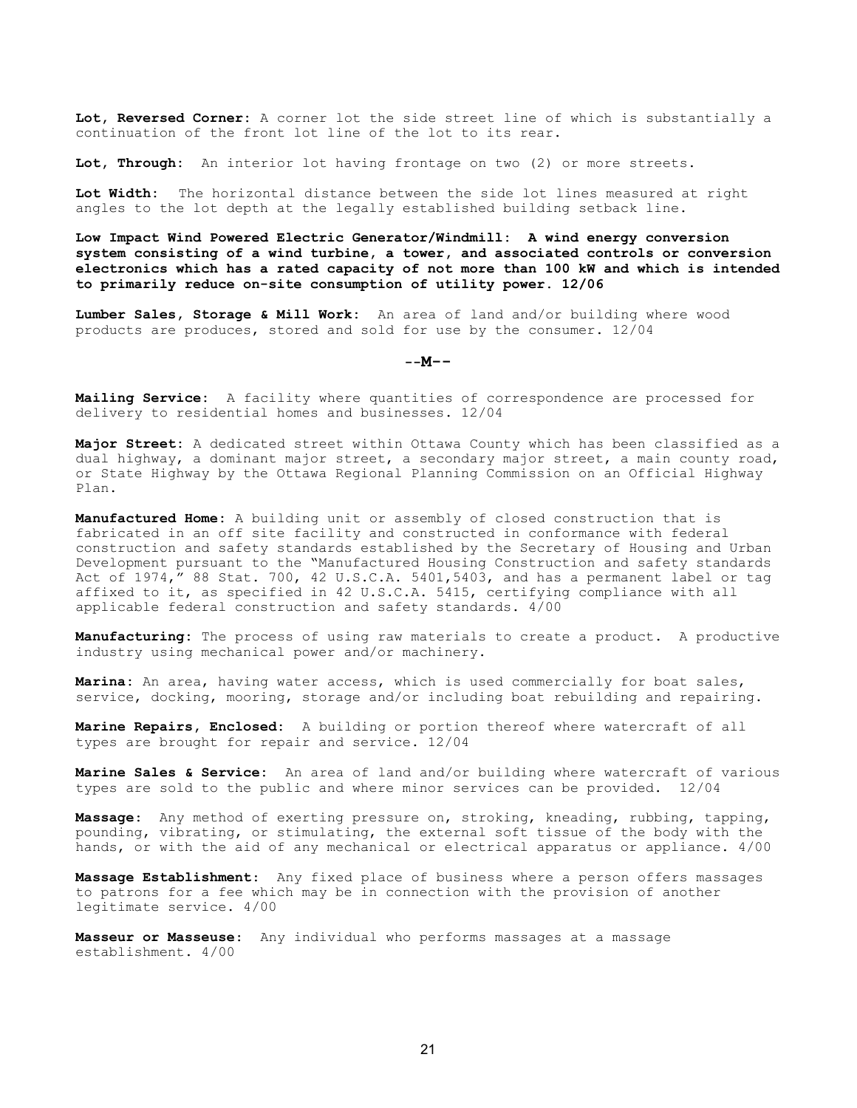Lot, Reversed Corner: A corner lot the side street line of which is substantially a continuation of the front lot line of the lot to its rear.

Lot, Through: An interior lot having frontage on two (2) or more streets.

Lot Width: The horizontal distance between the side lot lines measured at right angles to the lot depth at the legally established building setback line.

Low Impact Wind Powered Electric Generator/Windmill: A wind energy conversion system consisting of a wind turbine, a tower, and associated controls or conversion electronics which has a rated capacity of not more than 100 kW and which is intended to primarily reduce on-site consumption of utility power. 12/06

Lumber Sales, Storage & Mill Work: An area of land and/or building where wood products are produces, stored and sold for use by the consumer. 12/04

#### $--M--$

Mailing Service: A facility where quantities of correspondence are processed for delivery to residential homes and businesses. 12/04

Major Street: A dedicated street within Ottawa County which has been classified as a dual highway, a dominant major street, a secondary major street, a main county road, or State Highway by the Ottawa Regional Planning Commission on an Official Highway Plan.

Manufactured Home: A building unit or assembly of closed construction that is fabricated in an off site facility and constructed in conformance with federal construction and safety standards established by the Secretary of Housing and Urban Development pursuant to the "Manufactured Housing Construction and safety standards Act of 1974," 88 Stat. 700, 42 U.S.C.A. 5401,5403, and has a permanent label or tag affixed to it, as specified in 42 U.S.C.A. 5415, certifying compliance with all applicable federal construction and safety standards. 4/00

Manufacturing: The process of using raw materials to create a product. A productive industry using mechanical power and/or machinery.

Marina: An area, having water access, which is used commercially for boat sales, service, docking, mooring, storage and/or including boat rebuilding and repairing.

Marine Repairs, Enclosed: A building or portion thereof where watercraft of all types are brought for repair and service. 12/04

Marine Sales & Service: An area of land and/or building where watercraft of various types are sold to the public and where minor services can be provided. 12/04

Massage: Any method of exerting pressure on, stroking, kneading, rubbing, tapping, pounding, vibrating, or stimulating, the external soft tissue of the body with the hands, or with the aid of any mechanical or electrical apparatus or appliance. 4/00

Massage Establishment: Any fixed place of business where a person offers massages to patrons for a fee which may be in connection with the provision of another legitimate service. 4/00

Masseur or Masseuse: Any individual who performs massages at a massage establishment. 4/00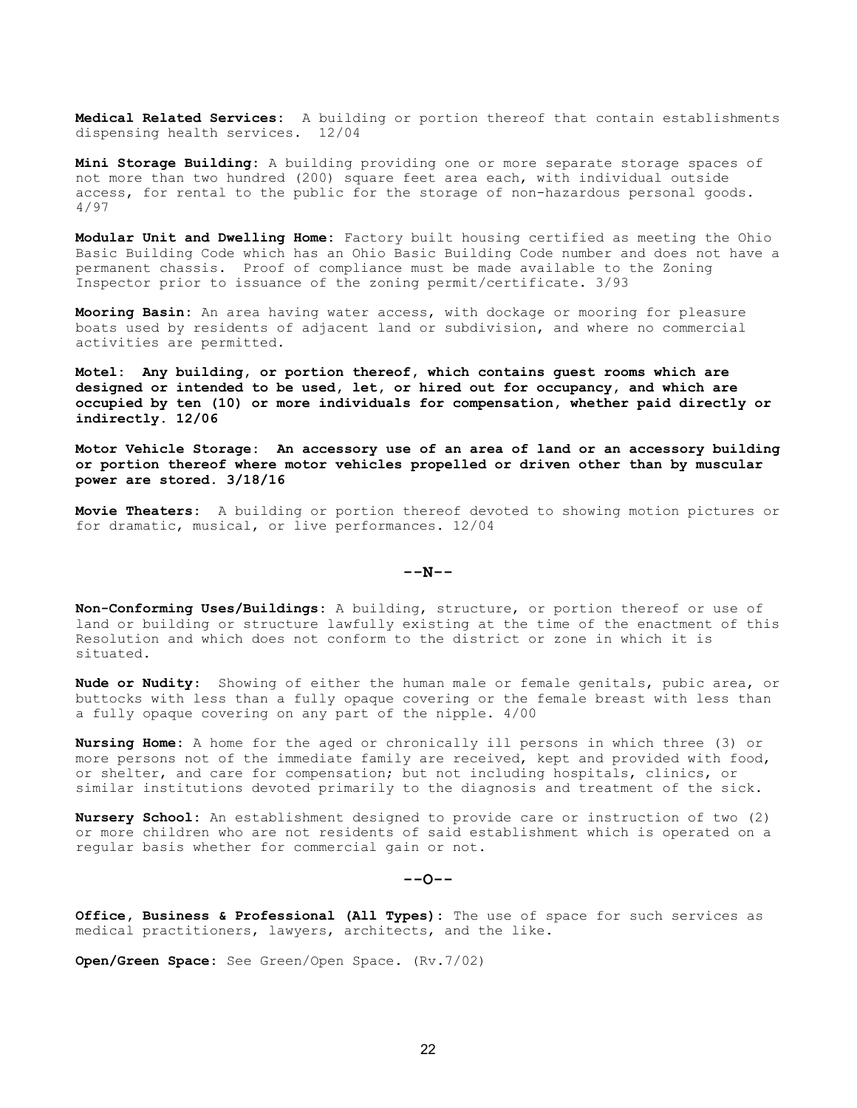Medical Related Services: A building or portion thereof that contain establishments dispensing health services. 12/04

Mini Storage Building: A building providing one or more separate storage spaces of not more than two hundred (200) square feet area each, with individual outside access, for rental to the public for the storage of non-hazardous personal goods. 4/97

Modular Unit and Dwelling Home: Factory built housing certified as meeting the Ohio Basic Building Code which has an Ohio Basic Building Code number and does not have a permanent chassis. Proof of compliance must be made available to the Zoning Inspector prior to issuance of the zoning permit/certificate. 3/93

Mooring Basin: An area having water access, with dockage or mooring for pleasure boats used by residents of adjacent land or subdivision, and where no commercial activities are permitted.

Motel: Any building, or portion thereof, which contains guest rooms which are designed or intended to be used, let, or hired out for occupancy, and which are occupied by ten (10) or more individuals for compensation, whether paid directly or indirectly. 12/06

Motor Vehicle Storage: An accessory use of an area of land or an accessory building or portion thereof where motor vehicles propelled or driven other than by muscular power are stored. 3/18/16

Movie Theaters: A building or portion thereof devoted to showing motion pictures or for dramatic, musical, or live performances. 12/04

 $--N--$ 

Non-Conforming Uses/Buildings: A building, structure, or portion thereof or use of land or building or structure lawfully existing at the time of the enactment of this Resolution and which does not conform to the district or zone in which it is situated.

Nude or Nudity: Showing of either the human male or female genitals, pubic area, or buttocks with less than a fully opaque covering or the female breast with less than a fully opaque covering on any part of the nipple. 4/00

Nursing Home: A home for the aged or chronically ill persons in which three (3) or more persons not of the immediate family are received, kept and provided with food, or shelter, and care for compensation; but not including hospitals, clinics, or similar institutions devoted primarily to the diagnosis and treatment of the sick.

Nursery School: An establishment designed to provide care or instruction of two (2) or more children who are not residents of said establishment which is operated on a regular basis whether for commercial gain or not.

 $- O--$ 

Office, Business & Professional (All Types): The use of space for such services as medical practitioners, lawyers, architects, and the like.

Open/Green Space: See Green/Open Space. (Rv.7/02)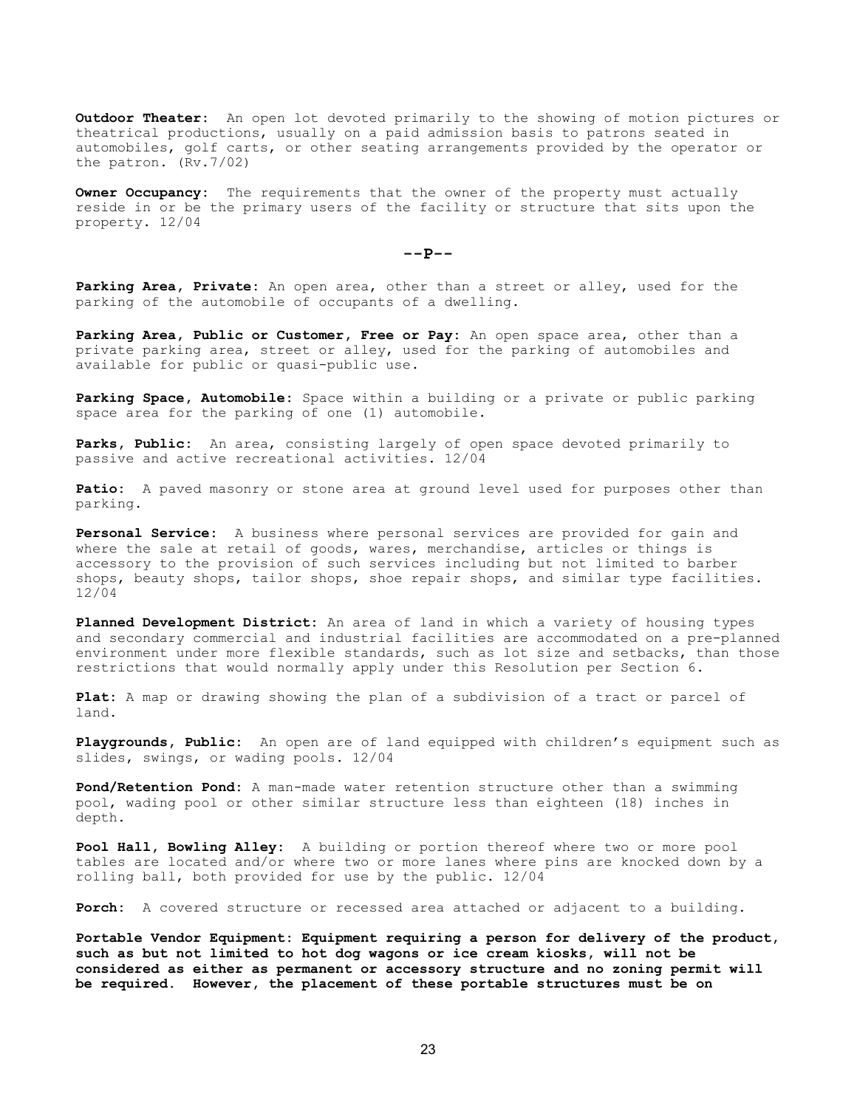**Outdoor Theater:** An open lot devoted primarily to the showing of motion pictures or theatrical productions, usually on a paid admission basis to patrons seated in automobiles, golf carts, or other seating arrangements provided by the operator or the patron. (Rv.7/02)

Owner Occupancy: The requirements that the owner of the property must actually reside in or be the primary users of the facility or structure that sits upon the property. 12/04

 $--P--$ 

Parking Area, Private: An open area, other than a street or alley, used for the parking of the automobile of occupants of a dwelling.

Parking Area, Public or Customer, Free or Pay: An open space area, other than a private parking area, street or alley, used for the parking of automobiles and available for public or quasi-public use.

Parking Space, Automobile: Space within a building or a private or public parking space area for the parking of one (1) automobile.

Parks, Public: An area, consisting largely of open space devoted primarily to passive and active recreational activities. 12/04

Patio: A paved masonry or stone area at ground level used for purposes other than parking.

Personal Service: A business where personal services are provided for gain and where the sale at retail of goods, wares, merchandise, articles or things is accessory to the provision of such services including but not limited to barber shops, beauty shops, tailor shops, shoe repair shops, and similar type facilities. 12/04

Planned Development District: An area of land in which a variety of housing types and secondary commercial and industrial facilities are accommodated on a pre-planned environment under more flexible standards, such as lot size and setbacks, than those restrictions that would normally apply under this Resolution per Section 6.

Plat: A map or drawing showing the plan of a subdivision of a tract or parcel of land.

Playgrounds, Public: An open are of land equipped with children's equipment such as slides, swings, or wading pools. 12/04

Pond/Retention Pond: A man-made water retention structure other than a swimming pool, wading pool or other similar structure less than eighteen (18) inches in depth.

Pool Hall, Bowling Alley: A building or portion thereof where two or more pool tables are located and/or where two or more lanes where pins are knocked down by a rolling ball, both provided for use by the public. 12/04

Porch: A covered structure or recessed area attached or adjacent to a building.

Portable Vendor Equipment: Equipment requiring a person for delivery of the product, such as but not limited to hot dog wagons or ice cream kiosks, will not be considered as either as permanent or accessory structure and no zoning permit will be required. However, the placement of these portable structures must be on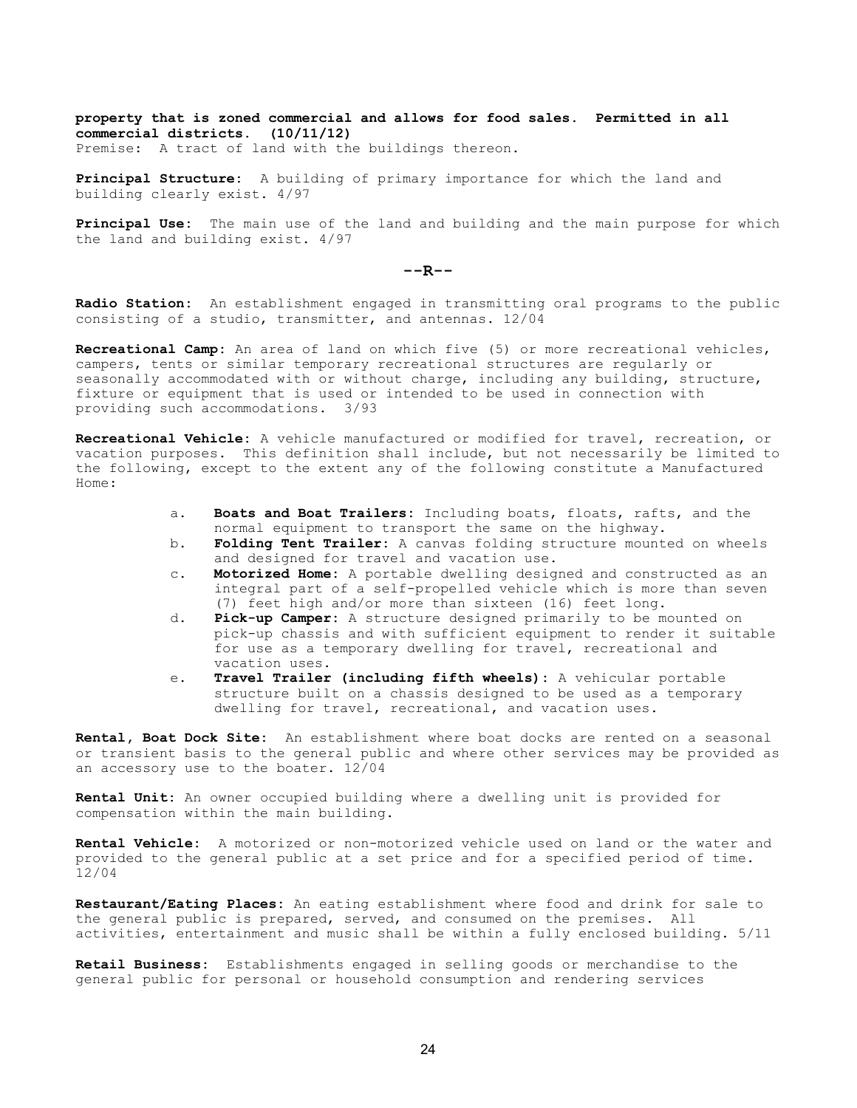property that is zoned commercial and allows for food sales. Permitted in all commercial districts. (10/11/12) Premise: A tract of land with the buildings thereon.

Principal Structure: A building of primary importance for which the land and building clearly exist. 4/97

Principal Use: The main use of the land and building and the main purpose for which the land and building exist. 4/97

 $--R--$ 

Radio Station: An establishment engaged in transmitting oral programs to the public consisting of a studio, transmitter, and antennas. 12/04

Recreational Camp: An area of land on which five (5) or more recreational vehicles, campers, tents or similar temporary recreational structures are regularly or seasonally accommodated with or without charge, including any building, structure, fixture or equipment that is used or intended to be used in connection with providing such accommodations. 3/93

Recreational Vehicle: A vehicle manufactured or modified for travel, recreation, or vacation purposes. This definition shall include, but not necessarily be limited to the following, except to the extent any of the following constitute a Manufactured Home:

- a. Boats and Boat Trailers: Including boats, floats, rafts, and the normal equipment to transport the same on the highway.
- b. Folding Tent Trailer: A canvas folding structure mounted on wheels and designed for travel and vacation use.
- c. Motorized Home: A portable dwelling designed and constructed as an integral part of a self-propelled vehicle which is more than seven (7) feet high and/or more than sixteen (16) feet long.
- d. Pick-up Camper: A structure designed primarily to be mounted on pick-up chassis and with sufficient equipment to render it suitable for use as a temporary dwelling for travel, recreational and vacation uses.
- e. Travel Trailer (including fifth wheels): A vehicular portable structure built on a chassis designed to be used as a temporary dwelling for travel, recreational, and vacation uses.

Rental, Boat Dock Site: An establishment where boat docks are rented on a seasonal or transient basis to the general public and where other services may be provided as an accessory use to the boater. 12/04

Rental Unit: An owner occupied building where a dwelling unit is provided for compensation within the main building.

Rental Vehicle: A motorized or non-motorized vehicle used on land or the water and provided to the general public at a set price and for a specified period of time. 12/04

Restaurant/Eating Places: An eating establishment where food and drink for sale to the general public is prepared, served, and consumed on the premises. All activities, entertainment and music shall be within a fully enclosed building. 5/11

Retail Business: Establishments engaged in selling goods or merchandise to the general public for personal or household consumption and rendering services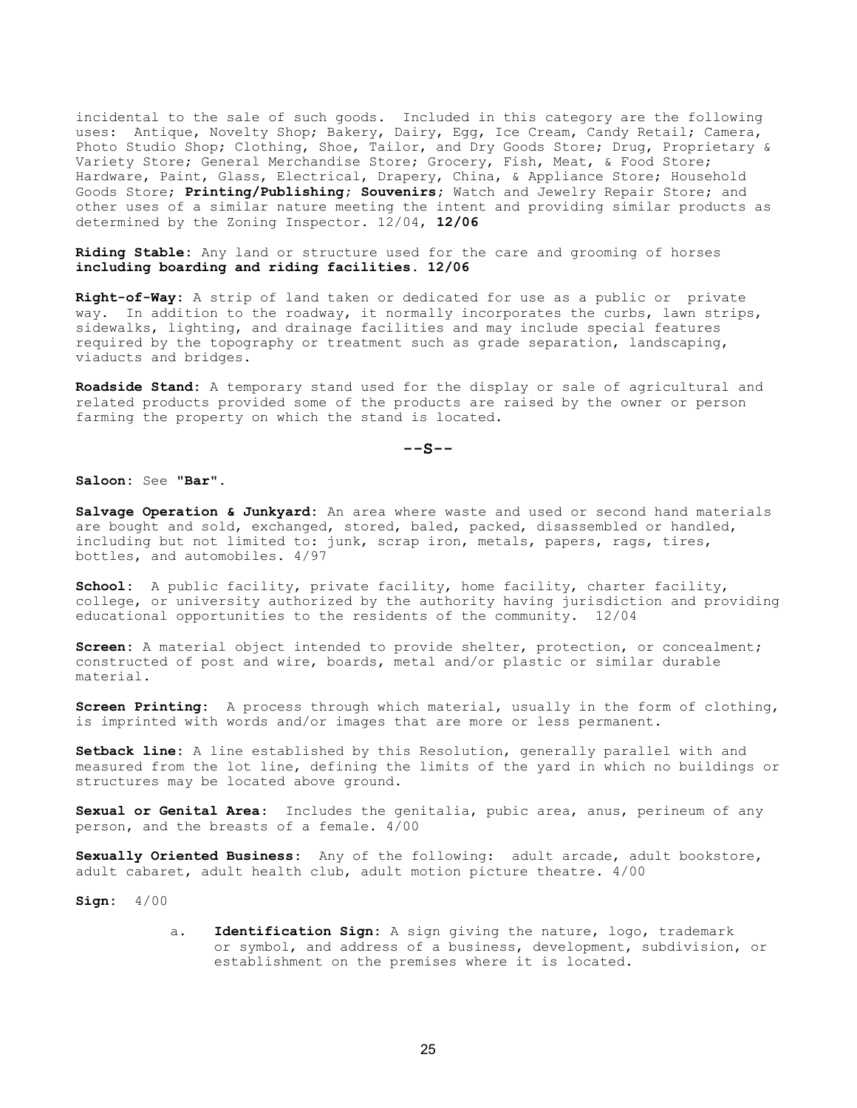incidental to the sale of such goods. Included in this category are the following uses: Antique, Novelty Shop; Bakery, Dairy, Egg, Ice Cream, Candy Retail; Camera, Photo Studio Shop; Clothing, Shoe, Tailor, and Dry Goods Store; Drug, Proprietary & Variety Store; General Merchandise Store; Grocery, Fish, Meat, & Food Store; Hardware, Paint, Glass, Electrical, Drapery, China, & Appliance Store; Household Goods Store; Printing/Publishing; Souvenirs; Watch and Jewelry Repair Store; and other uses of a similar nature meeting the intent and providing similar products as determined by the Zoning Inspector. 12/04, 12/06

Riding Stable: Any land or structure used for the care and grooming of horses including boarding and riding facilities. 12/06

Right-of-Way: A strip of land taken or dedicated for use as a public or private way. In addition to the roadway, it normally incorporates the curbs, lawn strips, sidewalks, lighting, and drainage facilities and may include special features required by the topography or treatment such as grade separation, landscaping, viaducts and bridges.

Roadside Stand: A temporary stand used for the display or sale of agricultural and related products provided some of the products are raised by the owner or person farming the property on which the stand is located.

 $--s--$ 

Saloon: See "Bar".

Salvage Operation & Junkyard: An area where waste and used or second hand materials are bought and sold, exchanged, stored, baled, packed, disassembled or handled, including but not limited to: junk, scrap iron, metals, papers, rags, tires, bottles, and automobiles. 4/97

School: A public facility, private facility, home facility, charter facility, college, or university authorized by the authority having jurisdiction and providing educational opportunities to the residents of the community. 12/04

Screen: A material object intended to provide shelter, protection, or concealment; constructed of post and wire, boards, metal and/or plastic or similar durable material.

Screen Printing: A process through which material, usually in the form of clothing, is imprinted with words and/or images that are more or less permanent.

Setback line: A line established by this Resolution, generally parallel with and measured from the lot line, defining the limits of the yard in which no buildings or structures may be located above ground.

Sexual or Genital Area: Includes the genitalia, pubic area, anus, perineum of any person, and the breasts of a female. 4/00

Sexually Oriented Business: Any of the following: adult arcade, adult bookstore, adult cabaret, adult health club, adult motion picture theatre. 4/00

Sign: 4/00

a. Identification Sign: A sign giving the nature, logo, trademark or symbol, and address of a business, development, subdivision, or establishment on the premises where it is located.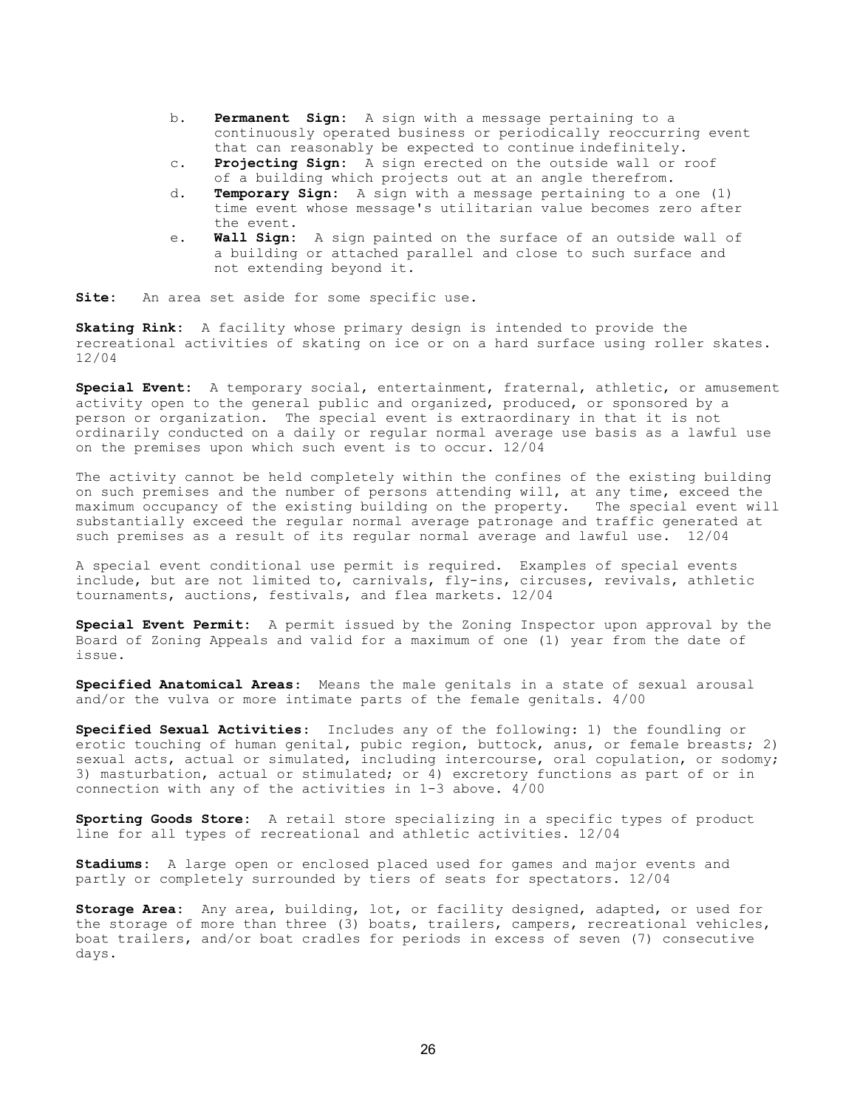- b. **Permanent Sign:** A sign with a message pertaining to a continuously operated business or periodically reoccurring event that can reasonably be expected to continue indefinitely.
- c. Projecting Sign: A sign erected on the outside wall or roof of a building which projects out at an angle therefrom.
- d. Temporary Sign: A sign with a message pertaining to a one (1) time event whose message's utilitarian value becomes zero after the event.
- e. Wall Sign: A sign painted on the surface of an outside wall of a building or attached parallel and close to such surface and not extending beyond it.

Site: An area set aside for some specific use.

Skating Rink: A facility whose primary design is intended to provide the recreational activities of skating on ice or on a hard surface using roller skates. 12/04

Special Event: A temporary social, entertainment, fraternal, athletic, or amusement activity open to the general public and organized, produced, or sponsored by a person or organization. The special event is extraordinary in that it is not ordinarily conducted on a daily or regular normal average use basis as a lawful use on the premises upon which such event is to occur. 12/04

The activity cannot be held completely within the confines of the existing building on such premises and the number of persons attending will, at any time, exceed the maximum occupancy of the existing building on the property. The special event will substantially exceed the regular normal average patronage and traffic generated at such premises as a result of its regular normal average and lawful use. 12/04

A special event conditional use permit is required. Examples of special events include, but are not limited to, carnivals, fly-ins, circuses, revivals, athletic tournaments, auctions, festivals, and flea markets. 12/04

Special Event Permit: A permit issued by the Zoning Inspector upon approval by the Board of Zoning Appeals and valid for a maximum of one (1) year from the date of issue.

Specified Anatomical Areas: Means the male genitals in a state of sexual arousal and/or the vulva or more intimate parts of the female genitals. 4/00

Specified Sexual Activities: Includes any of the following: 1) the foundling or erotic touching of human genital, pubic region, buttock, anus, or female breasts; 2) sexual acts, actual or simulated, including intercourse, oral copulation, or sodomy; 3) masturbation, actual or stimulated; or 4) excretory functions as part of or in connection with any of the activities in 1-3 above. 4/00

Sporting Goods Store: A retail store specializing in a specific types of product line for all types of recreational and athletic activities. 12/04

Stadiums: A large open or enclosed placed used for games and major events and partly or completely surrounded by tiers of seats for spectators. 12/04

Storage Area: Any area, building, lot, or facility designed, adapted, or used for the storage of more than three (3) boats, trailers, campers, recreational vehicles, boat trailers, and/or boat cradles for periods in excess of seven (7) consecutive days.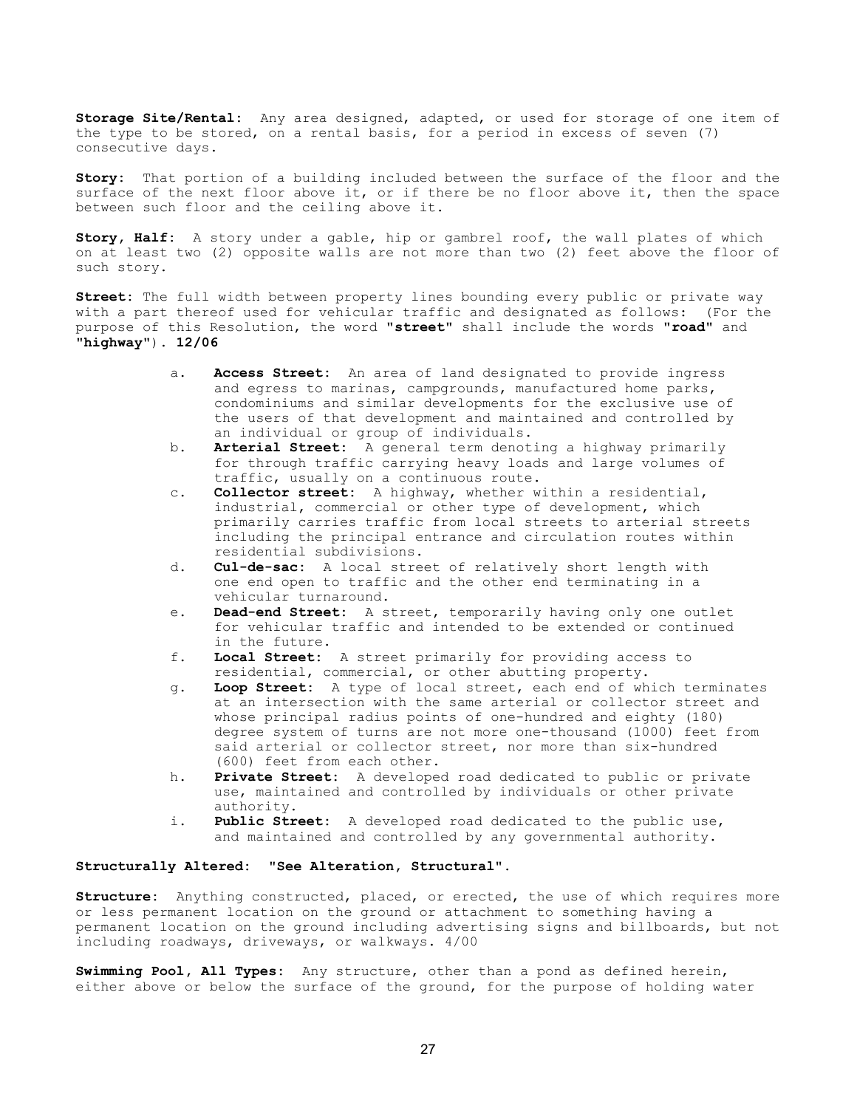Storage Site/Rental: Any area designed, adapted, or used for storage of one item of the type to be stored, on a rental basis, for a period in excess of seven (7) consecutive days.

Story: That portion of a building included between the surface of the floor and the surface of the next floor above it, or if there be no floor above it, then the space between such floor and the ceiling above it.

Story, Half: A story under a gable, hip or gambrel roof, the wall plates of which on at least two (2) opposite walls are not more than two (2) feet above the floor of such story.

Street: The full width between property lines bounding every public or private way with a part thereof used for vehicular traffic and designated as follows: (For the purpose of this Resolution, the word "street" shall include the words "road" and "highway"). 12/06

- a. **Access Street:** An area of land designated to provide ingress and egress to marinas, campgrounds, manufactured home parks, condominiums and similar developments for the exclusive use of the users of that development and maintained and controlled by an individual or group of individuals.
- b. Arterial Street: A general term denoting a highway primarily for through traffic carrying heavy loads and large volumes of traffic, usually on a continuous route.
- c. Collector street: A highway, whether within a residential, industrial, commercial or other type of development, which primarily carries traffic from local streets to arterial streets including the principal entrance and circulation routes within residential subdivisions.
- d. Cul-de-sac: A local street of relatively short length with one end open to traffic and the other end terminating in a vehicular turnaround.
- e. Dead-end Street: A street, temporarily having only one outlet for vehicular traffic and intended to be extended or continued in the future.
- f. Local Street: A street primarily for providing access to residential, commercial, or other abutting property.
- g. Loop Street: A type of local street, each end of which terminates at an intersection with the same arterial or collector street and whose principal radius points of one-hundred and eighty (180) degree system of turns are not more one-thousand (1000) feet from said arterial or collector street, nor more than six-hundred (600) feet from each other.
- h. Private Street: A developed road dedicated to public or private use, maintained and controlled by individuals or other private authority.
- i. Public Street: A developed road dedicated to the public use, and maintained and controlled by any governmental authority.

## Structurally Altered: "See Alteration, Structural".

Structure: Anything constructed, placed, or erected, the use of which requires more or less permanent location on the ground or attachment to something having a permanent location on the ground including advertising signs and billboards, but not including roadways, driveways, or walkways. 4/00

Swimming Pool, All Types: Any structure, other than a pond as defined herein, either above or below the surface of the ground, for the purpose of holding water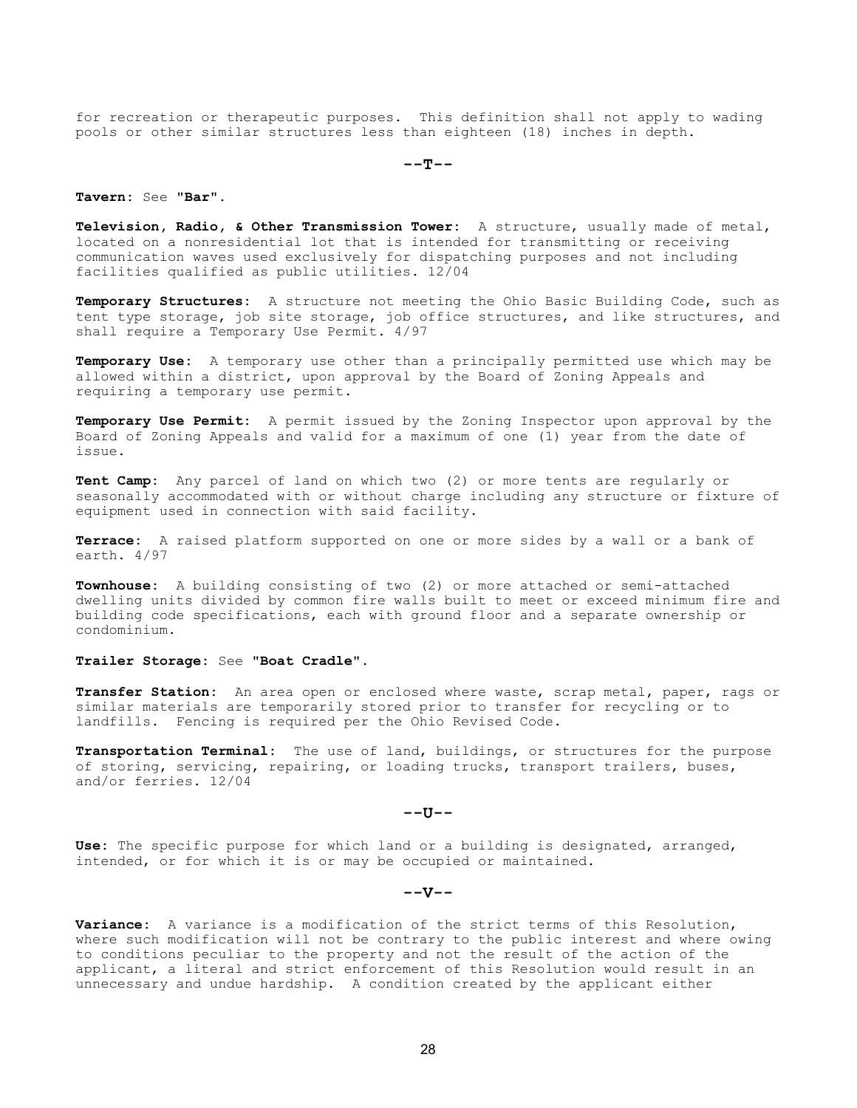for recreation or therapeutic purposes. This definition shall not apply to wading pools or other similar structures less than eighteen (18) inches in depth.

 $-$ -T $-$ 

Tavern: See "Bar".

Television, Radio, & Other Transmission Tower: A structure, usually made of metal, located on a nonresidential lot that is intended for transmitting or receiving communication waves used exclusively for dispatching purposes and not including facilities qualified as public utilities. 12/04

Temporary Structures: A structure not meeting the Ohio Basic Building Code, such as tent type storage, job site storage, job office structures, and like structures, and shall require a Temporary Use Permit. 4/97

Temporary Use: A temporary use other than a principally permitted use which may be allowed within a district, upon approval by the Board of Zoning Appeals and requiring a temporary use permit.

Temporary Use Permit: A permit issued by the Zoning Inspector upon approval by the Board of Zoning Appeals and valid for a maximum of one (1) year from the date of issue.

Tent Camp: Any parcel of land on which two (2) or more tents are regularly or seasonally accommodated with or without charge including any structure or fixture of equipment used in connection with said facility.

Terrace: A raised platform supported on one or more sides by a wall or a bank of earth. 4/97

Townhouse: A building consisting of two (2) or more attached or semi-attached dwelling units divided by common fire walls built to meet or exceed minimum fire and building code specifications, each with ground floor and a separate ownership or condominium.

Trailer Storage: See "Boat Cradle".

Transfer Station: An area open or enclosed where waste, scrap metal, paper, rags or similar materials are temporarily stored prior to transfer for recycling or to landfills. Fencing is required per the Ohio Revised Code.

Transportation Terminal: The use of land, buildings, or structures for the purpose of storing, servicing, repairing, or loading trucks, transport trailers, buses, and/or ferries. 12/04

 $--U$ 

Use: The specific purpose for which land or a building is designated, arranged, intended, or for which it is or may be occupied or maintained.

## $--**v**$

Variance: A variance is a modification of the strict terms of this Resolution, where such modification will not be contrary to the public interest and where owing to conditions peculiar to the property and not the result of the action of the applicant, a literal and strict enforcement of this Resolution would result in an unnecessary and undue hardship. A condition created by the applicant either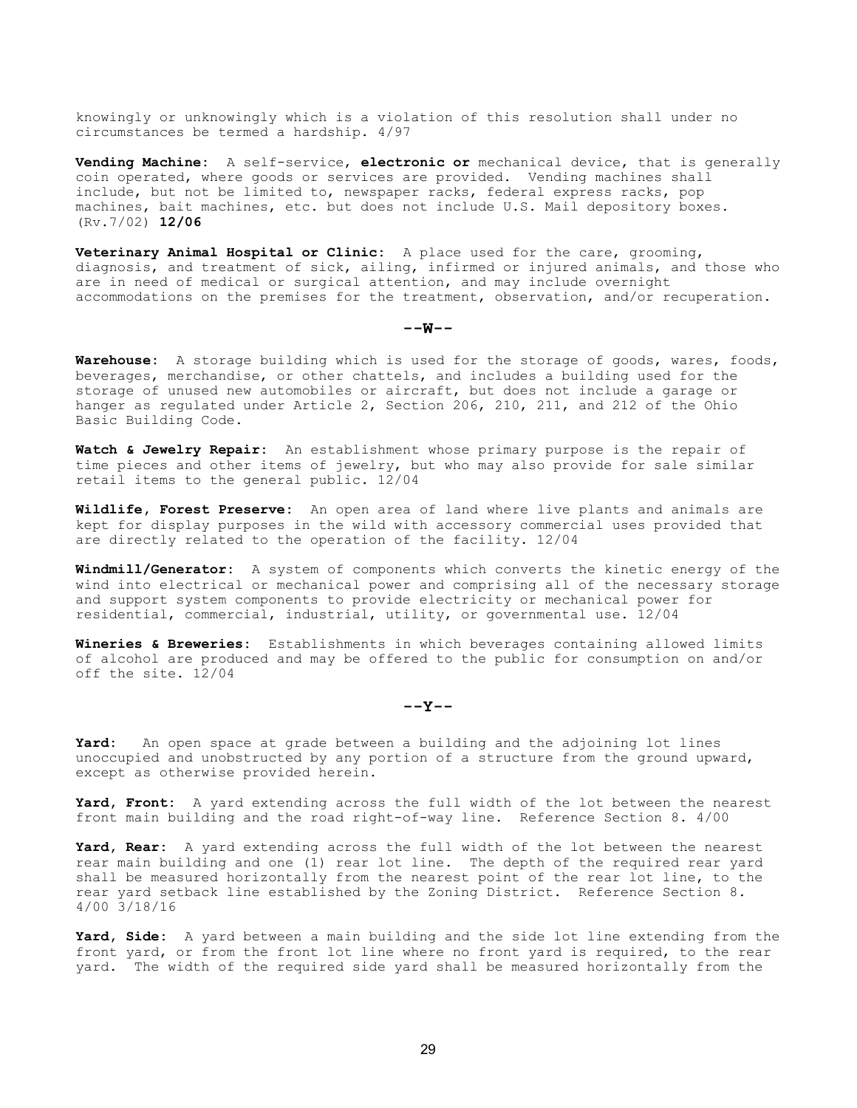knowingly or unknowingly which is a violation of this resolution shall under no circumstances be termed a hardship. 4/97

Vending Machine: A self-service, electronic or mechanical device, that is generally coin operated, where goods or services are provided. Vending machines shall include, but not be limited to, newspaper racks, federal express racks, pop machines, bait machines, etc. but does not include U.S. Mail depository boxes. (Rv.7/02) 12/06

Veterinary Animal Hospital or Clinic: A place used for the care, grooming, diagnosis, and treatment of sick, ailing, infirmed or injured animals, and those who are in need of medical or surgical attention, and may include overnight accommodations on the premises for the treatment, observation, and/or recuperation.

### $--w--$

Warehouse: A storage building which is used for the storage of goods, wares, foods, beverages, merchandise, or other chattels, and includes a building used for the storage of unused new automobiles or aircraft, but does not include a garage or hanger as regulated under Article 2, Section 206, 210, 211, and 212 of the Ohio Basic Building Code.

Watch & Jewelry Repair: An establishment whose primary purpose is the repair of time pieces and other items of jewelry, but who may also provide for sale similar retail items to the general public. 12/04

Wildlife, Forest Preserve: An open area of land where live plants and animals are kept for display purposes in the wild with accessory commercial uses provided that are directly related to the operation of the facility. 12/04

Windmill/Generator: A system of components which converts the kinetic energy of the wind into electrical or mechanical power and comprising all of the necessary storage and support system components to provide electricity or mechanical power for residential, commercial, industrial, utility, or governmental use. 12/04

Wineries & Breweries: Establishments in which beverages containing allowed limits of alcohol are produced and may be offered to the public for consumption on and/or off the site. 12/04

#### $--Y--$

Yard: An open space at grade between a building and the adjoining lot lines unoccupied and unobstructed by any portion of a structure from the ground upward, except as otherwise provided herein.

Yard, Front: A yard extending across the full width of the lot between the nearest front main building and the road right-of-way line. Reference Section 8. 4/00

Yard, Rear: A yard extending across the full width of the lot between the nearest rear main building and one (1) rear lot line. The depth of the required rear yard shall be measured horizontally from the nearest point of the rear lot line, to the rear yard setback line established by the Zoning District. Reference Section 8. 4/00 3/18/16

Yard, Side: A yard between a main building and the side lot line extending from the front yard, or from the front lot line where no front yard is required, to the rear yard. The width of the required side yard shall be measured horizontally from the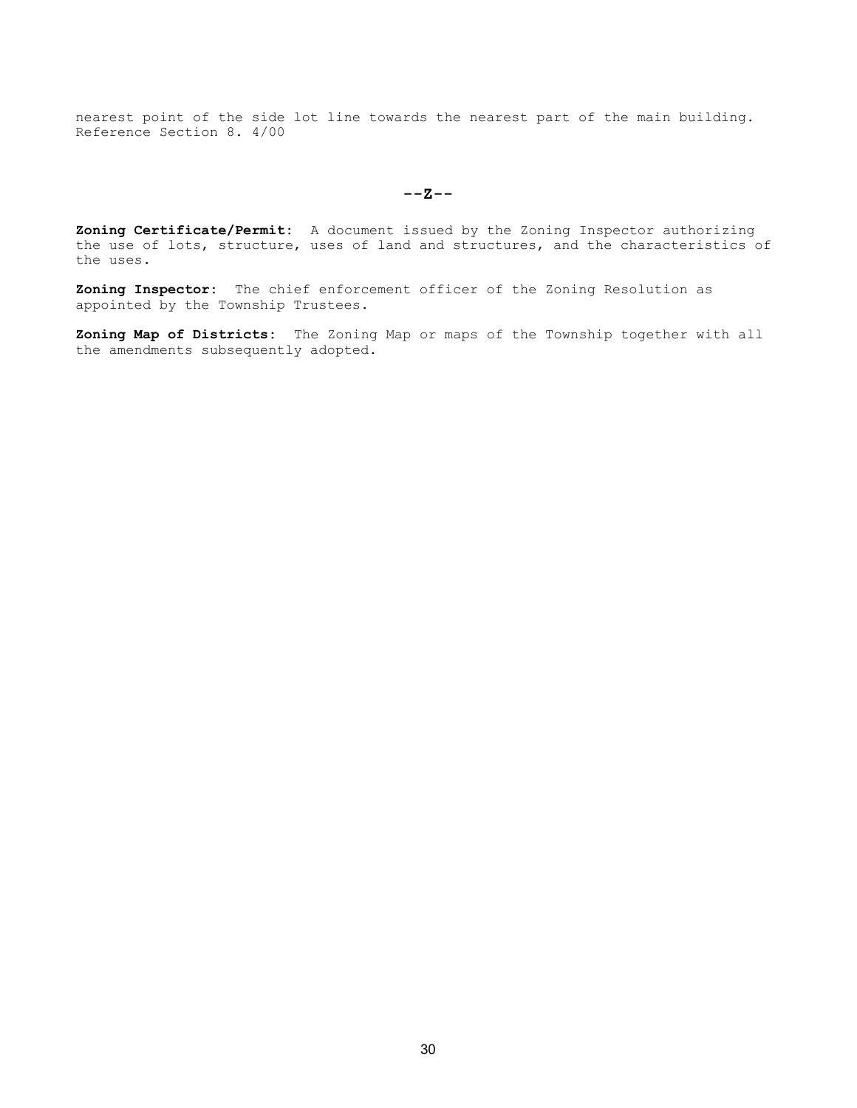nearest point of the side lot line towards the nearest part of the main building. Reference Section 8. 4/00

 $--Z--$ 

Zoning Certificate/Permit: A document issued by the Zoning Inspector authorizing the use of lots, structure, uses of land and structures, and the characteristics of the uses.

Zoning Inspector: The chief enforcement officer of the Zoning Resolution as appointed by the Township Trustees.

Zoning Map of Districts: The Zoning Map or maps of the Township together with all the amendments subsequently adopted.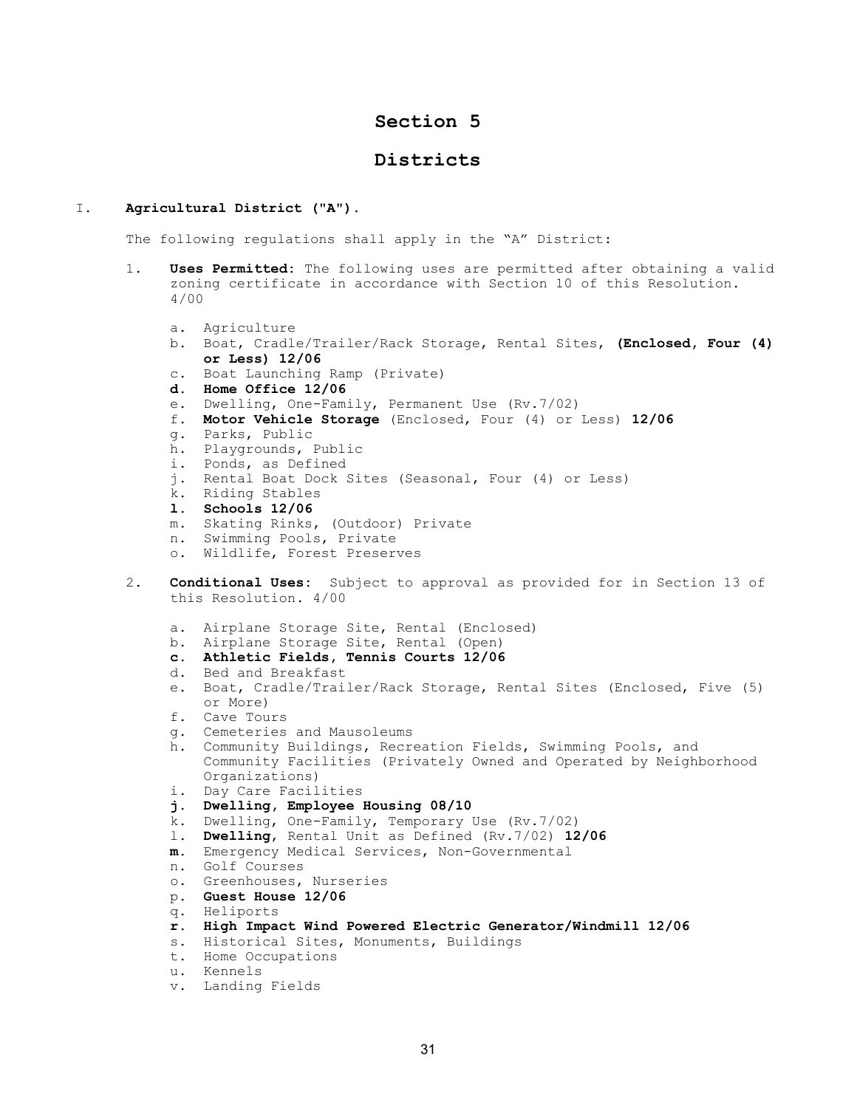# Section 5

# Districts

### I. Agricultural District ("A").

The following regulations shall apply in the "A" District:

- 1. Uses Permitted: The following uses are permitted after obtaining a valid zoning certificate in accordance with Section 10 of this Resolution. 4/00
	- a. Agriculture
	- b. Boat, Cradle/Trailer/Rack Storage, Rental Sites, (Enclosed, Four (4) or Less) 12/06
	- c. Boat Launching Ramp (Private)
	- d. Home Office 12/06
	- e. Dwelling, One-Family, Permanent Use (Rv.7/02)
	- f. Motor Vehicle Storage (Enclosed, Four (4) or Less) 12/06
	- g. Parks, Public
	- h. Playgrounds, Public
	- i. Ponds, as Defined
	- j. Rental Boat Dock Sites (Seasonal, Four (4) or Less)
	- k. Riding Stables
	- l. Schools 12/06
	- m. Skating Rinks, (Outdoor) Private
	- n. Swimming Pools, Private
	- o. Wildlife, Forest Preserves
- 2. Conditional Uses: Subject to approval as provided for in Section 13 of this Resolution. 4/00
	- a. Airplane Storage Site, Rental (Enclosed)
	- b. Airplane Storage Site, Rental (Open)
	- c. Athletic Fields, Tennis Courts 12/06
	- d. Bed and Breakfast
	- e. Boat, Cradle/Trailer/Rack Storage, Rental Sites (Enclosed, Five (5) or More)
	- f. Cave Tours
	- g. Cemeteries and Mausoleums
	- h. Community Buildings, Recreation Fields, Swimming Pools, and Community Facilities (Privately Owned and Operated by Neighborhood Organizations)
	- i. Day Care Facilities
	- j. Dwelling, Employee Housing 08/10
	- k. Dwelling, One-Family, Temporary Use (Rv.7/02)
	- l. Dwelling, Rental Unit as Defined (Rv.7/02) 12/06
	- m. Emergency Medical Services, Non-Governmental
	- n. Golf Courses
	- o. Greenhouses, Nurseries
	- p. Guest House 12/06
	- q. Heliports
	- r. High Impact Wind Powered Electric Generator/Windmill 12/06
	- s. Historical Sites, Monuments, Buildings
	- t. Home Occupations
	- u. Kennels
	- v. Landing Fields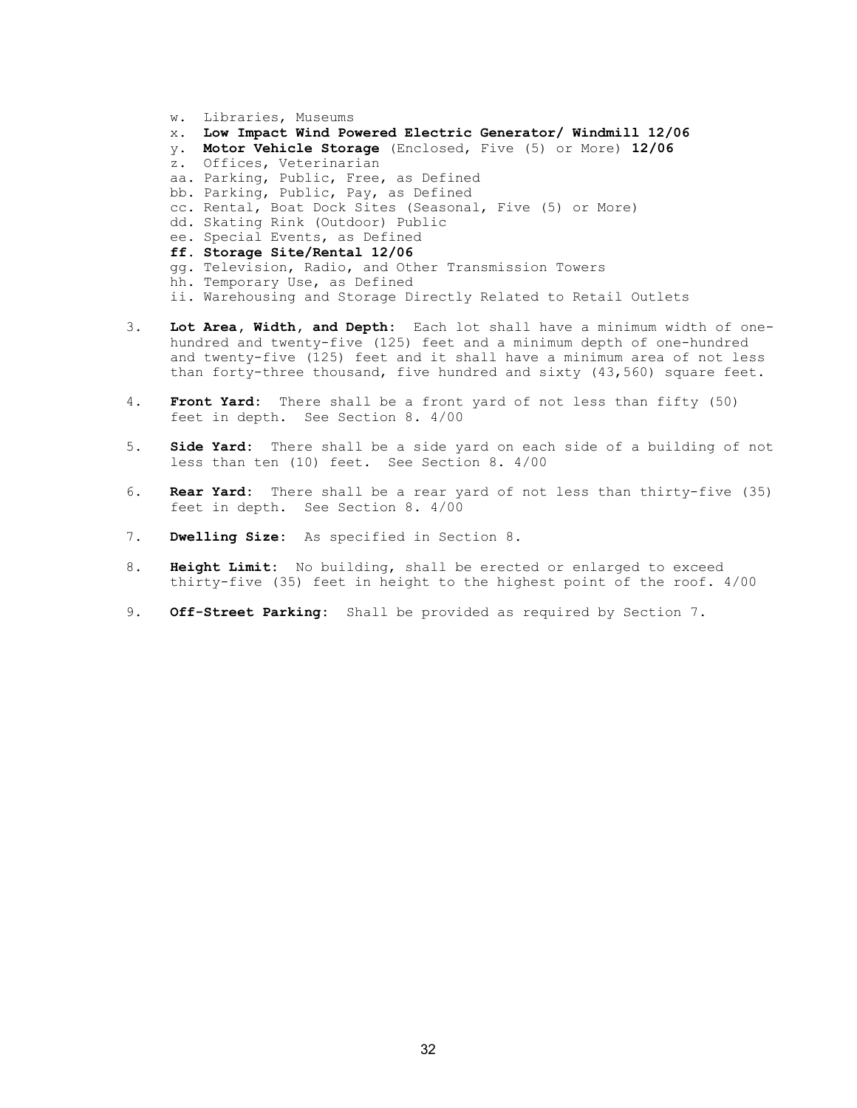- w. Libraries, Museums x. Low Impact Wind Powered Electric Generator/ Windmill 12/06 y. Motor Vehicle Storage (Enclosed, Five (5) or More) 12/06 z. Offices, Veterinarian aa. Parking, Public, Free, as Defined bb. Parking, Public, Pay, as Defined cc. Rental, Boat Dock Sites (Seasonal, Five (5) or More) dd. Skating Rink (Outdoor) Public ee. Special Events, as Defined ff. Storage Site/Rental 12/06 gg. Television, Radio, and Other Transmission Towers hh. Temporary Use, as Defined ii. Warehousing and Storage Directly Related to Retail Outlets
- 3. Lot Area, Width, and Depth: Each lot shall have a minimum width of one hundred and twenty-five (125) feet and a minimum depth of one-hundred and twenty-five (125) feet and it shall have a minimum area of not less than forty-three thousand, five hundred and sixty (43,560) square feet.
- 4. Front Yard: There shall be a front yard of not less than fifty (50) feet in depth. See Section 8. 4/00
- 5. Side Yard: There shall be a side yard on each side of a building of not less than ten (10) feet. See Section 8. 4/00
- 6. Rear Yard: There shall be a rear yard of not less than thirty-five (35) feet in depth. See Section 8. 4/00
- 7. Dwelling Size: As specified in Section 8.
- 8. Height Limit: No building, shall be erected or enlarged to exceed thirty-five (35) feet in height to the highest point of the roof. 4/00
- 9. Off-Street Parking: Shall be provided as required by Section 7.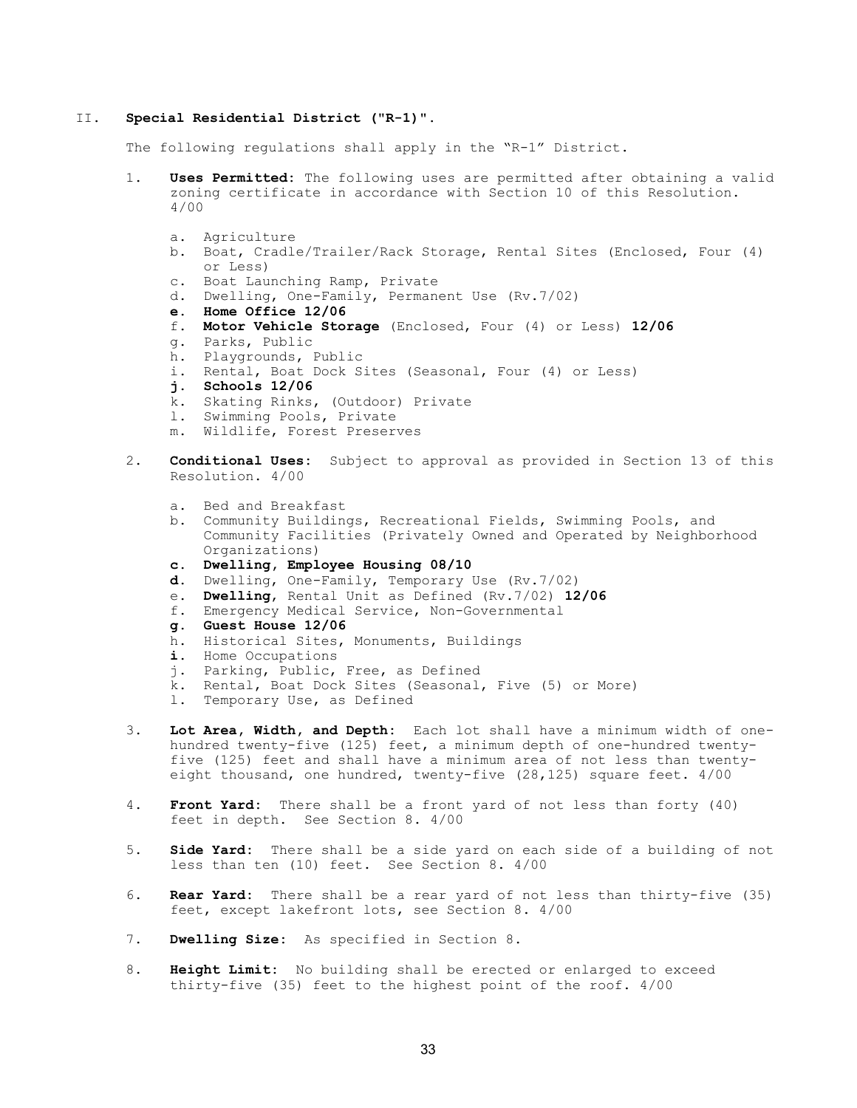#### II. Special Residential District ("R-1)".

The following regulations shall apply in the "R-1" District.

- 1. Uses Permitted: The following uses are permitted after obtaining a valid zoning certificate in accordance with Section 10 of this Resolution. 4/00
	- a. Agriculture
	- b. Boat, Cradle/Trailer/Rack Storage, Rental Sites (Enclosed, Four (4) or Less)
	- c. Boat Launching Ramp, Private
	- d. Dwelling, One-Family, Permanent Use (Rv.7/02)
	- e. Home Office 12/06
	- f. Motor Vehicle Storage (Enclosed, Four (4) or Less) 12/06
	- g. Parks, Public
	- h. Playgrounds, Public
	- i. Rental, Boat Dock Sites (Seasonal, Four (4) or Less)
	- j. Schools 12/06
	- k. Skating Rinks, (Outdoor) Private
	- l. Swimming Pools, Private
	- m. Wildlife, Forest Preserves
- 2. **Conditional Uses:** Subject to approval as provided in Section 13 of this Resolution. 4/00
	- a. Bed and Breakfast
	- b. Community Buildings, Recreational Fields, Swimming Pools, and Community Facilities (Privately Owned and Operated by Neighborhood Organizations)
	- c. Dwelling, Employee Housing 08/10
	- d. Dwelling, One-Family, Temporary Use (Rv.7/02)
	- e. Dwelling, Rental Unit as Defined (Rv.7/02) 12/06
	- f. Emergency Medical Service, Non-Governmental
	- g. Guest House 12/06
	- h. Historical Sites, Monuments, Buildings
	- i. Home Occupations
	- j. Parking, Public, Free, as Defined
	- k. Rental, Boat Dock Sites (Seasonal, Five (5) or More)
	- l. Temporary Use, as Defined
- 3. Lot Area, Width, and Depth: Each lot shall have a minimum width of onehundred twenty-five (125) feet, a minimum depth of one-hundred twentyfive (125) feet and shall have a minimum area of not less than twentyeight thousand, one hundred, twenty-five (28,125) square feet. 4/00
- 4. Front Yard: There shall be a front yard of not less than forty (40) feet in depth. See Section 8. 4/00
- 5. **Side Yard:** There shall be a side yard on each side of a building of not less than ten (10) feet. See Section 8. 4/00
- 6. Rear Yard: There shall be a rear yard of not less than thirty-five (35) feet, except lakefront lots, see Section 8. 4/00
- 7. Dwelling Size: As specified in Section 8.
- 8. Height Limit: No building shall be erected or enlarged to exceed thirty-five (35) feet to the highest point of the roof. 4/00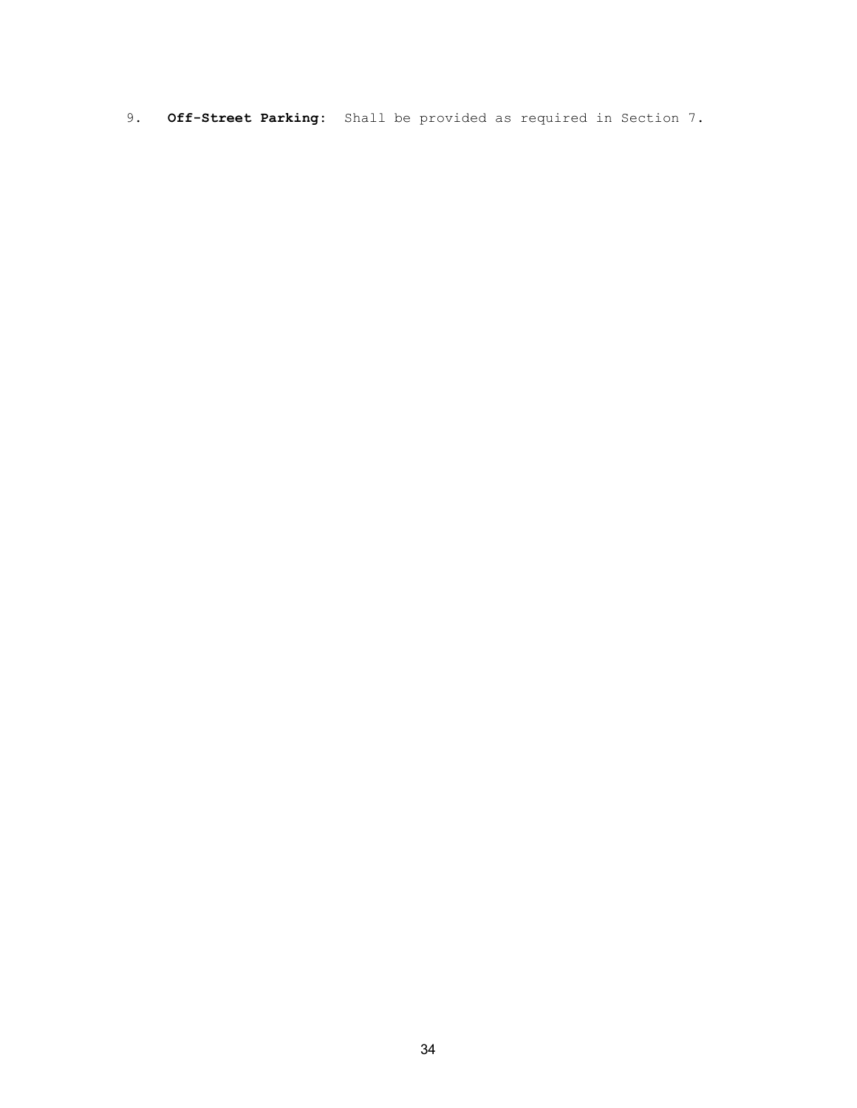9. Off-Street Parking: Shall be provided as required in Section 7.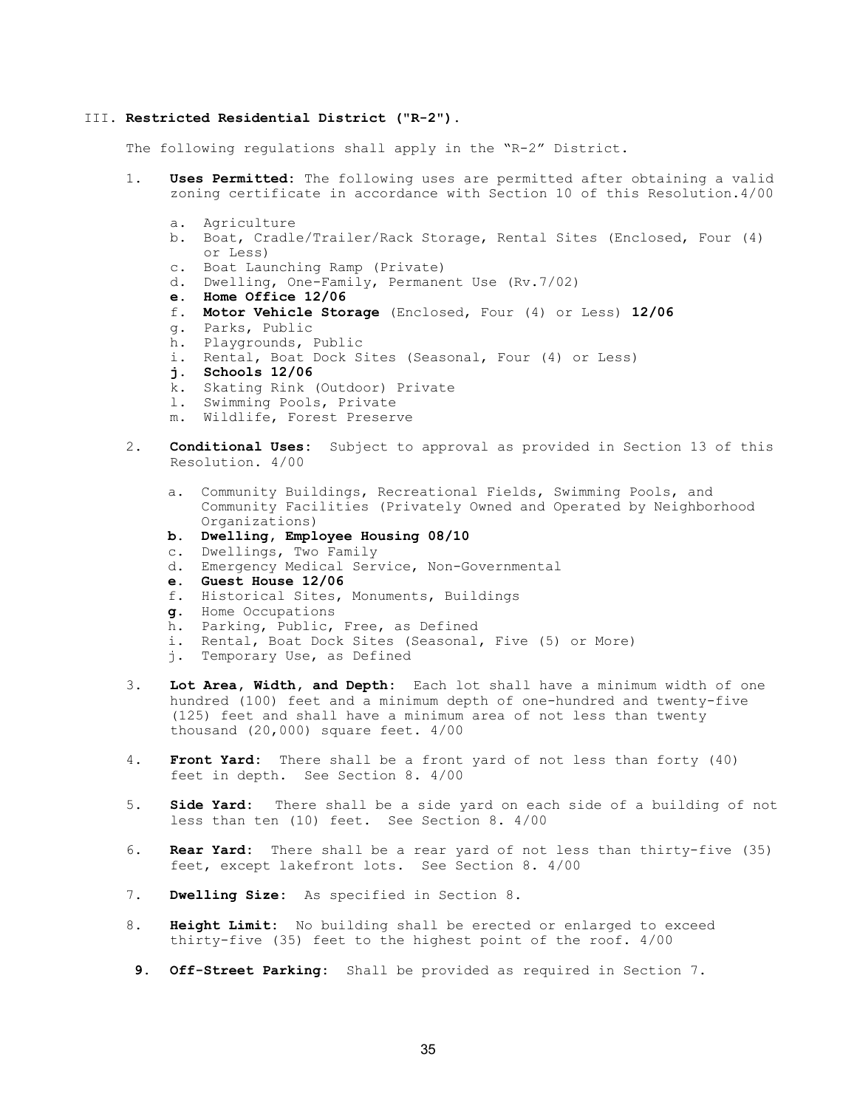#### III. Restricted Residential District ("R-2").

The following regulations shall apply in the "R-2" District.

- 1. Uses Permitted: The following uses are permitted after obtaining a valid zoning certificate in accordance with Section 10 of this Resolution.4/00
	- a. Agriculture
	- b. Boat, Cradle/Trailer/Rack Storage, Rental Sites (Enclosed, Four (4) or Less)
	- c. Boat Launching Ramp (Private)
	- d. Dwelling, One-Family, Permanent Use (Rv.7/02)
	- e. Home Office 12/06
	- f. Motor Vehicle Storage (Enclosed, Four (4) or Less) 12/06
	- g. Parks, Public
	- h. Playgrounds, Public
	- i. Rental, Boat Dock Sites (Seasonal, Four (4) or Less)
	- j. Schools 12/06
	- k. Skating Rink (Outdoor) Private
	- l. Swimming Pools, Private
	- m. Wildlife, Forest Preserve
- 2. **Conditional Uses:** Subject to approval as provided in Section 13 of this Resolution. 4/00
	- a. Community Buildings, Recreational Fields, Swimming Pools, and Community Facilities (Privately Owned and Operated by Neighborhood Organizations)
	- b. Dwelling, Employee Housing 08/10
	- c. Dwellings, Two Family
	- d. Emergency Medical Service, Non-Governmental
	- e. Guest House 12/06
	- f. Historical Sites, Monuments, Buildings
	- g. Home Occupations
	- h. Parking, Public, Free, as Defined
	- i. Rental, Boat Dock Sites (Seasonal, Five (5) or More)
	- j. Temporary Use, as Defined
- 3. Lot Area, Width, and Depth: Each lot shall have a minimum width of one hundred (100) feet and a minimum depth of one-hundred and twenty-five (125) feet and shall have a minimum area of not less than twenty thousand (20,000) square feet. 4/00
- 4. Front Yard: There shall be a front yard of not less than forty (40) feet in depth. See Section 8. 4/00
- 5. Side Yard: There shall be a side yard on each side of a building of not less than ten (10) feet. See Section 8. 4/00
- 6. Rear Yard: There shall be a rear yard of not less than thirty-five (35) feet, except lakefront lots. See Section 8. 4/00
- 7. Dwelling Size: As specified in Section 8.
- 8. Height Limit: No building shall be erected or enlarged to exceed thirty-five (35) feet to the highest point of the roof. 4/00
- 9. Off-Street Parking: Shall be provided as required in Section 7.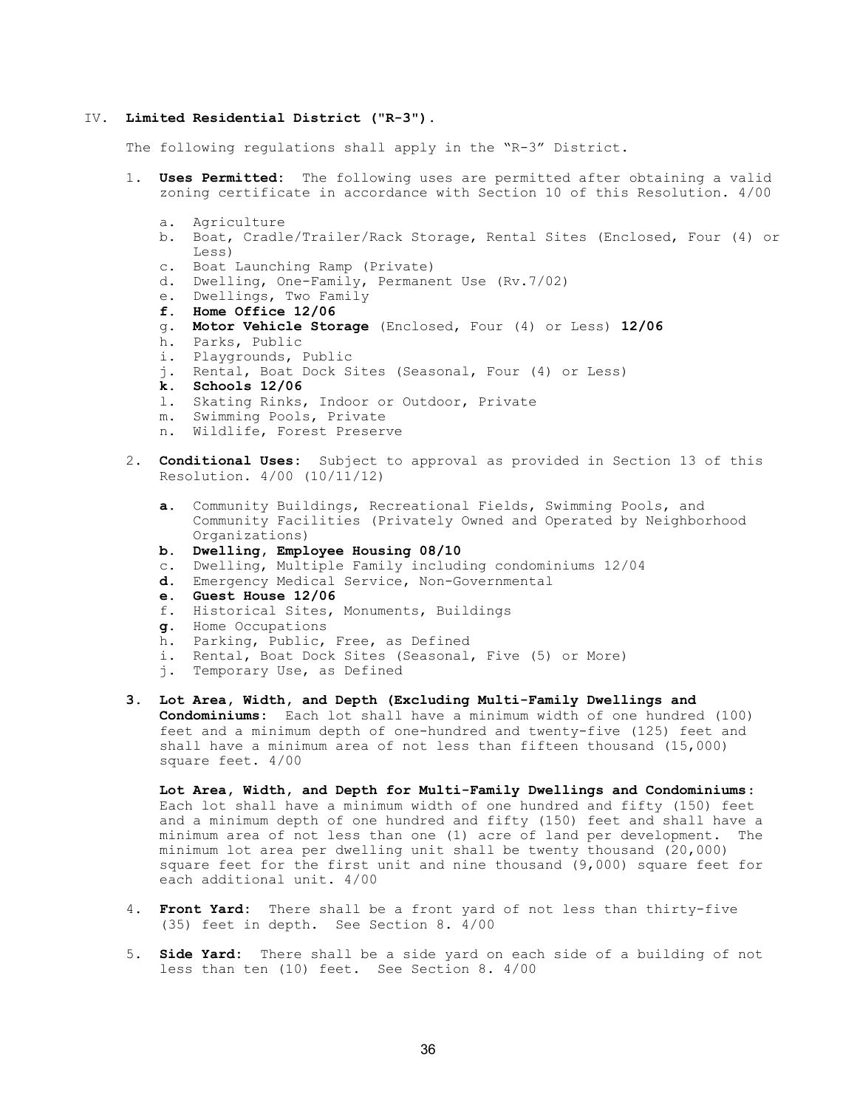#### IV. Limited Residential District ("R-3").

The following regulations shall apply in the "R-3" District.

- 1. Uses Permitted: The following uses are permitted after obtaining a valid zoning certificate in accordance with Section 10 of this Resolution. 4/00
	- a. Agriculture
	- b. Boat, Cradle/Trailer/Rack Storage, Rental Sites (Enclosed, Four (4) or Less)
	- c. Boat Launching Ramp (Private)
	- d. Dwelling, One-Family, Permanent Use (Rv.7/02)
	- e. Dwellings, Two Family
	- f. Home Office 12/06
	- g. Motor Vehicle Storage (Enclosed, Four (4) or Less) 12/06
	- h. Parks, Public
	- i. Playgrounds, Public
	- j. Rental, Boat Dock Sites (Seasonal, Four (4) or Less)
	- k. Schools 12/06
	- l. Skating Rinks, Indoor or Outdoor, Private
	- m. Swimming Pools, Private
	- n. Wildlife, Forest Preserve
- 2. **Conditional Uses:** Subject to approval as provided in Section 13 of this Resolution. 4/00 (10/11/12)
	- a. Community Buildings, Recreational Fields, Swimming Pools, and Community Facilities (Privately Owned and Operated by Neighborhood Organizations)
	- b. Dwelling, Employee Housing 08/10
	- c. Dwelling, Multiple Family including condominiums 12/04
	- d. Emergency Medical Service, Non-Governmental
	- e. Guest House 12/06
	- f. Historical Sites, Monuments, Buildings
	- g. Home Occupations
	- h. Parking, Public, Free, as Defined
	- i. Rental, Boat Dock Sites (Seasonal, Five (5) or More)
	- j. Temporary Use, as Defined
- 3. Lot Area, Width, and Depth (Excluding Multi-Family Dwellings and Condominiums: Each lot shall have a minimum width of one hundred (100) feet and a minimum depth of one-hundred and twenty-five (125) feet and shall have a minimum area of not less than fifteen thousand (15,000) square feet. 4/00

 Lot Area, Width, and Depth for Multi-Family Dwellings and Condominiums: Each lot shall have a minimum width of one hundred and fifty (150) feet and a minimum depth of one hundred and fifty (150) feet and shall have a minimum area of not less than one (1) acre of land per development. The minimum lot area per dwelling unit shall be twenty thousand (20,000) square feet for the first unit and nine thousand (9,000) square feet for each additional unit. 4/00

- 4. Front Yard: There shall be a front yard of not less than thirty-five (35) feet in depth. See Section 8. 4/00
- 5. Side Yard: There shall be a side yard on each side of a building of not less than ten (10) feet. See Section 8. 4/00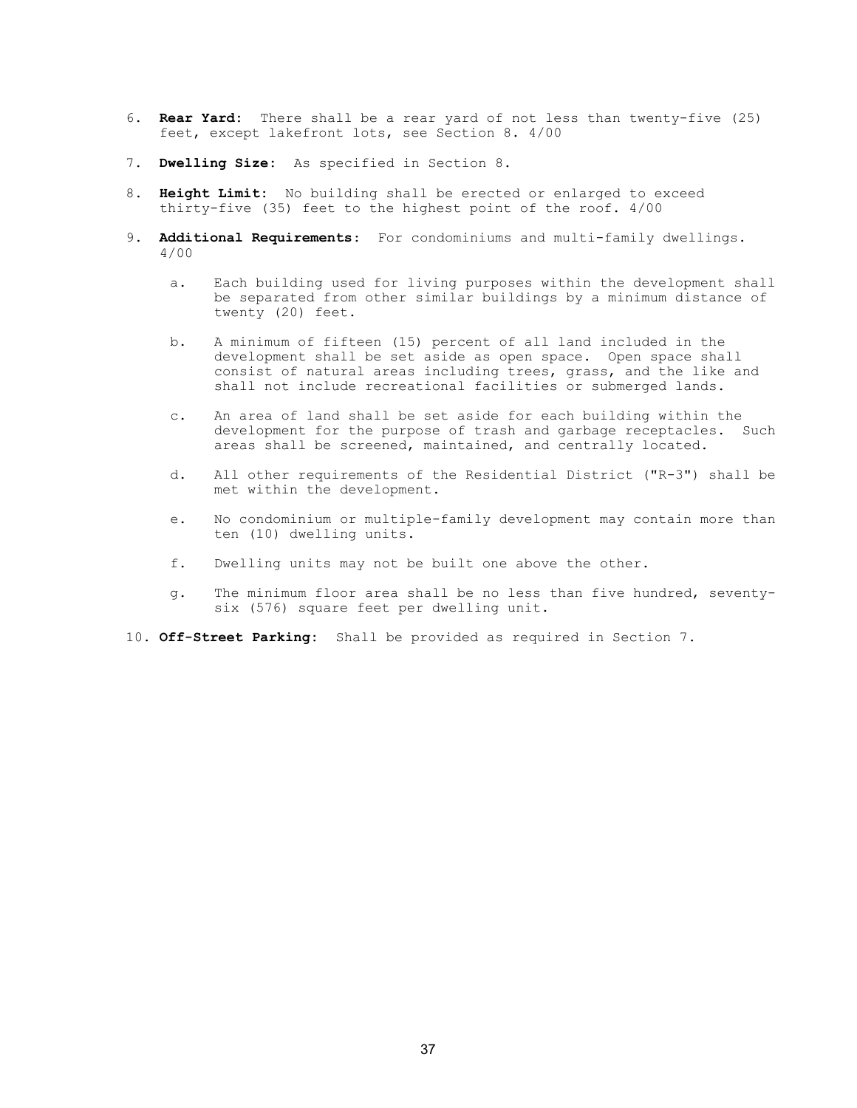- 6. Rear Yard: There shall be a rear yard of not less than twenty-five (25) feet, except lakefront lots, see Section 8. 4/00
- 7. Dwelling Size: As specified in Section 8.
- 8. Height Limit: No building shall be erected or enlarged to exceed thirty-five (35) feet to the highest point of the roof. 4/00
- 9. Additional Requirements: For condominiums and multi-family dwellings. 4/00
	- a. Each building used for living purposes within the development shall be separated from other similar buildings by a minimum distance of twenty (20) feet.
	- b. A minimum of fifteen (15) percent of all land included in the development shall be set aside as open space. Open space shall consist of natural areas including trees, grass, and the like and shall not include recreational facilities or submerged lands.
	- c. An area of land shall be set aside for each building within the development for the purpose of trash and garbage receptacles. Such areas shall be screened, maintained, and centrally located.
	- d. All other requirements of the Residential District ("R-3") shall be met within the development.
	- e. No condominium or multiple-family development may contain more than ten (10) dwelling units.
	- f. Dwelling units may not be built one above the other.
	- g. The minimum floor area shall be no less than five hundred, seventysix (576) square feet per dwelling unit.
- 10. Off-Street Parking: Shall be provided as required in Section 7.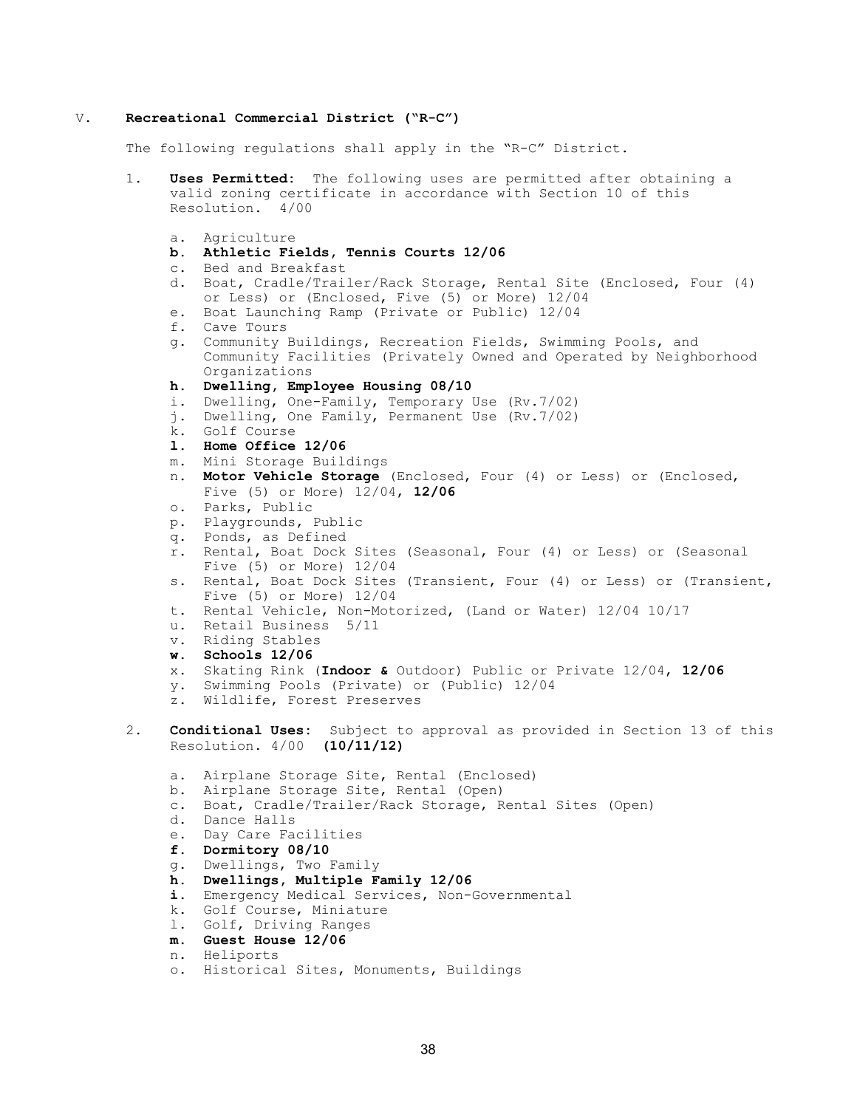#### V. Recreational Commercial District ("R-C")

The following regulations shall apply in the "R-C" District.

- 1. Uses Permitted: The following uses are permitted after obtaining a valid zoning certificate in accordance with Section 10 of this Resolution. 4/00
	- a. Agriculture
	- b. Athletic Fields, Tennis Courts 12/06
	- c. Bed and Breakfast
	- d. Boat, Cradle/Trailer/Rack Storage, Rental Site (Enclosed, Four (4) or Less) or (Enclosed, Five (5) or More) 12/04
	- e. Boat Launching Ramp (Private or Public) 12/04
	- f. Cave Tours
	- g. Community Buildings, Recreation Fields, Swimming Pools, and Community Facilities (Privately Owned and Operated by Neighborhood Organizations
	- h. Dwelling, Employee Housing 08/10
	- i. Dwelling, One-Family, Temporary Use (Rv.7/02)
	- j. Dwelling, One Family, Permanent Use (Rv.7/02)
	- k. Golf Course
	- l. Home Office 12/06
	- m. Mini Storage Buildings
	- n. Motor Vehicle Storage (Enclosed, Four (4) or Less) or (Enclosed, Five (5) or More) 12/04, 12/06
	- o. Parks, Public
	- p. Playgrounds, Public
	- q. Ponds, as Defined
	- r. Rental, Boat Dock Sites (Seasonal, Four (4) or Less) or (Seasonal Five (5) or More) 12/04
	- s. Rental, Boat Dock Sites (Transient, Four (4) or Less) or (Transient, Five (5) or More) 12/04
	- t. Rental Vehicle, Non-Motorized, (Land or Water) 12/04 10/17
	- u. Retail Business 5/11
	- v. Riding Stables
	- w. Schools 12/06
	- x. Skating Rink (Indoor & Outdoor) Public or Private 12/04, 12/06
	- y. Swimming Pools (Private) or (Public) 12/04
	- z. Wildlife, Forest Preserves
- 2. **Conditional Uses:** Subject to approval as provided in Section 13 of this Resolution. 4/00 (10/11/12)
	- a. Airplane Storage Site, Rental (Enclosed)
	- b. Airplane Storage Site, Rental (Open)
	- c. Boat, Cradle/Trailer/Rack Storage, Rental Sites (Open)
	- d. Dance Halls
	- e. Day Care Facilities
	- f. Dormitory 08/10
	- g. Dwellings, Two Family
	- h. Dwellings, Multiple Family 12/06
	- i. Emergency Medical Services, Non-Governmental
	- k. Golf Course, Miniature
	- l. Golf, Driving Ranges
	- m. Guest House 12/06
	- n. Heliports
	- o. Historical Sites, Monuments, Buildings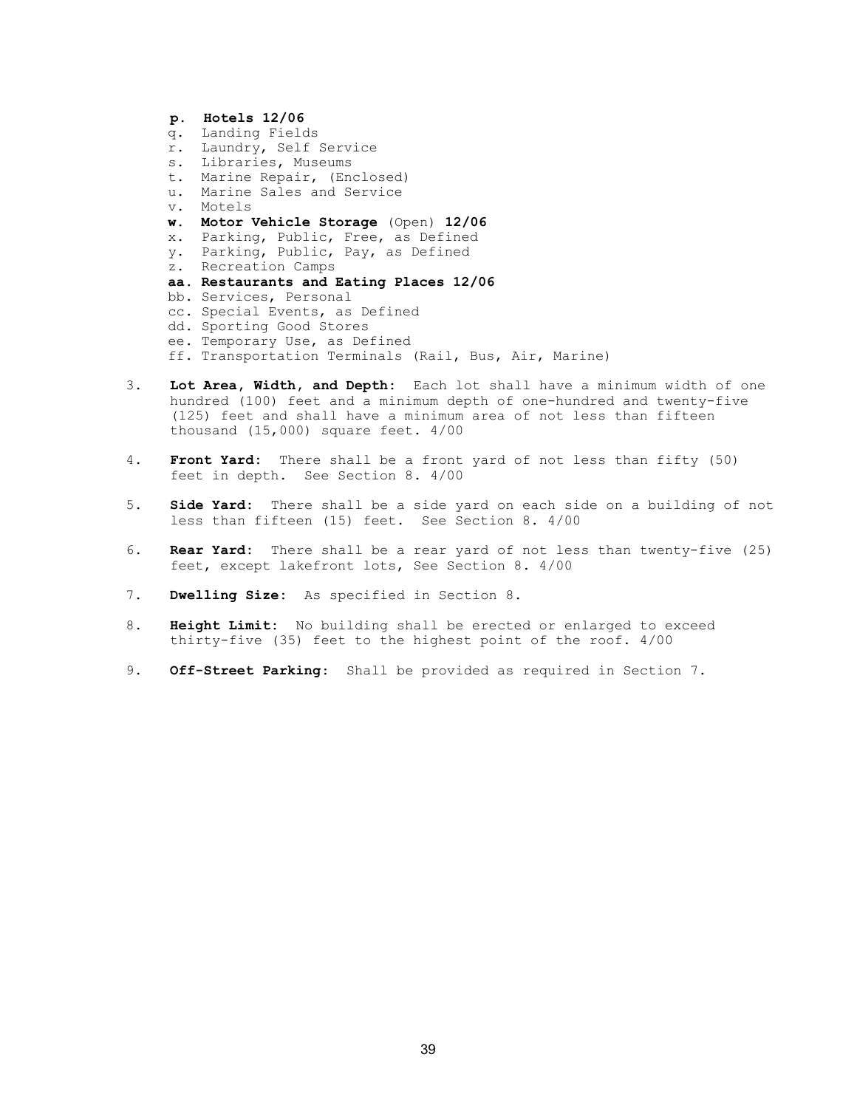- p. Hotels 12/06 q. Landing Fields r. Laundry, Self Service s. Libraries, Museums t. Marine Repair, (Enclosed) u. Marine Sales and Service v. Motels w. Motor Vehicle Storage (Open) 12/06 x. Parking, Public, Free, as Defined y. Parking, Public, Pay, as Defined z. Recreation Camps aa. Restaurants and Eating Places 12/06 bb. Services, Personal cc. Special Events, as Defined dd. Sporting Good Stores
- ee. Temporary Use, as Defined
- ff. Transportation Terminals (Rail, Bus, Air, Marine)
- 3. Lot Area, Width, and Depth: Each lot shall have a minimum width of one hundred (100) feet and a minimum depth of one-hundred and twenty-five (125) feet and shall have a minimum area of not less than fifteen thousand (15,000) square feet. 4/00
- 4. Front Yard: There shall be a front yard of not less than fifty (50) feet in depth. See Section 8. 4/00
- 5. **Side Yard:** There shall be a side yard on each side on a building of not less than fifteen (15) feet. See Section 8. 4/00
- 6. Rear Yard: There shall be a rear yard of not less than twenty-five (25) feet, except lakefront lots, See Section 8. 4/00
- 7. Dwelling Size: As specified in Section 8.
- 8. Height Limit: No building shall be erected or enlarged to exceed thirty-five (35) feet to the highest point of the roof. 4/00
- 9. Off-Street Parking: Shall be provided as required in Section 7.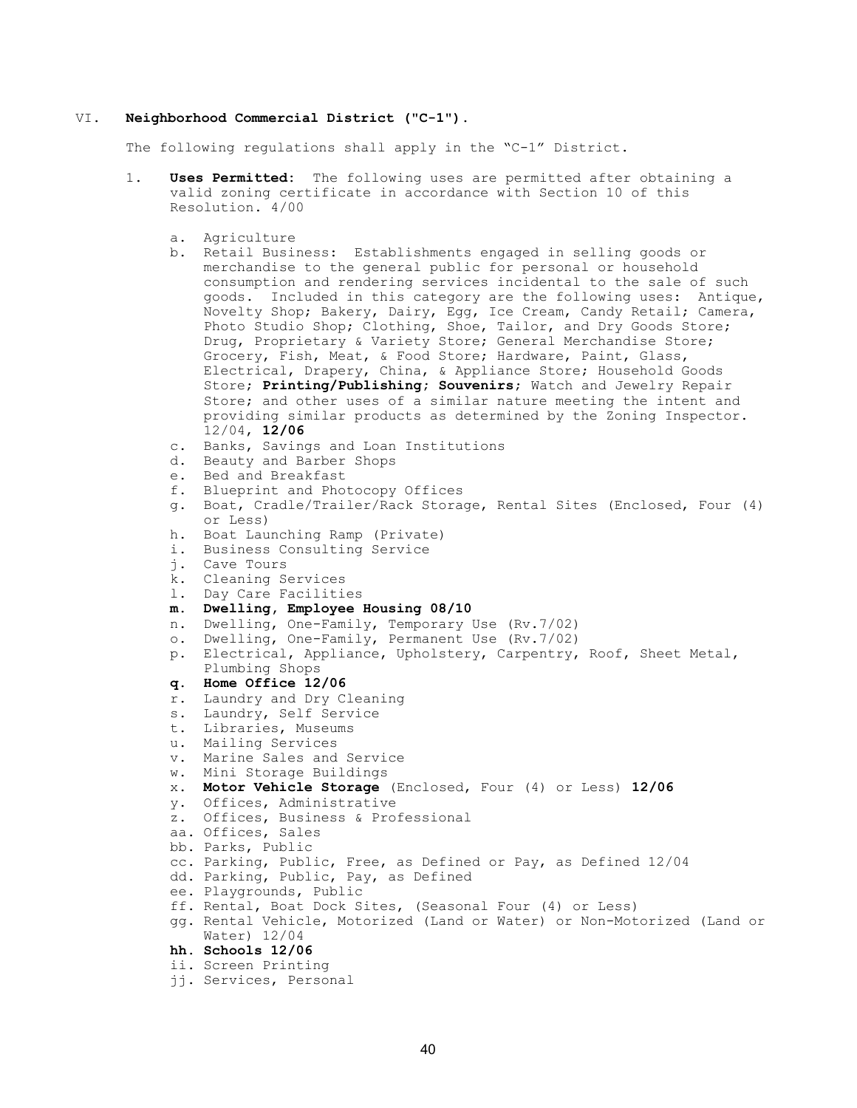#### VI. Neighborhood Commercial District ("C-1").

The following regulations shall apply in the "C-1" District.

- 1. Uses Permitted: The following uses are permitted after obtaining a valid zoning certificate in accordance with Section 10 of this Resolution. 4/00
	- a. Agriculture
	- b. Retail Business: Establishments engaged in selling goods or merchandise to the general public for personal or household consumption and rendering services incidental to the sale of such goods. Included in this category are the following uses: Antique, Novelty Shop; Bakery, Dairy, Egg, Ice Cream, Candy Retail; Camera, Photo Studio Shop; Clothing, Shoe, Tailor, and Dry Goods Store; Drug, Proprietary & Variety Store; General Merchandise Store; Grocery, Fish, Meat, & Food Store; Hardware, Paint, Glass, Electrical, Drapery, China, & Appliance Store; Household Goods Store; Printing/Publishing; Souvenirs; Watch and Jewelry Repair Store; and other uses of a similar nature meeting the intent and providing similar products as determined by the Zoning Inspector. 12/04, 12/06
	- c. Banks, Savings and Loan Institutions
	- d. Beauty and Barber Shops
	- e. Bed and Breakfast
	- f. Blueprint and Photocopy Offices
	- g. Boat, Cradle/Trailer/Rack Storage, Rental Sites (Enclosed, Four (4) or Less)
	- h. Boat Launching Ramp (Private)
	- i. Business Consulting Service
	- j. Cave Tours
	- k. Cleaning Services
	- l. Day Care Facilities
	- m. Dwelling, Employee Housing 08/10
	- n. Dwelling, One-Family, Temporary Use (Rv.7/02)
	- o. Dwelling, One-Family, Permanent Use (Rv.7/02)
	- p. Electrical, Appliance, Upholstery, Carpentry, Roof, Sheet Metal, Plumbing Shops
	- q. Home Office 12/06
	- r. Laundry and Dry Cleaning
	- s. Laundry, Self Service
	- t. Libraries, Museums
	- u. Mailing Services
	- v. Marine Sales and Service
	- w. Mini Storage Buildings
	- x. Motor Vehicle Storage (Enclosed, Four (4) or Less) 12/06
	- y. Offices, Administrative
	- z. Offices, Business & Professional
	- aa. Offices, Sales
	- bb. Parks, Public
	- cc. Parking, Public, Free, as Defined or Pay, as Defined 12/04
	- dd. Parking, Public, Pay, as Defined
	- ee. Playgrounds, Public
	- ff. Rental, Boat Dock Sites, (Seasonal Four (4) or Less)
	- gg. Rental Vehicle, Motorized (Land or Water) or Non-Motorized (Land or Water) 12/04
	- hh. Schools 12/06
	- ii. Screen Printing
	- jj. Services, Personal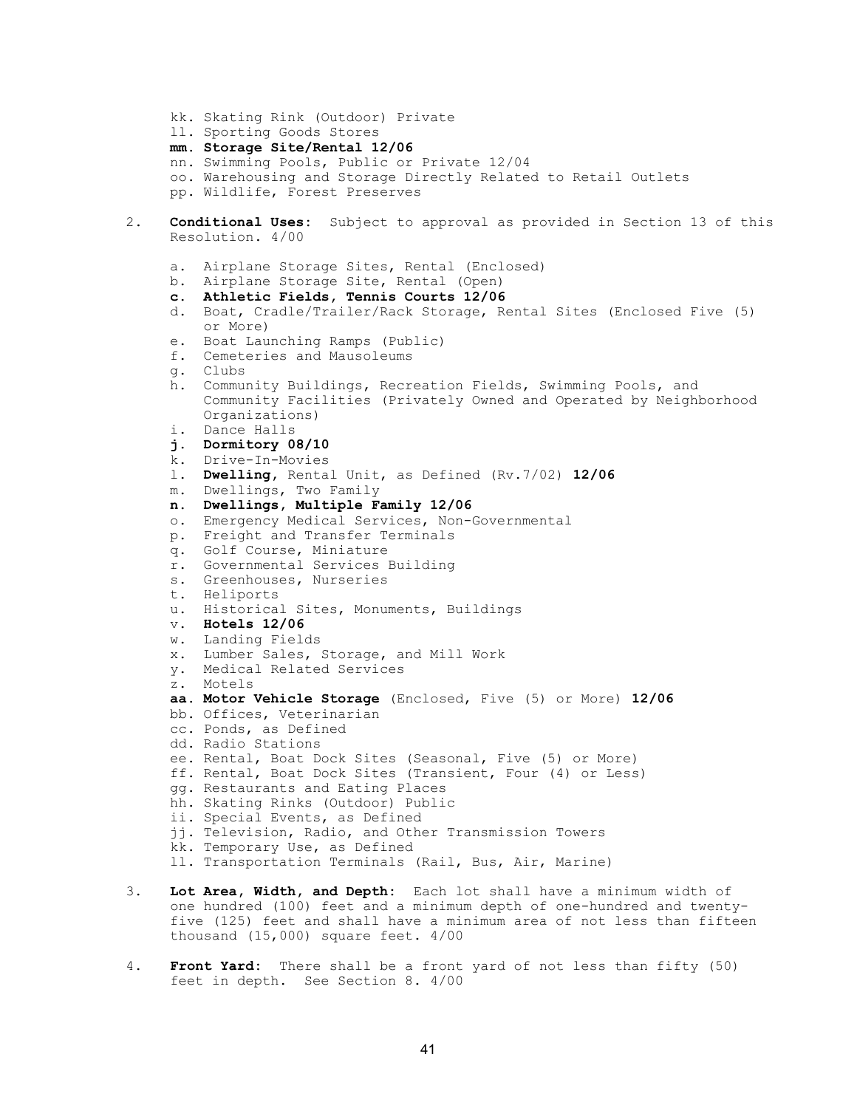kk. Skating Rink (Outdoor) Private ll. Sporting Goods Stores mm. Storage Site/Rental 12/06 nn. Swimming Pools, Public or Private 12/04 oo. Warehousing and Storage Directly Related to Retail Outlets pp. Wildlife, Forest Preserves 2. **Conditional Uses:** Subject to approval as provided in Section 13 of this Resolution. 4/00 a. Airplane Storage Sites, Rental (Enclosed) b. Airplane Storage Site, Rental (Open) c. Athletic Fields, Tennis Courts 12/06 d. Boat, Cradle/Trailer/Rack Storage, Rental Sites (Enclosed Five (5) or More) e. Boat Launching Ramps (Public) f. Cemeteries and Mausoleums g. Clubs h. Community Buildings, Recreation Fields, Swimming Pools, and Community Facilities (Privately Owned and Operated by Neighborhood Organizations) i. Dance Halls j. Dormitory 08/10 k. Drive-In-Movies l. Dwelling, Rental Unit, as Defined (Rv.7/02) 12/06 m. Dwellings, Two Family n. Dwellings, Multiple Family 12/06 o. Emergency Medical Services, Non-Governmental p. Freight and Transfer Terminals q. Golf Course, Miniature r. Governmental Services Building s. Greenhouses, Nurseries t. Heliports u. Historical Sites, Monuments, Buildings v. Hotels 12/06 w. Landing Fields x. Lumber Sales, Storage, and Mill Work y. Medical Related Services z. Motels aa. Motor Vehicle Storage (Enclosed, Five (5) or More) 12/06 bb. Offices, Veterinarian cc. Ponds, as Defined dd. Radio Stations ee. Rental, Boat Dock Sites (Seasonal, Five (5) or More) ff. Rental, Boat Dock Sites (Transient, Four (4) or Less) gg. Restaurants and Eating Places hh. Skating Rinks (Outdoor) Public ii. Special Events, as Defined jj. Television, Radio, and Other Transmission Towers kk. Temporary Use, as Defined ll. Transportation Terminals (Rail, Bus, Air, Marine)

- 3. Lot Area, Width, and Depth: Each lot shall have a minimum width of one hundred (100) feet and a minimum depth of one-hundred and twentyfive (125) feet and shall have a minimum area of not less than fifteen thousand (15,000) square feet. 4/00
- 4. Front Yard: There shall be a front yard of not less than fifty (50) feet in depth. See Section 8. 4/00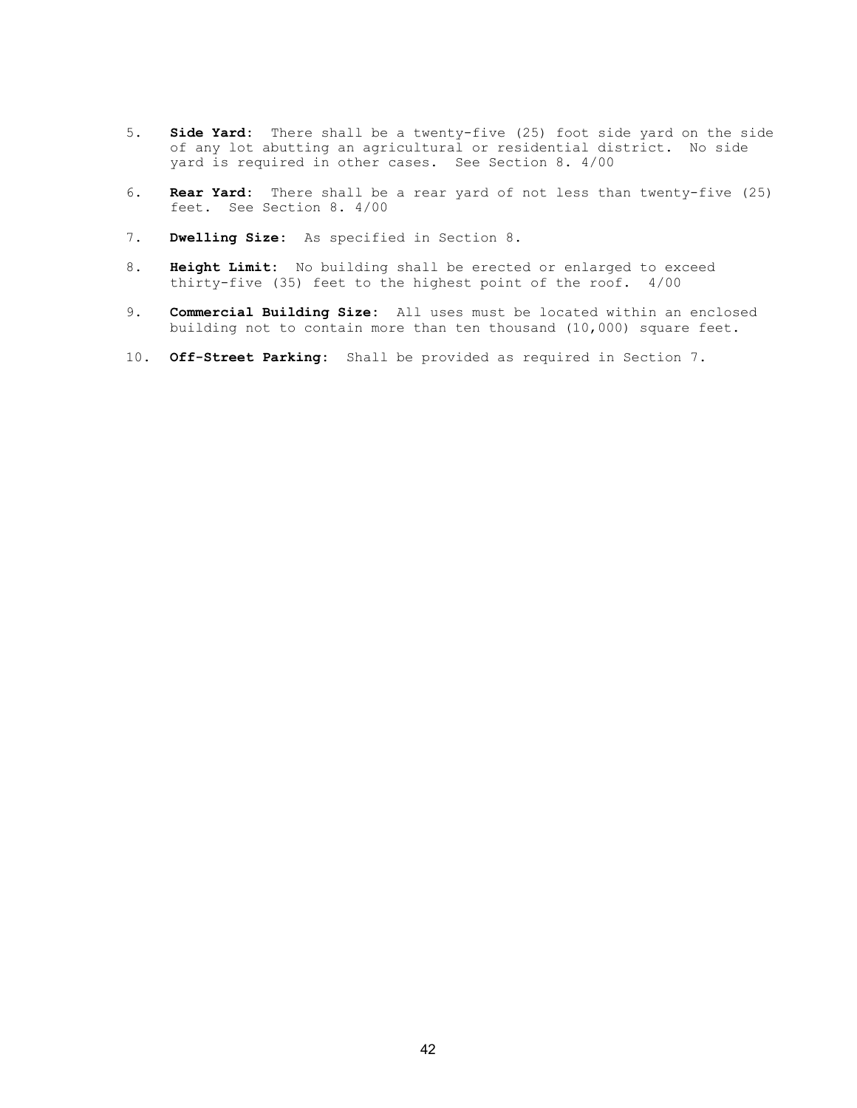- 5. Side Yard: There shall be a twenty-five (25) foot side yard on the side of any lot abutting an agricultural or residential district. No side yard is required in other cases. See Section 8. 4/00
- 6. Rear Yard: There shall be a rear yard of not less than twenty-five (25) feet. See Section 8. 4/00
- 7. Dwelling Size: As specified in Section 8.
- 8. Height Limit: No building shall be erected or enlarged to exceed thirty-five (35) feet to the highest point of the roof. 4/00
- 9. Commercial Building Size: All uses must be located within an enclosed building not to contain more than ten thousand (10,000) square feet.
- 10. Off-Street Parking: Shall be provided as required in Section 7.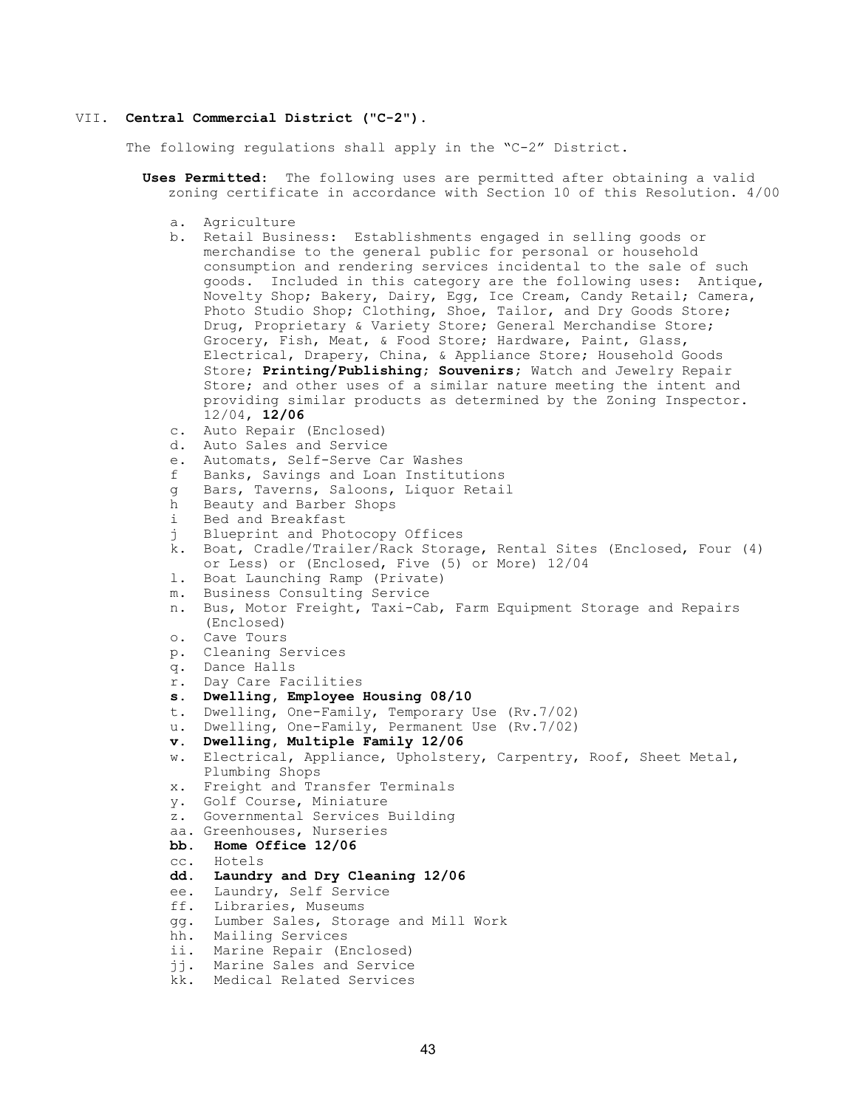#### VII. Central Commercial District ("C-2").

The following regulations shall apply in the "C-2" District.

- Uses Permitted: The following uses are permitted after obtaining a valid zoning certificate in accordance with Section 10 of this Resolution. 4/00
	- a. Agriculture
	- b. Retail Business: Establishments engaged in selling goods or merchandise to the general public for personal or household consumption and rendering services incidental to the sale of such goods. Included in this category are the following uses: Antique, Novelty Shop; Bakery, Dairy, Egg, Ice Cream, Candy Retail; Camera, Photo Studio Shop; Clothing, Shoe, Tailor, and Dry Goods Store; Drug, Proprietary & Variety Store; General Merchandise Store; Grocery, Fish, Meat, & Food Store; Hardware, Paint, Glass, Electrical, Drapery, China, & Appliance Store; Household Goods Store; Printing/Publishing; Souvenirs; Watch and Jewelry Repair Store; and other uses of a similar nature meeting the intent and providing similar products as determined by the Zoning Inspector. 12/04, 12/06
	- c. Auto Repair (Enclosed)
	- d. Auto Sales and Service
	- e. Automats, Self-Serve Car Washes
	- f Banks, Savings and Loan Institutions
	- g Bars, Taverns, Saloons, Liquor Retail
	- h Beauty and Barber Shops
	- i Bed and Breakfast
	- j Blueprint and Photocopy Offices
	- k. Boat, Cradle/Trailer/Rack Storage, Rental Sites (Enclosed, Four (4) or Less) or (Enclosed, Five (5) or More) 12/04
	- l. Boat Launching Ramp (Private)
	- m. Business Consulting Service
	- n. Bus, Motor Freight, Taxi-Cab, Farm Equipment Storage and Repairs (Enclosed)
	- o. Cave Tours
	- p. Cleaning Services
	- q. Dance Halls
	- r. Day Care Facilities
	- s. Dwelling, Employee Housing 08/10
	- t. Dwelling, One-Family, Temporary Use (Rv.7/02)
	- u. Dwelling, One-Family, Permanent Use (Rv.7/02)
	- v. Dwelling, Multiple Family 12/06
	- w. Electrical, Appliance, Upholstery, Carpentry, Roof, Sheet Metal, Plumbing Shops
	- x. Freight and Transfer Terminals
	- y. Golf Course, Miniature
	- z. Governmental Services Building
	- aa. Greenhouses, Nurseries
	- bb. Home Office 12/06
	- cc. Hotels
	- dd. Laundry and Dry Cleaning 12/06
	- ee. Laundry, Self Service
	- ff. Libraries, Museums
	- gg. Lumber Sales, Storage and Mill Work
	- hh. Mailing Services
	- ii. Marine Repair (Enclosed)
	- jj. Marine Sales and Service
	- kk. Medical Related Services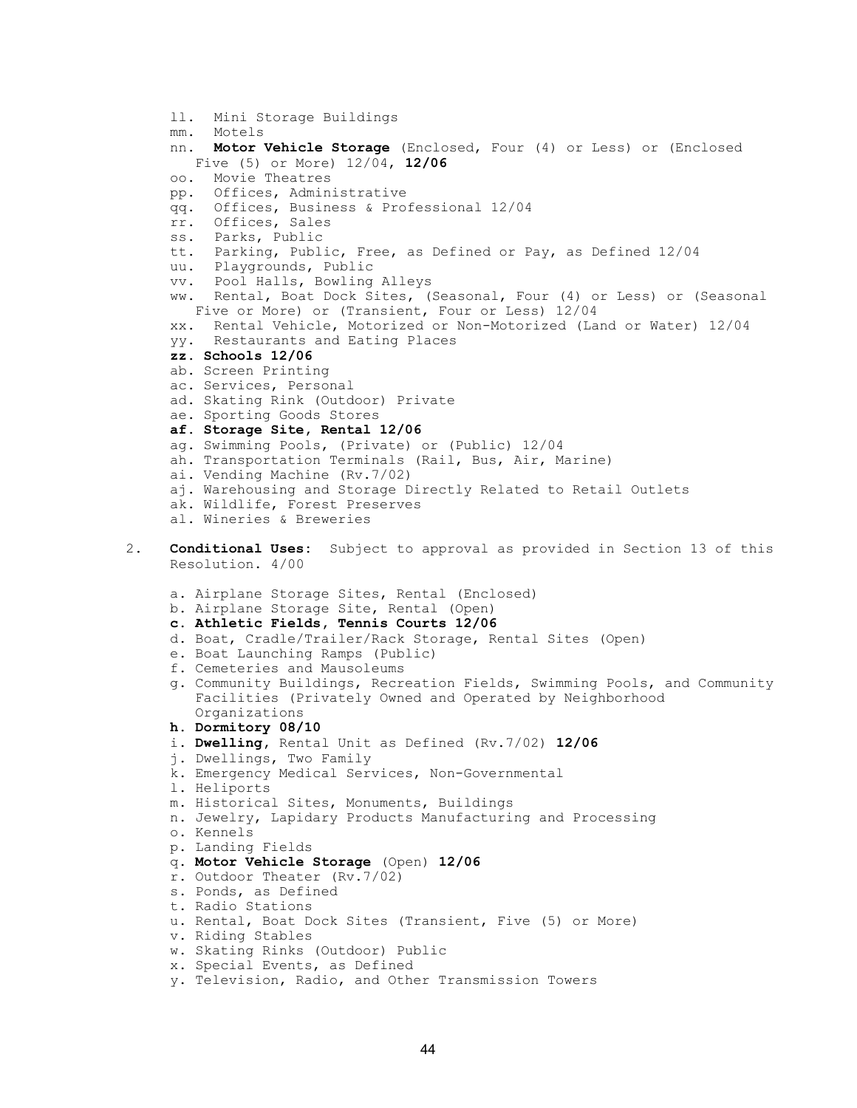```
ll. Mini Storage Buildings 
     mm. Motels 
     nn. Motor Vehicle Storage (Enclosed, Four (4) or Less) or (Enclosed 
        Five (5) or More) 12/04, 12/06
     oo. Movie Theatres 
     pp. Offices, Administrative 
     qq. Offices, Business & Professional 12/04 
     rr. Offices, Sales 
     ss. Parks, Public 
     tt. Parking, Public, Free, as Defined or Pay, as Defined 12/04 
     uu. Playgrounds, Public 
     vv. Pool Halls, Bowling Alleys 
     ww. Rental, Boat Dock Sites, (Seasonal, Four (4) or Less) or (Seasonal 
       Five or More) or (Transient, Four or Less) 12/04 
     xx. Rental Vehicle, Motorized or Non-Motorized (Land or Water) 12/04 
     yy. Restaurants and Eating Places 
     zz. Schools 12/06 
     ab. Screen Printing 
     ac. Services, Personal 
     ad. Skating Rink (Outdoor) Private 
     ae. Sporting Goods Stores 
     af. Storage Site, Rental 12/06 
     ag. Swimming Pools, (Private) or (Public) 12/04 
     ah. Transportation Terminals (Rail, Bus, Air, Marine) 
     ai. Vending Machine (Rv.7/02) 
     aj. Warehousing and Storage Directly Related to Retail Outlets 
     ak. Wildlife, Forest Preserves 
     al. Wineries & Breweries 
2. Conditional Uses: Subject to approval as provided in Section 13 of this
      Resolution. 4/00 
     a. Airplane Storage Sites, Rental (Enclosed) 
     b. Airplane Storage Site, Rental (Open) 
     c. Athletic Fields, Tennis Courts 12/06 
     d. Boat, Cradle/Trailer/Rack Storage, Rental Sites (Open) 
     e. Boat Launching Ramps (Public) 
     f. Cemeteries and Mausoleums 
     g. Community Buildings, Recreation Fields, Swimming Pools, and Community 
        Facilities (Privately Owned and Operated by Neighborhood 
        Organizations 
     h. Dormitory 08/10 
     i. Dwelling, Rental Unit as Defined (Rv.7/02) 12/06
     j. Dwellings, Two Family 
     k. Emergency Medical Services, Non-Governmental 
     l. Heliports 
     m. Historical Sites, Monuments, Buildings 
     n. Jewelry, Lapidary Products Manufacturing and Processing 
     o. Kennels 
     p. Landing Fields 
     q. Motor Vehicle Storage (Open) 12/06
     r. Outdoor Theater (Rv.7/02) 
     s. Ponds, as Defined 
     t. Radio Stations 
     u. Rental, Boat Dock Sites (Transient, Five (5) or More) 
     v. Riding Stables 
     w. Skating Rinks (Outdoor) Public 
     x. Special Events, as Defined
```

```
y. Television, Radio, and Other Transmission Towers
```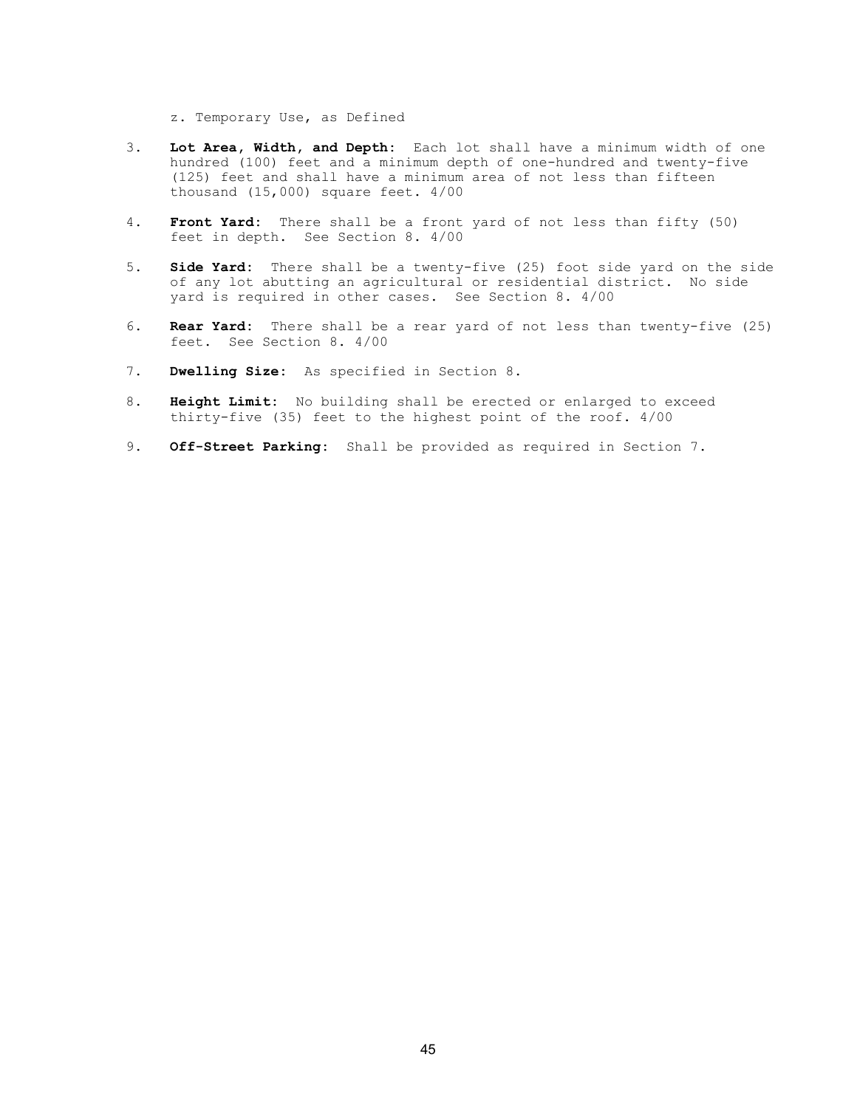z. Temporary Use, as Defined

- 3. Lot Area, Width, and Depth: Each lot shall have a minimum width of one hundred (100) feet and a minimum depth of one-hundred and twenty-five (125) feet and shall have a minimum area of not less than fifteen thousand (15,000) square feet. 4/00
- 4. Front Yard: There shall be a front yard of not less than fifty (50) feet in depth. See Section 8. 4/00
- 5. Side Yard: There shall be a twenty-five (25) foot side yard on the side of any lot abutting an agricultural or residential district. No side yard is required in other cases. See Section 8. 4/00
- 6. Rear Yard: There shall be a rear yard of not less than twenty-five (25) feet. See Section 8. 4/00
- 7. Dwelling Size: As specified in Section 8.
- 8. Height Limit: No building shall be erected or enlarged to exceed thirty-five (35) feet to the highest point of the roof. 4/00
- 9. Off-Street Parking: Shall be provided as required in Section 7.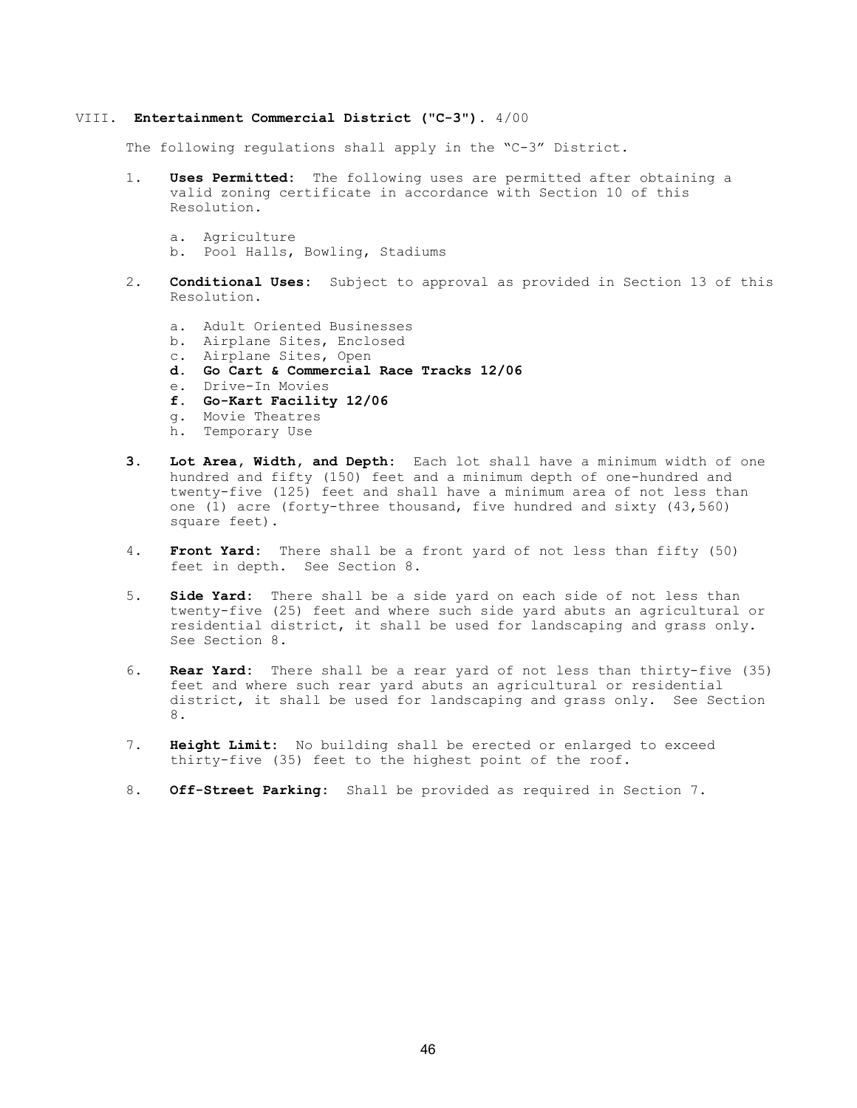#### VIII. Entertainment Commercial District ("C-3"). 4/00

The following regulations shall apply in the "C-3" District.

- 1. Uses Permitted: The following uses are permitted after obtaining a valid zoning certificate in accordance with Section 10 of this Resolution.
	- a. Agriculture
	- b. Pool Halls, Bowling, Stadiums
- 2. **Conditional Uses:** Subject to approval as provided in Section 13 of this Resolution.
	- a. Adult Oriented Businesses
	- b. Airplane Sites, Enclosed
	- c. Airplane Sites, Open
	- d. Go Cart & Commercial Race Tracks 12/06
	- e. Drive-In Movies
	- f. Go-Kart Facility 12/06
	- g. Movie Theatres
	- h. Temporary Use
- 3. Lot Area, Width, and Depth: Each lot shall have a minimum width of one hundred and fifty (150) feet and a minimum depth of one-hundred and twenty-five (125) feet and shall have a minimum area of not less than one (1) acre (forty-three thousand, five hundred and sixty (43,560) square feet).
- 4. Front Yard: There shall be a front yard of not less than fifty (50) feet in depth. See Section 8.
- 5. Side Yard: There shall be a side yard on each side of not less than twenty-five (25) feet and where such side yard abuts an agricultural or residential district, it shall be used for landscaping and grass only. See Section 8.
- 6. Rear Yard: There shall be a rear yard of not less than thirty-five (35) feet and where such rear yard abuts an agricultural or residential district, it shall be used for landscaping and grass only. See Section 8.
- 7. Height Limit: No building shall be erected or enlarged to exceed thirty-five (35) feet to the highest point of the roof.
- 8. Off-Street Parking: Shall be provided as required in Section 7.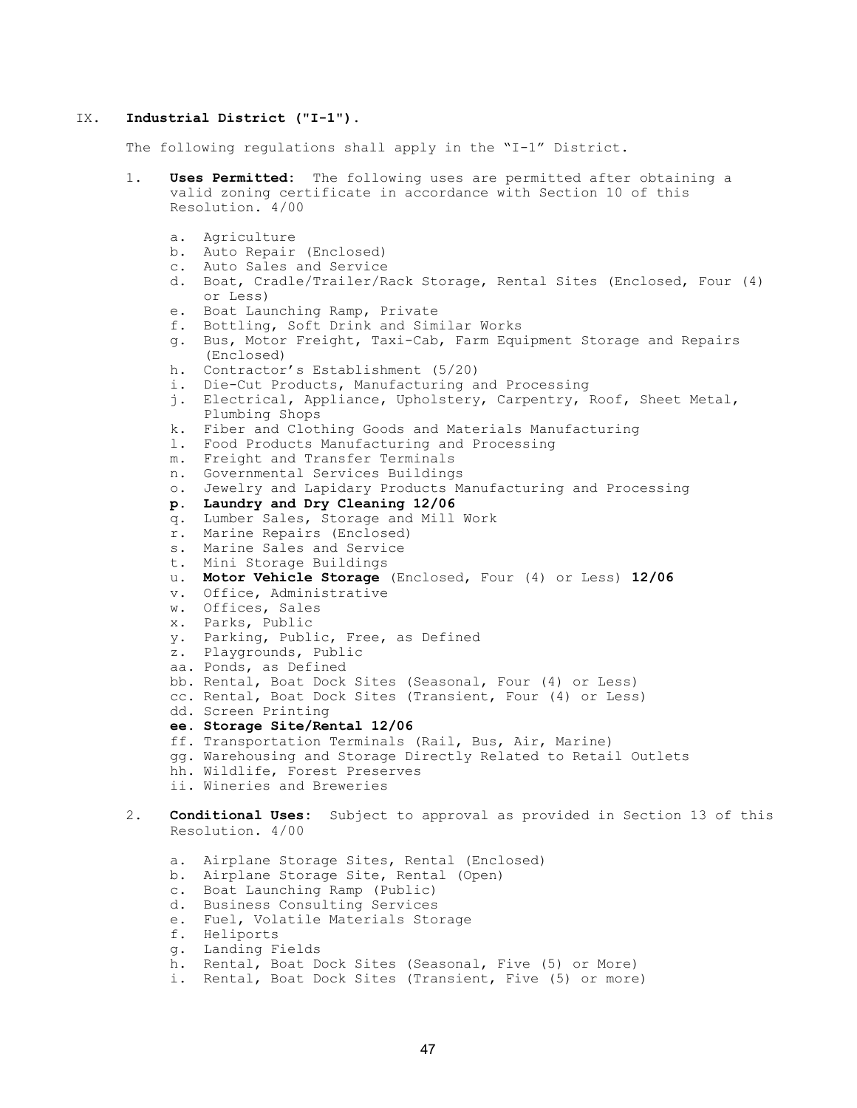#### IX. Industrial District ("I-1").

The following regulations shall apply in the "I-1" District.

- 1. Uses Permitted: The following uses are permitted after obtaining a valid zoning certificate in accordance with Section 10 of this Resolution. 4/00
	- a. Agriculture
	- b. Auto Repair (Enclosed)
	- c. Auto Sales and Service
	- d. Boat, Cradle/Trailer/Rack Storage, Rental Sites (Enclosed, Four (4) or Less)
	- e. Boat Launching Ramp, Private
	- f. Bottling, Soft Drink and Similar Works
	- g. Bus, Motor Freight, Taxi-Cab, Farm Equipment Storage and Repairs (Enclosed)
	- h. Contractor's Establishment (5/20)
	- i. Die-Cut Products, Manufacturing and Processing
	- j. Electrical, Appliance, Upholstery, Carpentry, Roof, Sheet Metal, Plumbing Shops
	- k. Fiber and Clothing Goods and Materials Manufacturing
	- l. Food Products Manufacturing and Processing
	- m. Freight and Transfer Terminals
	- n. Governmental Services Buildings
	- o. Jewelry and Lapidary Products Manufacturing and Processing
	- p. Laundry and Dry Cleaning 12/06
	- q. Lumber Sales, Storage and Mill Work
	- r. Marine Repairs (Enclosed)
	- s. Marine Sales and Service
	- t. Mini Storage Buildings
	- u. Motor Vehicle Storage (Enclosed, Four (4) or Less) 12/06
	- v. Office, Administrative
	- w. Offices, Sales
	- x. Parks, Public
	- y. Parking, Public, Free, as Defined
	- z. Playgrounds, Public
	- aa. Ponds, as Defined
	- bb. Rental, Boat Dock Sites (Seasonal, Four (4) or Less)
	- cc. Rental, Boat Dock Sites (Transient, Four (4) or Less)
	- dd. Screen Printing
	- ee. Storage Site/Rental 12/06
	- ff. Transportation Terminals (Rail, Bus, Air, Marine)
	- gg. Warehousing and Storage Directly Related to Retail Outlets
	- hh. Wildlife, Forest Preserves
	- ii. Wineries and Breweries
- 2. **Conditional Uses:** Subject to approval as provided in Section 13 of this Resolution. 4/00
	- a. Airplane Storage Sites, Rental (Enclosed)
	- b. Airplane Storage Site, Rental (Open)
	- c. Boat Launching Ramp (Public)
	- d. Business Consulting Services
	- e. Fuel, Volatile Materials Storage
	- f. Heliports
	- g. Landing Fields
	- h. Rental, Boat Dock Sites (Seasonal, Five (5) or More)
	- i. Rental, Boat Dock Sites (Transient, Five (5) or more)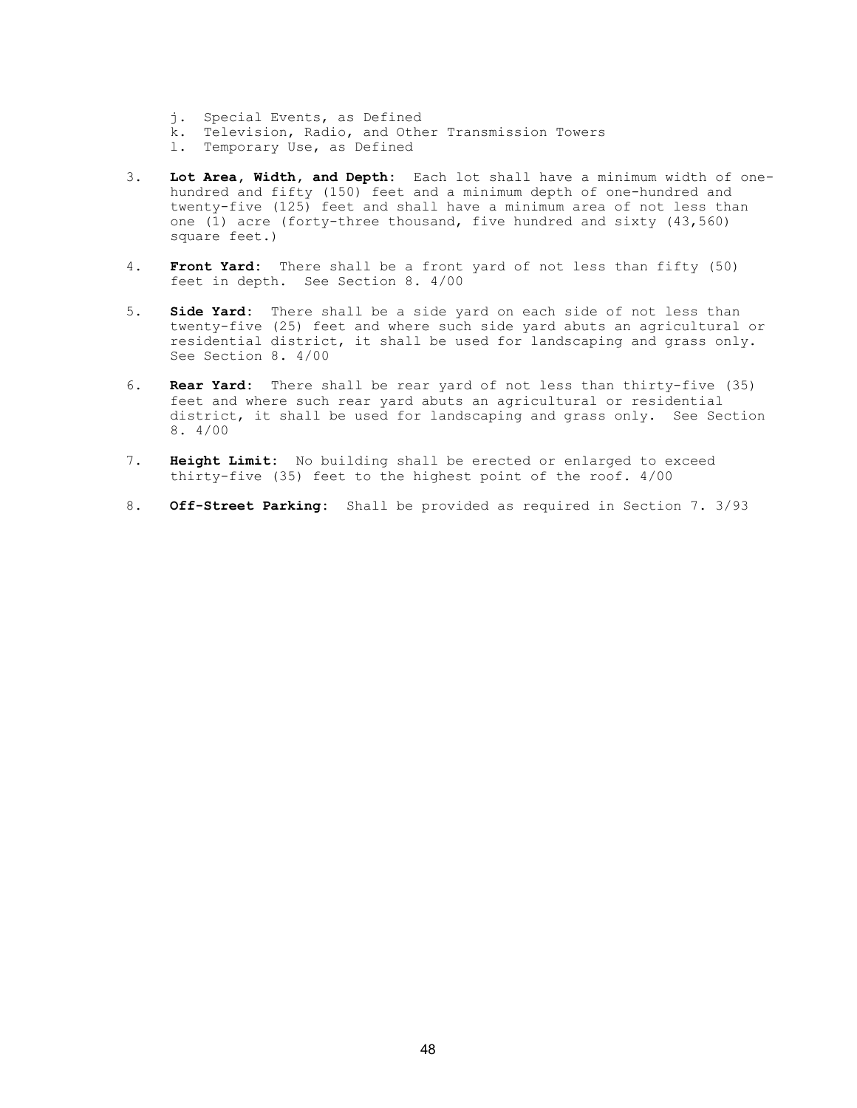- j. Special Events, as Defined
- k. Television, Radio, and Other Transmission Towers
- l. Temporary Use, as Defined
- 3. Lot Area, Width, and Depth: Each lot shall have a minimum width of one hundred and fifty (150) feet and a minimum depth of one-hundred and twenty-five (125) feet and shall have a minimum area of not less than one (1) acre (forty-three thousand, five hundred and sixty (43,560) square feet.)
	- 4. Front Yard: There shall be a front yard of not less than fifty (50) feet in depth. See Section 8. 4/00
	- 5. Side Yard: There shall be a side yard on each side of not less than twenty-five (25) feet and where such side yard abuts an agricultural or residential district, it shall be used for landscaping and grass only. See Section 8. 4/00
	- 6. Rear Yard: There shall be rear yard of not less than thirty-five (35) feet and where such rear yard abuts an agricultural or residential district, it shall be used for landscaping and grass only. See Section 8. 4/00
	- 7. Height Limit: No building shall be erected or enlarged to exceed thirty-five (35) feet to the highest point of the roof. 4/00
	- 8. Off-Street Parking: Shall be provided as required in Section 7. 3/93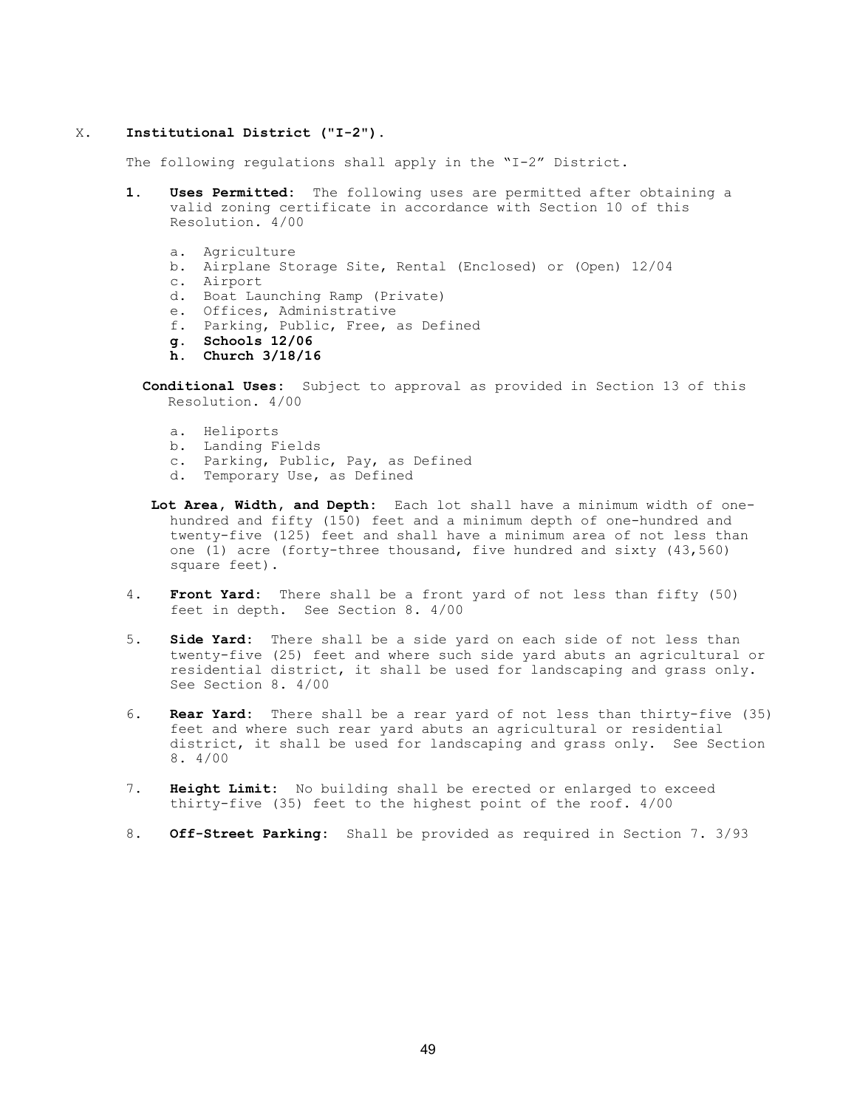## X. Institutional District ("I-2").

The following regulations shall apply in the "I-2" District.

- 1. Uses Permitted: The following uses are permitted after obtaining a valid zoning certificate in accordance with Section 10 of this Resolution. 4/00
	- a. Agriculture
	- b. Airplane Storage Site, Rental (Enclosed) or (Open) 12/04
	- c. Airport
	- d. Boat Launching Ramp (Private)
	- e. Offices, Administrative
	- f. Parking, Public, Free, as Defined
	- g. Schools 12/06
	- h. Church 3/18/16
	- Conditional Uses: Subject to approval as provided in Section 13 of this Resolution. 4/00
		- a. Heliports
		- b. Landing Fields
		- c. Parking, Public, Pay, as Defined
		- d. Temporary Use, as Defined
	- Lot Area, Width, and Depth: Each lot shall have a minimum width of one hundred and fifty (150) feet and a minimum depth of one-hundred and twenty-five (125) feet and shall have a minimum area of not less than one (1) acre (forty-three thousand, five hundred and sixty (43,560) square feet).
- 4. Front Yard: There shall be a front yard of not less than fifty (50) feet in depth. See Section 8. 4/00
- 5. Side Yard: There shall be a side yard on each side of not less than twenty-five (25) feet and where such side yard abuts an agricultural or residential district, it shall be used for landscaping and grass only. See Section 8. 4/00
- 6. Rear Yard: There shall be a rear yard of not less than thirty-five (35) feet and where such rear yard abuts an agricultural or residential district, it shall be used for landscaping and grass only. See Section 8. 4/00
- 7. Height Limit: No building shall be erected or enlarged to exceed thirty-five (35) feet to the highest point of the roof. 4/00
- 8. Off-Street Parking: Shall be provided as required in Section 7. 3/93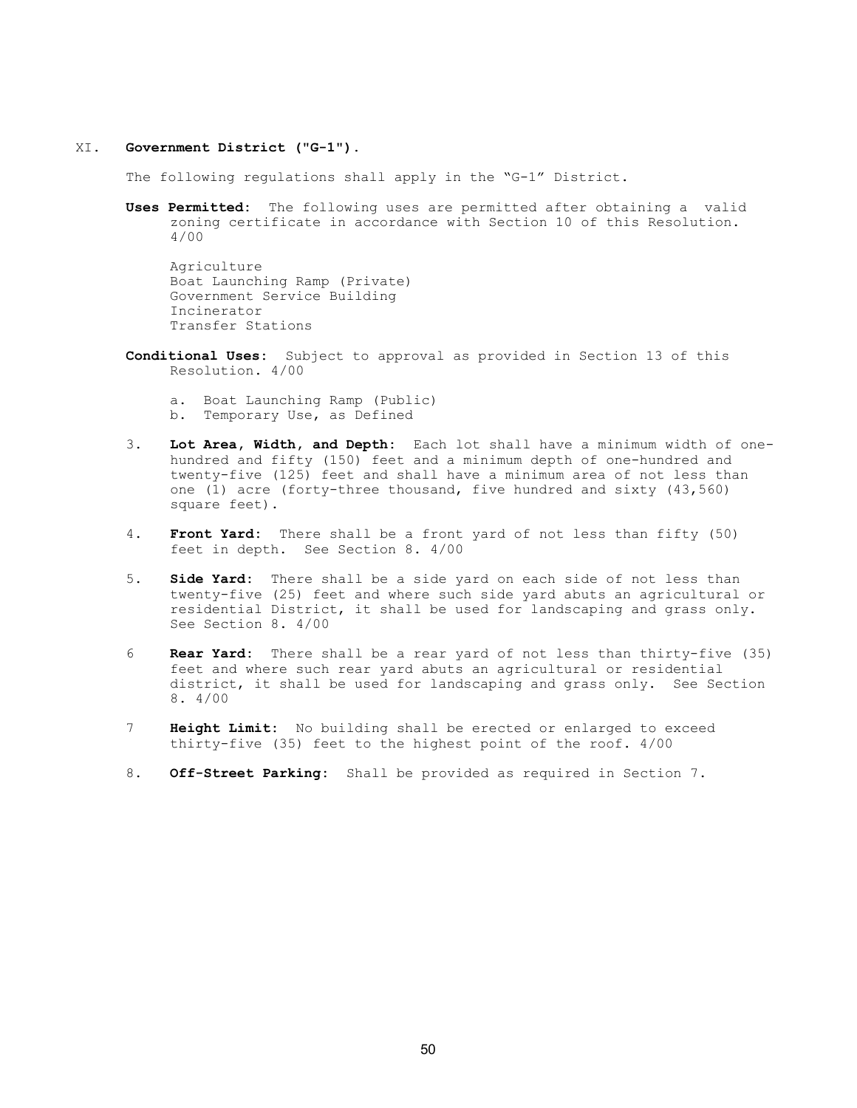### XI. Government District ("G-1").

The following regulations shall apply in the "G-1" District.

Uses Permitted: The following uses are permitted after obtaining a valid zoning certificate in accordance with Section 10 of this Resolution. 4/00

Agriculture Boat Launching Ramp (Private) Government Service Building Incinerator Transfer Stations

- Conditional Uses: Subject to approval as provided in Section 13 of this Resolution. 4/00
	- a. Boat Launching Ramp (Public) b. Temporary Use, as Defined
- 3. Lot Area, Width, and Depth: Each lot shall have a minimum width of one hundred and fifty (150) feet and a minimum depth of one-hundred and twenty-five (125) feet and shall have a minimum area of not less than one (1) acre (forty-three thousand, five hundred and sixty (43,560) square feet).
- 4. Front Yard: There shall be a front yard of not less than fifty (50) feet in depth. See Section 8. 4/00
- 5. **Side Yard:** There shall be a side yard on each side of not less than twenty-five (25) feet and where such side yard abuts an agricultural or residential District, it shall be used for landscaping and grass only. See Section 8. 4/00
- 6 Rear Yard: There shall be a rear yard of not less than thirty-five (35) feet and where such rear yard abuts an agricultural or residential district, it shall be used for landscaping and grass only. See Section 8. 4/00
- 7 **Height Limit:** No building shall be erected or enlarged to exceed thirty-five (35) feet to the highest point of the roof. 4/00
- 8. Off-Street Parking: Shall be provided as required in Section 7.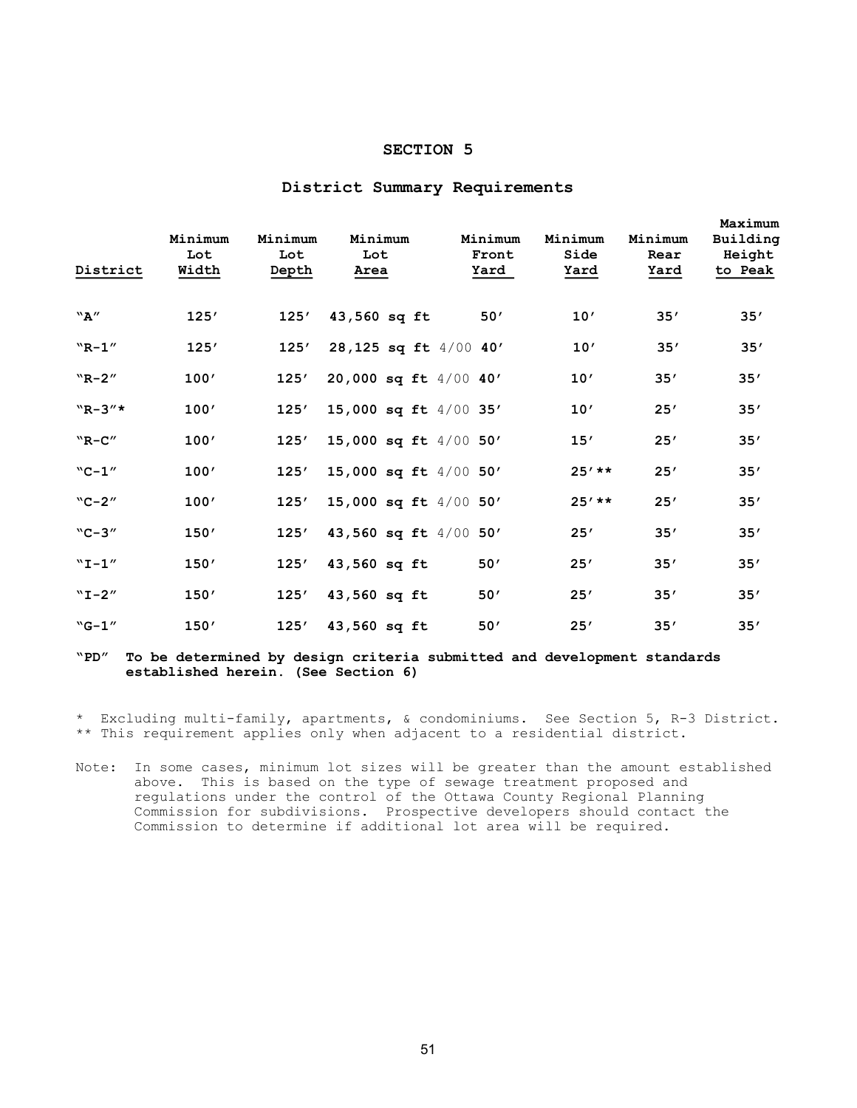# SECTION 5

| District        | Minimum<br>Lot<br>Width | Minimum<br>Lot<br>Depth | Minimum<br>Lot<br>Area  | Minimum<br>Front<br>Yard | Minimum<br>Side<br>Yard | Minimum<br>Rear<br>Yard | Maximum<br>Building<br>Height<br>to Peak |
|-----------------|-------------------------|-------------------------|-------------------------|--------------------------|-------------------------|-------------------------|------------------------------------------|
| ``A''           | 125'                    | 125'                    | 43,560 sq ft            | 50'                      | 10'                     | 35'                     | 35'                                      |
| $"R-1"$         | 125'                    | 125'                    | 28,125 sq ft 4/00 40'   |                          | 10'                     | 35'                     | 35'                                      |
| $W_{R-2''}$     | 100'                    | 125'                    | 20,000 sq ft $4/00$ 40' |                          | 10'                     | 35'                     | 35'                                      |
| $W_{R-3}$       | 100'                    | 125'                    | 15,000 sq ft 4/00 35'   |                          | 10'                     | 25'                     | 35'                                      |
| $"R-C"$         | 100'                    | 125'                    | 15,000 sq ft $4/00$ 50' |                          | 15'                     | 25'                     | 35'                                      |
| $C - 1''$       | 100'                    | 125'                    | 15,000 sq ft $4/00$ 50' |                          | $25'$ **                | 25'                     | 35'                                      |
| $C - 2''$       | 100'                    | 125'                    | 15,000 sq ft $4/00$ 50' |                          | $25'$ **                | 25'                     | 35'                                      |
| $^{\rm w}$ C-3" | 150'                    | 125'                    | 43,560 sq ft $4/00$ 50' |                          | 25'                     | 35'                     | 35'                                      |
| $"I - 1"$       | 150'                    | 125'                    | 43,560 sq ft            | 50'                      | 25'                     | 35'                     | 35'                                      |
| $"I-2"$         | 150'                    | 125'                    | 43,560 sq ft            | 50'                      | 25'                     | 35'                     | 35'                                      |
| $^{\rm w}$ G-1" | 150'                    | 125'                    | 43,560 sq ft            | 50'                      | 25'                     | 35'                     | 35'                                      |

## District Summary Requirements

"PD" To be determined by design criteria submitted and development standards established herein. (See Section 6)

\* Excluding multi-family, apartments, & condominiums. See Section 5, R-3 District. \*\* This requirement applies only when adjacent to a residential district.

Note: In some cases, minimum lot sizes will be greater than the amount established above. This is based on the type of sewage treatment proposed and regulations under the control of the Ottawa County Regional Planning Commission for subdivisions. Prospective developers should contact the Commission to determine if additional lot area will be required.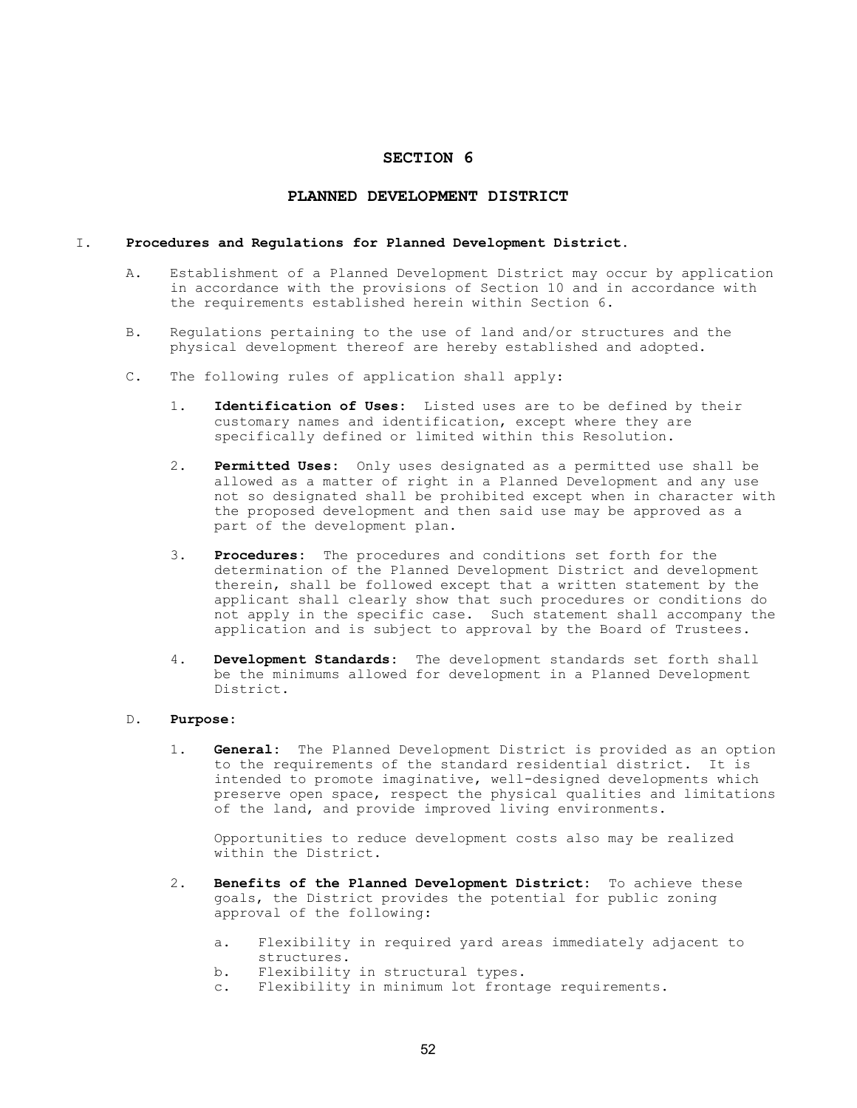## SECTION 6

## PLANNED DEVELOPMENT DISTRICT

#### I. Procedures and Regulations for Planned Development District.

- A. Establishment of a Planned Development District may occur by application in accordance with the provisions of Section 10 and in accordance with the requirements established herein within Section 6.
- B. Regulations pertaining to the use of land and/or structures and the physical development thereof are hereby established and adopted.
- C. The following rules of application shall apply:
	- 1. Identification of Uses: Listed uses are to be defined by their customary names and identification, except where they are specifically defined or limited within this Resolution.
	- 2. Permitted Uses: Only uses designated as a permitted use shall be allowed as a matter of right in a Planned Development and any use not so designated shall be prohibited except when in character with the proposed development and then said use may be approved as a part of the development plan.
	- 3. Procedures: The procedures and conditions set forth for the determination of the Planned Development District and development therein, shall be followed except that a written statement by the applicant shall clearly show that such procedures or conditions do not apply in the specific case. Such statement shall accompany the application and is subject to approval by the Board of Trustees.
	- 4. Development Standards: The development standards set forth shall be the minimums allowed for development in a Planned Development District.

## D. Purpose:

1. General: The Planned Development District is provided as an option to the requirements of the standard residential district. It is intended to promote imaginative, well-designed developments which preserve open space, respect the physical qualities and limitations of the land, and provide improved living environments.

 Opportunities to reduce development costs also may be realized within the District.

- 2. Benefits of the Planned Development District: To achieve these goals, the District provides the potential for public zoning approval of the following:
	- a. Flexibility in required yard areas immediately adjacent to structures.
	- b. Flexibility in structural types.
	- c. Flexibility in minimum lot frontage requirements.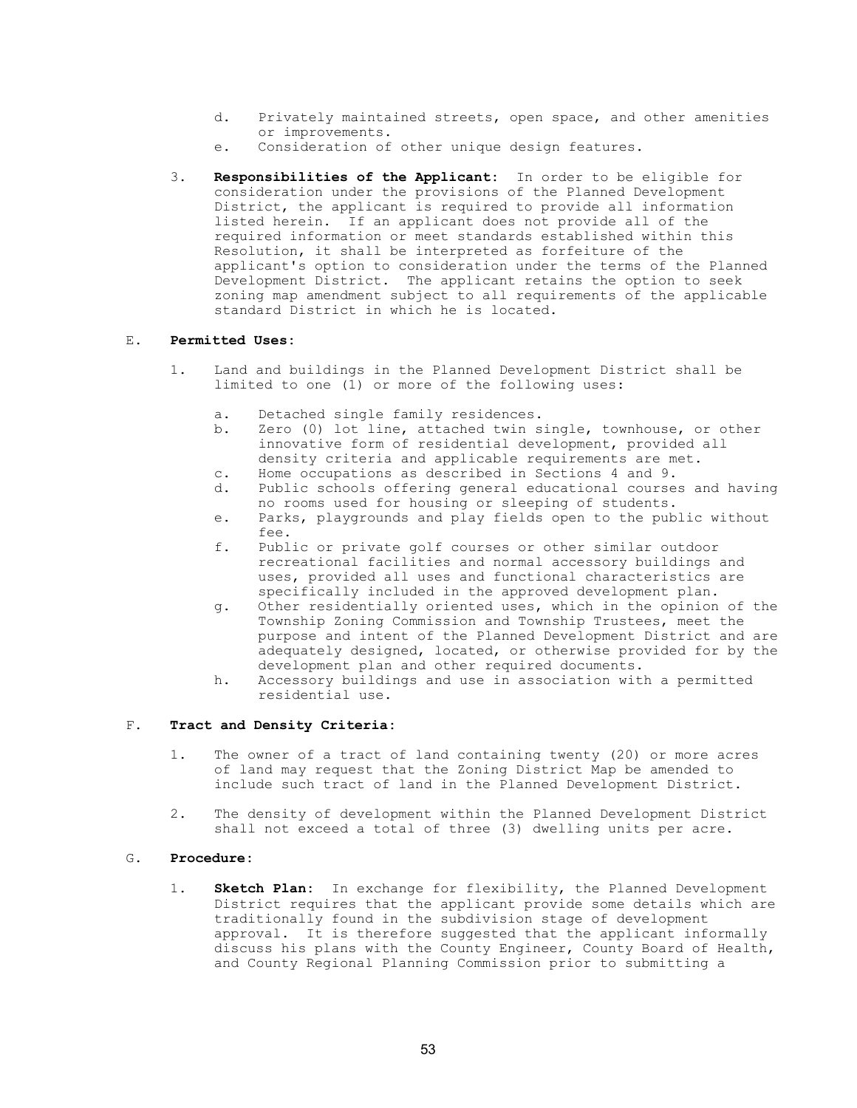- d. Privately maintained streets, open space, and other amenities or improvements.
- e. Consideration of other unique design features.
- 3. Responsibilities of the Applicant: In order to be eligible for consideration under the provisions of the Planned Development District, the applicant is required to provide all information listed herein. If an applicant does not provide all of the required information or meet standards established within this Resolution, it shall be interpreted as forfeiture of the applicant's option to consideration under the terms of the Planned Development District. The applicant retains the option to seek zoning map amendment subject to all requirements of the applicable standard District in which he is located.

## E. Permitted Uses:

- 1. Land and buildings in the Planned Development District shall be limited to one (1) or more of the following uses:
	- a. Detached single family residences.<br>b. Zero (0) lot line, attached twin s
	- Zero (0) lot line, attached twin single, townhouse, or other innovative form of residential development, provided all density criteria and applicable requirements are met.
	- c. Home occupations as described in Sections 4 and 9.
	- d. Public schools offering general educational courses and having no rooms used for housing or sleeping of students.
	- e. Parks, playgrounds and play fields open to the public without fee.<br>f. Publ
	- Public or private golf courses or other similar outdoor recreational facilities and normal accessory buildings and uses, provided all uses and functional characteristics are specifically included in the approved development plan.
	- g. Other residentially oriented uses, which in the opinion of the Township Zoning Commission and Township Trustees, meet the purpose and intent of the Planned Development District and are adequately designed, located, or otherwise provided for by the development plan and other required documents.
	- h. Accessory buildings and use in association with a permitted residential use.

## F. Tract and Density Criteria:

- 1. The owner of a tract of land containing twenty (20) or more acres of land may request that the Zoning District Map be amended to include such tract of land in the Planned Development District.
- 2. The density of development within the Planned Development District shall not exceed a total of three (3) dwelling units per acre.

## G. Procedure:

1. Sketch Plan: In exchange for flexibility, the Planned Development District requires that the applicant provide some details which are traditionally found in the subdivision stage of development approval. It is therefore suggested that the applicant informally discuss his plans with the County Engineer, County Board of Health, and County Regional Planning Commission prior to submitting a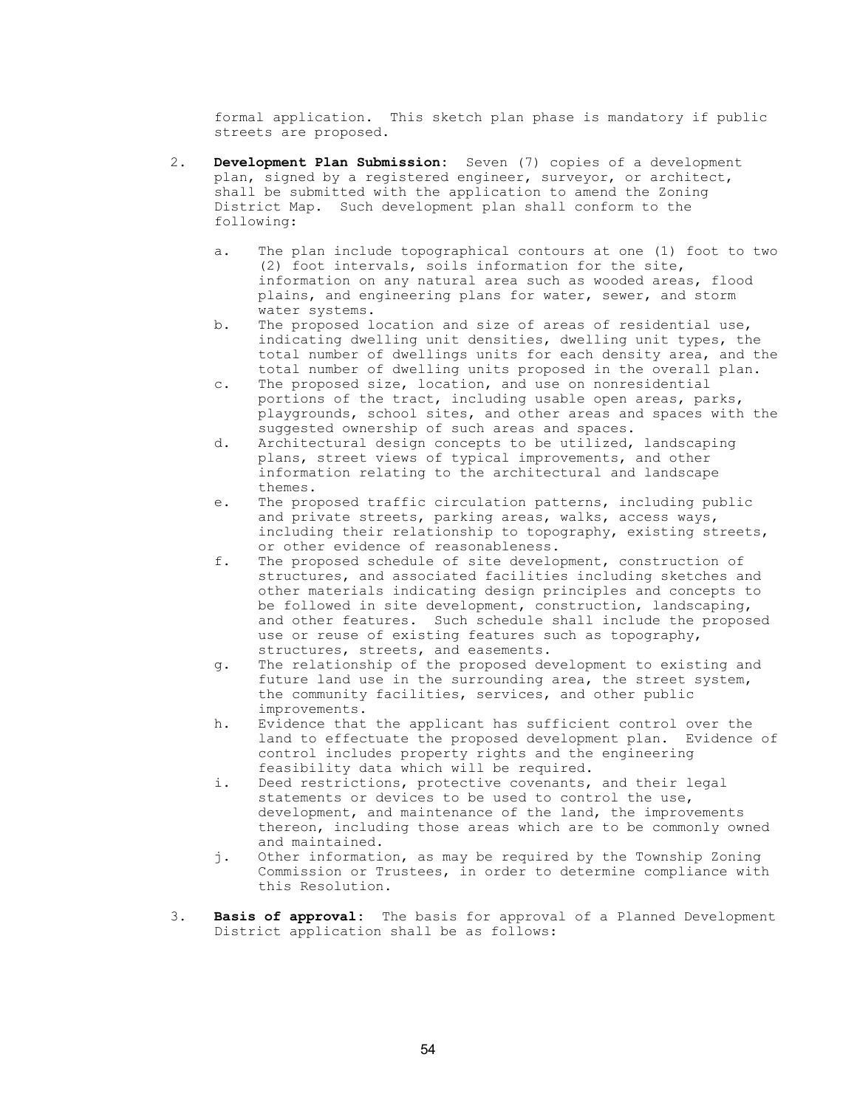formal application. This sketch plan phase is mandatory if public streets are proposed.

- 2. Development Plan Submission: Seven (7) copies of a development plan, signed by a registered engineer, surveyor, or architect, shall be submitted with the application to amend the Zoning District Map. Such development plan shall conform to the following:
	- a. The plan include topographical contours at one (1) foot to two (2) foot intervals, soils information for the site, information on any natural area such as wooded areas, flood plains, and engineering plans for water, sewer, and storm water systems.
	- b. The proposed location and size of areas of residential use, indicating dwelling unit densities, dwelling unit types, the total number of dwellings units for each density area, and the total number of dwelling units proposed in the overall plan.
	- c. The proposed size, location, and use on nonresidential portions of the tract, including usable open areas, parks, playgrounds, school sites, and other areas and spaces with the suggested ownership of such areas and spaces.
	- d. Architectural design concepts to be utilized, landscaping plans, street views of typical improvements, and other information relating to the architectural and landscape themes.
	- e. The proposed traffic circulation patterns, including public and private streets, parking areas, walks, access ways, including their relationship to topography, existing streets, or other evidence of reasonableness.<br>f. The proposed schedule of site develo
	- The proposed schedule of site development, construction of structures, and associated facilities including sketches and other materials indicating design principles and concepts to be followed in site development, construction, landscaping, and other features. Such schedule shall include the proposed use or reuse of existing features such as topography, structures, streets, and easements.
	- g. The relationship of the proposed development to existing and future land use in the surrounding area, the street system, the community facilities, services, and other public improvements.
	- h. Evidence that the applicant has sufficient control over the land to effectuate the proposed development plan. Evidence of control includes property rights and the engineering feasibility data which will be required.
	- i. Deed restrictions, protective covenants, and their legal statements or devices to be used to control the use, development, and maintenance of the land, the improvements thereon, including those areas which are to be commonly owned and maintained.
	- j. Other information, as may be required by the Township Zoning Commission or Trustees, in order to determine compliance with this Resolution.
- 3. Basis of approval: The basis for approval of a Planned Development District application shall be as follows: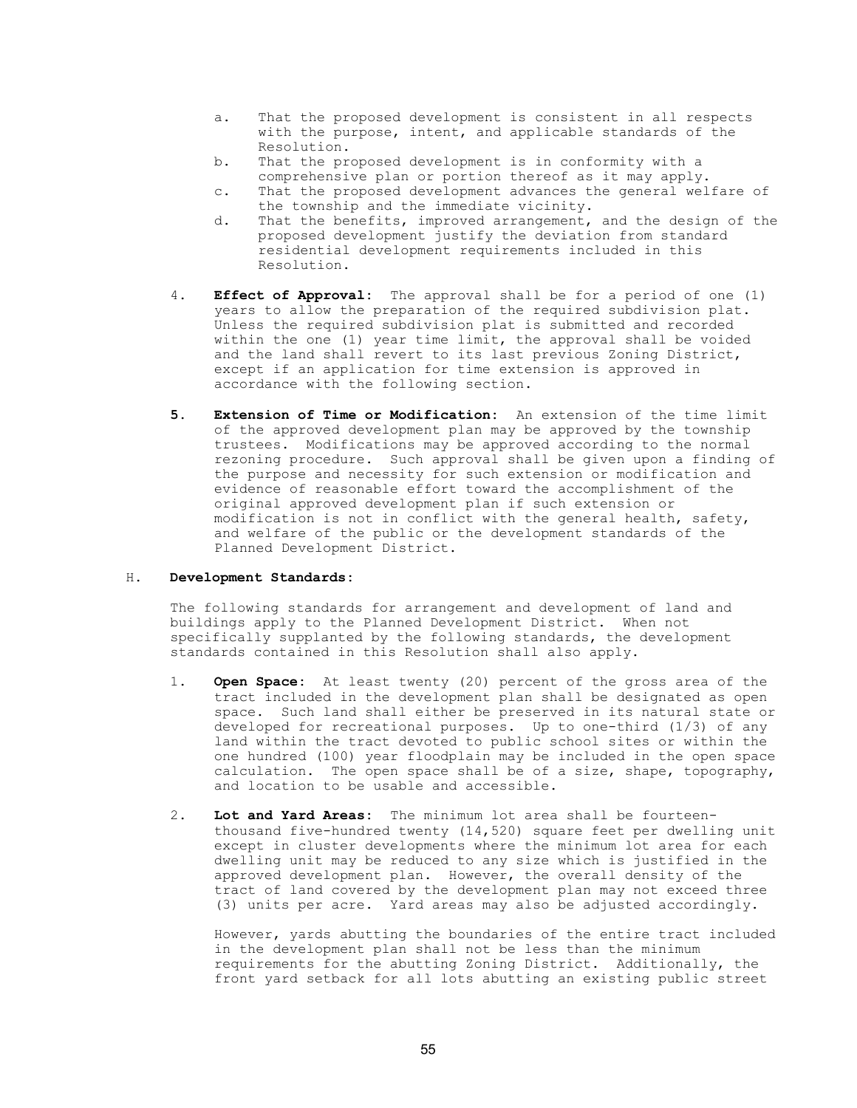- a. That the proposed development is consistent in all respects with the purpose, intent, and applicable standards of the Resolution.
- b. That the proposed development is in conformity with a comprehensive plan or portion thereof as it may apply.
- c. That the proposed development advances the general welfare of the township and the immediate vicinity.
- d. That the benefits, improved arrangement, and the design of the proposed development justify the deviation from standard residential development requirements included in this Resolution.
- 4. **Effect of Approval:** The approval shall be for a period of one (1) years to allow the preparation of the required subdivision plat. Unless the required subdivision plat is submitted and recorded within the one (1) year time limit, the approval shall be voided and the land shall revert to its last previous Zoning District, except if an application for time extension is approved in accordance with the following section.
- 5. Extension of Time or Modification: An extension of the time limit of the approved development plan may be approved by the township trustees. Modifications may be approved according to the normal rezoning procedure. Such approval shall be given upon a finding of the purpose and necessity for such extension or modification and evidence of reasonable effort toward the accomplishment of the original approved development plan if such extension or modification is not in conflict with the general health, safety, and welfare of the public or the development standards of the Planned Development District.

## H. Development Standards:

 The following standards for arrangement and development of land and buildings apply to the Planned Development District. When not specifically supplanted by the following standards, the development standards contained in this Resolution shall also apply.

- 1. Open Space: At least twenty (20) percent of the gross area of the tract included in the development plan shall be designated as open space. Such land shall either be preserved in its natural state or developed for recreational purposes. Up to one-third (1/3) of any land within the tract devoted to public school sites or within the one hundred (100) year floodplain may be included in the open space calculation. The open space shall be of a size, shape, topography, and location to be usable and accessible.
- 2. Lot and Yard Areas: The minimum lot area shall be fourteen thousand five-hundred twenty (14,520) square feet per dwelling unit except in cluster developments where the minimum lot area for each dwelling unit may be reduced to any size which is justified in the approved development plan. However, the overall density of the tract of land covered by the development plan may not exceed three (3) units per acre. Yard areas may also be adjusted accordingly.

 However, yards abutting the boundaries of the entire tract included in the development plan shall not be less than the minimum requirements for the abutting Zoning District. Additionally, the front yard setback for all lots abutting an existing public street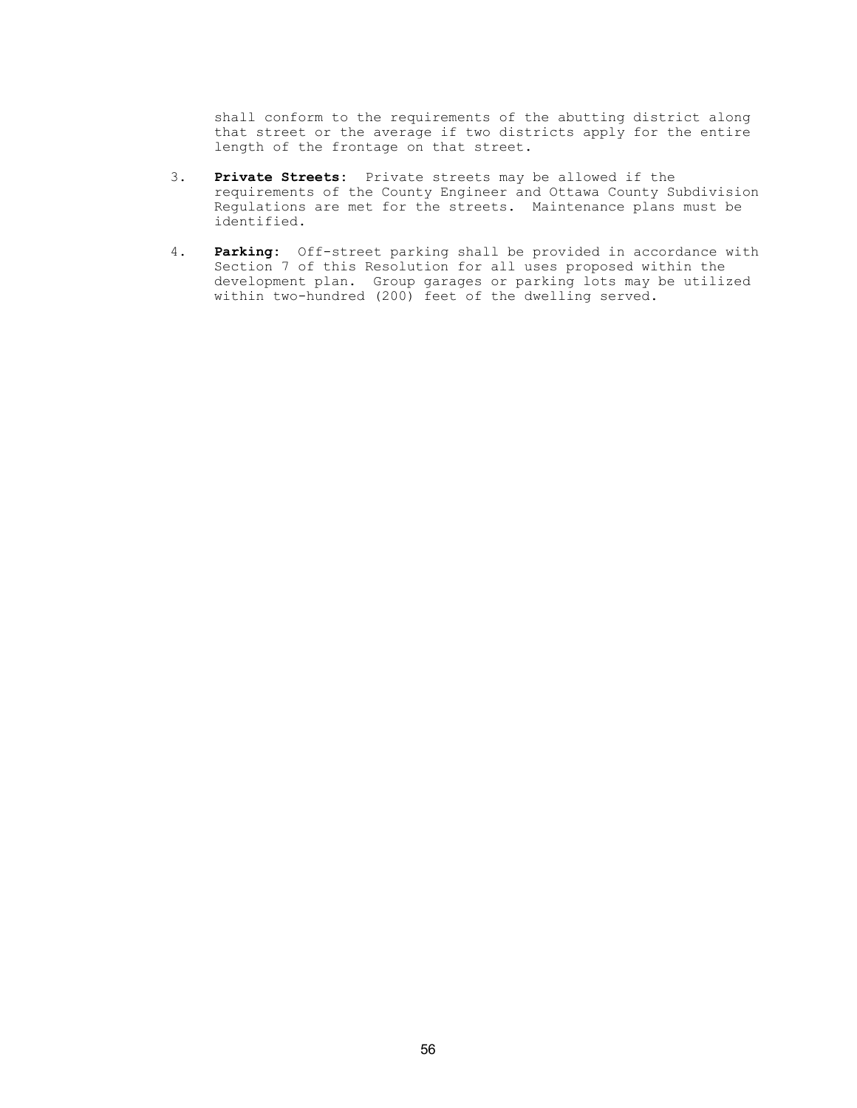shall conform to the requirements of the abutting district along that street or the average if two districts apply for the entire length of the frontage on that street.

- 3. Private Streets: Private streets may be allowed if the requirements of the County Engineer and Ottawa County Subdivision Regulations are met for the streets. Maintenance plans must be identified.
- 4. Parking: Off-street parking shall be provided in accordance with Section 7 of this Resolution for all uses proposed within the development plan. Group garages or parking lots may be utilized within two-hundred (200) feet of the dwelling served.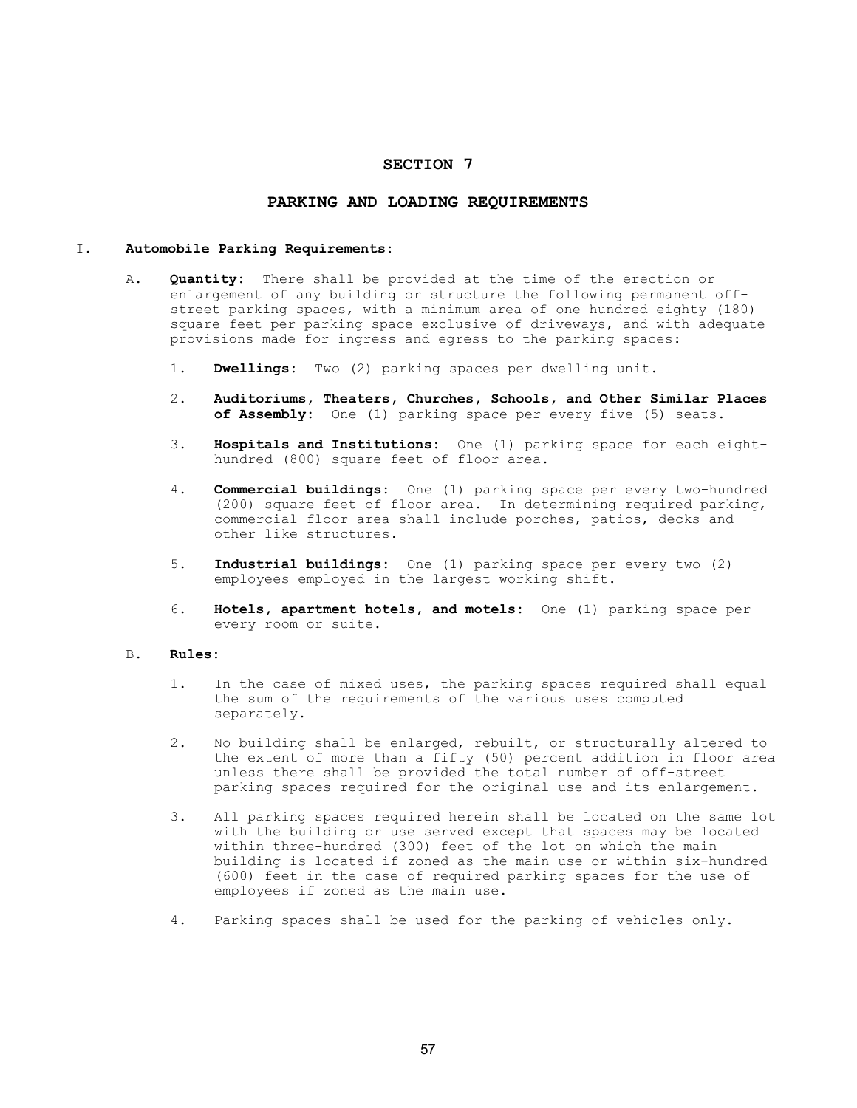# SECTION 7

## PARKING AND LOADING REQUIREMENTS

### I. Automobile Parking Requirements:

- A. **Quantity:** There shall be provided at the time of the erection or enlargement of any building or structure the following permanent off street parking spaces, with a minimum area of one hundred eighty (180) square feet per parking space exclusive of driveways, and with adequate provisions made for ingress and egress to the parking spaces:
	- 1. Dwellings: Two (2) parking spaces per dwelling unit.
	- 2. Auditoriums, Theaters, Churches, Schools, and Other Similar Places of Assembly: One (1) parking space per every five (5) seats.
	- 3. Hospitals and Institutions: One (1) parking space for each eighthundred (800) square feet of floor area.
	- 4. **Commercial buildings:** One (1) parking space per every two-hundred (200) square feet of floor area. In determining required parking, commercial floor area shall include porches, patios, decks and other like structures.
	- 5. Industrial buildings: One (1) parking space per every two (2) employees employed in the largest working shift.
	- 6. Hotels, apartment hotels, and motels: One (1) parking space per every room or suite.

## B. Rules:

- 1. In the case of mixed uses, the parking spaces required shall equal the sum of the requirements of the various uses computed separately.
- 2. No building shall be enlarged, rebuilt, or structurally altered to the extent of more than a fifty (50) percent addition in floor area unless there shall be provided the total number of off-street parking spaces required for the original use and its enlargement.
- 3. All parking spaces required herein shall be located on the same lot with the building or use served except that spaces may be located within three-hundred (300) feet of the lot on which the main building is located if zoned as the main use or within six-hundred (600) feet in the case of required parking spaces for the use of employees if zoned as the main use.
- 4. Parking spaces shall be used for the parking of vehicles only.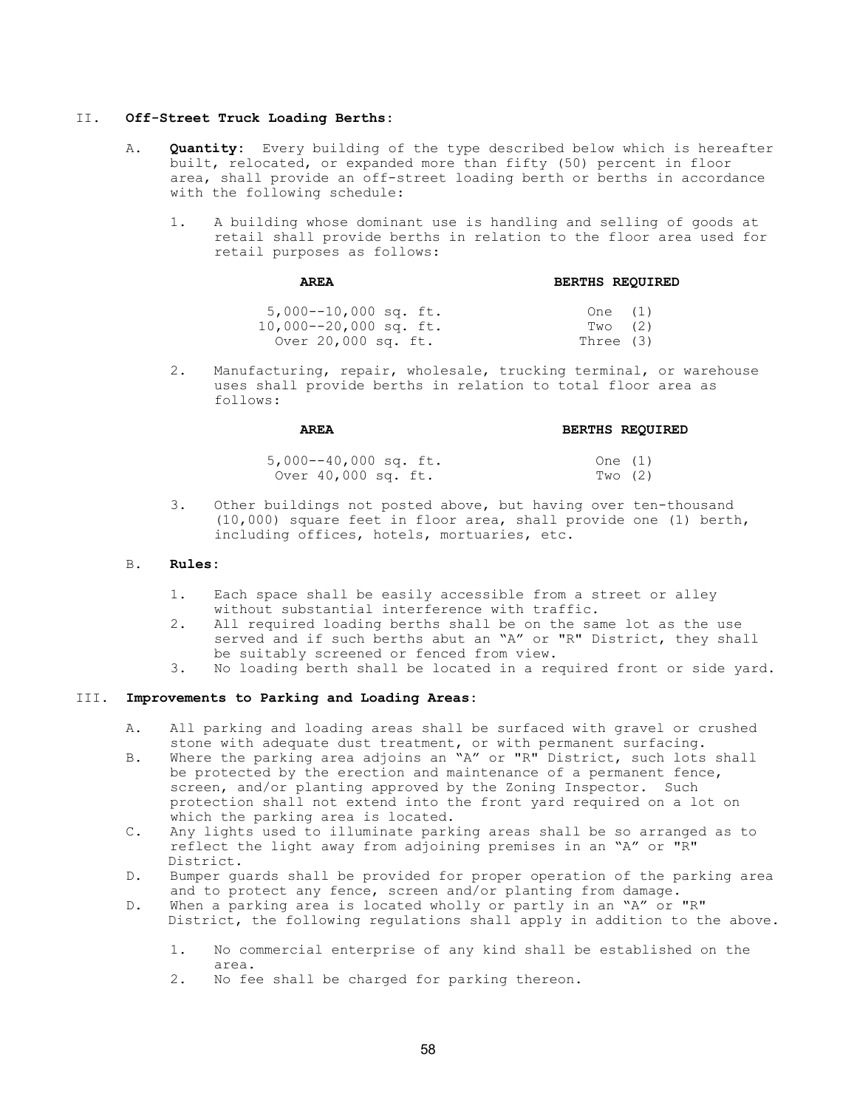#### II. Off-Street Truck Loading Berths:

- A. **Quantity:** Every building of the type described below which is hereafter built, relocated, or expanded more than fifty (50) percent in floor area, shall provide an off-street loading berth or berths in accordance with the following schedule:
	- 1. A building whose dominant use is handling and selling of goods at retail shall provide berths in relation to the floor area used for retail purposes as follows:

AREA BERTHS REQUIRED

| $5,000--10,000$ sq. ft.<br>$10,000--20,000$ sq. ft. | One $(1)$<br>Two (2) |  |
|-----------------------------------------------------|----------------------|--|
| Over 20,000 sq. ft.                                 | Three (3)            |  |

 2. Manufacturing, repair, wholesale, trucking terminal, or warehouse uses shall provide berths in relation to total floor area as follows:

## AREA BERTHS REQUIRED

| $5,000--40,000$ sq. ft. | One $(1)$ |
|-------------------------|-----------|
| Over 40,000 sq. ft.     | Two (2)   |

 3. Other buildings not posted above, but having over ten-thousand (10,000) square feet in floor area, shall provide one (1) berth, including offices, hotels, mortuaries, etc.

#### B. Rules:

- 1. Each space shall be easily accessible from a street or alley without substantial interference with traffic.
- 2. All required loading berths shall be on the same lot as the use served and if such berths abut an "A" or "R" District, they shall be suitably screened or fenced from view.<br>3. No loading berth shall be located in a rea
- No loading berth shall be located in a required front or side yard.

## III. Improvements to Parking and Loading Areas:

- A. All parking and loading areas shall be surfaced with gravel or crushed stone with adequate dust treatment, or with permanent surfacing.
- B. Where the parking area adjoins an "A" or "R" District, such lots shall be protected by the erection and maintenance of a permanent fence, screen, and/or planting approved by the Zoning Inspector. Such protection shall not extend into the front yard required on a lot on which the parking area is located.
- C. Any lights used to illuminate parking areas shall be so arranged as to reflect the light away from adjoining premises in an "A" or "R" District.
- D. Bumper guards shall be provided for proper operation of the parking area and to protect any fence, screen and/or planting from damage.
- D. When a parking area is located wholly or partly in an "A" or "R" District, the following regulations shall apply in addition to the above.
	- 1. No commercial enterprise of any kind shall be established on the area.
	- 2. No fee shall be charged for parking thereon.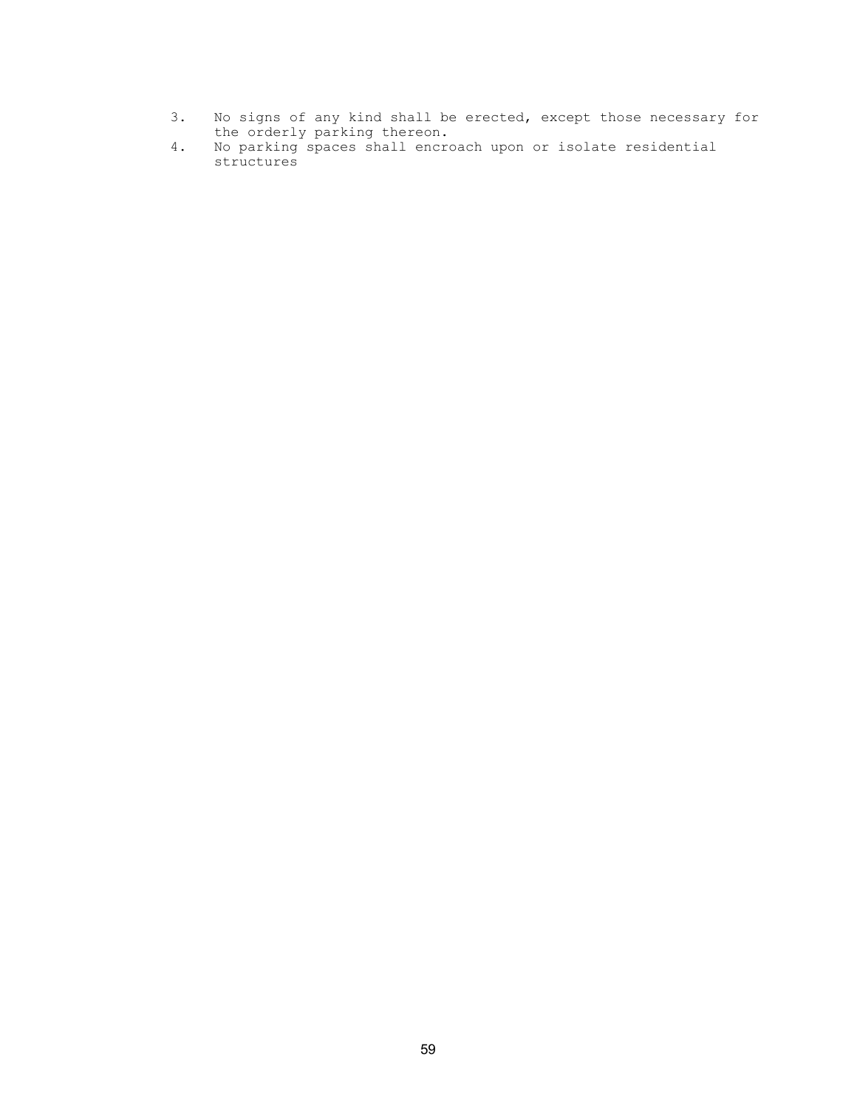- 3. No signs of any kind shall be erected, except those necessary for the orderly parking thereon.
- 4. No parking spaces shall encroach upon or isolate residential structures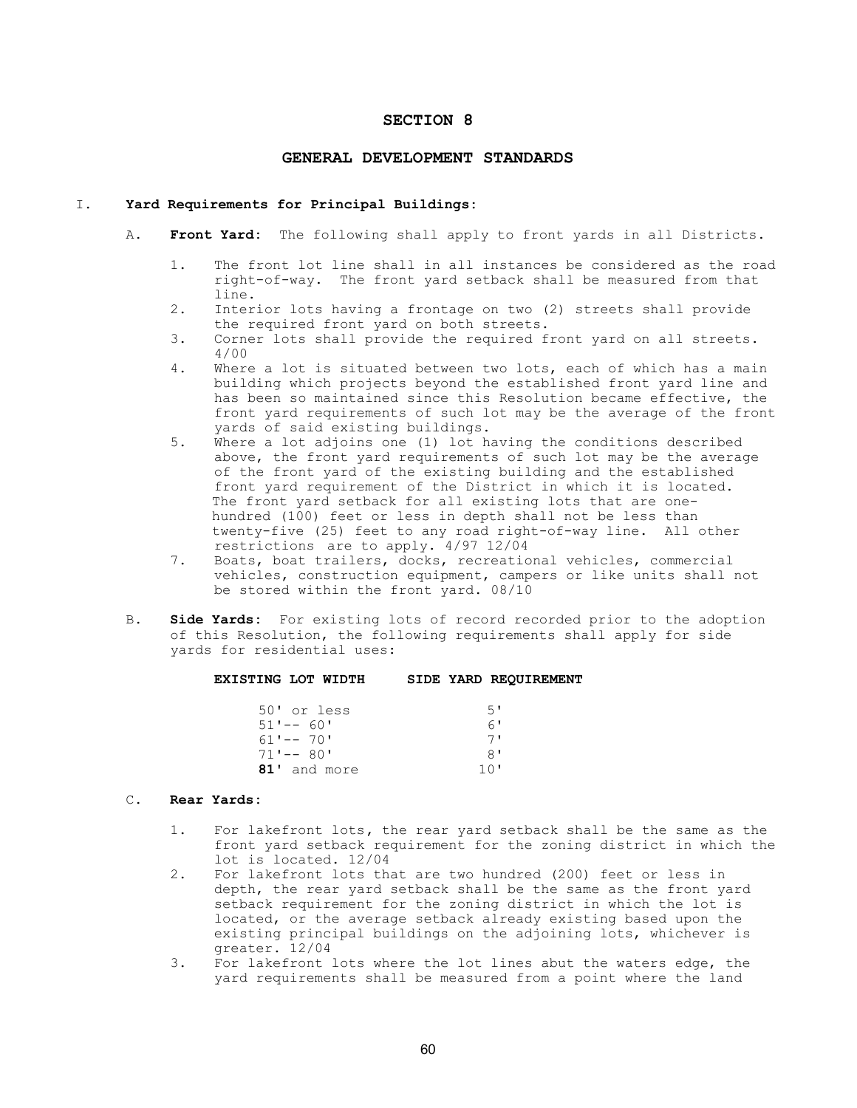## SECTION 8

#### GENERAL DEVELOPMENT STANDARDS

### I. Yard Requirements for Principal Buildings:

- A. Front Yard: The following shall apply to front yards in all Districts.
	- 1. The front lot line shall in all instances be considered as the road right-of-way. The front yard setback shall be measured from that line.
	- 2. Interior lots having a frontage on two (2) streets shall provide the required front yard on both streets.<br>3. Corner lots shall provide the required f
	- Corner lots shall provide the required front yard on all streets. 4/00
	- 4. Where a lot is situated between two lots, each of which has a main building which projects beyond the established front yard line and has been so maintained since this Resolution became effective, the front yard requirements of such lot may be the average of the front yards of said existing buildings.
	- 5. Where a lot adjoins one (1) lot having the conditions described above, the front yard requirements of such lot may be the average of the front yard of the existing building and the established front yard requirement of the District in which it is located. The front yard setback for all existing lots that are one hundred (100) feet or less in depth shall not be less than twenty-five (25) feet to any road right-of-way line. All other restrictions are to apply. 4/97 12/04
	- 7. Boats, boat trailers, docks, recreational vehicles, commercial vehicles, construction equipment, campers or like units shall not be stored within the front yard. 08/10
- B. Side Yards: For existing lots of record recorded prior to the adoption of this Resolution, the following requirements shall apply for side yards for residential uses:

#### EXISTING LOT WIDTH SIDE YARD REQUIREMENT

| 50' or less  | 5'  |
|--------------|-----|
| $51' -- 60'$ | 6'  |
| $61' -- 70'$ | 71  |
| $71' -- 80'$ | 8'  |
| 81' and more | 10' |

## C. Rear Yards:

- 1. For lakefront lots, the rear yard setback shall be the same as the front yard setback requirement for the zoning district in which the lot is located. 12/04<br>2. For lakefront lots that
- For lakefront lots that are two hundred (200) feet or less in depth, the rear yard setback shall be the same as the front yard setback requirement for the zoning district in which the lot is located, or the average setback already existing based upon the existing principal buildings on the adjoining lots, whichever is greater. 12/04
- 3. For lakefront lots where the lot lines abut the waters edge, the yard requirements shall be measured from a point where the land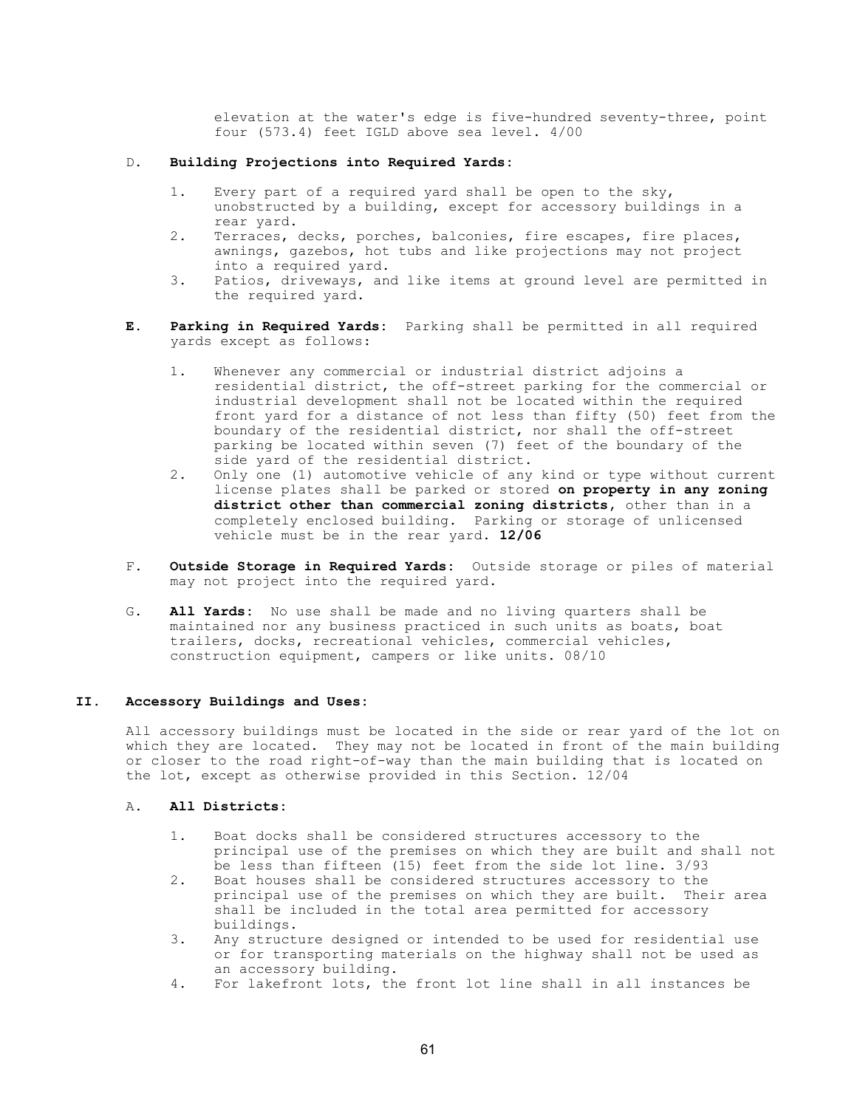elevation at the water's edge is five-hundred seventy-three, point four (573.4) feet IGLD above sea level. 4/00

## D. Building Projections into Required Yards:

- 1. Every part of a required yard shall be open to the sky, unobstructed by a building, except for accessory buildings in a rear yard.
- 2. Terraces, decks, porches, balconies, fire escapes, fire places, awnings, gazebos, hot tubs and like projections may not project into a required yard.
- 3. Patios, driveways, and like items at ground level are permitted in the required yard.
- E. Parking in Required Yards: Parking shall be permitted in all required yards except as follows:
	- 1. Whenever any commercial or industrial district adjoins a residential district, the off-street parking for the commercial or industrial development shall not be located within the required front yard for a distance of not less than fifty (50) feet from the boundary of the residential district, nor shall the off-street parking be located within seven (7) feet of the boundary of the side yard of the residential district.
	- 2. Only one (1) automotive vehicle of any kind or type without current license plates shall be parked or stored on property in any zoning district other than commercial zoning districts, other than in a completely enclosed building. Parking or storage of unlicensed vehicle must be in the rear yard. 12/06
- F. Outside Storage in Required Yards: Outside storage or piles of material may not project into the required yard.
- G. All Yards: No use shall be made and no living quarters shall be maintained nor any business practiced in such units as boats, boat trailers, docks, recreational vehicles, commercial vehicles, construction equipment, campers or like units. 08/10

## II. Accessory Buildings and Uses:

 All accessory buildings must be located in the side or rear yard of the lot on which they are located. They may not be located in front of the main building or closer to the road right-of-way than the main building that is located on the lot, except as otherwise provided in this Section. 12/04

## A. All Districts:

- 1. Boat docks shall be considered structures accessory to the principal use of the premises on which they are built and shall not be less than fifteen (15) feet from the side lot line. 3/93
- 2. Boat houses shall be considered structures accessory to the principal use of the premises on which they are built. Their area shall be included in the total area permitted for accessory buildings.
- 3. Any structure designed or intended to be used for residential use or for transporting materials on the highway shall not be used as an accessory building.<br>4. For lakefront lots, th
- 4. For lakefront lots, the front lot line shall in all instances be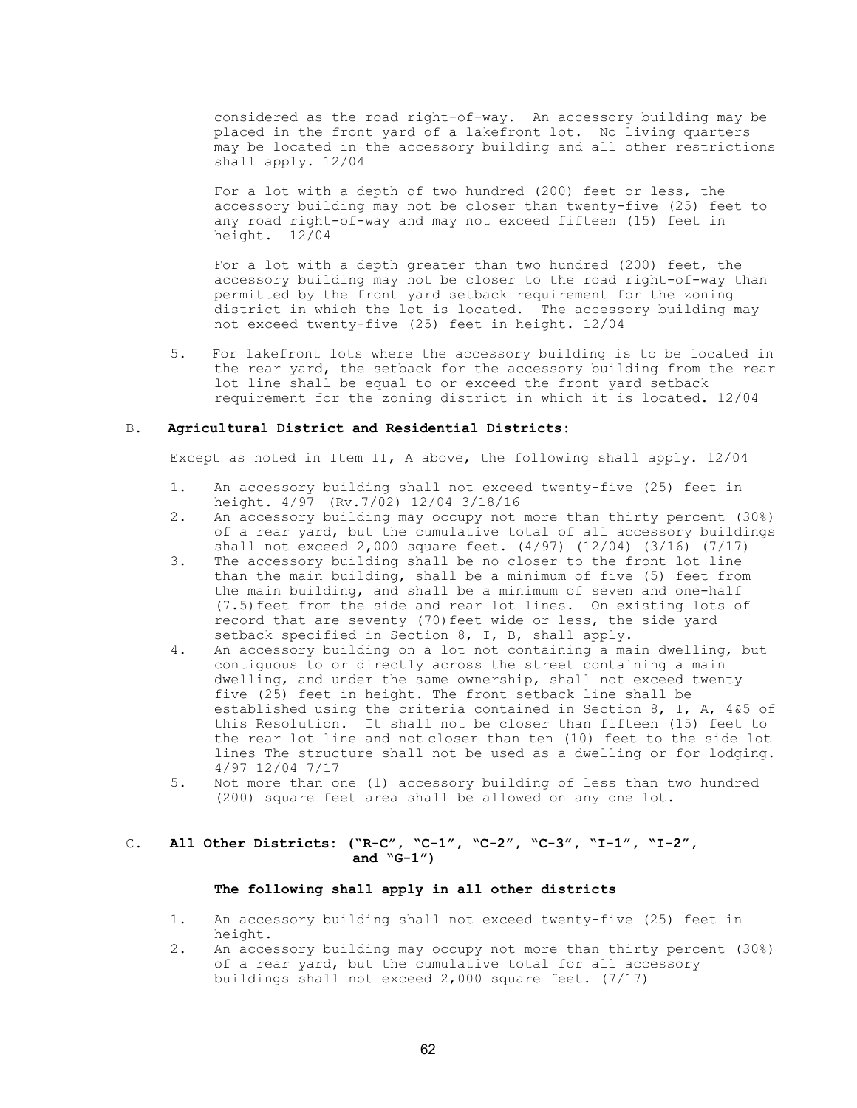considered as the road right-of-way. An accessory building may be placed in the front yard of a lakefront lot. No living quarters may be located in the accessory building and all other restrictions shall apply. 12/04

 For a lot with a depth of two hundred (200) feet or less, the accessory building may not be closer than twenty-five (25) feet to any road right-of-way and may not exceed fifteen (15) feet in height. 12/04

 For a lot with a depth greater than two hundred (200) feet, the accessory building may not be closer to the road right-of-way than permitted by the front yard setback requirement for the zoning district in which the lot is located. The accessory building may not exceed twenty-five (25) feet in height. 12/04

 5. For lakefront lots where the accessory building is to be located in the rear yard, the setback for the accessory building from the rear lot line shall be equal to or exceed the front yard setback requirement for the zoning district in which it is located. 12/04

#### B. Agricultural District and Residential Districts:

Except as noted in Item II, A above, the following shall apply. 12/04

- 1. An accessory building shall not exceed twenty-five (25) feet in height. 4/97 (Rv.7/02) 12/04 3/18/16<br>2. An accessory building may occupy not
- 2. An accessory building may occupy not more than thirty percent (30%) of a rear yard, but the cumulative total of all accessory buildings shall not exceed 2,000 square feet.  $(4/97)$   $(12/04)$   $(3/16)$   $(7/17)$ <br>3. The accessory building shall be no closer to the front lot line
- The accessory building shall be no closer to the front lot line than the main building, shall be a minimum of five (5) feet from the main building, and shall be a minimum of seven and one-half (7.5)feet from the side and rear lot lines. On existing lots of record that are seventy (70)feet wide or less, the side yard setback specified in Section 8, I, B, shall apply.
- 4. An accessory building on a lot not containing a main dwelling, but contiguous to or directly across the street containing a main dwelling, and under the same ownership, shall not exceed twenty five (25) feet in height. The front setback line shall be established using the criteria contained in Section 8, I, A, 4&5 of this Resolution. It shall not be closer than fifteen (15) feet to the rear lot line and not closer than ten (10) feet to the side lot lines The structure shall not be used as a dwelling or for lodging. 4/97 12/04 7/17<br>5. Not more than of
- Not more than one (1) accessory building of less than two hundred (200) square feet area shall be allowed on any one lot.

## C. All Other Districts: ("R-C", "C-1", "C-2", "C-3", "I-1", "I-2", and  $\sqrt{G-1''}$ )

## The following shall apply in all other districts

- 1. An accessory building shall not exceed twenty-five (25) feet in height.
- 2. An accessory building may occupy not more than thirty percent (30%) of a rear yard, but the cumulative total for all accessory buildings shall not exceed 2,000 square feet. (7/17)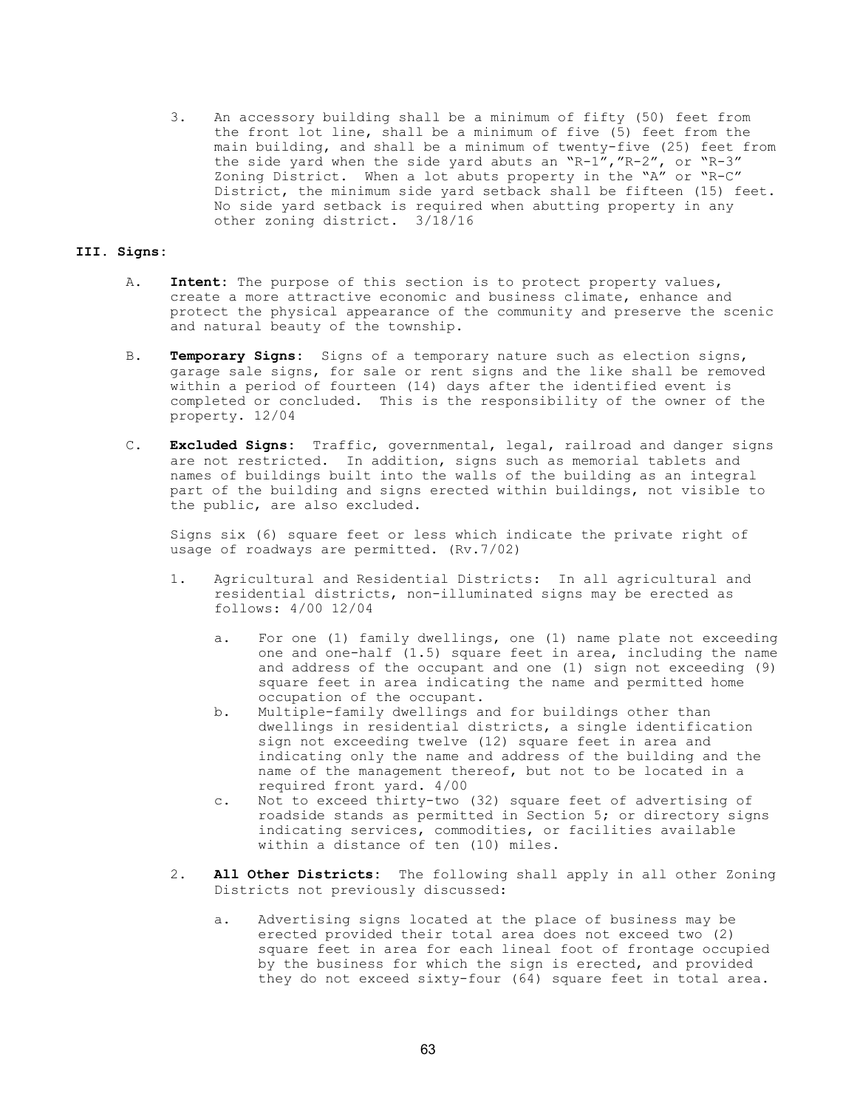3. An accessory building shall be a minimum of fifty (50) feet from the front lot line, shall be a minimum of five (5) feet from the main building, and shall be a minimum of twenty-five (25) feet from the side yard when the side yard abuts an "R-1","R-2", or "R-3" Zoning District. When a lot abuts property in the "A" or "R-C" District, the minimum side yard setback shall be fifteen (15) feet. No side yard setback is required when abutting property in any other zoning district. 3/18/16

### III. Signs:

- A. Intent: The purpose of this section is to protect property values, create a more attractive economic and business climate, enhance and protect the physical appearance of the community and preserve the scenic and natural beauty of the township.
- B. Temporary Signs: Signs of a temporary nature such as election signs, garage sale signs, for sale or rent signs and the like shall be removed within a period of fourteen (14) days after the identified event is completed or concluded. This is the responsibility of the owner of the property. 12/04
- C. Excluded Signs: Traffic, governmental, legal, railroad and danger signs are not restricted. In addition, signs such as memorial tablets and names of buildings built into the walls of the building as an integral part of the building and signs erected within buildings, not visible to the public, are also excluded.

 Signs six (6) square feet or less which indicate the private right of usage of roadways are permitted. (Rv.7/02)

- 1. Agricultural and Residential Districts: In all agricultural and residential districts, non-illuminated signs may be erected as follows: 4/00 12/04
	- a. For one (1) family dwellings, one (1) name plate not exceeding one and one-half (1.5) square feet in area, including the name and address of the occupant and one (1) sign not exceeding (9) square feet in area indicating the name and permitted home occupation of the occupant.
	- b. Multiple-family dwellings and for buildings other than dwellings in residential districts, a single identification sign not exceeding twelve (12) square feet in area and indicating only the name and address of the building and the name of the management thereof, but not to be located in a required front yard. 4/00
	- c. Not to exceed thirty-two (32) square feet of advertising of roadside stands as permitted in Section 5; or directory signs indicating services, commodities, or facilities available within a distance of ten (10) miles.
- 2. All Other Districts: The following shall apply in all other Zoning Districts not previously discussed:
	- a. Advertising signs located at the place of business may be erected provided their total area does not exceed two (2) square feet in area for each lineal foot of frontage occupied by the business for which the sign is erected, and provided they do not exceed sixty-four (64) square feet in total area.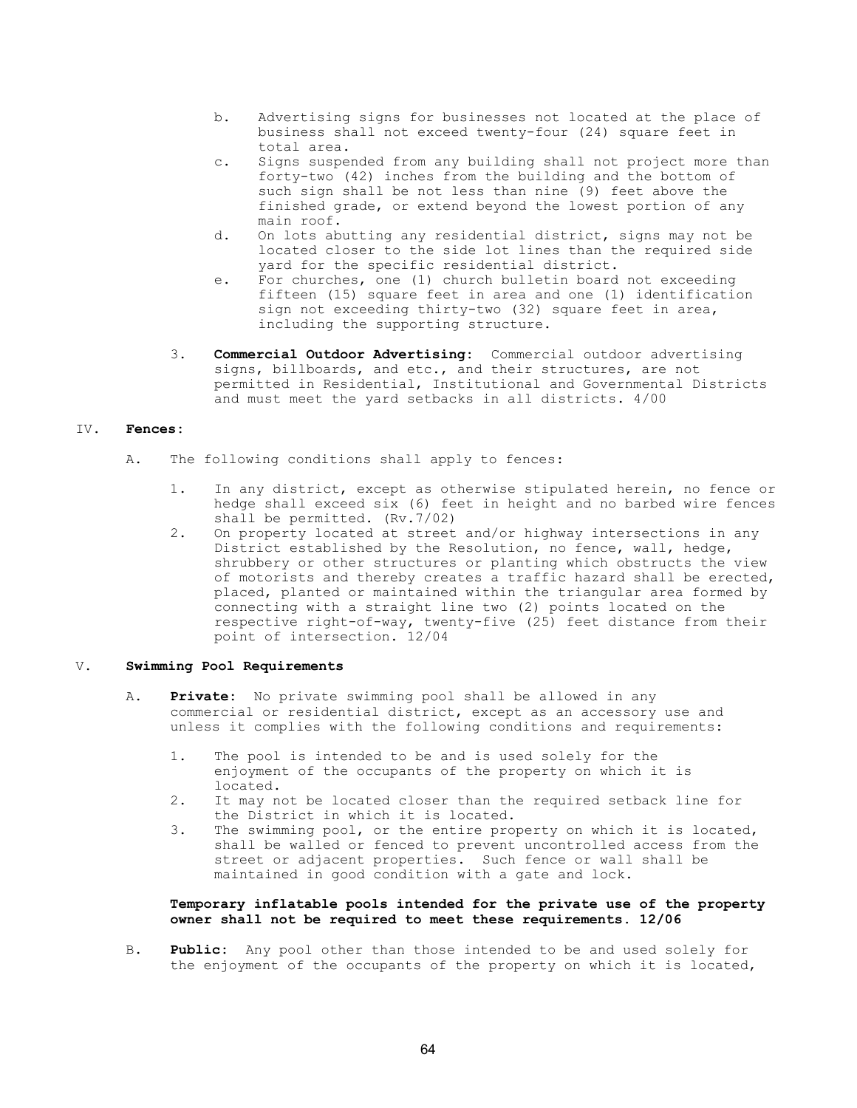- b. Advertising signs for businesses not located at the place of business shall not exceed twenty-four (24) square feet in total area.
- c. Signs suspended from any building shall not project more than forty-two (42) inches from the building and the bottom of such sign shall be not less than nine (9) feet above the finished grade, or extend beyond the lowest portion of any main roof.
- d. On lots abutting any residential district, signs may not be located closer to the side lot lines than the required side yard for the specific residential district.
- e. For churches, one (1) church bulletin board not exceeding fifteen (15) square feet in area and one (1) identification sign not exceeding thirty-two (32) square feet in area, including the supporting structure.
	- 3. Commercial Outdoor Advertising: Commercial outdoor advertising signs, billboards, and etc., and their structures, are not permitted in Residential, Institutional and Governmental Districts and must meet the yard setbacks in all districts. 4/00

## IV. Fences:

- A. The following conditions shall apply to fences:
	- 1. In any district, except as otherwise stipulated herein, no fence or hedge shall exceed six (6) feet in height and no barbed wire fences shall be permitted. (Rv.7/02)<br>2. On property located at street
	- 2. On property located at street and/or highway intersections in any District established by the Resolution, no fence, wall, hedge, shrubbery or other structures or planting which obstructs the view of motorists and thereby creates a traffic hazard shall be erected, placed, planted or maintained within the triangular area formed by connecting with a straight line two (2) points located on the respective right-of-way, twenty-five (25) feet distance from their point of intersection. 12/04

## V. Swimming Pool Requirements

- A. Private: No private swimming pool shall be allowed in any commercial or residential district, except as an accessory use and unless it complies with the following conditions and requirements:
	- 1. The pool is intended to be and is used solely for the enjoyment of the occupants of the property on which it is located.
	- 2. It may not be located closer than the required setback line for the District in which it is located.
	- 3. The swimming pool, or the entire property on which it is located, shall be walled or fenced to prevent uncontrolled access from the street or adjacent properties. Such fence or wall shall be maintained in good condition with a gate and lock.

## Temporary inflatable pools intended for the private use of the property owner shall not be required to meet these requirements. 12/06

B. Public: Any pool other than those intended to be and used solely for the enjoyment of the occupants of the property on which it is located,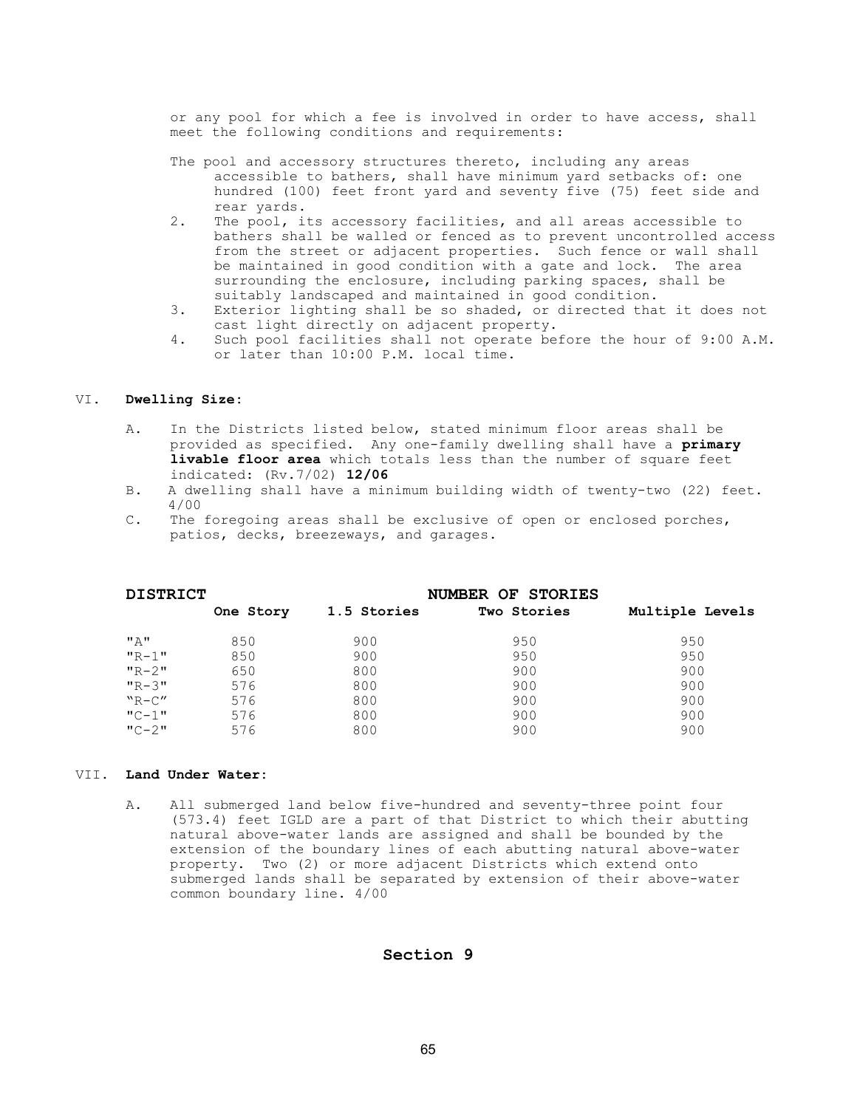or any pool for which a fee is involved in order to have access, shall meet the following conditions and requirements:

- The pool and accessory structures thereto, including any areas accessible to bathers, shall have minimum yard setbacks of: one hundred (100) feet front yard and seventy five (75) feet side and rear yards.
- 2. The pool, its accessory facilities, and all areas accessible to bathers shall be walled or fenced as to prevent uncontrolled access from the street or adjacent properties. Such fence or wall shall be maintained in good condition with a gate and lock. The area surrounding the enclosure, including parking spaces, shall be suitably landscaped and maintained in good condition.
- 3. Exterior lighting shall be so shaded, or directed that it does not cast light directly on adjacent property.
- 4. Such pool facilities shall not operate before the hour of 9:00 A.M. or later than 10:00 P.M. local time.

### VI. Dwelling Size:

- A. In the Districts listed below, stated minimum floor areas shall be provided as specified. Any one-family dwelling shall have a primary **livable floor area** which totals less than the number of square feet indicated: (Rv.7/02) 12/06
- B. A dwelling shall have a minimum building width of twenty-two (22) feet. 4/00
- C. The foregoing areas shall be exclusive of open or enclosed porches, patios, decks, breezeways, and garages.

| <b>DISTRICT</b> |           | NUMBER OF STORIES |             |                 |  |
|-----------------|-----------|-------------------|-------------|-----------------|--|
|                 | One Story | 1.5 Stories       | Two Stories | Multiple Levels |  |
| "A"             | 850       | 900               | 950         | 950             |  |
| $"R-1"$         | 850       | 900               | 950         | 950             |  |
| $"R-2"$         | 650       | 800               | 900         | 900             |  |
| $"R-3"$         | 576       | 800               | 900         | 900             |  |
| $"R-C"$         | 576       | 800               | 900         | 900             |  |
| $"C-1"$         | 576       | 800               | 900         | 900             |  |
| $"C-2"$         | 576       | 800               | 900         | 900             |  |

#### VII. Land Under Water:

 A. All submerged land below five-hundred and seventy-three point four (573.4) feet IGLD are a part of that District to which their abutting natural above-water lands are assigned and shall be bounded by the extension of the boundary lines of each abutting natural above-water property. Two (2) or more adjacent Districts which extend onto submerged lands shall be separated by extension of their above-water common boundary line. 4/00

# Section 9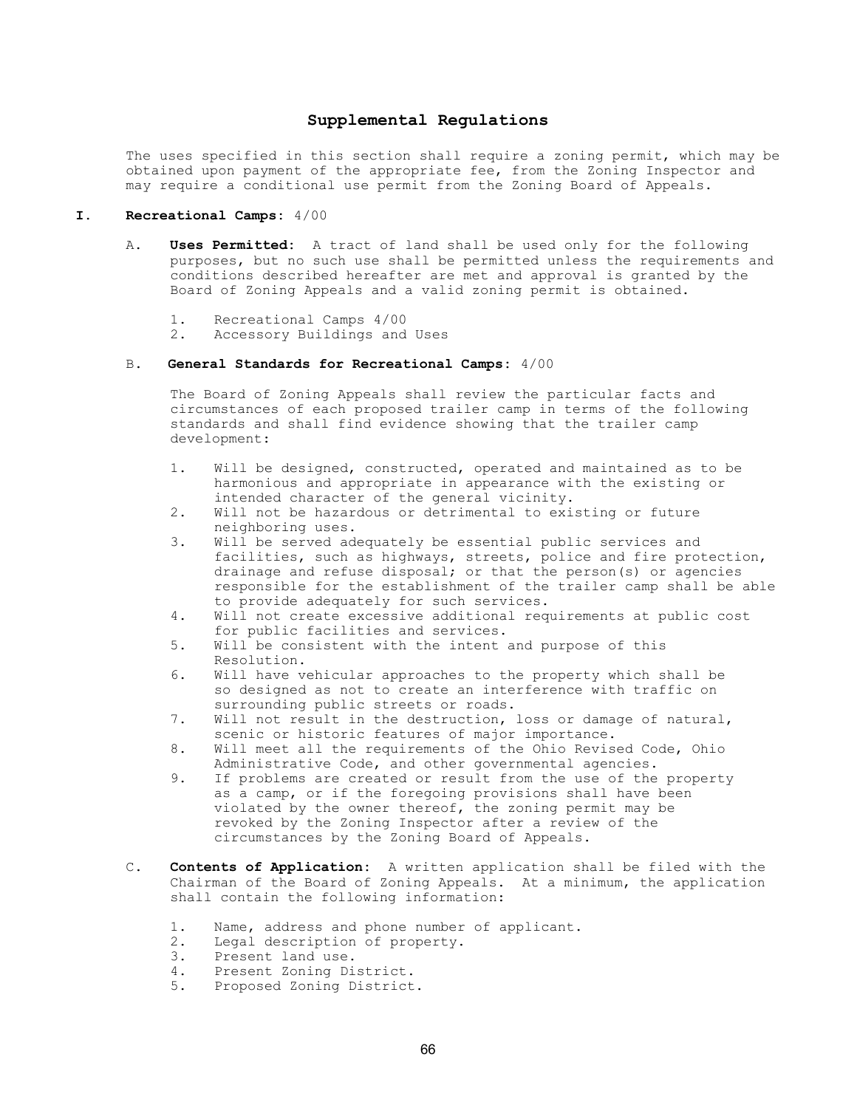## Supplemental Regulations

The uses specified in this section shall require a zoning permit, which may be obtained upon payment of the appropriate fee, from the Zoning Inspector and may require a conditional use permit from the Zoning Board of Appeals.

### I. Recreational Camps: 4/00

- A. Uses Permitted: A tract of land shall be used only for the following purposes, but no such use shall be permitted unless the requirements and conditions described hereafter are met and approval is granted by the Board of Zoning Appeals and a valid zoning permit is obtained.
	- 1. Recreational Camps 4/00
	- 2. Accessory Buildings and Uses

#### B. General Standards for Recreational Camps:  $4/00$

 The Board of Zoning Appeals shall review the particular facts and circumstances of each proposed trailer camp in terms of the following standards and shall find evidence showing that the trailer camp development:

- 1. Will be designed, constructed, operated and maintained as to be harmonious and appropriate in appearance with the existing or intended character of the general vicinity.
- 2. Will not be hazardous or detrimental to existing or future neighboring uses.
- 3. Will be served adequately be essential public services and facilities, such as highways, streets, police and fire protection, drainage and refuse disposal; or that the person(s) or agencies responsible for the establishment of the trailer camp shall be able to provide adequately for such services.
- 4. Will not create excessive additional requirements at public cost for public facilities and services.
- 5. Will be consistent with the intent and purpose of this Resolution.
- 6. Will have vehicular approaches to the property which shall be so designed as not to create an interference with traffic on surrounding public streets or roads.
- 7. Will not result in the destruction, loss or damage of natural, scenic or historic features of major importance.
- 8. Will meet all the requirements of the Ohio Revised Code, Ohio Administrative Code, and other governmental agencies.
- 9. If problems are created or result from the use of the property as a camp, or if the foregoing provisions shall have been violated by the owner thereof, the zoning permit may be revoked by the Zoning Inspector after a review of the circumstances by the Zoning Board of Appeals.
- C. Contents of Application: A written application shall be filed with the Chairman of the Board of Zoning Appeals. At a minimum, the application shall contain the following information:
	- 1. Name, address and phone number of applicant.
	- 2. Legal description of property.
	- 3. Present land use.
	- 4. Present Zoning District.
	- 5. Proposed Zoning District.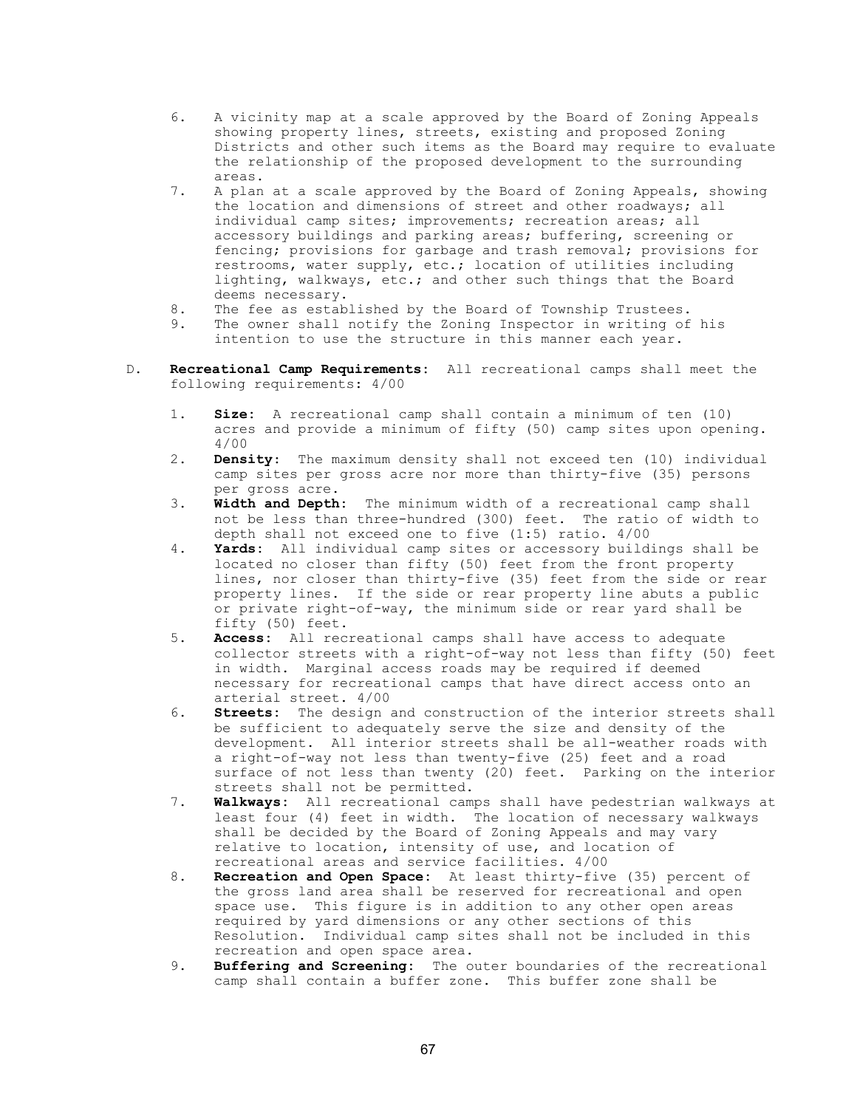- 6. A vicinity map at a scale approved by the Board of Zoning Appeals showing property lines, streets, existing and proposed Zoning Districts and other such items as the Board may require to evaluate the relationship of the proposed development to the surrounding areas.
- 7. A plan at a scale approved by the Board of Zoning Appeals, showing the location and dimensions of street and other roadways; all individual camp sites; improvements; recreation areas; all accessory buildings and parking areas; buffering, screening or fencing; provisions for garbage and trash removal; provisions for restrooms, water supply, etc.; location of utilities including lighting, walkways, etc.; and other such things that the Board deems necessary.
- 8. The fee as established by the Board of Township Trustees.
- 9. The owner shall notify the Zoning Inspector in writing of his intention to use the structure in this manner each year.
- D. Recreational Camp Requirements: All recreational camps shall meet the following requirements: 4/00
	- 1. Size: A recreational camp shall contain a minimum of ten (10) acres and provide a minimum of fifty (50) camp sites upon opening. 4/00
	- 2. Density: The maximum density shall not exceed ten (10) individual camp sites per gross acre nor more than thirty-five (35) persons per gross acre.
	- 3. Width and Depth: The minimum width of a recreational camp shall not be less than three-hundred (300) feet. The ratio of width to depth shall not exceed one to five (1:5) ratio. 4/00
	- 4. Yards: All individual camp sites or accessory buildings shall be located no closer than fifty (50) feet from the front property lines, nor closer than thirty-five (35) feet from the side or rear property lines. If the side or rear property line abuts a public or private right-of-way, the minimum side or rear yard shall be fifty (50) feet.
	- 5. Access: All recreational camps shall have access to adequate collector streets with a right-of-way not less than fifty (50) feet in width. Marginal access roads may be required if deemed necessary for recreational camps that have direct access onto an arterial street. 4/00
	- 6. Streets: The design and construction of the interior streets shall be sufficient to adequately serve the size and density of the development. All interior streets shall be all-weather roads with a right-of-way not less than twenty-five (25) feet and a road surface of not less than twenty (20) feet. Parking on the interior streets shall not be permitted.
	- 7. Walkways: All recreational camps shall have pedestrian walkways at least four (4) feet in width. The location of necessary walkways shall be decided by the Board of Zoning Appeals and may vary relative to location, intensity of use, and location of recreational areas and service facilities. 4/00
	- 8. Recreation and Open Space: At least thirty-five (35) percent of the gross land area shall be reserved for recreational and open space use. This figure is in addition to any other open areas required by yard dimensions or any other sections of this Resolution. Individual camp sites shall not be included in this recreation and open space area.
	- 9. Buffering and Screening: The outer boundaries of the recreational camp shall contain a buffer zone. This buffer zone shall be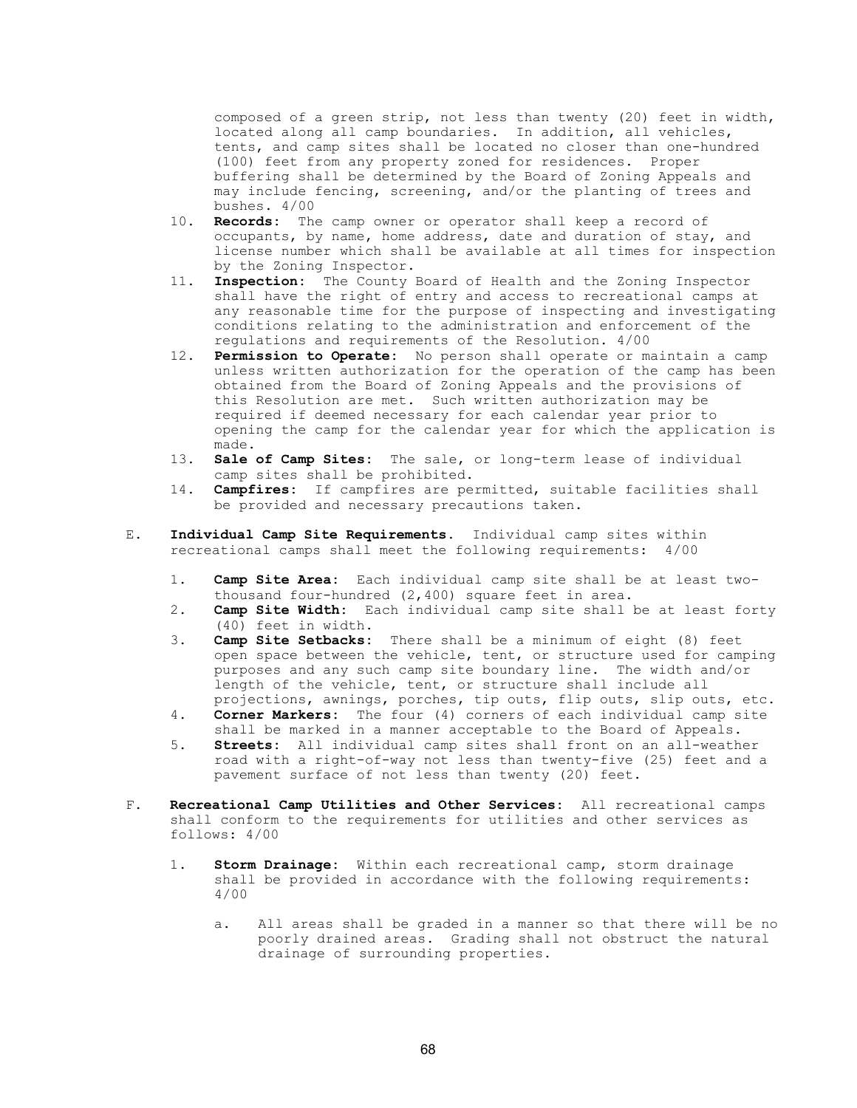composed of a green strip, not less than twenty (20) feet in width, located along all camp boundaries. In addition, all vehicles, tents, and camp sites shall be located no closer than one-hundred (100) feet from any property zoned for residences. Proper buffering shall be determined by the Board of Zoning Appeals and may include fencing, screening, and/or the planting of trees and bushes. 4/00

- 10. Records: The camp owner or operator shall keep a record of occupants, by name, home address, date and duration of stay, and license number which shall be available at all times for inspection by the Zoning Inspector.
- 11. Inspection: The County Board of Health and the Zoning Inspector shall have the right of entry and access to recreational camps at any reasonable time for the purpose of inspecting and investigating conditions relating to the administration and enforcement of the regulations and requirements of the Resolution. 4/00
- 12. Permission to Operate: No person shall operate or maintain a camp unless written authorization for the operation of the camp has been obtained from the Board of Zoning Appeals and the provisions of this Resolution are met. Such written authorization may be required if deemed necessary for each calendar year prior to opening the camp for the calendar year for which the application is made.<br>13. **Sale**
- Sale of Camp Sites: The sale, or long-term lease of individual camp sites shall be prohibited.
- 14. **Campfires:** If campfires are permitted, suitable facilities shall be provided and necessary precautions taken.
- E. Individual Camp Site Requirements. Individual camp sites within recreational camps shall meet the following requirements: 4/00
	- 1. Camp Site Area: Each individual camp site shall be at least two thousand four-hundred (2,400) square feet in area.<br>2. **Camp Site Width:** Each individual camp site shall
	- Camp Site Width: Each individual camp site shall be at least forty (40) feet in width.<br>3. **Camp Site Setbacks:**
	- Camp Site Setbacks: There shall be a minimum of eight (8) feet open space between the vehicle, tent, or structure used for camping purposes and any such camp site boundary line. The width and/or length of the vehicle, tent, or structure shall include all projections, awnings, porches, tip outs, flip outs, slip outs, etc.<br>4. **Corner Markers:** The four (4) corners of each individual camp site
	- Corner Markers: The four (4) corners of each individual camp site shall be marked in a manner acceptable to the Board of Appeals.
	- 5. **Streets:** All individual camp sites shall front on an all-weather road with a right-of-way not less than twenty-five (25) feet and a pavement surface of not less than twenty (20) feet.
- F. Recreational Camp Utilities and Other Services: All recreational camps shall conform to the requirements for utilities and other services as follows: 4/00
	- 1. Storm Drainage: Within each recreational camp, storm drainage shall be provided in accordance with the following requirements: 4/00
		- a. All areas shall be graded in a manner so that there will be no poorly drained areas. Grading shall not obstruct the natural drainage of surrounding properties.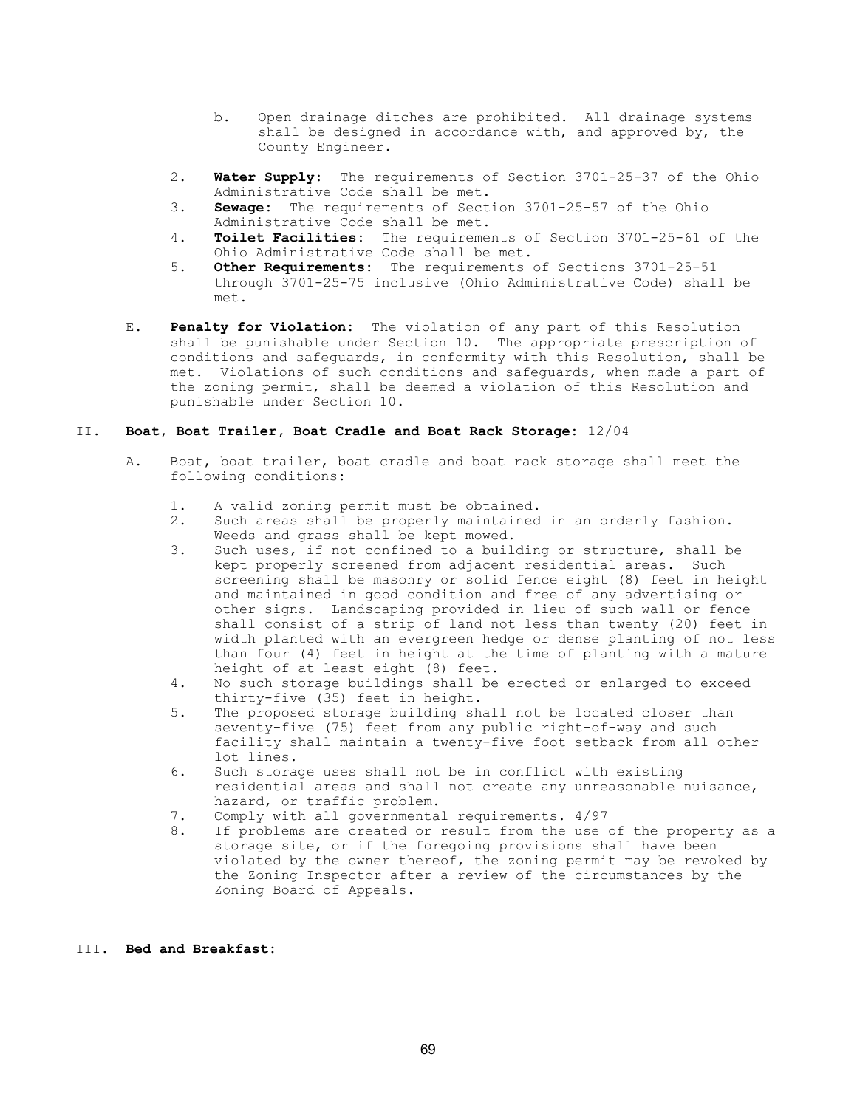- b. Open drainage ditches are prohibited. All drainage systems shall be designed in accordance with, and approved by, the County Engineer.
- 2. Water Supply: The requirements of Section 3701-25-37 of the Ohio Administrative Code shall be met.<br>3. **Sewage:** The requirements of Sect.
- Sewage: The requirements of Section 3701-25-57 of the Ohio Administrative Code shall be met.<br>4. **Toilet Facilities:** The requireme
- Toilet Facilities: The requirements of Section 3701-25-61 of the Ohio Administrative Code shall be met.<br>5. Other Requirements: The requirements
- Other Requirements: The requirements of Sections 3701-25-51 through 3701-25-75 inclusive (Ohio Administrative Code) shall be met.
- E. Penalty for Violation: The violation of any part of this Resolution shall be punishable under Section 10. The appropriate prescription of conditions and safeguards, in conformity with this Resolution, shall be met. Violations of such conditions and safeguards, when made a part of the zoning permit, shall be deemed a violation of this Resolution and punishable under Section 10.

## II. Boat, Boat Trailer, Boat Cradle and Boat Rack Storage: 12/04

- A. Boat, boat trailer, boat cradle and boat rack storage shall meet the following conditions:
	- 1. A valid zoning permit must be obtained.
	- 2. Such areas shall be properly maintained in an orderly fashion. Weeds and grass shall be kept mowed.
	- 3. Such uses, if not confined to a building or structure, shall be kept properly screened from adjacent residential areas. Such screening shall be masonry or solid fence eight (8) feet in height and maintained in good condition and free of any advertising or other signs. Landscaping provided in lieu of such wall or fence shall consist of a strip of land not less than twenty (20) feet in width planted with an evergreen hedge or dense planting of not less than four (4) feet in height at the time of planting with a mature height of at least eight (8) feet.
	- 4. No such storage buildings shall be erected or enlarged to exceed thirty-five (35) feet in height.
	- 5. The proposed storage building shall not be located closer than seventy-five (75) feet from any public right-of-way and such facility shall maintain a twenty-five foot setback from all other lot lines.
	- 6. Such storage uses shall not be in conflict with existing residential areas and shall not create any unreasonable nuisance,
	- hazard, or traffic problem.<br>7. Comply with all governmenta Comply with all governmental requirements. 4/97
	- 8. If problems are created or result from the use of the property as a storage site, or if the foregoing provisions shall have been violated by the owner thereof, the zoning permit may be revoked by the Zoning Inspector after a review of the circumstances by the Zoning Board of Appeals.

## III. Bed and Breakfast: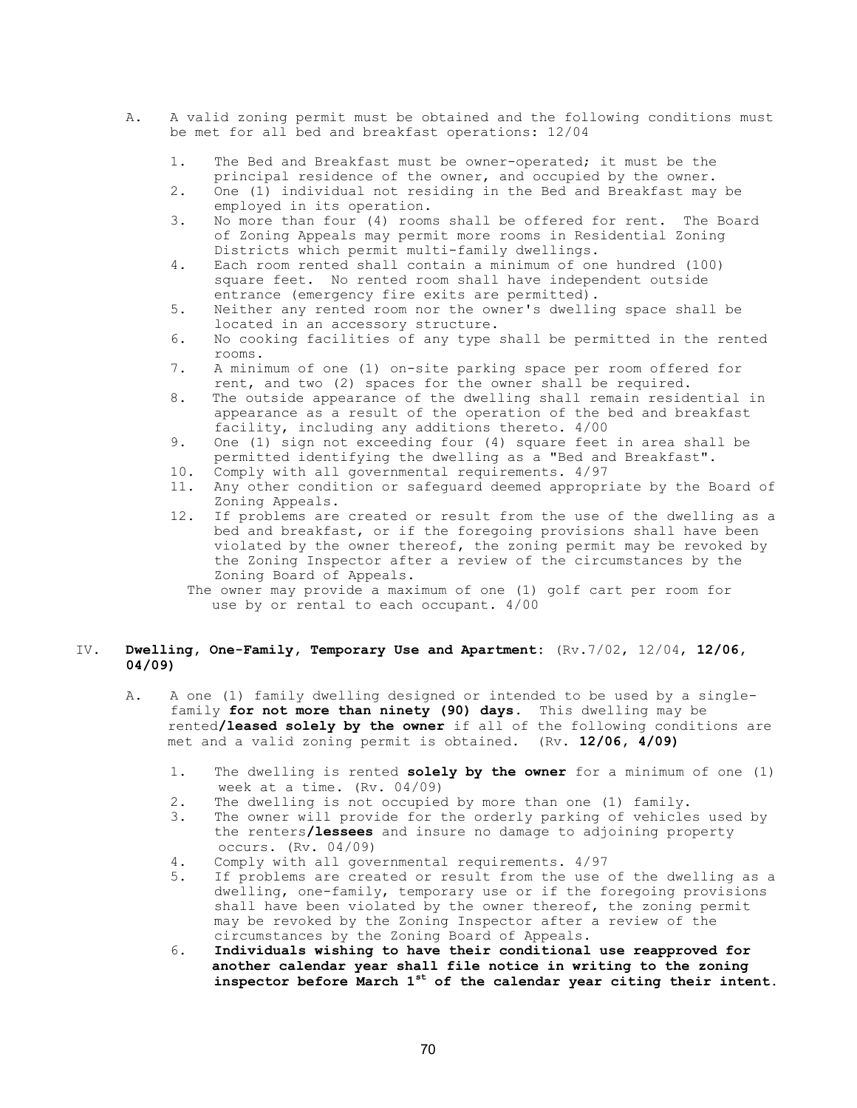- A. A valid zoning permit must be obtained and the following conditions must be met for all bed and breakfast operations: 12/04
	- 1. The Bed and Breakfast must be owner-operated; it must be the principal residence of the owner, and occupied by the owner.<br>2. One (1) individual not residing in the Bed and Breakfast may
	- 2. One (1) individual not residing in the Bed and Breakfast may be employed in its operation.
	- 3. No more than four (4) rooms shall be offered for rent. The Board of Zoning Appeals may permit more rooms in Residential Zoning Districts which permit multi-family dwellings.
	- 4. Each room rented shall contain a minimum of one hundred (100) square feet. No rented room shall have independent outside entrance (emergency fire exits are permitted).
	- 5. Neither any rented room nor the owner's dwelling space shall be located in an accessory structure.<br>6. No cooking facilities of any type
	- No cooking facilities of any type shall be permitted in the rented rooms.<br>7. A mini
	- 7. A minimum of one (1) on-site parking space per room offered for rent, and two (2) spaces for the owner shall be required.
	- 8. The outside appearance of the dwelling shall remain residential in appearance as a result of the operation of the bed and breakfast facility, including any additions thereto. 4/00
	- 9. One (1) sign not exceeding four (4) square feet in area shall be permitted identifying the dwelling as a "Bed and Breakfast".<br>10. Comply with all governmental requirements. 4/97
	- Comply with all governmental requirements.  $4/97$
	- 11. Any other condition or safeguard deemed appropriate by the Board of Zoning Appeals.<br>12. If problems are
	- If problems are created or result from the use of the dwelling as a bed and breakfast, or if the foregoing provisions shall have been violated by the owner thereof, the zoning permit may be revoked by the Zoning Inspector after a review of the circumstances by the Zoning Board of Appeals.
		- The owner may provide a maximum of one (1) golf cart per room for use by or rental to each occupant. 4/00

## IV. Dwelling, One-Family, Temporary Use and Apartment: (Rv.7/02, 12/04, 12/06, 04/09)

- A. A one (1) family dwelling designed or intended to be used by a single family for not more than ninety (90) days. This dwelling may be rented/leased solely by the owner if all of the following conditions are met and a valid zoning permit is obtained. (Rv. 12/06, 4/09)
	- 1. The dwelling is rented solely by the owner for a minimum of one (1) week at a time. (Rv. 04/09)<br>2. The dwelling is not occupied
	- The dwelling is not occupied by more than one (1) family.
	- 3. The owner will provide for the orderly parking of vehicles used by the renters/lessees and insure no damage to adjoining property occurs. (Rv. 04/09)<br>4. Comply with all gove
	- 4. Comply with all governmental requirements. 4/97<br>5. If problems are created or result from the use
	- If problems are created or result from the use of the dwelling as a dwelling, one-family, temporary use or if the foregoing provisions shall have been violated by the owner thereof, the zoning permit may be revoked by the Zoning Inspector after a review of the circumstances by the Zoning Board of Appeals.
	- 6. Individuals wishing to have their conditional use reapproved for another calendar year shall file notice in writing to the zoning inspector before March  $1^{st}$  of the calendar year citing their intent.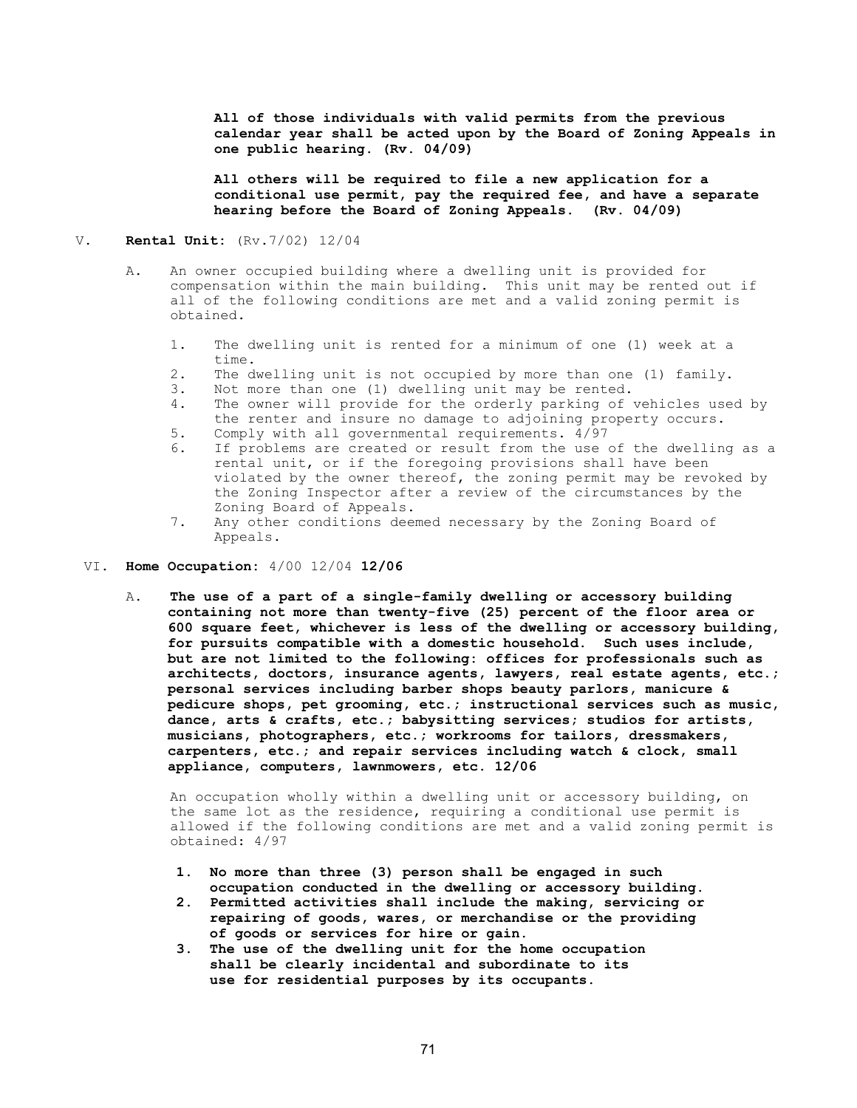All of those individuals with valid permits from the previous calendar year shall be acted upon by the Board of Zoning Appeals in one public hearing. (Rv. 04/09)

 All others will be required to file a new application for a conditional use permit, pay the required fee, and have a separate hearing before the Board of Zoning Appeals. (Rv. 04/09)

#### V. Rental Unit: (Rv.7/02) 12/04

- A. An owner occupied building where a dwelling unit is provided for compensation within the main building. This unit may be rented out if all of the following conditions are met and a valid zoning permit is obtained.
	- 1. The dwelling unit is rented for a minimum of one (1) week at a time.
	- 2. The dwelling unit is not occupied by more than one (1) family.
	- 3. Not more than one (1) dwelling unit may be rented.<br>4. The owner will provide for the orderly parking of
	- The owner will provide for the orderly parking of vehicles used by the renter and insure no damage to adjoining property occurs.<br>5. Comply with all governmental requirements. 4/97
	- 5. Comply with all governmental requirements. 4/97<br>6. If problems are created or result from the use If problems are created or result from the use of the dwelling as a rental unit, or if the foregoing provisions shall have been violated by the owner thereof, the zoning permit may be revoked by the Zoning Inspector after a review of the circumstances by the Zoning Board of Appeals.<br>7. Any other conditions dee
	- Any other conditions deemed necessary by the Zoning Board of Appeals.
- VI. Home Occupation: 4/00 12/04 12/06
	- A. The use of a part of a single-family dwelling or accessory building containing not more than twenty-five (25) percent of the floor area or 600 square feet, whichever is less of the dwelling or accessory building, for pursuits compatible with a domestic household. Such uses include, but are not limited to the following: offices for professionals such as architects, doctors, insurance agents, lawyers, real estate agents, etc.; personal services including barber shops beauty parlors, manicure & pedicure shops, pet grooming, etc.; instructional services such as music, dance, arts & crafts, etc.; babysitting services; studios for artists, musicians, photographers, etc.; workrooms for tailors, dressmakers, carpenters, etc.; and repair services including watch & clock, small appliance, computers, lawnmowers, etc. 12/06

 An occupation wholly within a dwelling unit or accessory building, on the same lot as the residence, requiring a conditional use permit is allowed if the following conditions are met and a valid zoning permit is obtained: 4/97

- 1. No more than three (3) person shall be engaged in such occupation conducted in the dwelling or accessory building.
- 2. Permitted activities shall include the making, servicing or repairing of goods, wares, or merchandise or the providing of goods or services for hire or gain.
- 3. The use of the dwelling unit for the home occupation shall be clearly incidental and subordinate to its use for residential purposes by its occupants.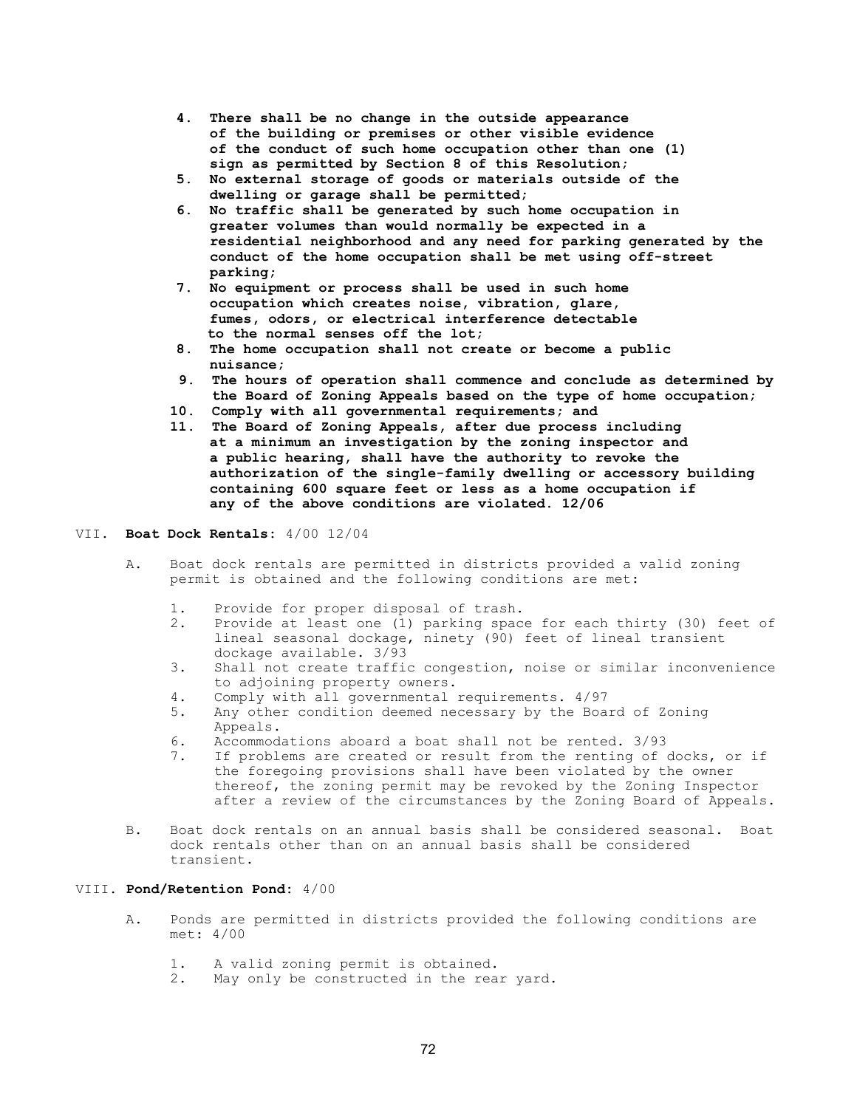- 4. There shall be no change in the outside appearance of the building or premises or other visible evidence of the conduct of such home occupation other than one (1) sign as permitted by Section 8 of this Resolution;
- 5. No external storage of goods or materials outside of the dwelling or garage shall be permitted;
- 6. No traffic shall be generated by such home occupation in greater volumes than would normally be expected in a residential neighborhood and any need for parking generated by the conduct of the home occupation shall be met using off-street parking;
- 7. No equipment or process shall be used in such home occupation which creates noise, vibration, glare, fumes, odors, or electrical interference detectable to the normal senses off the lot;
- 8. The home occupation shall not create or become a public nuisance;
- 9. The hours of operation shall commence and conclude as determined by the Board of Zoning Appeals based on the type of home occupation;
- 10. Comply with all governmental requirements; and
- 11. The Board of Zoning Appeals, after due process including at a minimum an investigation by the zoning inspector and a public hearing, shall have the authority to revoke the authorization of the single-family dwelling or accessory building containing 600 square feet or less as a home occupation if any of the above conditions are violated. 12/06

### VII. Boat Dock Rentals: 4/00 12/04

- A. Boat dock rentals are permitted in districts provided a valid zoning permit is obtained and the following conditions are met:
	- 1. Provide for proper disposal of trash.
	- 2. Provide at least one (1) parking space for each thirty (30) feet of lineal seasonal dockage, ninety (90) feet of lineal transient dockage available. 3/93<br>3. Shall not create traffic
	- Shall not create traffic congestion, noise or similar inconvenience to adjoining property owners.
	- 4. Comply with all governmental requirements. 4/97
	- 5. Any other condition deemed necessary by the Board of Zoning Appeals.
	- 6. Accommodations aboard a boat shall not be rented. 3/93
	- 7. If problems are created or result from the renting of docks, or if the foregoing provisions shall have been violated by the owner thereof, the zoning permit may be revoked by the Zoning Inspector after a review of the circumstances by the Zoning Board of Appeals.
- B. Boat dock rentals on an annual basis shall be considered seasonal. Boat dock rentals other than on an annual basis shall be considered transient.

#### VIII. Pond/Retention Pond: 4/00

- A. Ponds are permitted in districts provided the following conditions are met: 4/00
	- 1. A valid zoning permit is obtained.
	- 2. May only be constructed in the rear yard.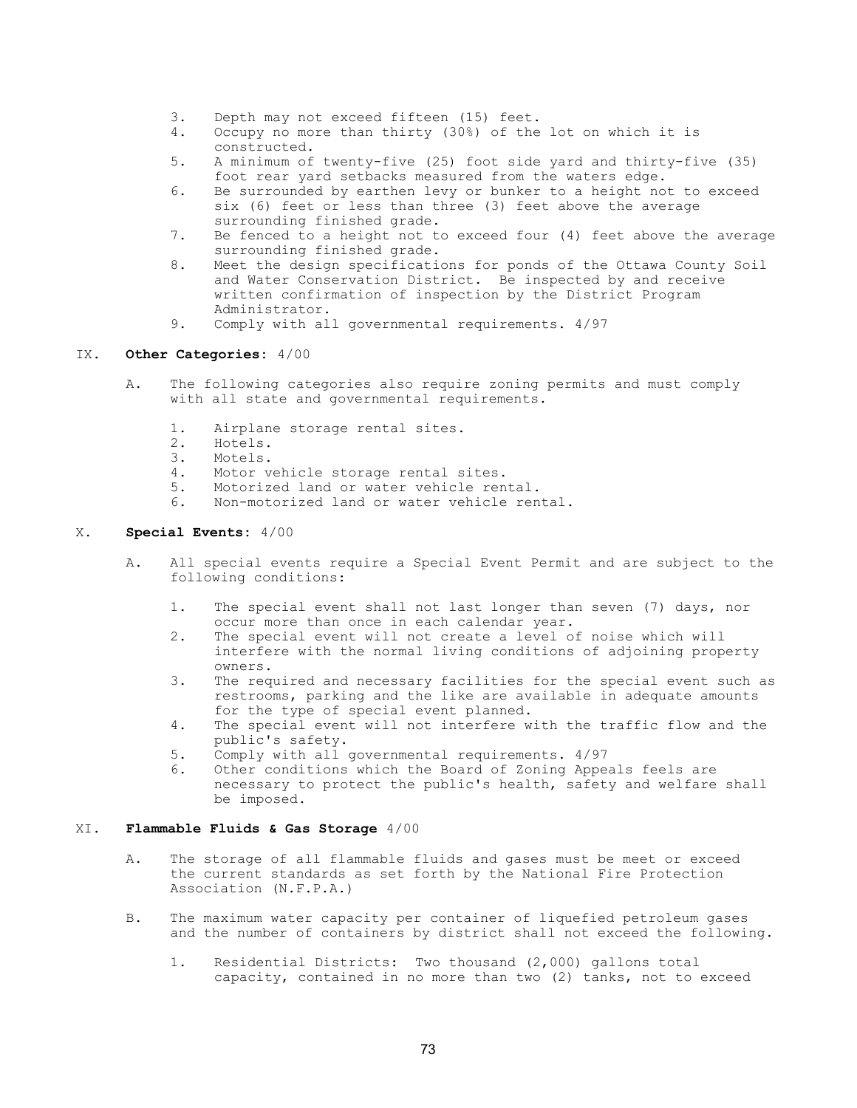- 3. Depth may not exceed fifteen (15) feet.
- 4. Occupy no more than thirty (30%) of the lot on which it is constructed.<br>5. A minimum of
- 5. A minimum of twenty-five (25) foot side yard and thirty-five (35) foot rear yard setbacks measured from the waters edge.
- 6. Be surrounded by earthen levy or bunker to a height not to exceed six (6) feet or less than three (3) feet above the average surrounding finished grade.
- 7. Be fenced to a height not to exceed four (4) feet above the average surrounding finished grade.
- 8. Meet the design specifications for ponds of the Ottawa County Soil and Water Conservation District. Be inspected by and receive written confirmation of inspection by the District Program Administrator.
- 9. Comply with all governmental requirements.  $4/97$

## IX. Other Categories: 4/00

- A. The following categories also require zoning permits and must comply with all state and governmental requirements.
	- 1. Airplane storage rental sites.
	- 2. Hotels.
	- 3. Motels.
	- 4. Motor vehicle storage rental sites.
	- 5. Motorized land or water vehicle rental.
	- 6. Non-motorized land or water vehicle rental.

## X. Special Events: 4/00

- A. All special events require a Special Event Permit and are subject to the following conditions:
	- 1. The special event shall not last longer than seven (7) days, nor occur more than once in each calendar year.<br>2. The special event will not create a level of
	- The special event will not create a level of noise which will interfere with the normal living conditions of adjoining property owners.
	- 3. The required and necessary facilities for the special event such as restrooms, parking and the like are available in adequate amounts
	- for the type of special event planned.<br>4. The special event will not interfere w The special event will not interfere with the traffic flow and the public's safety.<br>5. Comply with all
	- 5. Comply with all governmental requirements. 4/97
	- 6. Other conditions which the Board of Zoning Appeals feels are necessary to protect the public's health, safety and welfare shall be imposed.

## XI. Flammable Fluids & Gas Storage 4/00

- A. The storage of all flammable fluids and gases must be meet or exceed the current standards as set forth by the National Fire Protection Association (N.F.P.A.)
- B. The maximum water capacity per container of liquefied petroleum gases and the number of containers by district shall not exceed the following.
	- 1. Residential Districts: Two thousand (2,000) gallons total capacity, contained in no more than two (2) tanks, not to exceed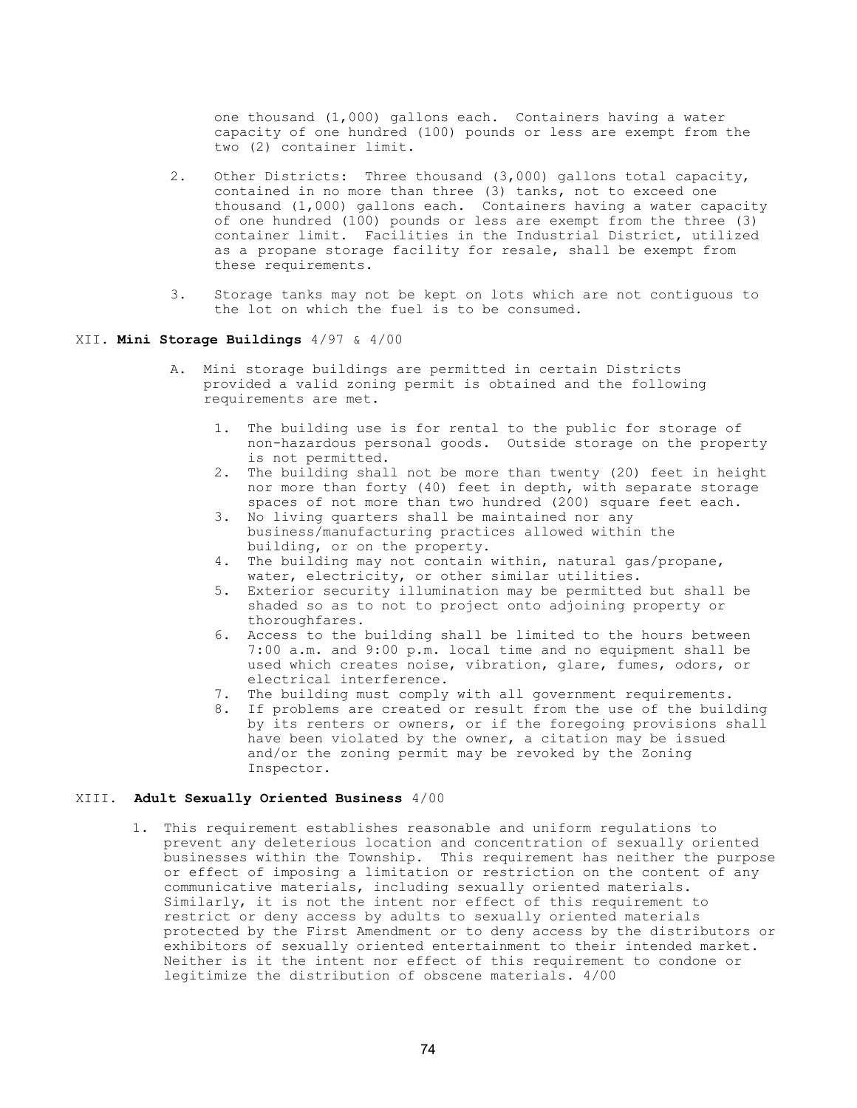one thousand (1,000) gallons each. Containers having a water capacity of one hundred (100) pounds or less are exempt from the two (2) container limit.

- 2. Other Districts: Three thousand (3,000) gallons total capacity, contained in no more than three (3) tanks, not to exceed one thousand (1,000) gallons each. Containers having a water capacity of one hundred (100) pounds or less are exempt from the three (3) container limit. Facilities in the Industrial District, utilized as a propane storage facility for resale, shall be exempt from these requirements.
- 3. Storage tanks may not be kept on lots which are not contiguous to the lot on which the fuel is to be consumed.

## XII. Mini Storage Buildings 4/97 & 4/00

- A. Mini storage buildings are permitted in certain Districts provided a valid zoning permit is obtained and the following requirements are met.
	- 1. The building use is for rental to the public for storage of non-hazardous personal goods. Outside storage on the property is not permitted.
	- 2. The building shall not be more than twenty (20) feet in height nor more than forty (40) feet in depth, with separate storage spaces of not more than two hundred (200) square feet each.
	- 3. No living quarters shall be maintained nor any business/manufacturing practices allowed within the building, or on the property.
	- 4. The building may not contain within, natural gas/propane, water, electricity, or other similar utilities.
	- 5. Exterior security illumination may be permitted but shall be shaded so as to not to project onto adjoining property or thoroughfares.
	- 6. Access to the building shall be limited to the hours between 7:00 a.m. and 9:00 p.m. local time and no equipment shall be used which creates noise, vibration, glare, fumes, odors, or electrical interference.
	- 7. The building must comply with all government requirements.
	- 8. If problems are created or result from the use of the building by its renters or owners, or if the foregoing provisions shall have been violated by the owner, a citation may be issued and/or the zoning permit may be revoked by the Zoning Inspector.

#### XIII. Adult Sexually Oriented Business 4/00

1. This requirement establishes reasonable and uniform regulations to prevent any deleterious location and concentration of sexually oriented businesses within the Township. This requirement has neither the purpose or effect of imposing a limitation or restriction on the content of any communicative materials, including sexually oriented materials. Similarly, it is not the intent nor effect of this requirement to restrict or deny access by adults to sexually oriented materials protected by the First Amendment or to deny access by the distributors or exhibitors of sexually oriented entertainment to their intended market. Neither is it the intent nor effect of this requirement to condone or legitimize the distribution of obscene materials. 4/00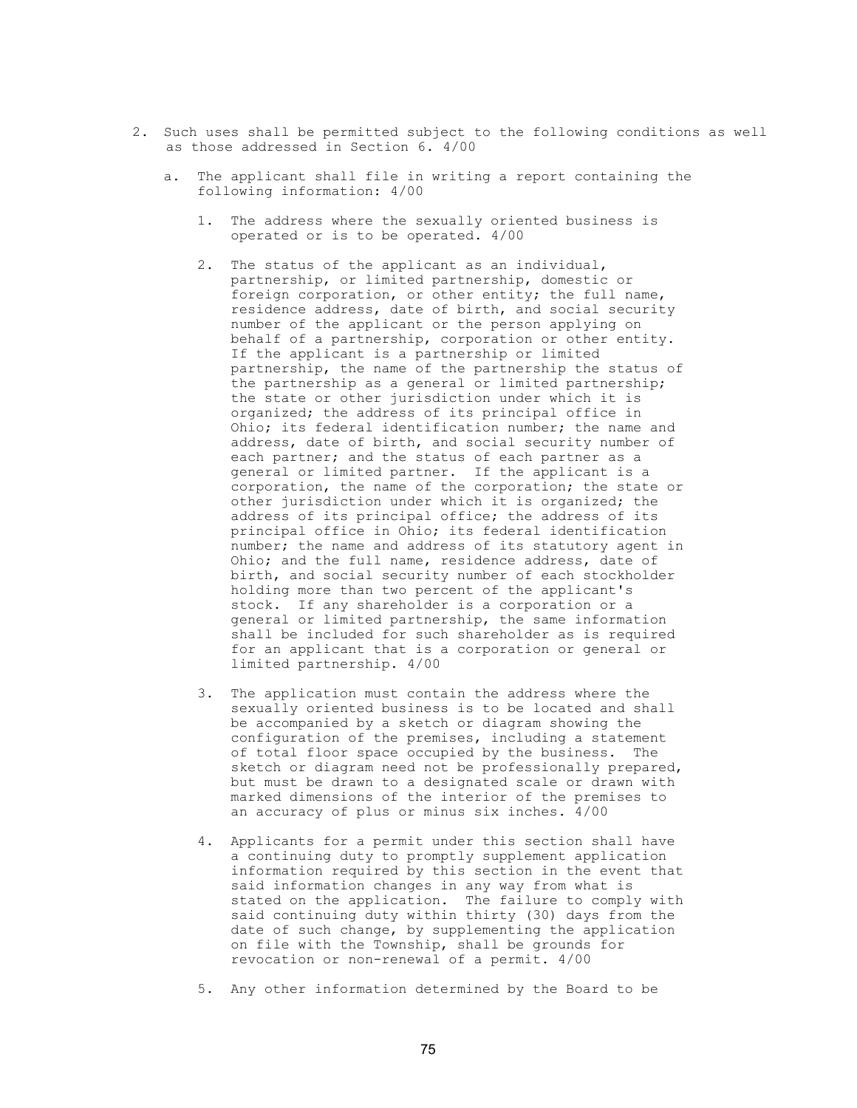- 2. Such uses shall be permitted subject to the following conditions as well as those addressed in Section 6. 4/00
	- a. The applicant shall file in writing a report containing the following information: 4/00
		- 1. The address where the sexually oriented business is operated or is to be operated. 4/00
		- 2. The status of the applicant as an individual, partnership, or limited partnership, domestic or foreign corporation, or other entity; the full name, residence address, date of birth, and social security number of the applicant or the person applying on behalf of a partnership, corporation or other entity. If the applicant is a partnership or limited partnership, the name of the partnership the status of the partnership as a general or limited partnership; the state or other jurisdiction under which it is organized; the address of its principal office in Ohio; its federal identification number; the name and address, date of birth, and social security number of each partner; and the status of each partner as a general or limited partner. If the applicant is a corporation, the name of the corporation; the state or other jurisdiction under which it is organized; the address of its principal office; the address of its principal office in Ohio; its federal identification number; the name and address of its statutory agent in Ohio; and the full name, residence address, date of birth, and social security number of each stockholder holding more than two percent of the applicant's stock. If any shareholder is a corporation or a general or limited partnership, the same information shall be included for such shareholder as is required for an applicant that is a corporation or general or limited partnership. 4/00
		- 3. The application must contain the address where the sexually oriented business is to be located and shall be accompanied by a sketch or diagram showing the configuration of the premises, including a statement of total floor space occupied by the business. The sketch or diagram need not be professionally prepared, but must be drawn to a designated scale or drawn with marked dimensions of the interior of the premises to an accuracy of plus or minus six inches. 4/00
- 4. Applicants for a permit under this section shall have a continuing duty to promptly supplement application information required by this section in the event that said information changes in any way from what is stated on the application. The failure to comply with said continuing duty within thirty (30) days from the date of such change, by supplementing the application on file with the Township, shall be grounds for revocation or non-renewal of a permit. 4/00
	- 5. Any other information determined by the Board to be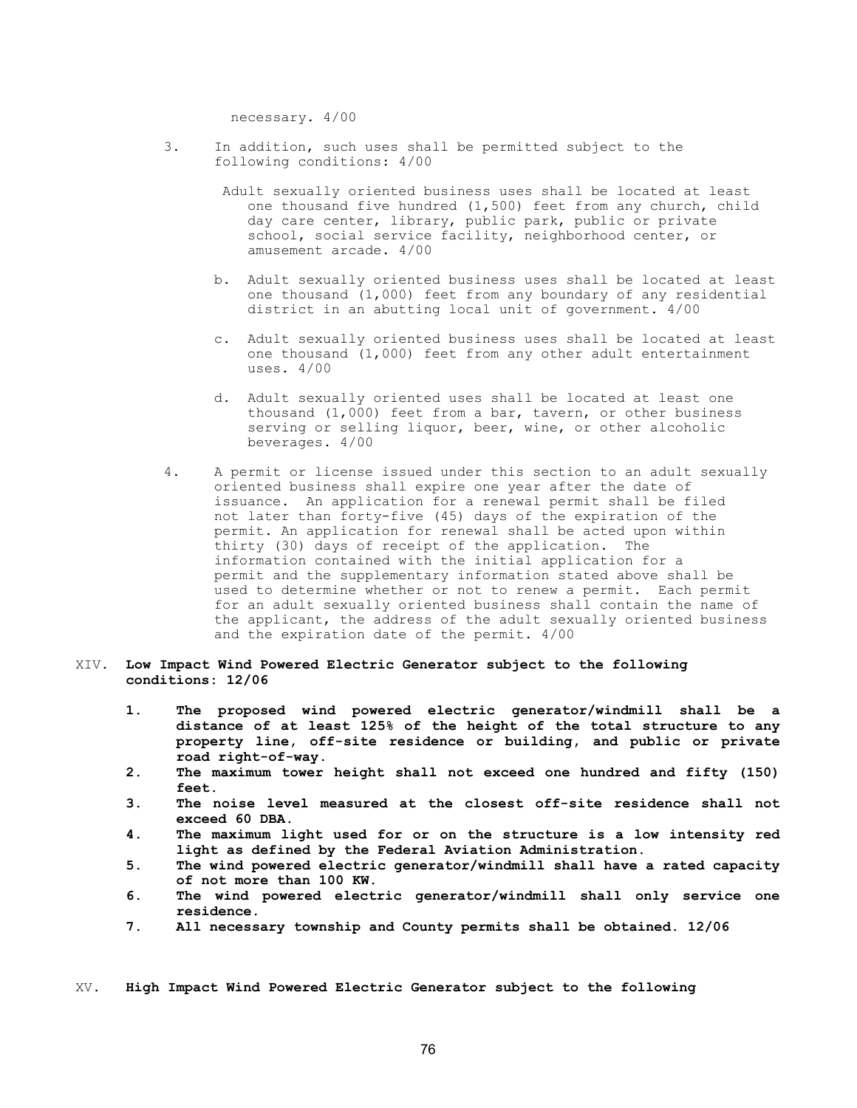necessary. 4/00

- 3. In addition, such uses shall be permitted subject to the following conditions: 4/00
	- Adult sexually oriented business uses shall be located at least one thousand five hundred (1,500) feet from any church, child day care center, library, public park, public or private school, social service facility, neighborhood center, or amusement arcade. 4/00
	- b. Adult sexually oriented business uses shall be located at least one thousand (1,000) feet from any boundary of any residential district in an abutting local unit of government. 4/00
	- c. Adult sexually oriented business uses shall be located at least one thousand (1,000) feet from any other adult entertainment uses. 4/00
	- d. Adult sexually oriented uses shall be located at least one thousand (1,000) feet from a bar, tavern, or other business serving or selling liquor, beer, wine, or other alcoholic beverages. 4/00
- 4. A permit or license issued under this section to an adult sexually oriented business shall expire one year after the date of issuance. An application for a renewal permit shall be filed not later than forty-five (45) days of the expiration of the permit. An application for renewal shall be acted upon within thirty (30) days of receipt of the application. The information contained with the initial application for a permit and the supplementary information stated above shall be used to determine whether or not to renew a permit. Each permit for an adult sexually oriented business shall contain the name of the applicant, the address of the adult sexually oriented business and the expiration date of the permit. 4/00

## XIV. Low Impact Wind Powered Electric Generator subject to the following conditions: 12/06

- 1. The proposed wind powered electric generator/windmill shall be a distance of at least 125% of the height of the total structure to any property line, off-site residence or building, and public or private road right-of-way.
- 2. The maximum tower height shall not exceed one hundred and fifty (150) feet.
- 3. The noise level measured at the closest off-site residence shall not exceed 60 DBA.
- 4. The maximum light used for or on the structure is a low intensity red light as defined by the Federal Aviation Administration.
- 5. The wind powered electric generator/windmill shall have a rated capacity of not more than 100 KW.
- 6. The wind powered electric generator/windmill shall only service one residence.
- 7. All necessary township and County permits shall be obtained. 12/06

XV. High Impact Wind Powered Electric Generator subject to the following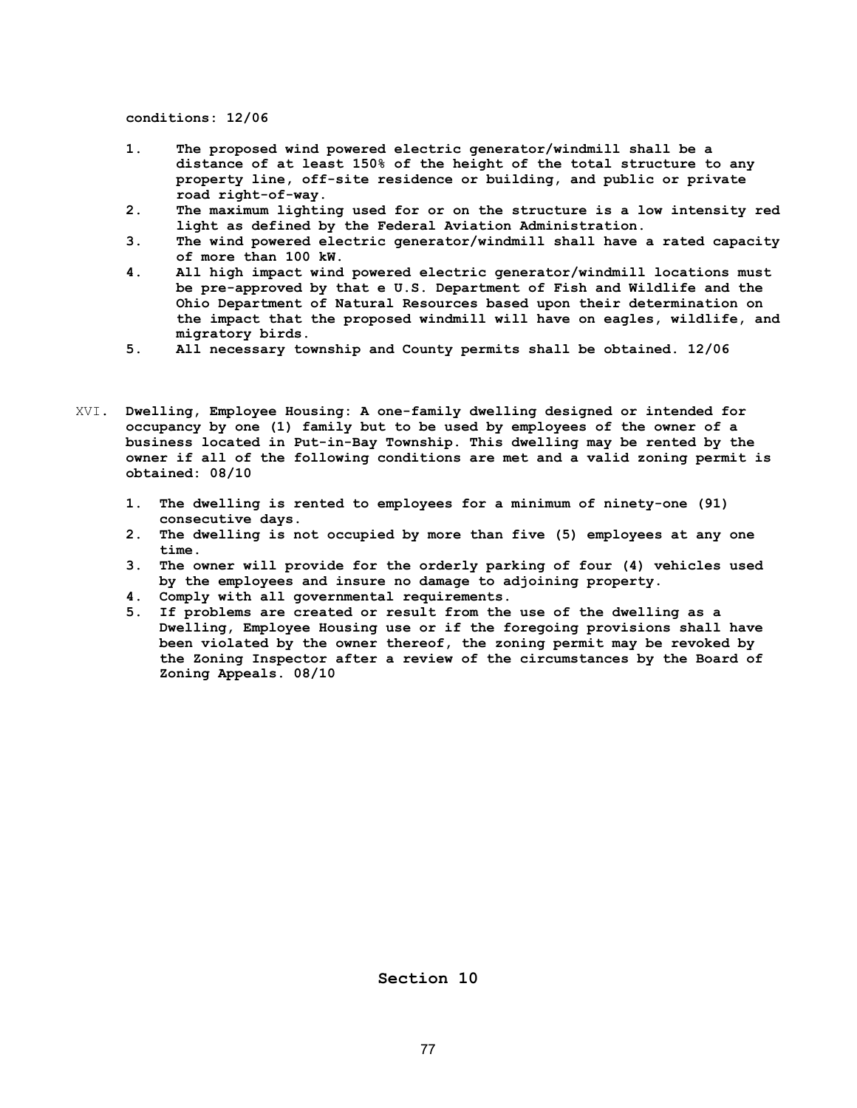conditions: 12/06

- 1. The proposed wind powered electric generator/windmill shall be a distance of at least 150% of the height of the total structure to any property line, off-site residence or building, and public or private road right-of-way.
- 2. The maximum lighting used for or on the structure is a low intensity red light as defined by the Federal Aviation Administration.
- 3. The wind powered electric generator/windmill shall have a rated capacity of more than 100 kW.
- 4. All high impact wind powered electric generator/windmill locations must be pre-approved by that e U.S. Department of Fish and Wildlife and the Ohio Department of Natural Resources based upon their determination on the impact that the proposed windmill will have on eagles, wildlife, and migratory birds.
- 5. All necessary township and County permits shall be obtained. 12/06
- XVI. Dwelling, Employee Housing: A one-family dwelling designed or intended for occupancy by one (1) family but to be used by employees of the owner of a business located in Put-in-Bay Township. This dwelling may be rented by the owner if all of the following conditions are met and a valid zoning permit is obtained: 08/10
	- 1. The dwelling is rented to employees for a minimum of ninety-one (91) consecutive days.
	- 2. The dwelling is not occupied by more than five (5) employees at any one time.
	- 3. The owner will provide for the orderly parking of four (4) vehicles used by the employees and insure no damage to adjoining property.
	- 4. Comply with all governmental requirements.<br>5. If problems are created or result from the
	- If problems are created or result from the use of the dwelling as a Dwelling, Employee Housing use or if the foregoing provisions shall have been violated by the owner thereof, the zoning permit may be revoked by the Zoning Inspector after a review of the circumstances by the Board of Zoning Appeals. 08/10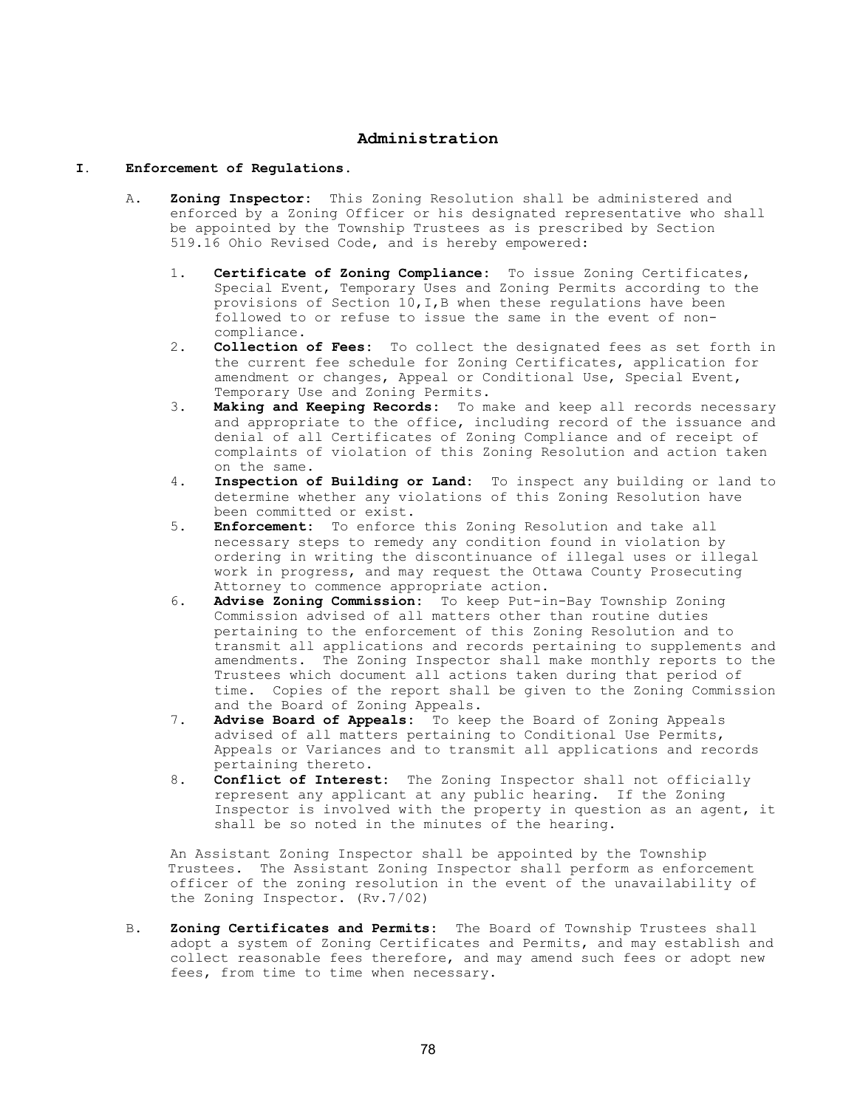## Administration

#### I. Enforcement of Regulations.

- A. Zoning Inspector: This Zoning Resolution shall be administered and enforced by a Zoning Officer or his designated representative who shall be appointed by the Township Trustees as is prescribed by Section 519.16 Ohio Revised Code, and is hereby empowered:
	- 1. Certificate of Zoning Compliance: To issue Zoning Certificates, Special Event, Temporary Uses and Zoning Permits according to the provisions of Section 10,I,B when these regulations have been followed to or refuse to issue the same in the event of non compliance.<br>2. **Collection**
	- Collection of Fees: To collect the designated fees as set forth in the current fee schedule for Zoning Certificates, application for amendment or changes, Appeal or Conditional Use, Special Event, Temporary Use and Zoning Permits.<br>3. **Making and Keeping Records:** To m
	- Making and Keeping Records: To make and keep all records necessary and appropriate to the office, including record of the issuance and denial of all Certificates of Zoning Compliance and of receipt of complaints of violation of this Zoning Resolution and action taken on the same.
	- 4. Inspection of Building or Land: To inspect any building or land to determine whether any violations of this Zoning Resolution have been committed or exist.<br>5. **Enforcement:** To enforce
	- Enforcement: To enforce this Zoning Resolution and take all necessary steps to remedy any condition found in violation by ordering in writing the discontinuance of illegal uses or illegal work in progress, and may request the Ottawa County Prosecuting Attorney to commence appropriate action.
	- 6. Advise Zoning Commission: To keep Put-in-Bay Township Zoning Commission advised of all matters other than routine duties pertaining to the enforcement of this Zoning Resolution and to transmit all applications and records pertaining to supplements and amendments. The Zoning Inspector shall make monthly reports to the Trustees which document all actions taken during that period of time. Copies of the report shall be given to the Zoning Commission and the Board of Zoning Appeals.
	- 7. Advise Board of Appeals: To keep the Board of Zoning Appeals advised of all matters pertaining to Conditional Use Permits, Appeals or Variances and to transmit all applications and records pertaining thereto.<br>8. **Conflict of Interes**
	- Conflict of Interest: The Zoning Inspector shall not officially represent any applicant at any public hearing. If the Zoning Inspector is involved with the property in question as an agent, it shall be so noted in the minutes of the hearing.

 An Assistant Zoning Inspector shall be appointed by the Township Trustees. The Assistant Zoning Inspector shall perform as enforcement officer of the zoning resolution in the event of the unavailability of the Zoning Inspector. (Rv.7/02)

B. Zoning Certificates and Permits: The Board of Township Trustees shall adopt a system of Zoning Certificates and Permits, and may establish and collect reasonable fees therefore, and may amend such fees or adopt new fees, from time to time when necessary.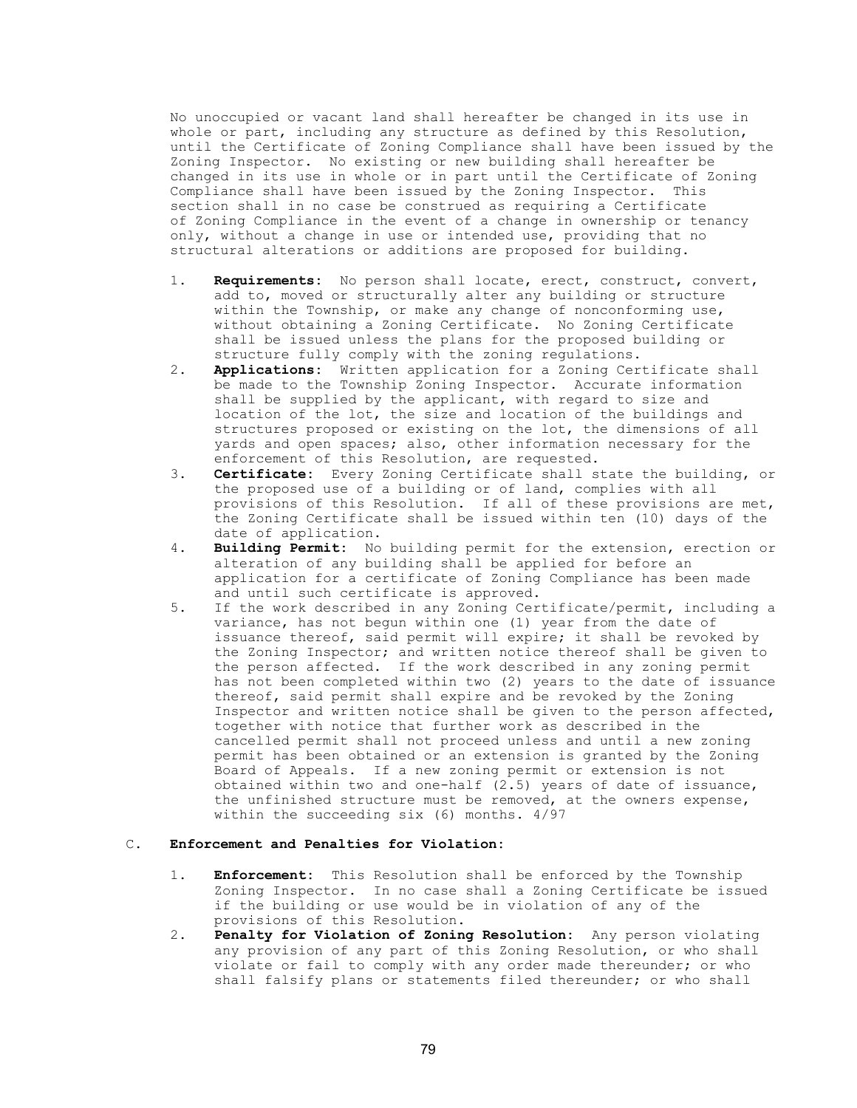No unoccupied or vacant land shall hereafter be changed in its use in whole or part, including any structure as defined by this Resolution, until the Certificate of Zoning Compliance shall have been issued by the Zoning Inspector. No existing or new building shall hereafter be changed in its use in whole or in part until the Certificate of Zoning Compliance shall have been issued by the Zoning Inspector. This section shall in no case be construed as requiring a Certificate of Zoning Compliance in the event of a change in ownership or tenancy only, without a change in use or intended use, providing that no structural alterations or additions are proposed for building.

- 1. Requirements: No person shall locate, erect, construct, convert, add to, moved or structurally alter any building or structure within the Township, or make any change of nonconforming use, without obtaining a Zoning Certificate. No Zoning Certificate shall be issued unless the plans for the proposed building or structure fully comply with the zoning regulations.
- 2. **Applications:** Written application for a Zoning Certificate shall be made to the Township Zoning Inspector. Accurate information shall be supplied by the applicant, with regard to size and location of the lot, the size and location of the buildings and structures proposed or existing on the lot, the dimensions of all yards and open spaces; also, other information necessary for the enforcement of this Resolution, are requested.
- 3. Certificate: Every Zoning Certificate shall state the building, or the proposed use of a building or of land, complies with all provisions of this Resolution. If all of these provisions are met, the Zoning Certificate shall be issued within ten (10) days of the date of application.
- 4. Building Permit: No building permit for the extension, erection or alteration of any building shall be applied for before an application for a certificate of Zoning Compliance has been made and until such certificate is approved.
- 5. If the work described in any Zoning Certificate/permit, including a variance, has not begun within one (1) year from the date of issuance thereof, said permit will expire; it shall be revoked by the Zoning Inspector; and written notice thereof shall be given to the person affected. If the work described in any zoning permit has not been completed within two (2) years to the date of issuance thereof, said permit shall expire and be revoked by the Zoning Inspector and written notice shall be given to the person affected, together with notice that further work as described in the cancelled permit shall not proceed unless and until a new zoning permit has been obtained or an extension is granted by the Zoning Board of Appeals. If a new zoning permit or extension is not obtained within two and one-half (2.5) years of date of issuance, the unfinished structure must be removed, at the owners expense, within the succeeding six (6) months. 4/97

## C. Enforcement and Penalties for Violation:

- 1. Enforcement: This Resolution shall be enforced by the Township Zoning Inspector. In no case shall a Zoning Certificate be issued if the building or use would be in violation of any of the provisions of this Resolution.
- 2. Penalty for Violation of Zoning Resolution: Any person violating any provision of any part of this Zoning Resolution, or who shall violate or fail to comply with any order made thereunder; or who shall falsify plans or statements filed thereunder; or who shall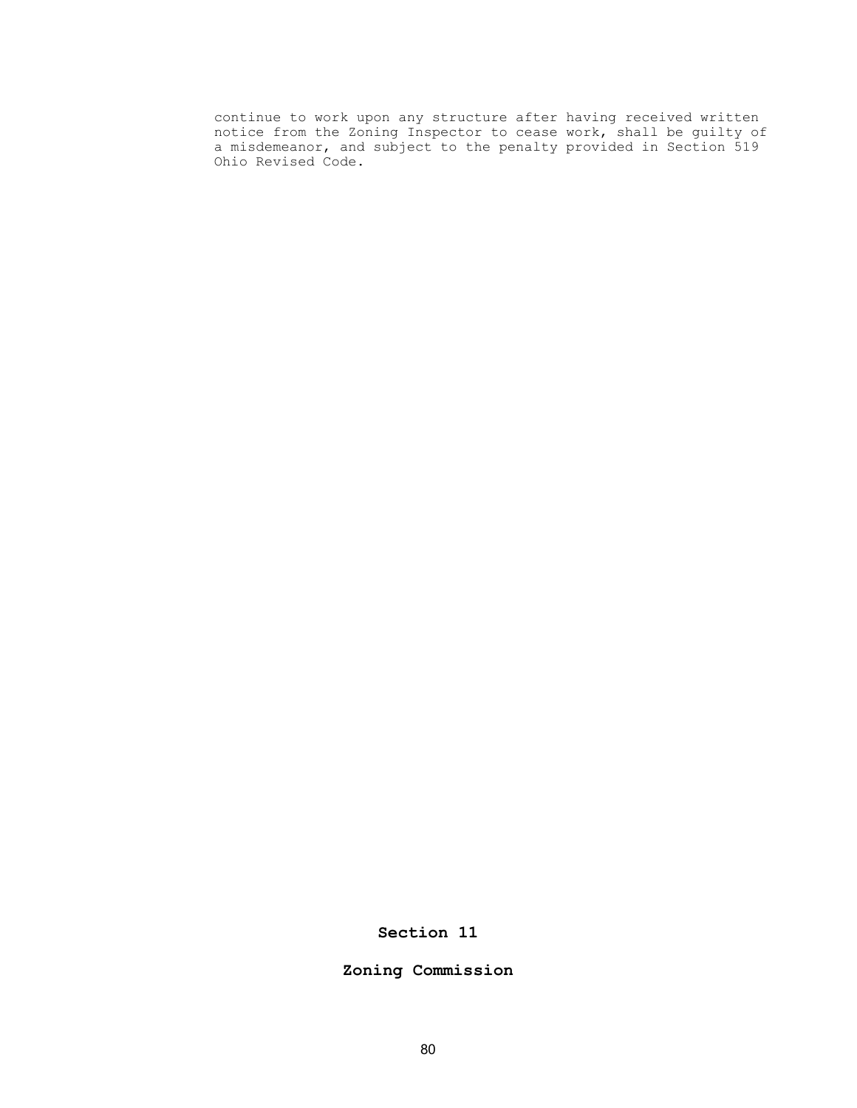continue to work upon any structure after having received written notice from the Zoning Inspector to cease work, shall be guilty of a misdemeanor, and subject to the penalty provided in Section 519 Ohio Revised Code.

Section 11

Zoning Commission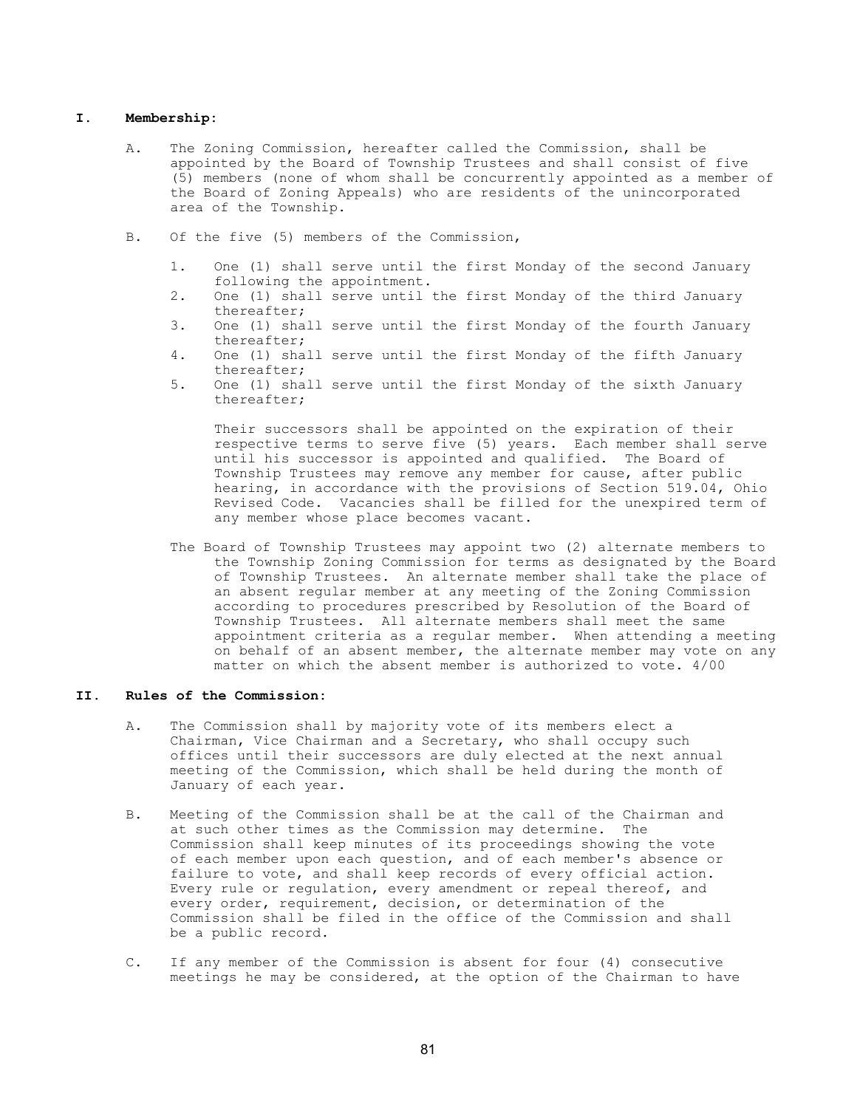#### I. Membership:

- A. The Zoning Commission, hereafter called the Commission, shall be appointed by the Board of Township Trustees and shall consist of five (5) members (none of whom shall be concurrently appointed as a member of the Board of Zoning Appeals) who are residents of the unincorporated area of the Township.
- B. Of the five (5) members of the Commission,
	- 1. One (1) shall serve until the first Monday of the second January following the appointment.
	- 2. One (1) shall serve until the first Monday of the third January thereafter;<br>3. One (1) sha
	- One (1) shall serve until the first Monday of the fourth January thereafter;
	- 4. One (1) shall serve until the first Monday of the fifth January thereafter;<br>5. One (1) sha
	- One (1) shall serve until the first Monday of the sixth January thereafter;

 Their successors shall be appointed on the expiration of their respective terms to serve five (5) years. Each member shall serve until his successor is appointed and qualified. The Board of Township Trustees may remove any member for cause, after public hearing, in accordance with the provisions of Section 519.04, Ohio Revised Code. Vacancies shall be filled for the unexpired term of any member whose place becomes vacant.

The Board of Township Trustees may appoint two (2) alternate members to the Township Zoning Commission for terms as designated by the Board of Township Trustees. An alternate member shall take the place of an absent regular member at any meeting of the Zoning Commission according to procedures prescribed by Resolution of the Board of Township Trustees. All alternate members shall meet the same appointment criteria as a regular member. When attending a meeting on behalf of an absent member, the alternate member may vote on any matter on which the absent member is authorized to vote. 4/00

#### II. Rules of the Commission:

- A. The Commission shall by majority vote of its members elect a Chairman, Vice Chairman and a Secretary, who shall occupy such offices until their successors are duly elected at the next annual meeting of the Commission, which shall be held during the month of January of each year.
- B. Meeting of the Commission shall be at the call of the Chairman and at such other times as the Commission may determine. The Commission shall keep minutes of its proceedings showing the vote of each member upon each question, and of each member's absence or failure to vote, and shall keep records of every official action. Every rule or regulation, every amendment or repeal thereof, and every order, requirement, decision, or determination of the Commission shall be filed in the office of the Commission and shall be a public record.
- C. If any member of the Commission is absent for four (4) consecutive meetings he may be considered, at the option of the Chairman to have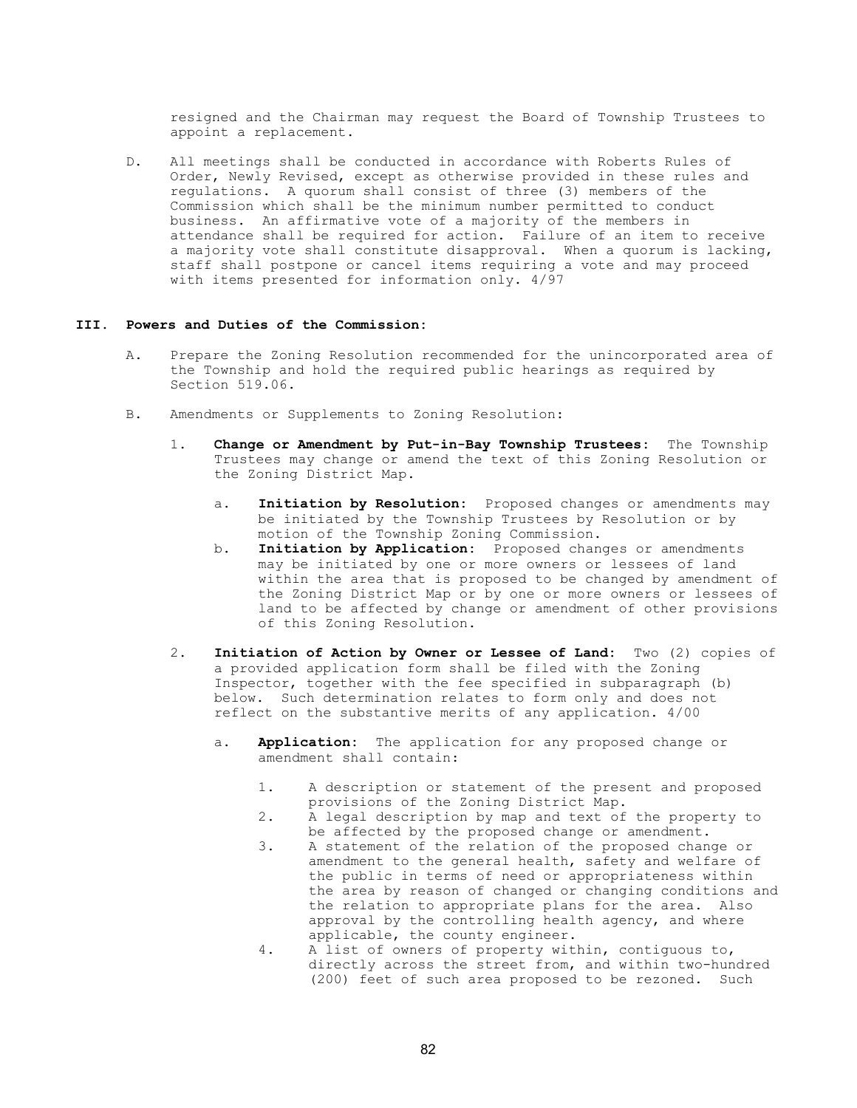resigned and the Chairman may request the Board of Township Trustees to appoint a replacement.

 D. All meetings shall be conducted in accordance with Roberts Rules of Order, Newly Revised, except as otherwise provided in these rules and regulations. A quorum shall consist of three (3) members of the Commission which shall be the minimum number permitted to conduct business. An affirmative vote of a majority of the members in attendance shall be required for action. Failure of an item to receive a majority vote shall constitute disapproval. When a quorum is lacking, staff shall postpone or cancel items requiring a vote and may proceed with items presented for information only. 4/97

#### III. Powers and Duties of the Commission:

- A. Prepare the Zoning Resolution recommended for the unincorporated area of the Township and hold the required public hearings as required by Section 519.06.
- B. Amendments or Supplements to Zoning Resolution:
	- 1. Change or Amendment by Put-in-Bay Township Trustees: The Township Trustees may change or amend the text of this Zoning Resolution or the Zoning District Map.
		- a. Initiation by Resolution: Proposed changes or amendments may be initiated by the Township Trustees by Resolution or by motion of the Township Zoning Commission.
		- b. Initiation by Application: Proposed changes or amendments may be initiated by one or more owners or lessees of land within the area that is proposed to be changed by amendment of the Zoning District Map or by one or more owners or lessees of land to be affected by change or amendment of other provisions of this Zoning Resolution.
	- 2. Initiation of Action by Owner or Lessee of Land: Two (2) copies of a provided application form shall be filed with the Zoning Inspector, together with the fee specified in subparagraph (b) below. Such determination relates to form only and does not reflect on the substantive merits of any application. 4/00
		- a. **Application:** The application for any proposed change or amendment shall contain:
			- 1. A description or statement of the present and proposed provisions of the Zoning District Map.
			- 2. A legal description by map and text of the property to be affected by the proposed change or amendment.<br>3. A statement of the relation of the proposed chan
			- 3. A statement of the relation of the proposed change or amendment to the general health, safety and welfare of the public in terms of need or appropriateness within the area by reason of changed or changing conditions and the relation to appropriate plans for the area. Also approval by the controlling health agency, and where applicable, the county engineer.
			- 4. A list of owners of property within, contiguous to, directly across the street from, and within two-hundred (200) feet of such area proposed to be rezoned. Such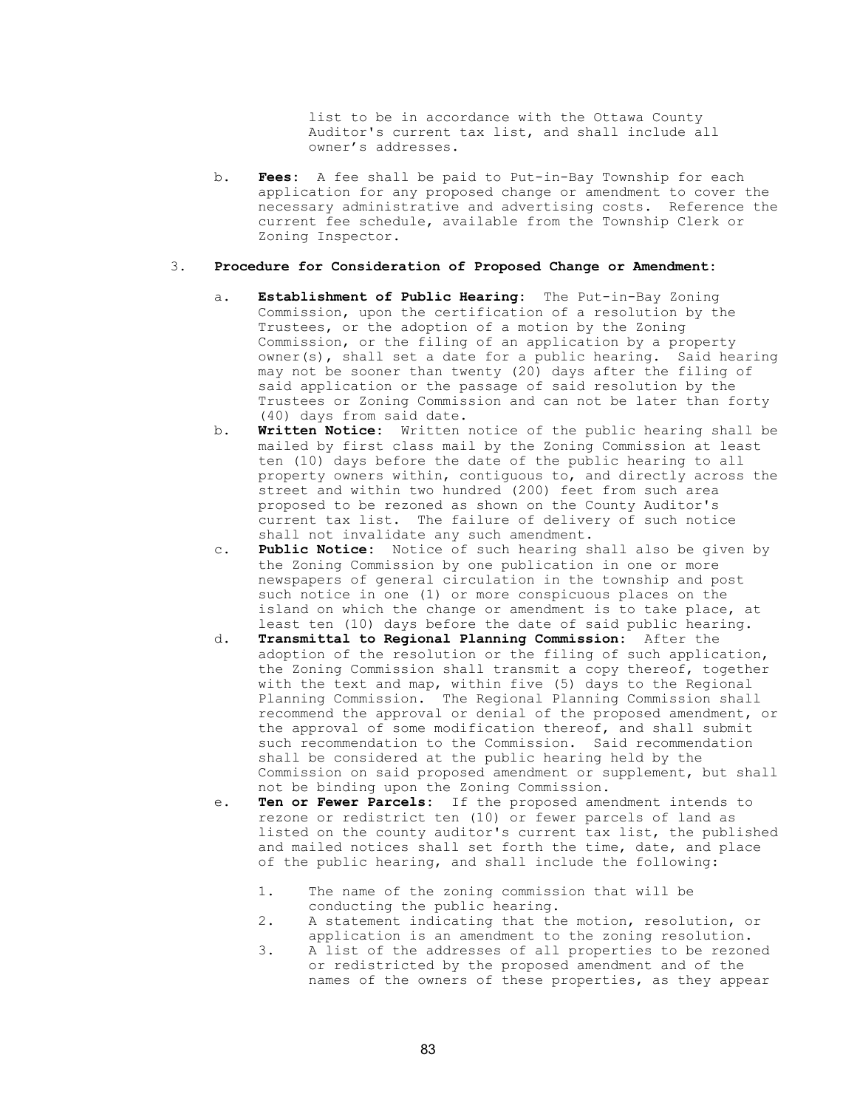list to be in accordance with the Ottawa County Auditor's current tax list, and shall include all owner's addresses.

b. Fees: A fee shall be paid to Put-in-Bay Township for each application for any proposed change or amendment to cover the necessary administrative and advertising costs. Reference the current fee schedule, available from the Township Clerk or Zoning Inspector.

## 3. Procedure for Consideration of Proposed Change or Amendment:

- a. Establishment of Public Hearing: The Put-in-Bay Zoning Commission, upon the certification of a resolution by the Trustees, or the adoption of a motion by the Zoning Commission, or the filing of an application by a property owner(s), shall set a date for a public hearing. Said hearing may not be sooner than twenty (20) days after the filing of said application or the passage of said resolution by the Trustees or Zoning Commission and can not be later than forty (40) days from said date.
- b. Written Notice: Written notice of the public hearing shall be mailed by first class mail by the Zoning Commission at least ten (10) days before the date of the public hearing to all property owners within, contiguous to, and directly across the street and within two hundred (200) feet from such area proposed to be rezoned as shown on the County Auditor's current tax list. The failure of delivery of such notice shall not invalidate any such amendment.
- c. Public Notice: Notice of such hearing shall also be given by the Zoning Commission by one publication in one or more newspapers of general circulation in the township and post such notice in one (1) or more conspicuous places on the island on which the change or amendment is to take place, at least ten (10) days before the date of said public hearing.
- d. Transmittal to Regional Planning Commission: After the adoption of the resolution or the filing of such application, the Zoning Commission shall transmit a copy thereof, together with the text and map, within five (5) days to the Regional Planning Commission. The Regional Planning Commission shall recommend the approval or denial of the proposed amendment, or the approval of some modification thereof, and shall submit such recommendation to the Commission. Said recommendation shall be considered at the public hearing held by the Commission on said proposed amendment or supplement, but shall not be binding upon the Zoning Commission.
- e. Ten or Fewer Parcels: If the proposed amendment intends to rezone or redistrict ten (10) or fewer parcels of land as listed on the county auditor's current tax list, the published and mailed notices shall set forth the time, date, and place of the public hearing, and shall include the following:
	- 1. The name of the zoning commission that will be conducting the public hearing.
	- 2. A statement indicating that the motion, resolution, or application is an amendment to the zoning resolution.
	- 3. A list of the addresses of all properties to be rezoned or redistricted by the proposed amendment and of the names of the owners of these properties, as they appear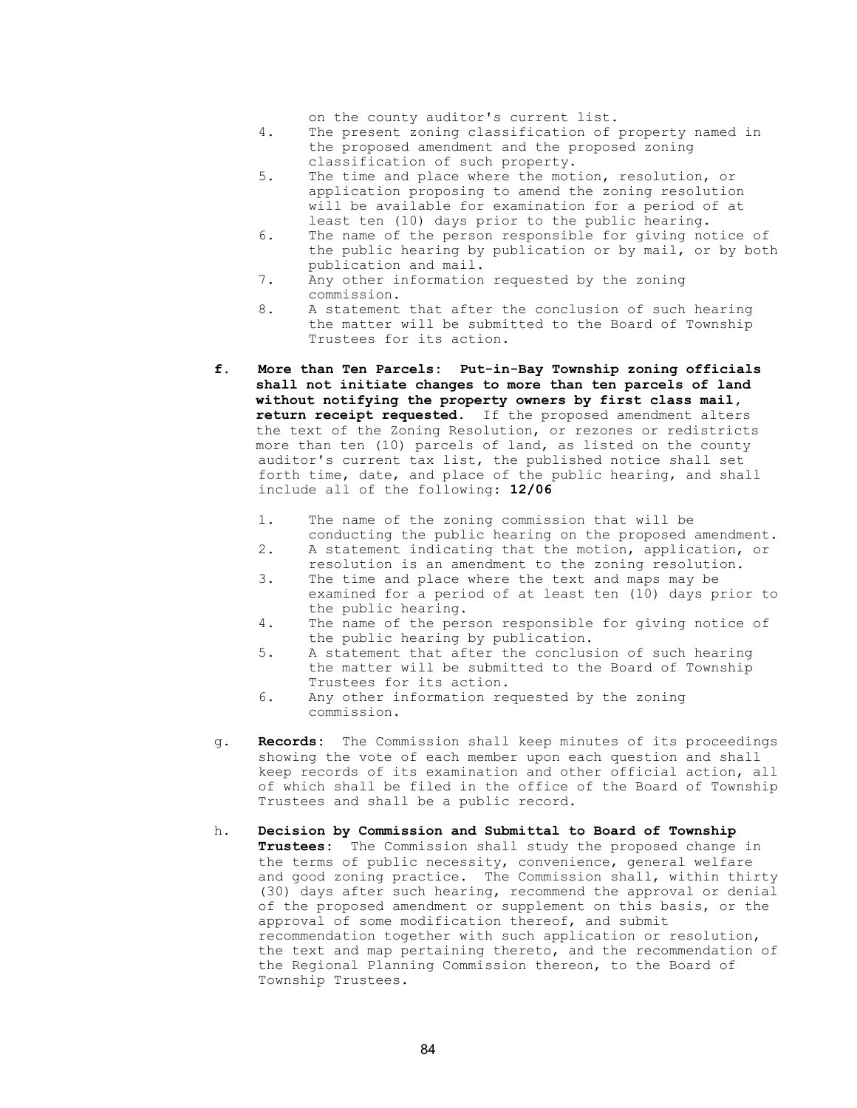on the county auditor's current list.

- 4. The present zoning classification of property named in the proposed amendment and the proposed zoning classification of such property.
- 5. The time and place where the motion, resolution, or application proposing to amend the zoning resolution will be available for examination for a period of at least ten (10) days prior to the public hearing.
- 6. The name of the person responsible for giving notice of the public hearing by publication or by mail, or by both publication and mail.
- 7. Any other information requested by the zoning commission.
- 8. A statement that after the conclusion of such hearing the matter will be submitted to the Board of Township Trustees for its action.
- f. More than Ten Parcels: Put-in-Bay Township zoning officials shall not initiate changes to more than ten parcels of land without notifying the property owners by first class mail, return receipt requested. If the proposed amendment alters the text of the Zoning Resolution, or rezones or redistricts more than ten (10) parcels of land, as listed on the county auditor's current tax list, the published notice shall set forth time, date, and place of the public hearing, and shall include all of the following: 12/06
	- 1. The name of the zoning commission that will be conducting the public hearing on the proposed amendment.
	- 2. A statement indicating that the motion, application, or resolution is an amendment to the zoning resolution.
	- 3. The time and place where the text and maps may be examined for a period of at least ten (10) days prior to the public hearing.
	- 4. The name of the person responsible for giving notice of the public hearing by publication.
	- 5. A statement that after the conclusion of such hearing the matter will be submitted to the Board of Township Trustees for its action.
	- 6. Any other information requested by the zoning commission.
- g. Records: The Commission shall keep minutes of its proceedings showing the vote of each member upon each question and shall keep records of its examination and other official action, all of which shall be filed in the office of the Board of Township Trustees and shall be a public record.
- h. Decision by Commission and Submittal to Board of Township Trustees: The Commission shall study the proposed change in the terms of public necessity, convenience, general welfare and good zoning practice. The Commission shall, within thirty (30) days after such hearing, recommend the approval or denial of the proposed amendment or supplement on this basis, or the approval of some modification thereof, and submit recommendation together with such application or resolution, the text and map pertaining thereto, and the recommendation of the Regional Planning Commission thereon, to the Board of Township Trustees.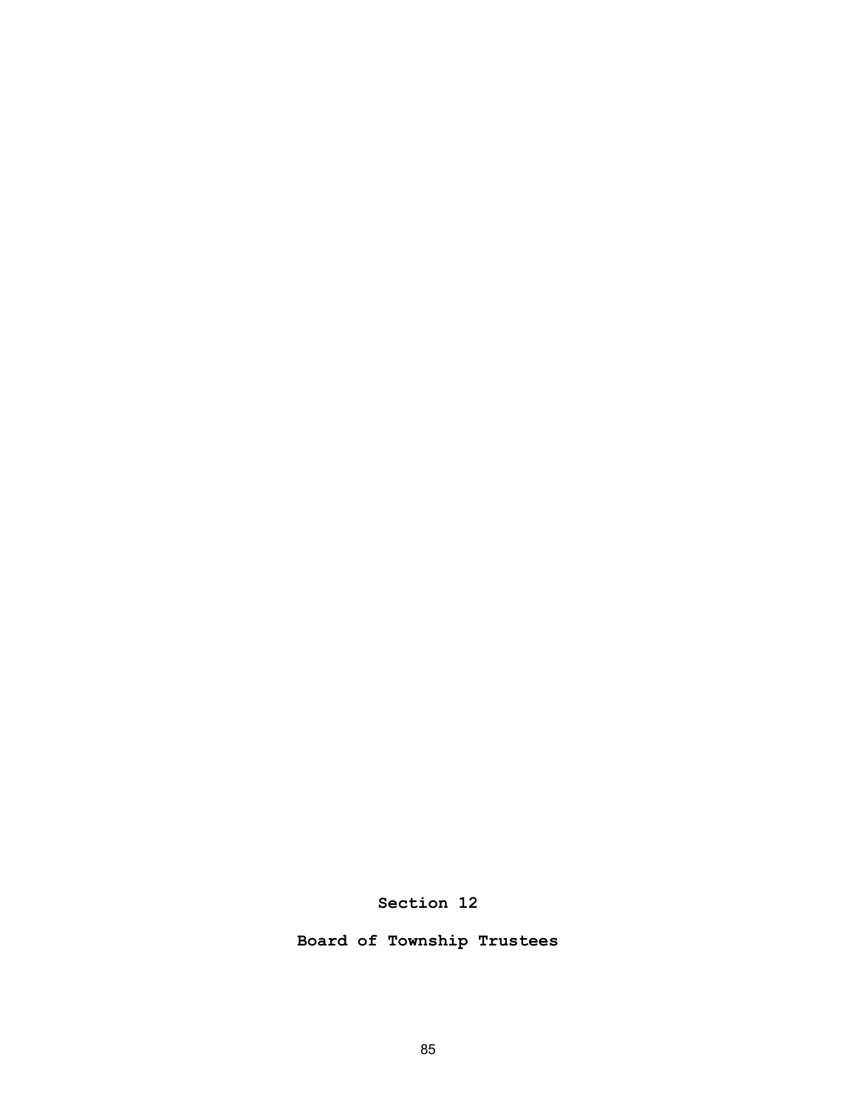Section 12

Board of Township Trustees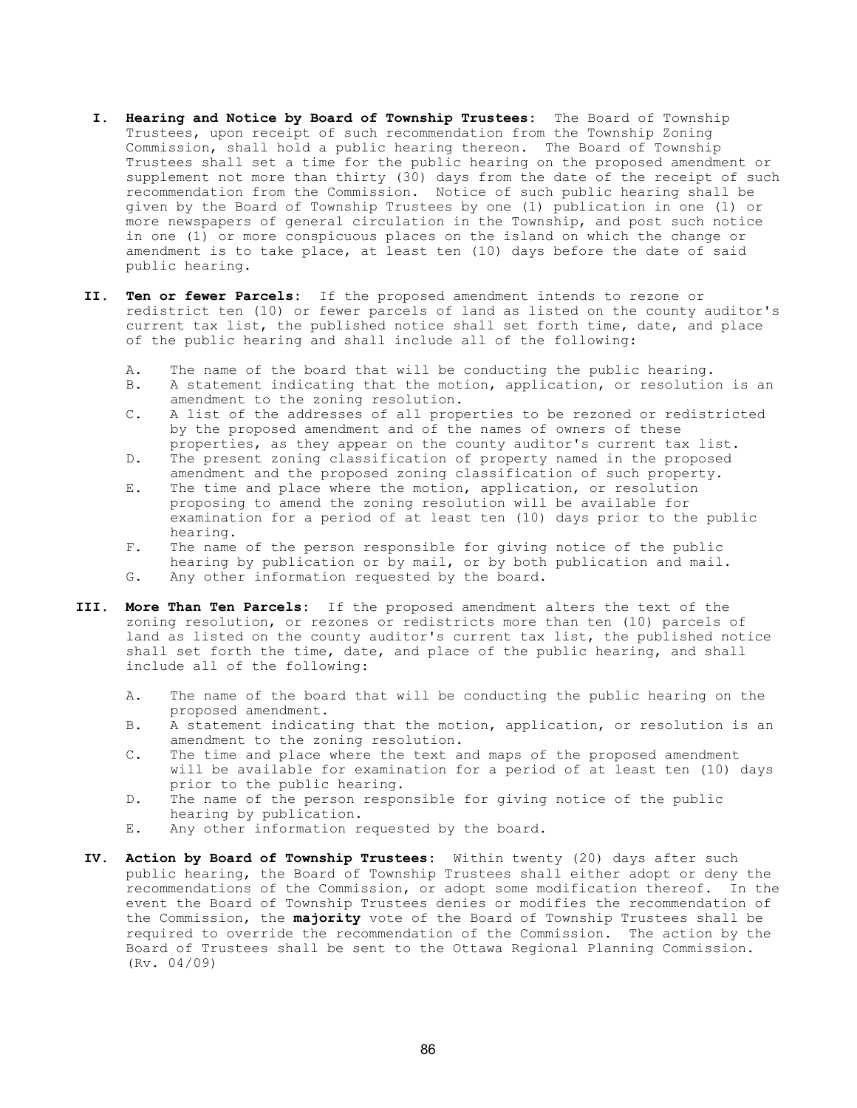- I. Hearing and Notice by Board of Township Trustees: The Board of Township Trustees, upon receipt of such recommendation from the Township Zoning Commission, shall hold a public hearing thereon. The Board of Township Trustees shall set a time for the public hearing on the proposed amendment or supplement not more than thirty (30) days from the date of the receipt of such recommendation from the Commission. Notice of such public hearing shall be given by the Board of Township Trustees by one (1) publication in one (1) or more newspapers of general circulation in the Township, and post such notice in one (1) or more conspicuous places on the island on which the change or amendment is to take place, at least ten (10) days before the date of said public hearing.
- II. Ten or fewer Parcels: If the proposed amendment intends to rezone or redistrict ten (10) or fewer parcels of land as listed on the county auditor's current tax list, the published notice shall set forth time, date, and place of the public hearing and shall include all of the following:
	-
	- A. The name of the board that will be conducting the public hearing.<br>B. A statement indicating that the motion, application, or resolutio A statement indicating that the motion, application, or resolution is an amendment to the zoning resolution.<br>C. A list of the addresses of all prop
	- A list of the addresses of all properties to be rezoned or redistricted by the proposed amendment and of the names of owners of these properties, as they appear on the county auditor's current tax list.
	- D. The present zoning classification of property named in the proposed amendment and the proposed zoning classification of such property.
	- E. The time and place where the motion, application, or resolution proposing to amend the zoning resolution will be available for examination for a period of at least ten (10) days prior to the public hearing.<br>F. The name
	- The name of the person responsible for giving notice of the public hearing by publication or by mail, or by both publication and mail.<br>G. Any other information requested by the board.
	- Any other information requested by the board.
- III. More Than Ten Parcels: If the proposed amendment alters the text of the zoning resolution, or rezones or redistricts more than ten (10) parcels of land as listed on the county auditor's current tax list, the published notice shall set forth the time, date, and place of the public hearing, and shall include all of the following:
	- A. The name of the board that will be conducting the public hearing on the proposed amendment.<br>B. A statement indicat
	- B. A statement indicating that the motion, application, or resolution is an amendment to the zoning resolution.<br>C. The time and place where the text a
	- The time and place where the text and maps of the proposed amendment will be available for examination for a period of at least ten (10) days prior to the public hearing.
	- D. The name of the person responsible for giving notice of the public hearing by publication.<br>E. Any other information re
	- Any other information requested by the board.
- IV. Action by Board of Township Trustees: Within twenty (20) days after such public hearing, the Board of Township Trustees shall either adopt or deny the recommendations of the Commission, or adopt some modification thereof. In the event the Board of Township Trustees denies or modifies the recommendation of the Commission, the majority vote of the Board of Township Trustees shall be required to override the recommendation of the Commission. The action by the Board of Trustees shall be sent to the Ottawa Regional Planning Commission. (Rv. 04/09)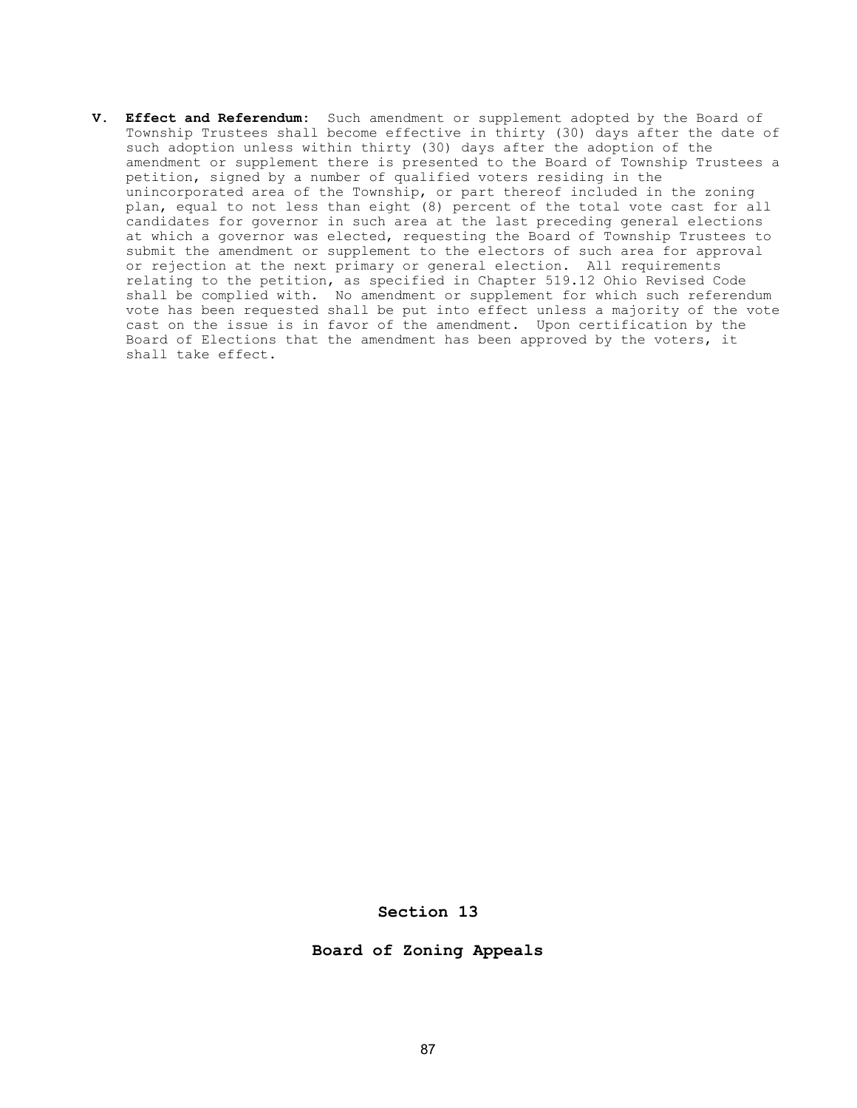V. Effect and Referendum: Such amendment or supplement adopted by the Board of Township Trustees shall become effective in thirty (30) days after the date of such adoption unless within thirty (30) days after the adoption of the amendment or supplement there is presented to the Board of Township Trustees a petition, signed by a number of qualified voters residing in the unincorporated area of the Township, or part thereof included in the zoning plan, equal to not less than eight (8) percent of the total vote cast for all candidates for governor in such area at the last preceding general elections at which a governor was elected, requesting the Board of Township Trustees to submit the amendment or supplement to the electors of such area for approval or rejection at the next primary or general election. All requirements relating to the petition, as specified in Chapter 519.12 Ohio Revised Code shall be complied with. No amendment or supplement for which such referendum vote has been requested shall be put into effect unless a majority of the vote cast on the issue is in favor of the amendment. Upon certification by the Board of Elections that the amendment has been approved by the voters, it shall take effect.

## Section 13

## Board of Zoning Appeals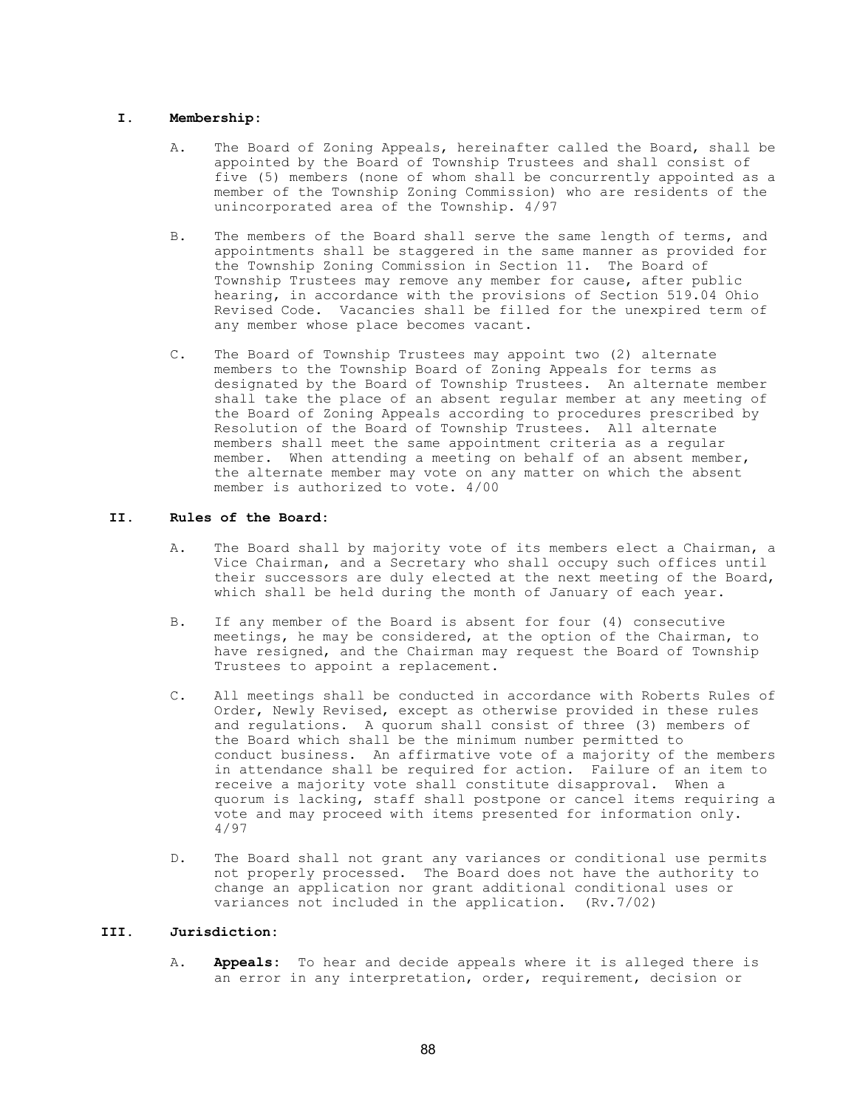#### I. Membership:

- A. The Board of Zoning Appeals, hereinafter called the Board, shall be appointed by the Board of Township Trustees and shall consist of five (5) members (none of whom shall be concurrently appointed as a member of the Township Zoning Commission) who are residents of the unincorporated area of the Township. 4/97
- B. The members of the Board shall serve the same length of terms, and appointments shall be staggered in the same manner as provided for the Township Zoning Commission in Section 11. The Board of Township Trustees may remove any member for cause, after public hearing, in accordance with the provisions of Section 519.04 Ohio Revised Code. Vacancies shall be filled for the unexpired term of any member whose place becomes vacant.
- C. The Board of Township Trustees may appoint two (2) alternate members to the Township Board of Zoning Appeals for terms as designated by the Board of Township Trustees. An alternate member shall take the place of an absent regular member at any meeting of the Board of Zoning Appeals according to procedures prescribed by Resolution of the Board of Township Trustees. All alternate members shall meet the same appointment criteria as a regular member. When attending a meeting on behalf of an absent member, the alternate member may vote on any matter on which the absent member is authorized to vote. 4/00

## II. Rules of the Board:

- A. The Board shall by majority vote of its members elect a Chairman, a Vice Chairman, and a Secretary who shall occupy such offices until their successors are duly elected at the next meeting of the Board, which shall be held during the month of January of each year.
- B. If any member of the Board is absent for four (4) consecutive meetings, he may be considered, at the option of the Chairman, to have resigned, and the Chairman may request the Board of Township Trustees to appoint a replacement.
- C. All meetings shall be conducted in accordance with Roberts Rules of Order, Newly Revised, except as otherwise provided in these rules and regulations. A quorum shall consist of three (3) members of the Board which shall be the minimum number permitted to conduct business. An affirmative vote of a majority of the members in attendance shall be required for action. Failure of an item to receive a majority vote shall constitute disapproval. When a quorum is lacking, staff shall postpone or cancel items requiring a vote and may proceed with items presented for information only. 4/97
- D. The Board shall not grant any variances or conditional use permits not properly processed. The Board does not have the authority to change an application nor grant additional conditional uses or variances not included in the application. (Rv.7/02)

## III. Jurisdiction:

A. **Appeals:** To hear and decide appeals where it is alleged there is an error in any interpretation, order, requirement, decision or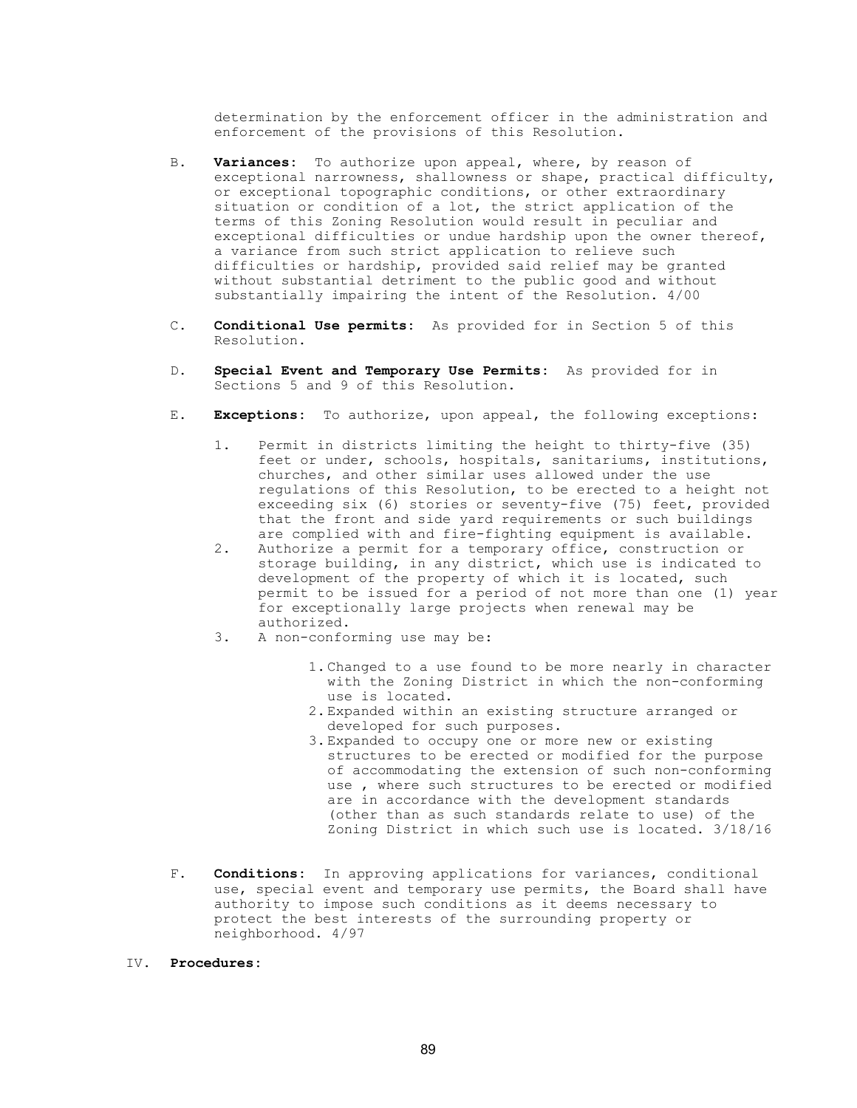determination by the enforcement officer in the administration and enforcement of the provisions of this Resolution.

- B. Variances: To authorize upon appeal, where, by reason of exceptional narrowness, shallowness or shape, practical difficulty, or exceptional topographic conditions, or other extraordinary situation or condition of a lot, the strict application of the terms of this Zoning Resolution would result in peculiar and exceptional difficulties or undue hardship upon the owner thereof, a variance from such strict application to relieve such difficulties or hardship, provided said relief may be granted without substantial detriment to the public good and without substantially impairing the intent of the Resolution. 4/00
- C. Conditional Use permits: As provided for in Section 5 of this Resolution.
- D. Special Event and Temporary Use Permits: As provided for in Sections 5 and 9 of this Resolution.
- E. Exceptions: To authorize, upon appeal, the following exceptions:
	- 1. Permit in districts limiting the height to thirty-five (35) feet or under, schools, hospitals, sanitariums, institutions, churches, and other similar uses allowed under the use regulations of this Resolution, to be erected to a height not exceeding six (6) stories or seventy-five (75) feet, provided that the front and side yard requirements or such buildings
	- are complied with and fire-fighting equipment is available.<br>2. Authorize a permit for a temporary office, construction or Authorize a permit for a temporary office, construction or storage building, in any district, which use is indicated to development of the property of which it is located, such permit to be issued for a period of not more than one (1) year for exceptionally large projects when renewal may be authorized.<br>3. A non-confo
	- A non-conforming use may be:
		- 1. Changed to a use found to be more nearly in character with the Zoning District in which the non-conforming use is located.
		- 2. Expanded within an existing structure arranged or developed for such purposes.
		- 3. Expanded to occupy one or more new or existing structures to be erected or modified for the purpose of accommodating the extension of such non-conforming use , where such structures to be erected or modified are in accordance with the development standards (other than as such standards relate to use) of the Zoning District in which such use is located. 3/18/16
- F. **Conditions:** In approving applications for variances, conditional use, special event and temporary use permits, the Board shall have authority to impose such conditions as it deems necessary to protect the best interests of the surrounding property or neighborhood. 4/97
- IV. Procedures: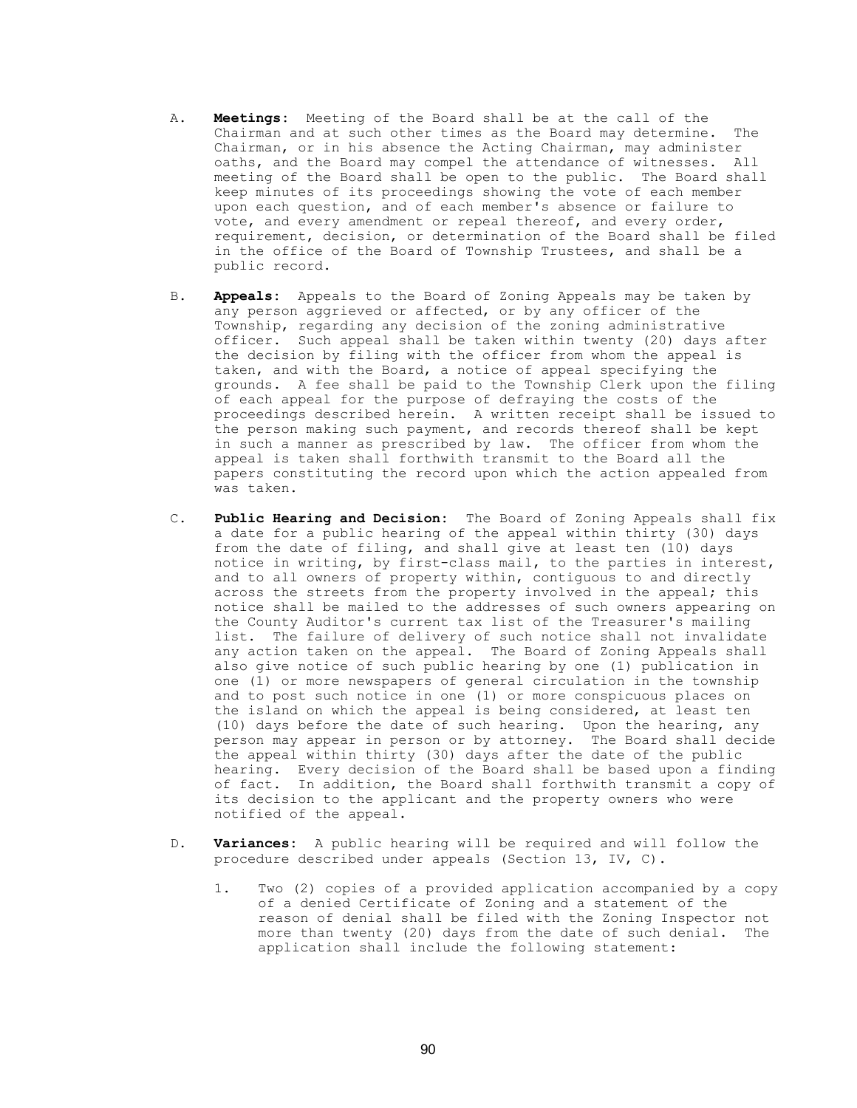- A. Meetings: Meeting of the Board shall be at the call of the Chairman and at such other times as the Board may determine. The Chairman, or in his absence the Acting Chairman, may administer oaths, and the Board may compel the attendance of witnesses. All meeting of the Board shall be open to the public. The Board shall keep minutes of its proceedings showing the vote of each member upon each question, and of each member's absence or failure to vote, and every amendment or repeal thereof, and every order, requirement, decision, or determination of the Board shall be filed in the office of the Board of Township Trustees, and shall be a public record.
- B. Appeals: Appeals to the Board of Zoning Appeals may be taken by any person aggrieved or affected, or by any officer of the Township, regarding any decision of the zoning administrative officer. Such appeal shall be taken within twenty (20) days after the decision by filing with the officer from whom the appeal is taken, and with the Board, a notice of appeal specifying the grounds. A fee shall be paid to the Township Clerk upon the filing of each appeal for the purpose of defraying the costs of the proceedings described herein. A written receipt shall be issued to the person making such payment, and records thereof shall be kept in such a manner as prescribed by law. The officer from whom the appeal is taken shall forthwith transmit to the Board all the papers constituting the record upon which the action appealed from was taken.
- C. Public Hearing and Decision: The Board of Zoning Appeals shall fix a date for a public hearing of the appeal within thirty (30) days from the date of filing, and shall give at least ten (10) days notice in writing, by first-class mail, to the parties in interest, and to all owners of property within, contiguous to and directly across the streets from the property involved in the appeal; this notice shall be mailed to the addresses of such owners appearing on the County Auditor's current tax list of the Treasurer's mailing list. The failure of delivery of such notice shall not invalidate any action taken on the appeal. The Board of Zoning Appeals shall also give notice of such public hearing by one (1) publication in one (1) or more newspapers of general circulation in the township and to post such notice in one (1) or more conspicuous places on the island on which the appeal is being considered, at least ten (10) days before the date of such hearing. Upon the hearing, any person may appear in person or by attorney. The Board shall decide the appeal within thirty (30) days after the date of the public hearing. Every decision of the Board shall be based upon a finding of fact. In addition, the Board shall forthwith transmit a copy of its decision to the applicant and the property owners who were notified of the appeal.
- D. Variances: A public hearing will be required and will follow the procedure described under appeals (Section 13, IV, C).
	- 1. Two (2) copies of a provided application accompanied by a copy of a denied Certificate of Zoning and a statement of the reason of denial shall be filed with the Zoning Inspector not more than twenty (20) days from the date of such denial. The application shall include the following statement: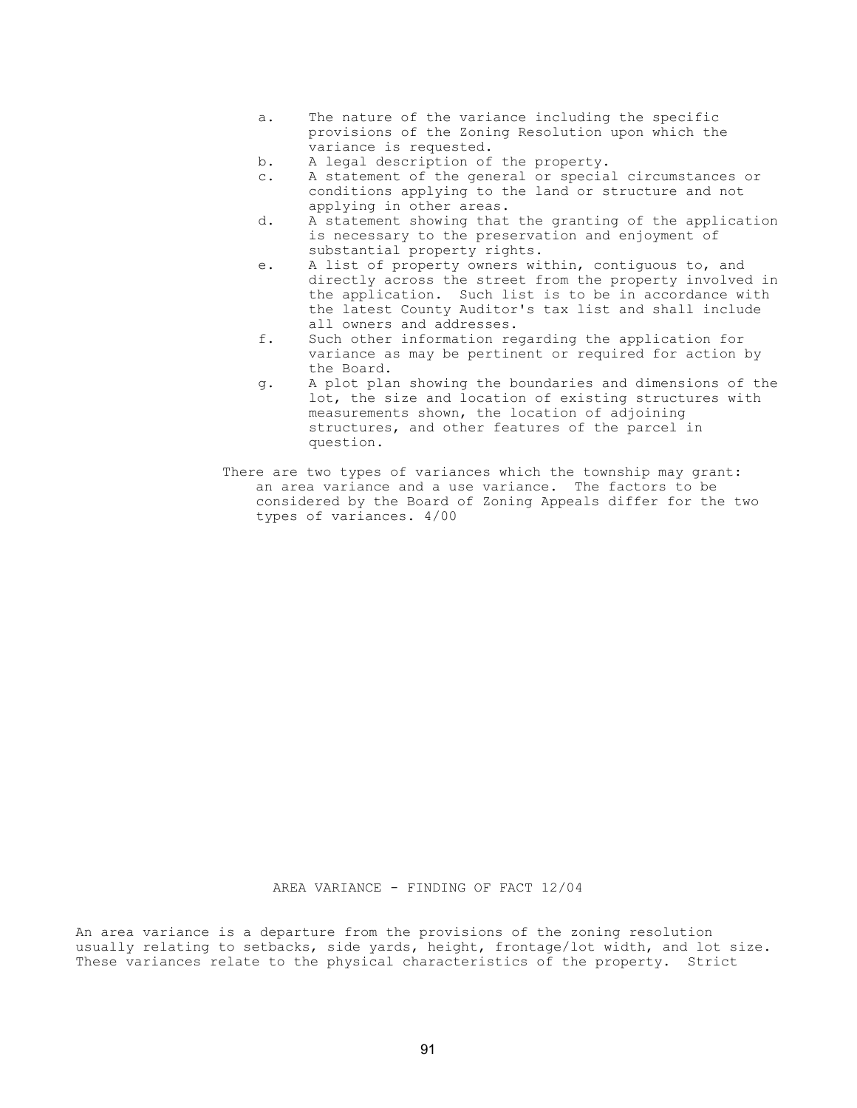- a. The nature of the variance including the specific provisions of the Zoning Resolution upon which the variance is requested.
- b. A legal description of the property.
- c. A statement of the general or special circumstances or conditions applying to the land or structure and not applying in other areas.
- d. A statement showing that the granting of the application is necessary to the preservation and enjoyment of substantial property rights.
- e. A list of property owners within, contiguous to, and directly across the street from the property involved in the application. Such list is to be in accordance with the latest County Auditor's tax list and shall include all owners and addresses.
- f. Such other information regarding the application for variance as may be pertinent or required for action by the Board.
- g. A plot plan showing the boundaries and dimensions of the lot, the size and location of existing structures with measurements shown, the location of adjoining structures, and other features of the parcel in question.
- There are two types of variances which the township may grant: an area variance and a use variance. The factors to be considered by the Board of Zoning Appeals differ for the two types of variances. 4/00

AREA VARIANCE - FINDING OF FACT 12/04

An area variance is a departure from the provisions of the zoning resolution usually relating to setbacks, side yards, height, frontage/lot width, and lot size. These variances relate to the physical characteristics of the property. Strict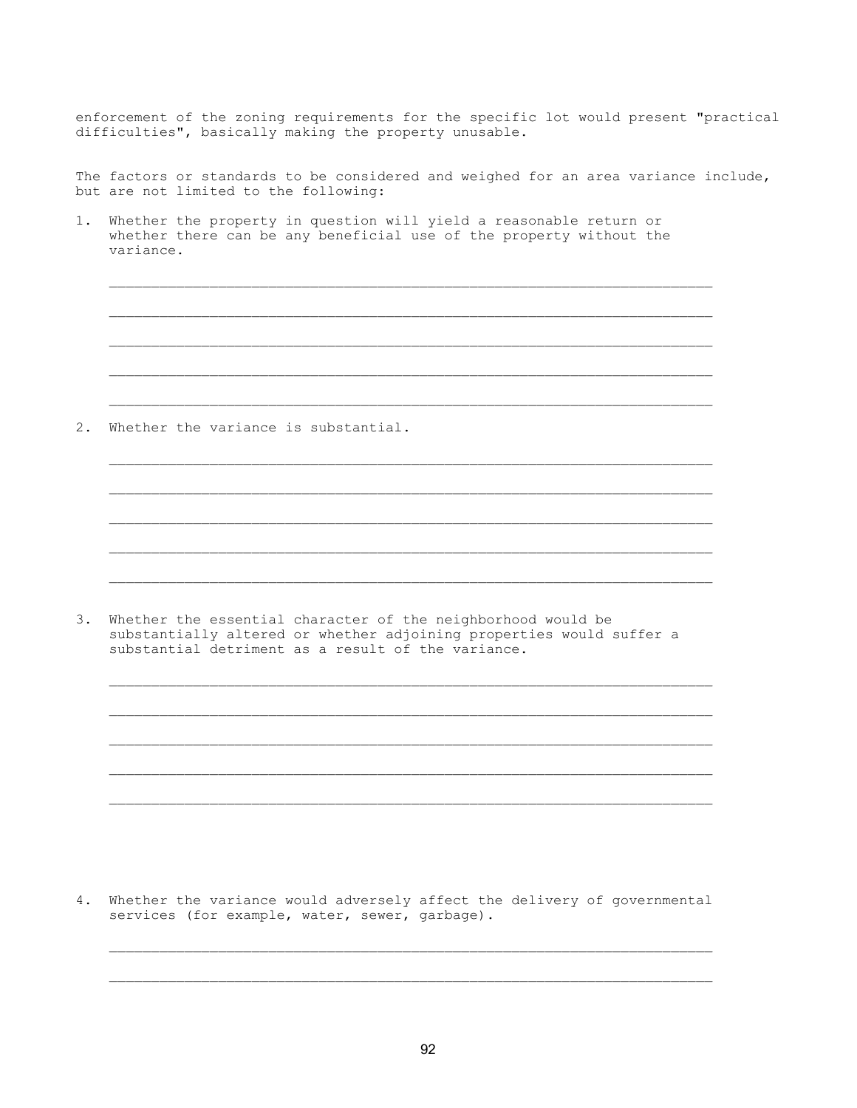enforcement of the zoning requirements for the specific lot would present "practical difficulties", basically making the property unusable.

The factors or standards to be considered and weighed for an area variance include, but are not limited to the following:

1. Whether the property in question will yield a reasonable return or whether there can be any beneficial use of the property without the variance.

 $\overline{\phantom{a}}$  ,  $\overline{\phantom{a}}$  ,  $\overline{\phantom{a}}$  ,  $\overline{\phantom{a}}$  ,  $\overline{\phantom{a}}$  ,  $\overline{\phantom{a}}$  ,  $\overline{\phantom{a}}$  ,  $\overline{\phantom{a}}$  ,  $\overline{\phantom{a}}$  ,  $\overline{\phantom{a}}$  ,  $\overline{\phantom{a}}$  ,  $\overline{\phantom{a}}$  ,  $\overline{\phantom{a}}$  ,  $\overline{\phantom{a}}$  ,  $\overline{\phantom{a}}$  ,  $\overline{\phantom{a}}$ 

 $\overline{\phantom{a}}$  ,  $\overline{\phantom{a}}$  ,  $\overline{\phantom{a}}$  ,  $\overline{\phantom{a}}$  ,  $\overline{\phantom{a}}$  ,  $\overline{\phantom{a}}$  ,  $\overline{\phantom{a}}$  ,  $\overline{\phantom{a}}$  ,  $\overline{\phantom{a}}$  ,  $\overline{\phantom{a}}$  ,  $\overline{\phantom{a}}$  ,  $\overline{\phantom{a}}$  ,  $\overline{\phantom{a}}$  ,  $\overline{\phantom{a}}$  ,  $\overline{\phantom{a}}$  ,  $\overline{\phantom{a}}$ 

 $\mathcal{L}_\text{max}$ 

 $\overline{\phantom{a}}$  ,  $\overline{\phantom{a}}$  ,  $\overline{\phantom{a}}$  ,  $\overline{\phantom{a}}$  ,  $\overline{\phantom{a}}$  ,  $\overline{\phantom{a}}$  ,  $\overline{\phantom{a}}$  ,  $\overline{\phantom{a}}$  ,  $\overline{\phantom{a}}$  ,  $\overline{\phantom{a}}$  ,  $\overline{\phantom{a}}$  ,  $\overline{\phantom{a}}$  ,  $\overline{\phantom{a}}$  ,  $\overline{\phantom{a}}$  ,  $\overline{\phantom{a}}$  ,  $\overline{\phantom{a}}$ 

 $\overline{\phantom{a}}$  ,  $\overline{\phantom{a}}$  ,  $\overline{\phantom{a}}$  ,  $\overline{\phantom{a}}$  ,  $\overline{\phantom{a}}$  ,  $\overline{\phantom{a}}$  ,  $\overline{\phantom{a}}$  ,  $\overline{\phantom{a}}$  ,  $\overline{\phantom{a}}$  ,  $\overline{\phantom{a}}$  ,  $\overline{\phantom{a}}$  ,  $\overline{\phantom{a}}$  ,  $\overline{\phantom{a}}$  ,  $\overline{\phantom{a}}$  ,  $\overline{\phantom{a}}$  ,  $\overline{\phantom{a}}$ 

 $\mathcal{L}_\text{max}$ 

 $\mathcal{L}_\text{max}$ 

 $\overline{\phantom{a}}$  ,  $\overline{\phantom{a}}$  ,  $\overline{\phantom{a}}$  ,  $\overline{\phantom{a}}$  ,  $\overline{\phantom{a}}$  ,  $\overline{\phantom{a}}$  ,  $\overline{\phantom{a}}$  ,  $\overline{\phantom{a}}$  ,  $\overline{\phantom{a}}$  ,  $\overline{\phantom{a}}$  ,  $\overline{\phantom{a}}$  ,  $\overline{\phantom{a}}$  ,  $\overline{\phantom{a}}$  ,  $\overline{\phantom{a}}$  ,  $\overline{\phantom{a}}$  ,  $\overline{\phantom{a}}$ 

 $\overline{\phantom{a}}$  ,  $\overline{\phantom{a}}$  ,  $\overline{\phantom{a}}$  ,  $\overline{\phantom{a}}$  ,  $\overline{\phantom{a}}$  ,  $\overline{\phantom{a}}$  ,  $\overline{\phantom{a}}$  ,  $\overline{\phantom{a}}$  ,  $\overline{\phantom{a}}$  ,  $\overline{\phantom{a}}$  ,  $\overline{\phantom{a}}$  ,  $\overline{\phantom{a}}$  ,  $\overline{\phantom{a}}$  ,  $\overline{\phantom{a}}$  ,  $\overline{\phantom{a}}$  ,  $\overline{\phantom{a}}$ 

 $\mathcal{L}_\text{max}$ 

2. Whether the variance is substantial.

3. Whether the essential character of the neighborhood would be substantially altered or whether adjoining properties would suffer a substantial detriment as a result of the variance.

4. Whether the variance would adversely affect the delivery of governmental services (for example, water, sewer, garbage).

 $\mathcal{L}_\text{max}$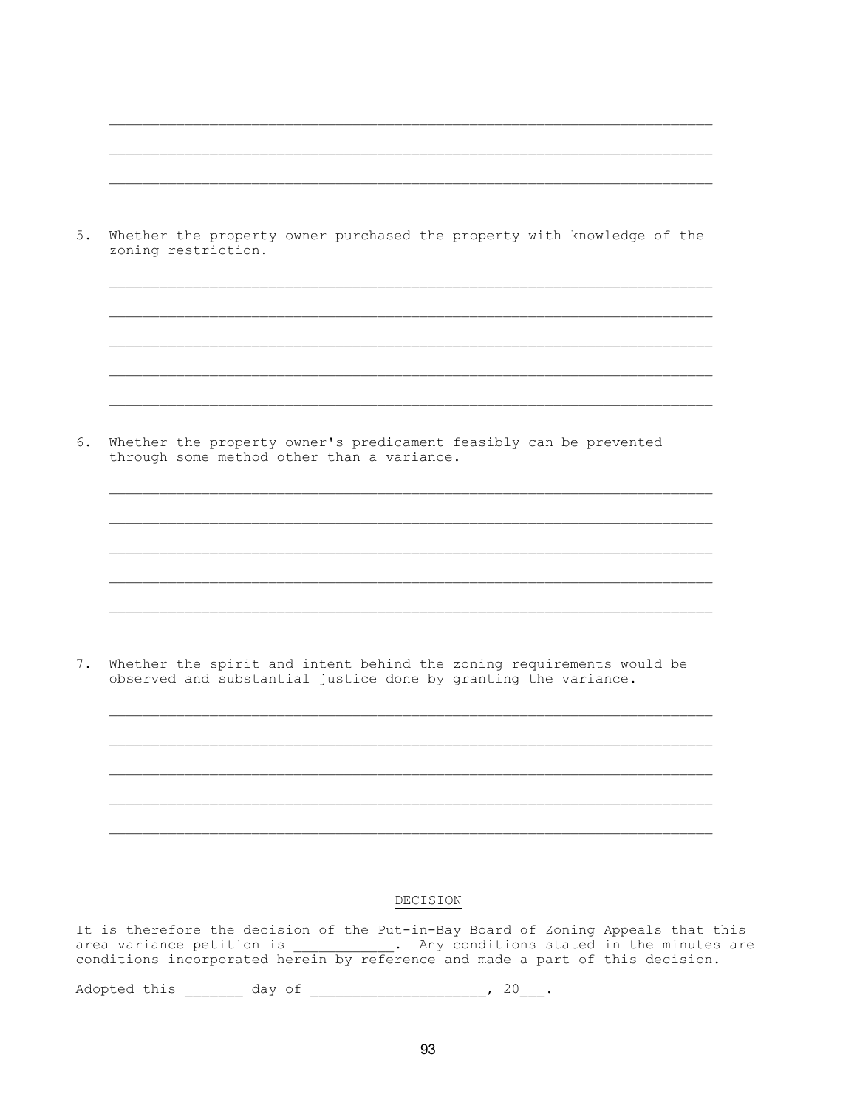| $5.$ | Whether the property owner purchased the property with knowledge of the<br>zoning restriction.                                           |
|------|------------------------------------------------------------------------------------------------------------------------------------------|
|      |                                                                                                                                          |
|      |                                                                                                                                          |
| 6.   | Whether the property owner's predicament feasibly can be prevented<br>through some method other than a variance.                         |
|      |                                                                                                                                          |
|      |                                                                                                                                          |
|      |                                                                                                                                          |
| 7.   | Whether the spirit and intent behind the zoning requirements would be<br>observed and substantial justice done by granting the variance. |
|      |                                                                                                                                          |
|      |                                                                                                                                          |
|      |                                                                                                                                          |
|      |                                                                                                                                          |

## DECISION

It is therefore the decision of the Put-in-Bay Board of Zoning Appeals that this<br>area variance petition is \_\_\_\_\_\_\_\_\_\_\_\_. Any conditions stated in the minutes are<br>conditions incorporated herein by reference and made a part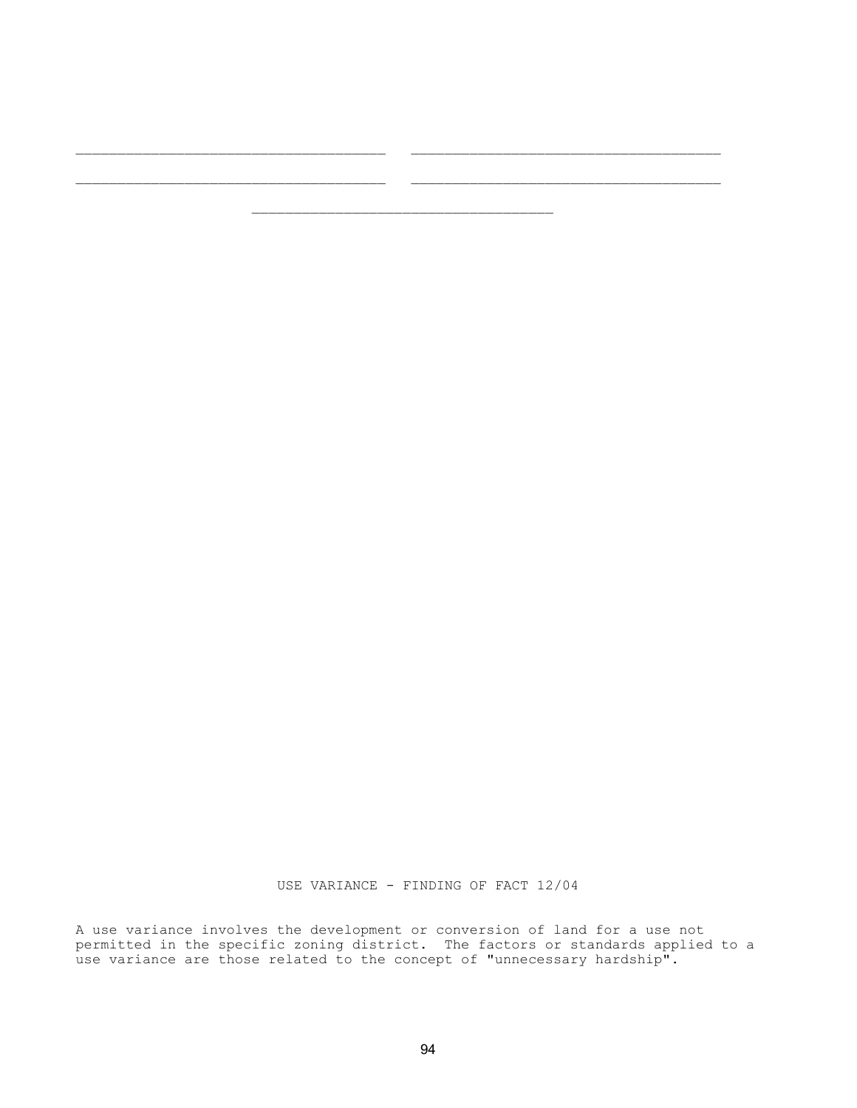USE VARIANCE - FINDING OF FACT 12/04

A use variance involves the development or conversion of land for a use not permitted in the specific zoning district. The factors or standards applied to a use variance are those related to the concept of "unnecessary hardship".

\_\_\_\_\_\_\_\_\_\_\_\_\_\_\_\_\_\_\_\_\_\_\_\_\_\_\_\_\_\_\_\_\_\_\_\_\_ \_\_\_\_\_\_\_\_\_\_\_\_\_\_\_\_\_\_\_\_\_\_\_\_\_\_\_\_\_\_\_\_\_\_\_\_\_

 $\mathcal{L}_\text{max}$ 

 $\mathcal{L}_\text{max}$  and  $\mathcal{L}_\text{max}$  and  $\mathcal{L}_\text{max}$  and  $\mathcal{L}_\text{max}$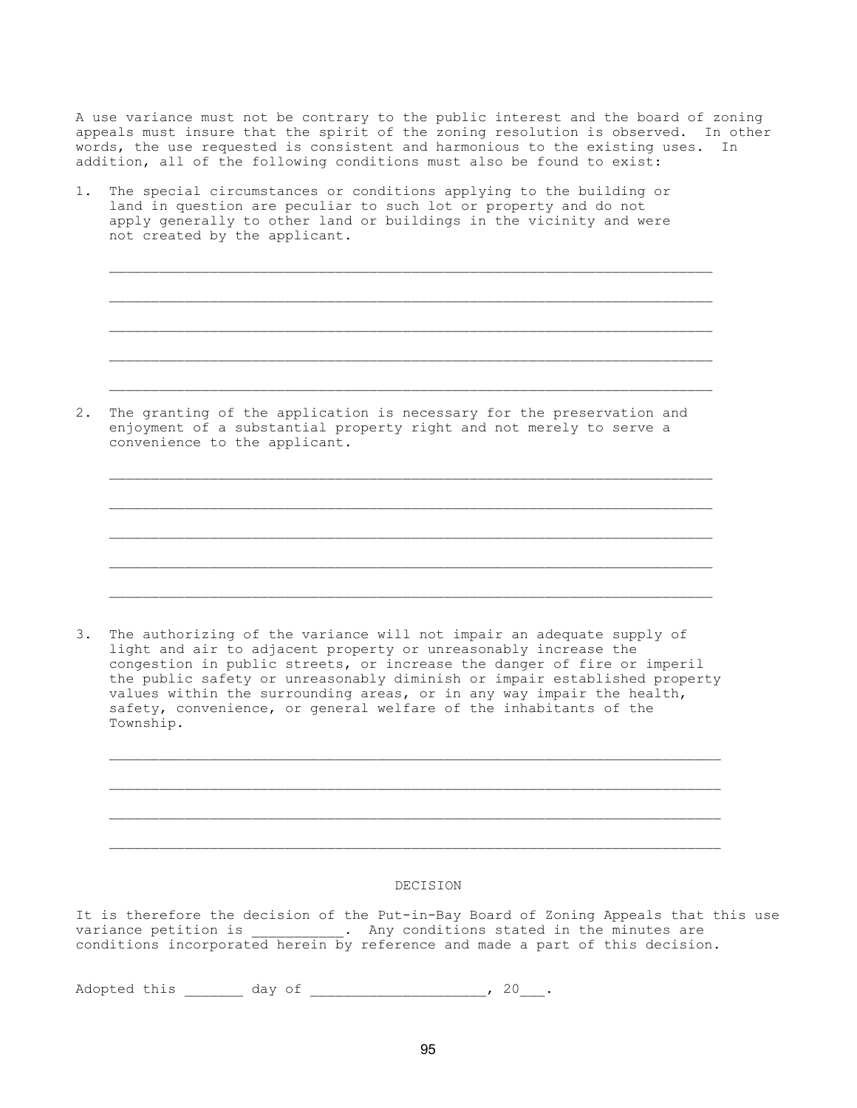A use variance must not be contrary to the public interest and the board of zoning appeals must insure that the spirit of the zoning resolution is observed. In other words, the use requested is consistent and harmonious to the existing uses. In addition, all of the following conditions must also be found to exist:

1. The special circumstances or conditions applying to the building or land in question are peculiar to such lot or property and do not apply generally to other land or buildings in the vicinity and were not created by the applicant.

2. The granting of the application is necessary for the preservation and enjoyment of a substantial property right and not merely to serve a convenience to the applicant.

 $\overline{\phantom{a}}$  ,  $\overline{\phantom{a}}$  ,  $\overline{\phantom{a}}$  ,  $\overline{\phantom{a}}$  ,  $\overline{\phantom{a}}$  ,  $\overline{\phantom{a}}$  ,  $\overline{\phantom{a}}$  ,  $\overline{\phantom{a}}$  ,  $\overline{\phantom{a}}$  ,  $\overline{\phantom{a}}$  ,  $\overline{\phantom{a}}$  ,  $\overline{\phantom{a}}$  ,  $\overline{\phantom{a}}$  ,  $\overline{\phantom{a}}$  ,  $\overline{\phantom{a}}$  ,  $\overline{\phantom{a}}$ 

 $\mathcal{L}_\text{max}$ 

 $\mathcal{L}_\text{max}$ 

 $\overline{\phantom{a}}$  ,  $\overline{\phantom{a}}$  ,  $\overline{\phantom{a}}$  ,  $\overline{\phantom{a}}$  ,  $\overline{\phantom{a}}$  ,  $\overline{\phantom{a}}$  ,  $\overline{\phantom{a}}$  ,  $\overline{\phantom{a}}$  ,  $\overline{\phantom{a}}$  ,  $\overline{\phantom{a}}$  ,  $\overline{\phantom{a}}$  ,  $\overline{\phantom{a}}$  ,  $\overline{\phantom{a}}$  ,  $\overline{\phantom{a}}$  ,  $\overline{\phantom{a}}$  ,  $\overline{\phantom{a}}$ 

 $\overline{\phantom{a}}$  ,  $\overline{\phantom{a}}$  ,  $\overline{\phantom{a}}$  ,  $\overline{\phantom{a}}$  ,  $\overline{\phantom{a}}$  ,  $\overline{\phantom{a}}$  ,  $\overline{\phantom{a}}$  ,  $\overline{\phantom{a}}$  ,  $\overline{\phantom{a}}$  ,  $\overline{\phantom{a}}$  ,  $\overline{\phantom{a}}$  ,  $\overline{\phantom{a}}$  ,  $\overline{\phantom{a}}$  ,  $\overline{\phantom{a}}$  ,  $\overline{\phantom{a}}$  ,  $\overline{\phantom{a}}$ 

 $\mathcal{L}_\text{max}$ 

3. The authorizing of the variance will not impair an adequate supply of light and air to adjacent property or unreasonably increase the congestion in public streets, or increase the danger of fire or imperil the public safety or unreasonably diminish or impair established property values within the surrounding areas, or in any way impair the health, safety, convenience, or general welfare of the inhabitants of the Township.

 $\mathcal{L}_\text{max}$ 

DECISION

It is therefore the decision of the Put-in-Bay Board of Zoning Appeals that this use variance petition is  $\qquad \qquad$  . Any conditions stated in the minutes are conditions incorporated herein by reference and made a part of this decision.

Adopted this \_\_\_\_\_\_\_\_ day of \_\_\_\_\_\_\_\_\_\_\_\_\_\_\_\_\_\_\_\_\_\_\_, 20\_\_\_.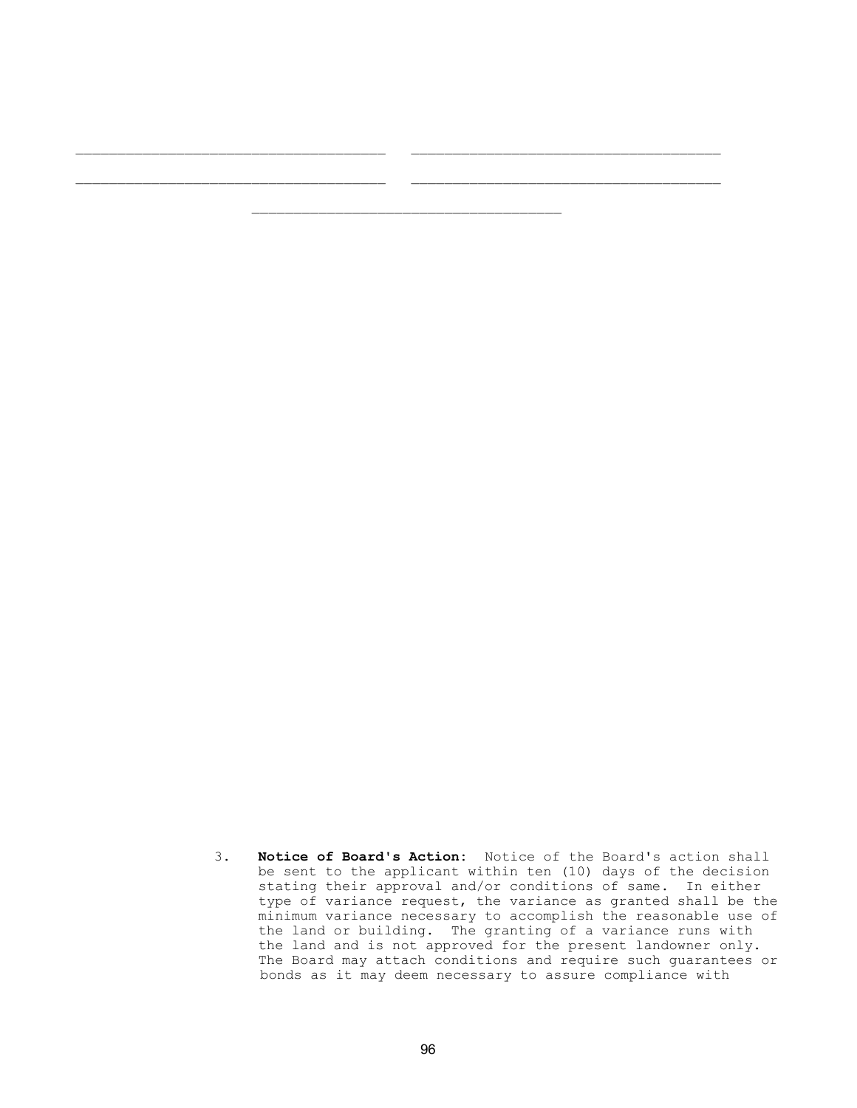3. Notice of Board's Action: Notice of the Board's action shall be sent to the applicant within ten (10) days of the decision stating their approval and/or conditions of same. In either type of variance request, the variance as granted shall be the minimum variance necessary to accomplish the reasonable use of the land or building. The granting of a variance runs with the land and is not approved for the present landowner only. The Board may attach conditions and require such guarantees or bonds as it may deem necessary to assure compliance with

\_\_\_\_\_\_\_\_\_\_\_\_\_\_\_\_\_\_\_\_\_\_\_\_\_\_\_\_\_\_\_\_\_\_\_\_\_ \_\_\_\_\_\_\_\_\_\_\_\_\_\_\_\_\_\_\_\_\_\_\_\_\_\_\_\_\_\_\_\_\_\_\_\_\_

 $\mathcal{L}_\text{max}$ 

 $\mathcal{L}_\text{max}$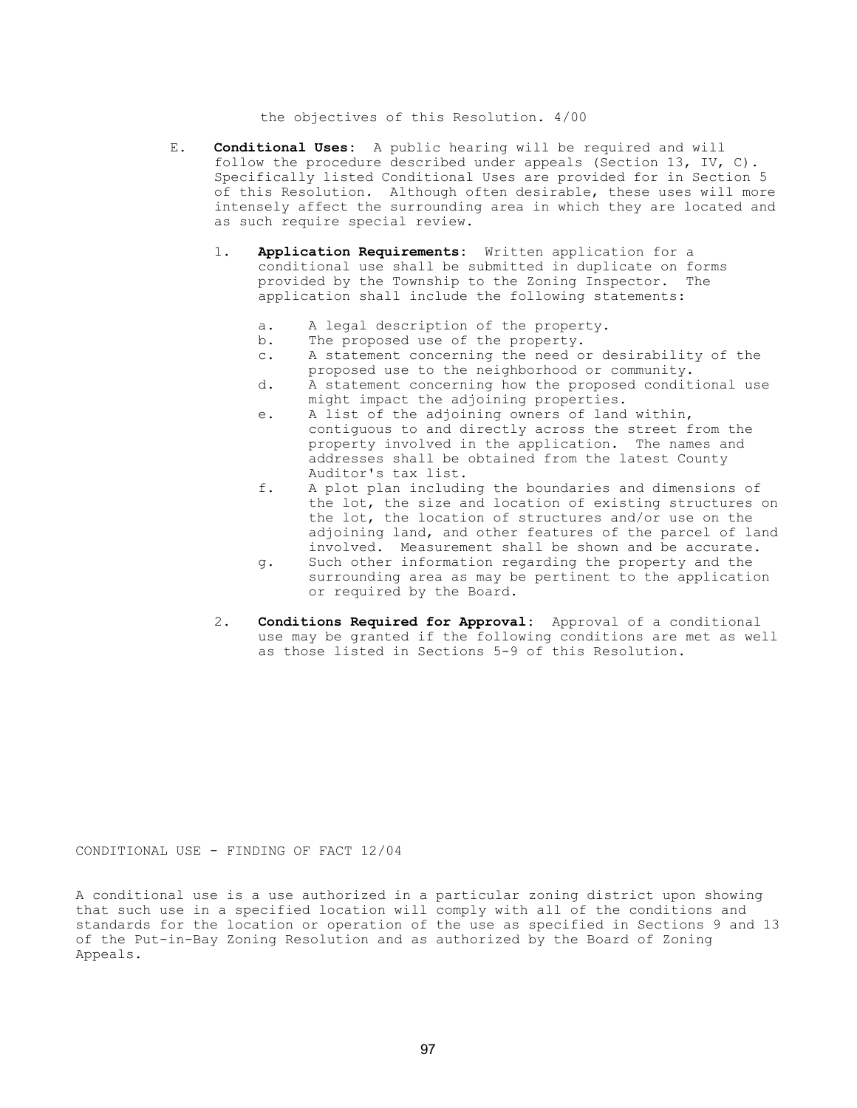the objectives of this Resolution. 4/00

- E. Conditional Uses: A public hearing will be required and will follow the procedure described under appeals (Section 13, IV, C). Specifically listed Conditional Uses are provided for in Section 5 of this Resolution. Although often desirable, these uses will more intensely affect the surrounding area in which they are located and as such require special review.
	- 1. Application Requirements: Written application for a conditional use shall be submitted in duplicate on forms provided by the Township to the Zoning Inspector. The application shall include the following statements:
		- a. A legal description of the property.
		- b. The proposed use of the property.
		- c. A statement concerning the need or desirability of the
		- proposed use to the neighborhood or community.<br>d. A statement concerning how the proposed condit A statement concerning how the proposed conditional use might impact the adjoining properties.
		- e. A list of the adjoining owners of land within, contiguous to and directly across the street from the property involved in the application. The names and addresses shall be obtained from the latest County Auditor's tax list.
		- f. A plot plan including the boundaries and dimensions of the lot, the size and location of existing structures on the lot, the location of structures and/or use on the adjoining land, and other features of the parcel of land involved. Measurement shall be shown and be accurate.
		- g. Such other information regarding the property and the surrounding area as may be pertinent to the application or required by the Board.
	- 2. Conditions Required for Approval: Approval of a conditional use may be granted if the following conditions are met as well as those listed in Sections 5-9 of this Resolution.

CONDITIONAL USE - FINDING OF FACT 12/04

A conditional use is a use authorized in a particular zoning district upon showing that such use in a specified location will comply with all of the conditions and standards for the location or operation of the use as specified in Sections 9 and 13 of the Put-in-Bay Zoning Resolution and as authorized by the Board of Zoning Appeals.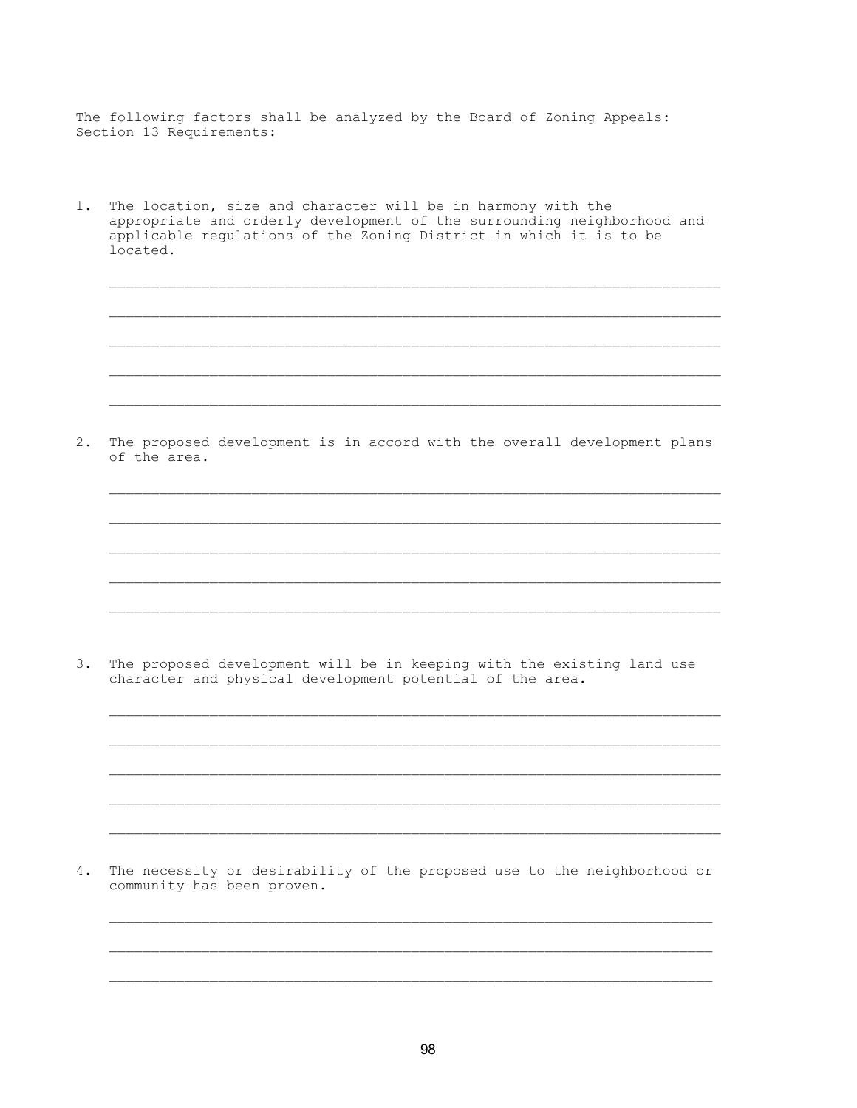The following factors shall be analyzed by the Board of Zoning Appeals: Section 13 Requirements:

1. The location, size and character will be in harmony with the appropriate and orderly development of the surrounding neighborhood and applicable regulations of the Zoning District in which it is to be located.

2. The proposed development is in accord with the overall development plans of the area.

3. The proposed development will be in keeping with the existing land use character and physical development potential of the area.

 $4.$ The necessity or desirability of the proposed use to the neighborhood or community has been proven.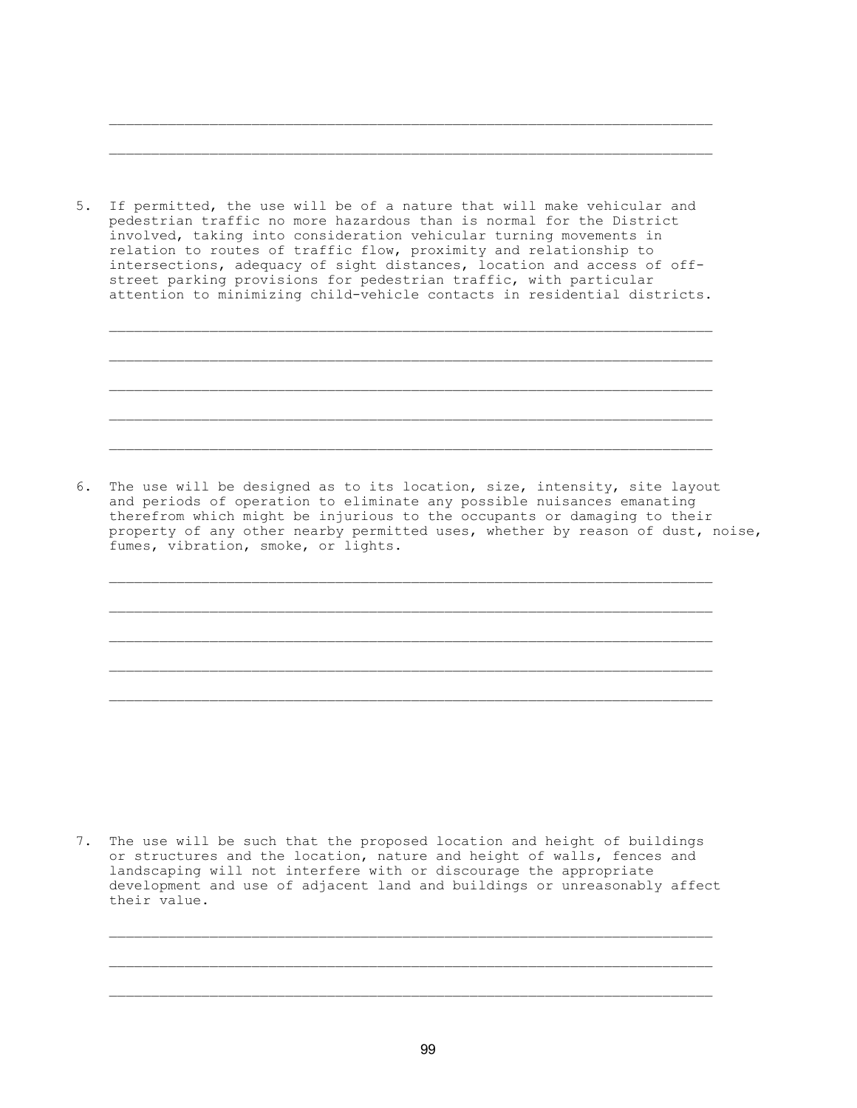5. If permitted, the use will be of a nature that will make vehicular and pedestrian traffic no more hazardous than is normal for the District involved, taking into consideration vehicular turning movements in relation to routes of traffic flow, proximity and relationship to intersections, adequacy of sight distances, location and access of off street parking provisions for pedestrian traffic, with particular attention to minimizing child-vehicle contacts in residential districts.

 $\overline{\phantom{a}}$  ,  $\overline{\phantom{a}}$  ,  $\overline{\phantom{a}}$  ,  $\overline{\phantom{a}}$  ,  $\overline{\phantom{a}}$  ,  $\overline{\phantom{a}}$  ,  $\overline{\phantom{a}}$  ,  $\overline{\phantom{a}}$  ,  $\overline{\phantom{a}}$  ,  $\overline{\phantom{a}}$  ,  $\overline{\phantom{a}}$  ,  $\overline{\phantom{a}}$  ,  $\overline{\phantom{a}}$  ,  $\overline{\phantom{a}}$  ,  $\overline{\phantom{a}}$  ,  $\overline{\phantom{a}}$ 

 $\mathcal{L}_\text{max}$ 

 $\mathcal{L}_\text{max}$ 

 $\overline{\phantom{a}}$  ,  $\overline{\phantom{a}}$  ,  $\overline{\phantom{a}}$  ,  $\overline{\phantom{a}}$  ,  $\overline{\phantom{a}}$  ,  $\overline{\phantom{a}}$  ,  $\overline{\phantom{a}}$  ,  $\overline{\phantom{a}}$  ,  $\overline{\phantom{a}}$  ,  $\overline{\phantom{a}}$  ,  $\overline{\phantom{a}}$  ,  $\overline{\phantom{a}}$  ,  $\overline{\phantom{a}}$  ,  $\overline{\phantom{a}}$  ,  $\overline{\phantom{a}}$  ,  $\overline{\phantom{a}}$ 

 $\overline{\phantom{a}}$  ,  $\overline{\phantom{a}}$  ,  $\overline{\phantom{a}}$  ,  $\overline{\phantom{a}}$  ,  $\overline{\phantom{a}}$  ,  $\overline{\phantom{a}}$  ,  $\overline{\phantom{a}}$  ,  $\overline{\phantom{a}}$  ,  $\overline{\phantom{a}}$  ,  $\overline{\phantom{a}}$  ,  $\overline{\phantom{a}}$  ,  $\overline{\phantom{a}}$  ,  $\overline{\phantom{a}}$  ,  $\overline{\phantom{a}}$  ,  $\overline{\phantom{a}}$  ,  $\overline{\phantom{a}}$ 

6. The use will be designed as to its location, size, intensity, site layout and periods of operation to eliminate any possible nuisances emanating therefrom which might be injurious to the occupants or damaging to their property of any other nearby permitted uses, whether by reason of dust, noise, fumes, vibration, smoke, or lights.

 $\mathcal{L}_\text{max}$ 

 $\overline{\phantom{a}}$  ,  $\overline{\phantom{a}}$  ,  $\overline{\phantom{a}}$  ,  $\overline{\phantom{a}}$  ,  $\overline{\phantom{a}}$  ,  $\overline{\phantom{a}}$  ,  $\overline{\phantom{a}}$  ,  $\overline{\phantom{a}}$  ,  $\overline{\phantom{a}}$  ,  $\overline{\phantom{a}}$  ,  $\overline{\phantom{a}}$  ,  $\overline{\phantom{a}}$  ,  $\overline{\phantom{a}}$  ,  $\overline{\phantom{a}}$  ,  $\overline{\phantom{a}}$  ,  $\overline{\phantom{a}}$ 

7. The use will be such that the proposed location and height of buildings or structures and the location, nature and height of walls, fences and landscaping will not interfere with or discourage the appropriate development and use of adjacent land and buildings or unreasonably affect their value.

 $\mathcal{L}_\text{max}$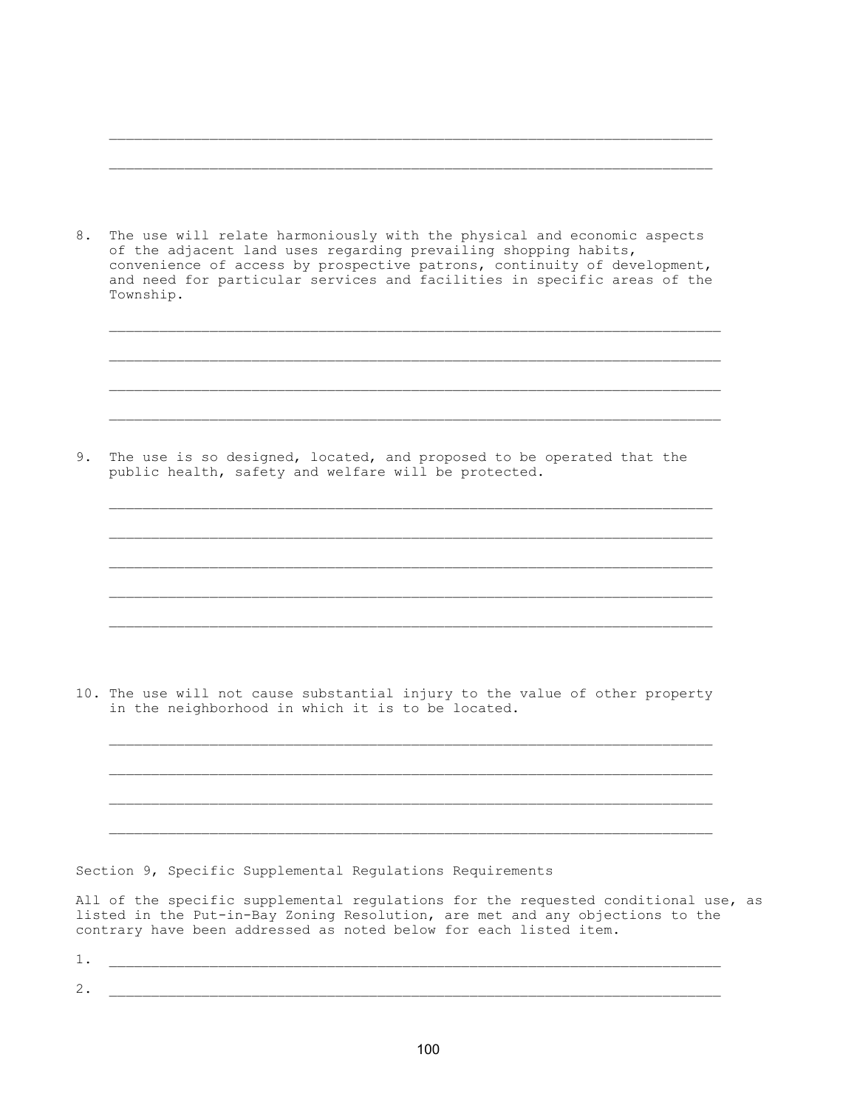| 8. | The use will relate harmoniously with the physical and economic aspects<br>of the adjacent land uses regarding prevailing shopping habits,<br>convenience of access by prospective patrons, continuity of development,<br>and need for particular services and facilities in specific areas of the<br>Township. |
|----|-----------------------------------------------------------------------------------------------------------------------------------------------------------------------------------------------------------------------------------------------------------------------------------------------------------------|
|    |                                                                                                                                                                                                                                                                                                                 |
| 9. | The use is so designed, located, and proposed to be operated that the<br>public health, safety and welfare will be protected.                                                                                                                                                                                   |
|    |                                                                                                                                                                                                                                                                                                                 |
|    |                                                                                                                                                                                                                                                                                                                 |
|    | 10. The use will not cause substantial injury to the value of other property<br>in the neighborhood in which it is to be located.                                                                                                                                                                               |
|    |                                                                                                                                                                                                                                                                                                                 |
|    | Section 9, Specific Supplemental Regulations Requirements                                                                                                                                                                                                                                                       |
|    | All of the specific supplemental regulations for the requested conditional use, as<br>listed in the Put-in-Bay Zoning Resolution, are met and any objections to the<br>contrary have been addressed as noted below for each listed item.                                                                        |
| 1. |                                                                                                                                                                                                                                                                                                                 |

 $\overline{\phantom{a}}$  ,  $\overline{\phantom{a}}$  ,  $\overline{\phantom{a}}$  ,  $\overline{\phantom{a}}$  ,  $\overline{\phantom{a}}$  ,  $\overline{\phantom{a}}$  ,  $\overline{\phantom{a}}$  ,  $\overline{\phantom{a}}$  ,  $\overline{\phantom{a}}$  ,  $\overline{\phantom{a}}$  ,  $\overline{\phantom{a}}$  ,  $\overline{\phantom{a}}$  ,  $\overline{\phantom{a}}$  ,  $\overline{\phantom{a}}$  ,  $\overline{\phantom{a}}$  ,  $\overline{\phantom{a}}$ 

 $\overline{\phantom{a}}$  ,  $\overline{\phantom{a}}$  ,  $\overline{\phantom{a}}$  ,  $\overline{\phantom{a}}$  ,  $\overline{\phantom{a}}$  ,  $\overline{\phantom{a}}$  ,  $\overline{\phantom{a}}$  ,  $\overline{\phantom{a}}$  ,  $\overline{\phantom{a}}$  ,  $\overline{\phantom{a}}$  ,  $\overline{\phantom{a}}$  ,  $\overline{\phantom{a}}$  ,  $\overline{\phantom{a}}$  ,  $\overline{\phantom{a}}$  ,  $\overline{\phantom{a}}$  ,  $\overline{\phantom{a}}$ 

2. \_\_\_\_\_\_\_\_\_\_\_\_\_\_\_\_\_\_\_\_\_\_\_\_\_\_\_\_\_\_\_\_\_\_\_\_\_\_\_\_\_\_\_\_\_\_\_\_\_\_\_\_\_\_\_\_\_\_\_\_\_\_\_\_\_\_\_\_\_\_\_\_\_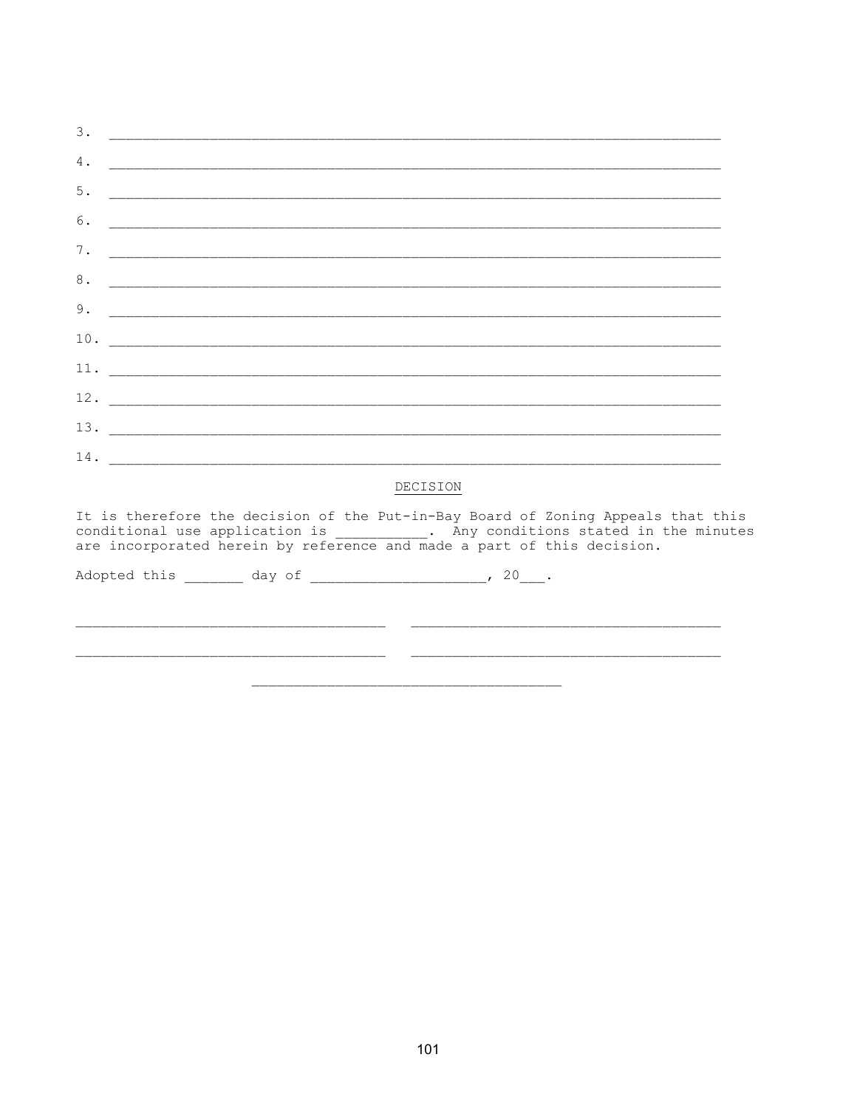| 3. |                                                                                                                                                                                                                                                |  |
|----|------------------------------------------------------------------------------------------------------------------------------------------------------------------------------------------------------------------------------------------------|--|
| 4. |                                                                                                                                                                                                                                                |  |
| 5. |                                                                                                                                                                                                                                                |  |
| 6. |                                                                                                                                                                                                                                                |  |
| 7. |                                                                                                                                                                                                                                                |  |
| 8. |                                                                                                                                                                                                                                                |  |
| 9. |                                                                                                                                                                                                                                                |  |
|    |                                                                                                                                                                                                                                                |  |
|    |                                                                                                                                                                                                                                                |  |
|    |                                                                                                                                                                                                                                                |  |
|    |                                                                                                                                                                                                                                                |  |
|    |                                                                                                                                                                                                                                                |  |
|    | DECISION                                                                                                                                                                                                                                       |  |
|    | It is therefore the decision of the Put-in-Bay Board of Zoning Appeals that this<br>conditional use application is ___________. Any conditions stated in the minutes<br>are incorporated herein by reference and made a part of this decision. |  |
|    | Adopted this ________ day of ______________________, 20___.                                                                                                                                                                                    |  |
|    |                                                                                                                                                                                                                                                |  |
|    |                                                                                                                                                                                                                                                |  |
|    |                                                                                                                                                                                                                                                |  |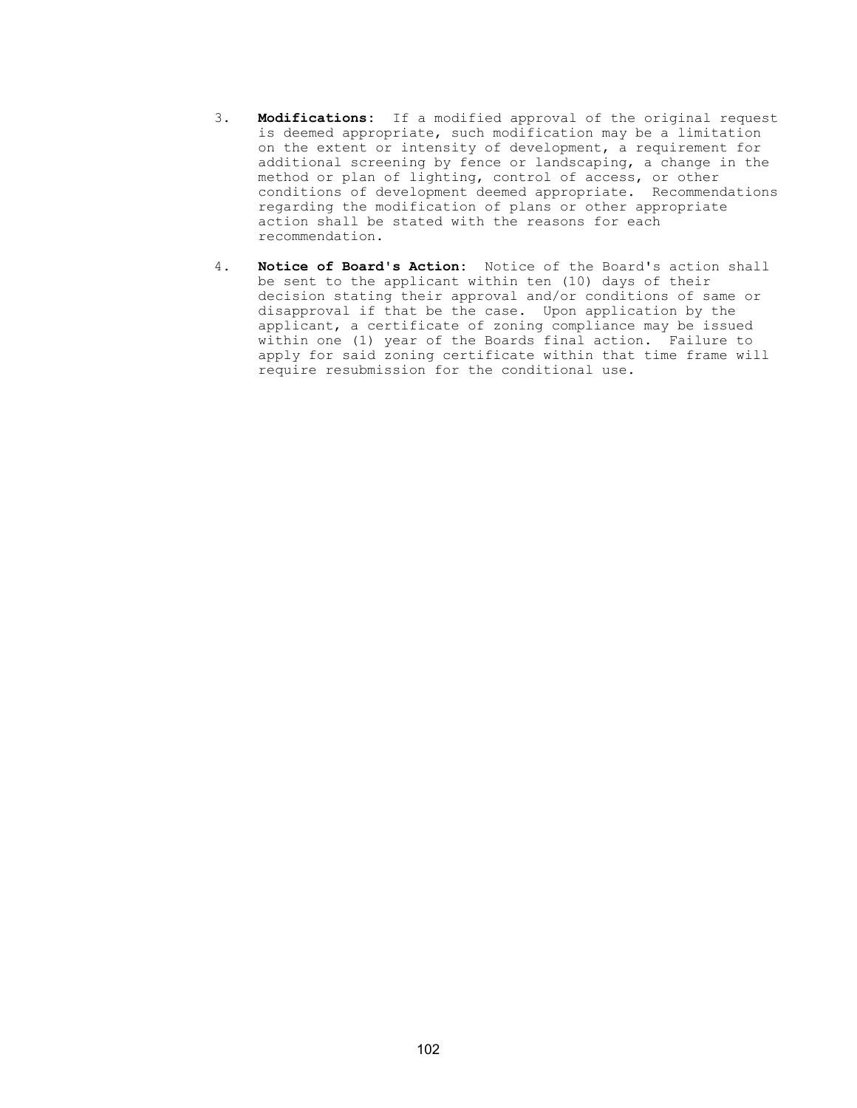- 3. Modifications: If a modified approval of the original request is deemed appropriate, such modification may be a limitation on the extent or intensity of development, a requirement for additional screening by fence or landscaping, a change in the method or plan of lighting, control of access, or other conditions of development deemed appropriate. Recommendations regarding the modification of plans or other appropriate action shall be stated with the reasons for each recommendation.
- 4. Notice of Board's Action: Notice of the Board's action shall be sent to the applicant within ten (10) days of their decision stating their approval and/or conditions of same or disapproval if that be the case. Upon application by the applicant, a certificate of zoning compliance may be issued within one (1) year of the Boards final action. Failure to apply for said zoning certificate within that time frame will require resubmission for the conditional use.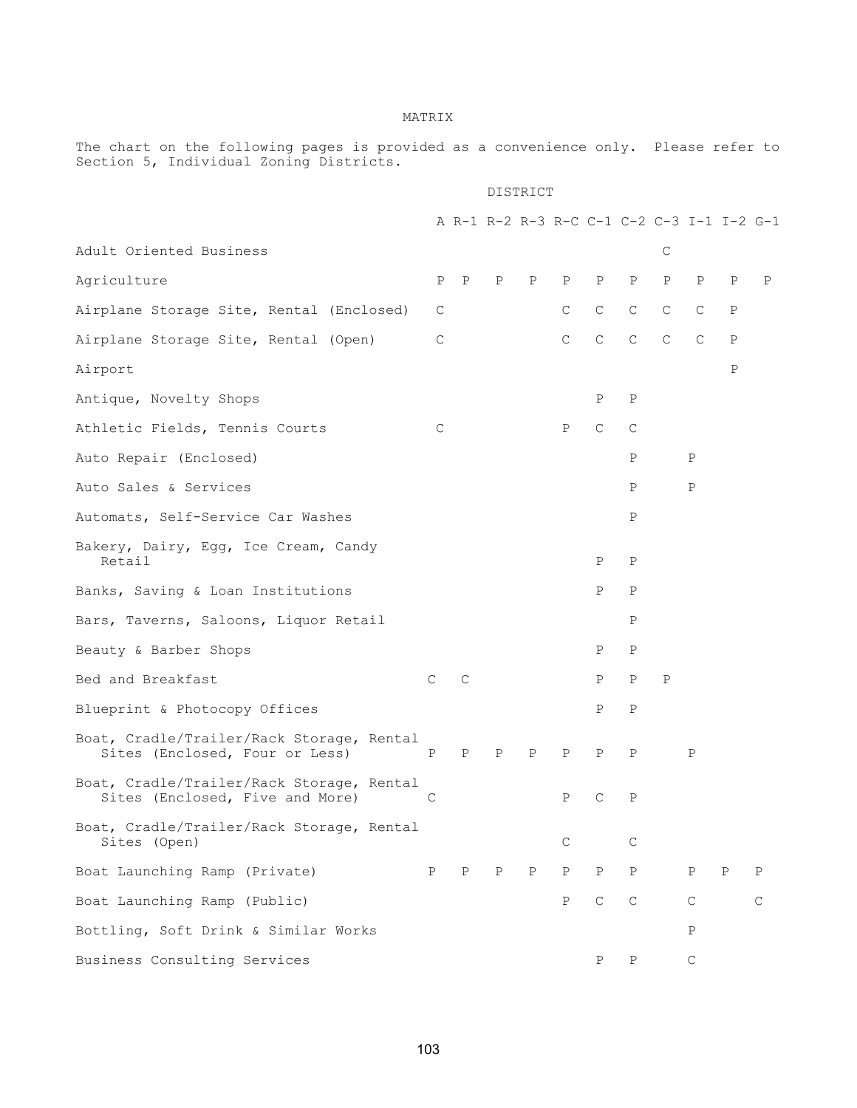## MATRIX

The chart on the following pages is provided as a convenience only. Please refer to Section 5, Individual Zoning Districts.

## DISTRICT

|                                                                              |              |              |   |              |              |              |              |              |              |             | A R-1 R-2 R-3 R-C C-1 C-2 C-3 I-1 I-2 G-1 |
|------------------------------------------------------------------------------|--------------|--------------|---|--------------|--------------|--------------|--------------|--------------|--------------|-------------|-------------------------------------------|
| Adult Oriented Business                                                      |              |              |   |              |              |              |              | C            |              |             |                                           |
| Agriculture                                                                  | $\mathbf{P}$ | $\mathbf{P}$ | Ρ | Ρ            | $\mathbf P$  | Ρ            | Ρ            | $\, {\bf P}$ | Ρ            | Ρ           | Ρ                                         |
| Airplane Storage Site, Rental (Enclosed)                                     | C            |              |   |              | $\mathsf{C}$ | $\mathsf C$  | $\mathsf{C}$ | $\mathsf{C}$ | C            | Ρ           |                                           |
| Airplane Storage Site, Rental (Open)                                         | C            |              |   |              | $\mathsf{C}$ | $\mathsf C$  | $\mathsf{C}$ | $\mathsf{C}$ | $\mathsf{C}$ | $\mathbf P$ |                                           |
| Airport                                                                      |              |              |   |              |              |              |              |              |              | $\mathbf P$ |                                           |
| Antique, Novelty Shops                                                       |              |              |   |              |              | Ρ            | Ρ            |              |              |             |                                           |
| Athletic Fields, Tennis Courts                                               | C            |              |   |              | Ρ            | C            | C            |              |              |             |                                           |
| Auto Repair (Enclosed)                                                       |              |              |   |              |              |              | $\mathbf P$  |              | $\mathbf P$  |             |                                           |
| Auto Sales & Services                                                        |              |              |   |              |              |              | Ρ            |              | $\mathbf P$  |             |                                           |
| Automats, Self-Service Car Washes                                            |              |              |   |              |              |              | Ρ            |              |              |             |                                           |
| Bakery, Dairy, Egg, Ice Cream, Candy<br>Retail                               |              |              |   |              |              | Ρ            | P            |              |              |             |                                           |
| Banks, Saving & Loan Institutions                                            |              |              |   |              |              | Ρ            | P            |              |              |             |                                           |
| Bars, Taverns, Saloons, Liquor Retail                                        |              |              |   |              |              |              | Ρ            |              |              |             |                                           |
| Beauty & Barber Shops                                                        |              |              |   |              |              | Ρ            | Ρ            |              |              |             |                                           |
| Bed and Breakfast                                                            | $\mathsf{C}$ | $\mathsf{C}$ |   |              |              | Ρ            | P            | Ρ            |              |             |                                           |
| Blueprint & Photocopy Offices                                                |              |              |   |              |              | Ρ            | $\, {\bf P}$ |              |              |             |                                           |
| Boat, Cradle/Trailer/Rack Storage, Rental<br>Sites (Enclosed, Four or Less)  | $_{\rm P}$   | P            | Ρ | $\mathbf P$  | Ρ            | P            | P            |              | P            |             |                                           |
| Boat, Cradle/Trailer/Rack Storage, Rental<br>Sites (Enclosed, Five and More) | С            |              |   |              | $\, {\bf P}$ | $\mathsf{C}$ | $\mathbf P$  |              |              |             |                                           |
| Boat, Cradle/Trailer/Rack Storage, Rental<br>Sites (Open)                    |              |              |   |              | C            |              | C            |              |              |             |                                           |
| Boat Launching Ramp (Private)                                                | P            | Ρ            | Ρ | $\, {\bf P}$ | Ρ            | $\, {\bf P}$ | $\, {\bf P}$ |              | Ρ            | $\mathbf P$ | Ρ                                         |
| Boat Launching Ramp (Public)                                                 |              |              |   |              | P            | $\mathsf C$  | $\mathsf C$  |              | $\mathsf C$  |             | $\mathsf{C}$                              |
| Bottling, Soft Drink & Similar Works                                         |              |              |   |              |              |              |              |              | $\, {\bf P}$ |             |                                           |
| Business Consulting Services                                                 |              |              |   |              |              | Ρ            | Ρ            |              | C            |             |                                           |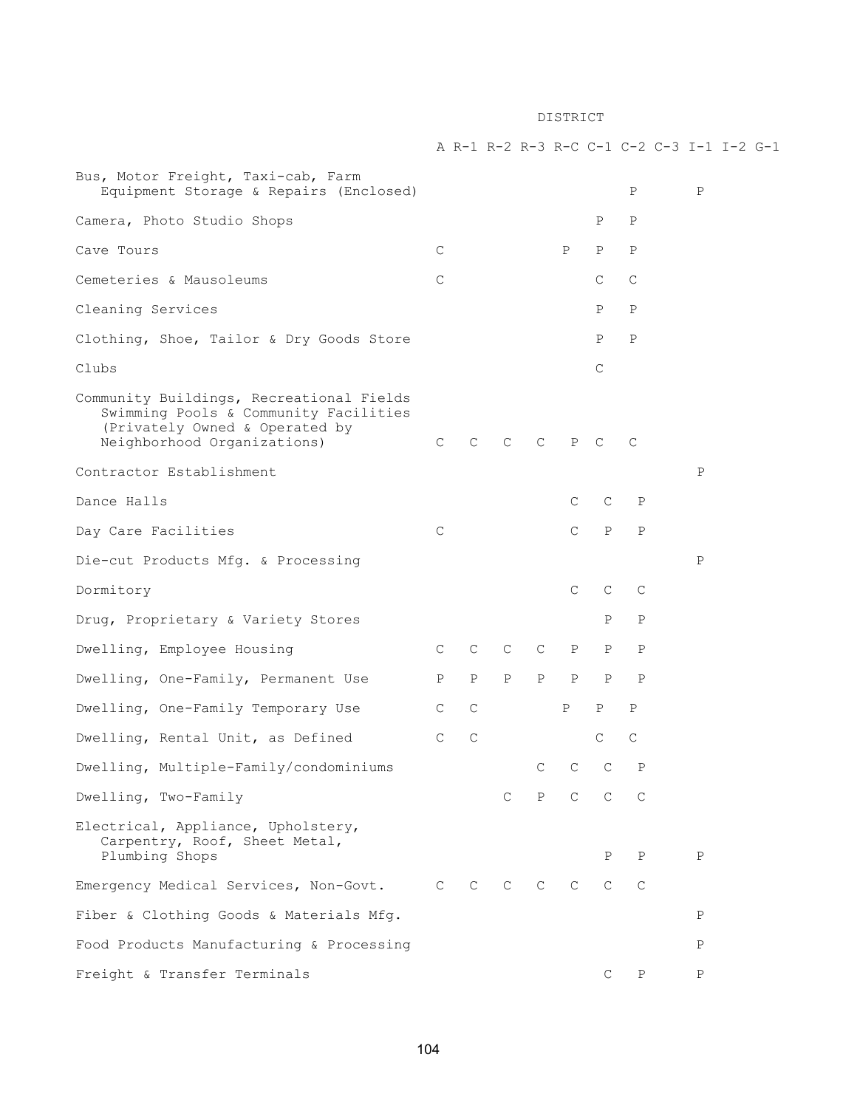# Bus, Motor Freight, Taxi-cab, Farm Equipment Storage & Repairs (Enclosed) P P Camera, Photo Studio Shops P P P Cave Tours C P P P Cemeteries & Mausoleums C C C

Cleaning Services P P

Clothing, Shoe, Tailor & Dry Goods Store P P P Clubs Changes and Changes and Changes and Changes and Changes and Changes and Changes and Changes and Changes and Changes and Changes and Changes and Changes and Changes and Changes and Changes and Changes and Changes and

Community Buildings, Recreational Fields Swimming Pools & Community Facilities (Privately Owned & Operated by Neighborhood Organizations) C C C C P C C

Day Care Facilities Care Communications Care P P

Contractor Establishment **P** 

Dance Halls Care Contract Care Present Care Care Present Care Present Care Present Care Present Care Present Care Present Care Present Care Present Care Present Care Present Care Present Care Present Care Present Care Pres

Die-cut Products Mfg. & Processing Physics and Physics and Physics and Physics and Physics and Physics and Physics and Physics and Physics and Physics and Physics and Physics and Physics and Physics and Physics and Physics

Dormitory C C C C C

Drug, Proprietary & Variety Stores The P P P P Dwelling, Employee Housing The C C C C P P P P Dwelling, One-Family, Permanent Use P P P P P P P

Dwelling, One-Family Temporary Use C C P P P Dwelling, Rental Unit, as Defined C C C C C C C C Dwelling, Multiple-Family/condominiums C C C P

Dwelling, Two-Family C P C C C Electrical, Appliance, Upholstery, Carpentry, Roof, Sheet Metal, Plumbing Shops P P P Emergency Medical Services, Non-Govt. C C C C C C C

Fiber & Clothing Goods & Materials Mfg. P Food Products Manufacturing & Processing Products Analysis and Products Analysis and Products Products Analysis

Freight & Transfer Terminals C P P

A R-1 R-2 R-3 R-C C-1 C-2 C-3 I-1 I-2 G-1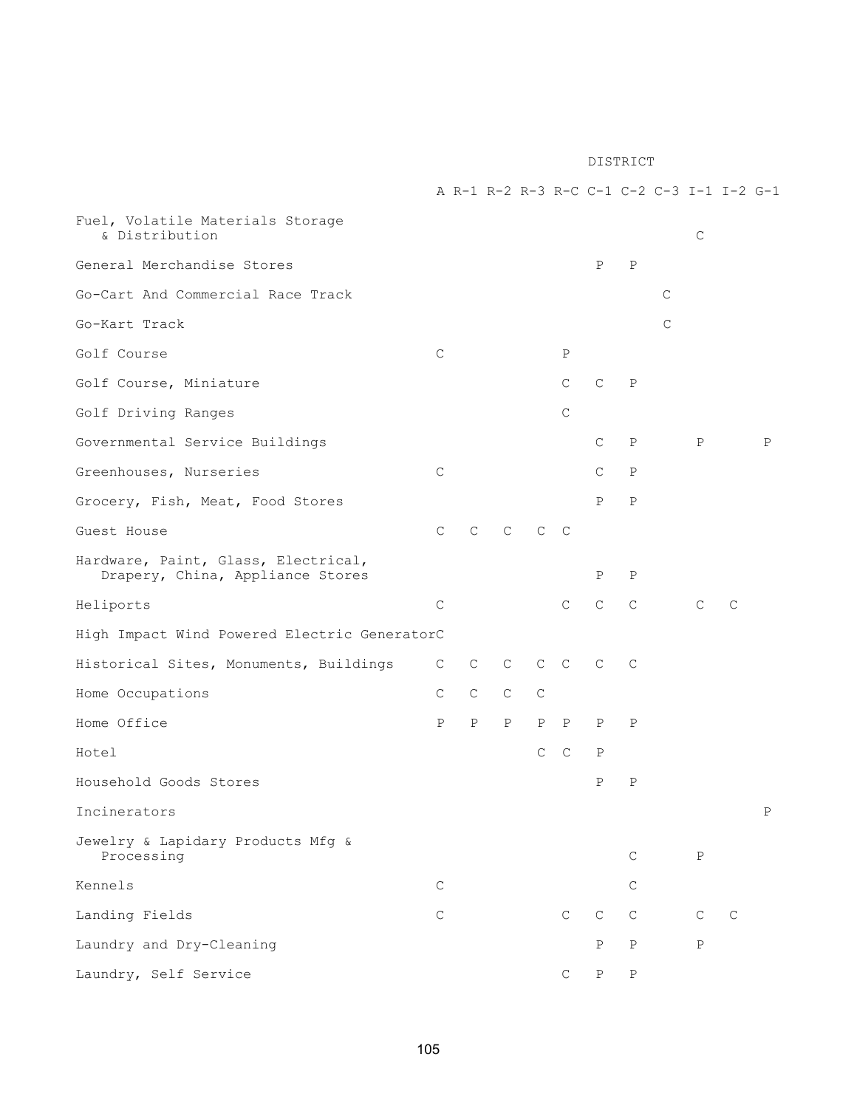A R-1 R-2 R-3 R-C C-1 C-2 C-3 I-1 I-2 G-1

| Fuel, Volatile Materials Storage<br>& Distribution                      |              |              |              |              |              |              |              |              | C            |             |   |
|-------------------------------------------------------------------------|--------------|--------------|--------------|--------------|--------------|--------------|--------------|--------------|--------------|-------------|---|
| General Merchandise Stores                                              |              |              |              |              |              | P            | $\, {\bf P}$ |              |              |             |   |
| Go-Cart And Commercial Race Track                                       |              |              |              |              |              |              |              | C            |              |             |   |
| Go-Kart Track                                                           |              |              |              |              |              |              |              | $\mathsf{C}$ |              |             |   |
| Golf Course                                                             | $\mathsf{C}$ |              |              |              | $\, {\rm P}$ |              |              |              |              |             |   |
| Golf Course, Miniature                                                  |              |              |              |              | $\mathsf{C}$ | $\mathsf{C}$ | Ρ            |              |              |             |   |
| Golf Driving Ranges                                                     |              |              |              |              | $\mathsf C$  |              |              |              |              |             |   |
| Governmental Service Buildings                                          |              |              |              |              |              | C            | Ρ            |              | Ρ            |             | P |
| Greenhouses, Nurseries                                                  | $\mathsf{C}$ |              |              |              |              | С            | Ρ            |              |              |             |   |
| Grocery, Fish, Meat, Food Stores                                        |              |              |              |              |              | Ρ            | $\mathbf P$  |              |              |             |   |
| Guest House                                                             | $\mathsf C$  | С            | C            | $\mathsf{C}$ | $\mathbb C$  |              |              |              |              |             |   |
| Hardware, Paint, Glass, Electrical,<br>Drapery, China, Appliance Stores |              |              |              |              |              | Ρ            | Ρ            |              |              |             |   |
| Heliports                                                               | $\mathsf{C}$ |              |              |              | $\mathsf{C}$ | $\mathbf C$  | $\mathsf C$  |              | C            | C           |   |
| High Impact Wind Powered Electric GeneratorC                            |              |              |              |              |              |              |              |              |              |             |   |
| Historical Sites, Monuments, Buildings                                  | C            | C            | C            | $\mathsf{C}$ | $\mathbb{C}$ | $\mathsf{C}$ | C            |              |              |             |   |
| Home Occupations                                                        | С            | C            | C            | C            |              |              |              |              |              |             |   |
| Home Office                                                             | Ρ            | $\, {\bf P}$ | $\, {\bf P}$ | Ρ            | $\mathbf P$  | Ρ            | Ρ            |              |              |             |   |
| Hotel                                                                   |              |              |              | $\mathsf{C}$ | $\mathbb{C}$ | Ρ            |              |              |              |             |   |
| Household Goods Stores                                                  |              |              |              |              |              | Ρ            | Ρ            |              |              |             |   |
| Incinerators                                                            |              |              |              |              |              |              |              |              |              |             | Ρ |
| Jewelry & Lapidary Products Mfg &<br>Processing                         |              |              |              |              |              |              | $\mathsf C$  |              | $\, {\bf P}$ |             |   |
| Kennels                                                                 | $\mathsf C$  |              |              |              |              |              | C            |              |              |             |   |
| Landing Fields                                                          | $\mathsf C$  |              |              |              | $\mathsf{C}$ | $\mathsf C$  | $\mathbf C$  |              | $\mathsf{C}$ | $\mathsf C$ |   |
| Laundry and Dry-Cleaning                                                |              |              |              |              |              | Ρ            | $\, {\bf P}$ |              | $\, {\bf P}$ |             |   |
| Laundry, Self Service                                                   |              |              |              |              | $\mathsf C$  | $\, {\bf P}$ | $\, {\bf P}$ |              |              |             |   |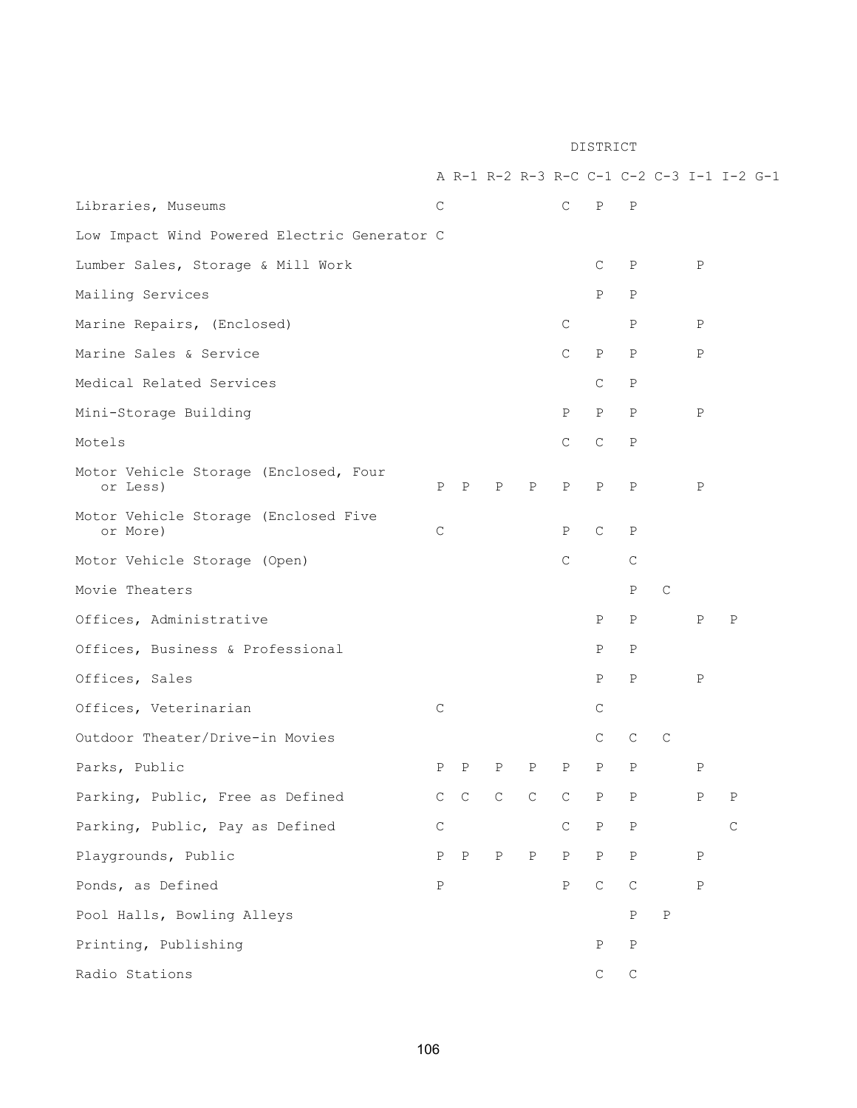|                                                   |              |              |              |              |               |              |              |              |              | A R-1 R-2 R-3 R-C C-1 C-2 C-3 I-1 I-2 G-1 |
|---------------------------------------------------|--------------|--------------|--------------|--------------|---------------|--------------|--------------|--------------|--------------|-------------------------------------------|
| Libraries, Museums                                | С            |              |              |              | $\mathsf{C}$  | $\mathbf{P}$ | $\mathbf P$  |              |              |                                           |
| Low Impact Wind Powered Electric Generator C      |              |              |              |              |               |              |              |              |              |                                           |
| Lumber Sales, Storage & Mill Work                 |              |              |              |              |               | C            | $\mathbb{P}$ |              | Ρ            |                                           |
| Mailing Services                                  |              |              |              |              |               | P            | Ρ            |              |              |                                           |
| Marine Repairs, (Enclosed)                        |              |              |              |              | $\mathsf{C}$  |              | Ρ            |              | Ρ            |                                           |
| Marine Sales & Service                            |              |              |              |              | $\mathsf{C}$  | $\, {\rm P}$ | P            |              | $\mathbf P$  |                                           |
| Medical Related Services                          |              |              |              |              |               | C            | P            |              |              |                                           |
| Mini-Storage Building                             |              |              |              |              | Ρ             | Ρ            | $\mathbf{P}$ |              | Ρ            |                                           |
| Motels                                            |              |              |              |              | $\mathsf{C}$  | $\mathsf{C}$ | $\mathbf P$  |              |              |                                           |
| Motor Vehicle Storage (Enclosed, Four<br>or Less) |              | $P$ $P$      | $\mathbf{P}$ | P            | $_{\rm P}$    | $\mathbf P$  | P            |              | P            |                                           |
| Motor Vehicle Storage (Enclosed Five<br>or More)  | $\mathsf C$  |              |              |              | $\mathbf P$   | $\mathsf{C}$ | $\mathbf P$  |              |              |                                           |
| Motor Vehicle Storage (Open)                      |              |              |              |              | $\mathcal{C}$ |              | $\mathsf{C}$ |              |              |                                           |
| Movie Theaters                                    |              |              |              |              |               |              | P            | $\mathsf{C}$ |              |                                           |
| Offices, Administrative                           |              |              |              |              |               | P            | P            |              | Ρ            | $\mathbf P$                               |
| Offices, Business & Professional                  |              |              |              |              |               | Ρ            | P            |              |              |                                           |
| Offices, Sales                                    |              |              |              |              |               | Ρ            | P            |              | $\, {\bf P}$ |                                           |
| Offices, Veterinarian                             | $\mathsf{C}$ |              |              |              |               | C            |              |              |              |                                           |
| Outdoor Theater/Drive-in Movies                   |              |              |              |              |               | C            | C            | C            |              |                                           |
| Parks, Public                                     | Ρ            | Ρ            | Ρ            | Ρ            | $\mathbf{P}$  | Ρ            | $\mathbf P$  |              | $\mathbf P$  |                                           |
| Parking, Public, Free as Defined                  |              | $C$ $C$      | $\mathsf C$  | C            | $\mathsf C$   | $\, {\bf P}$ | $\, {\bf P}$ |              | Ρ            | $\rm P$                                   |
| Parking, Public, Pay as Defined                   | $\mathsf C$  |              |              |              | $\mathsf{C}$  | $\, {\bf P}$ | $\, {\bf P}$ |              |              | $\mathsf C$                               |
| Playgrounds, Public                               | $\mathbf P$  | $\mathbf{P}$ | $\, {\bf P}$ | $\, {\bf P}$ | $\mathbf{P}$  | $\, {\bf P}$ | $\, {\bf P}$ |              | $\, {\bf P}$ |                                           |
| Ponds, as Defined                                 | $\, {\bf P}$ |              |              |              | Ρ             | $\mathsf C$  | $\mathsf C$  |              | $\, {\bf P}$ |                                           |
| Pool Halls, Bowling Alleys                        |              |              |              |              |               |              | $\, {\bf P}$ | $\, {\bf P}$ |              |                                           |
| Printing, Publishing                              |              |              |              |              |               | $\, {\bf P}$ | $\, {\bf P}$ |              |              |                                           |
| Radio Stations                                    |              |              |              |              |               | $\mathsf C$  | $\mathsf C$  |              |              |                                           |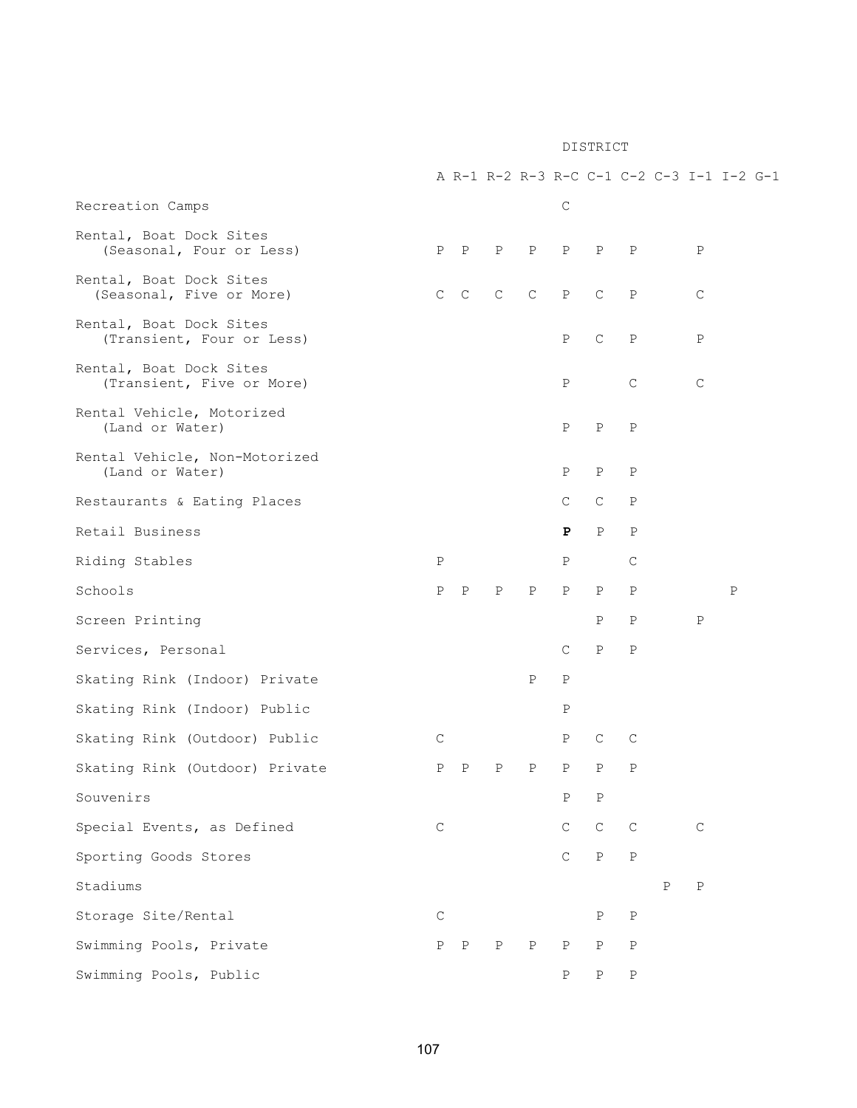|                                                      |             |         |             |              |              |              |              |              |              | A R-1 R-2 R-3 R-C C-1 C-2 C-3 I-1 I-2 G-1 |
|------------------------------------------------------|-------------|---------|-------------|--------------|--------------|--------------|--------------|--------------|--------------|-------------------------------------------|
| Recreation Camps                                     |             |         |             |              | $\mathsf{C}$ |              |              |              |              |                                           |
| Rental, Boat Dock Sites<br>(Seasonal, Four or Less)  |             | $P$ $P$ | Ρ           | Ρ            | $\mathbb{P}$ | $\mathbf{P}$ | Ρ            |              | P            |                                           |
| Rental, Boat Dock Sites<br>(Seasonal, Five or More)  |             | $C$ $C$ | $\mathsf C$ |              | $C$ $P$      | $C$ $P$      |              |              | $\mathsf{C}$ |                                           |
| Rental, Boat Dock Sites<br>(Transient, Four or Less) |             |         |             |              | Ρ            | $\mathsf{C}$ | $\, {\bf P}$ |              | $\, {\bf P}$ |                                           |
| Rental, Boat Dock Sites<br>(Transient, Five or More) |             |         |             |              | Ρ            |              | $\mathsf{C}$ |              | $\mathsf{C}$ |                                           |
| Rental Vehicle, Motorized<br>(Land or Water)         |             |         |             |              | $\, {\bf P}$ | P            | Ρ            |              |              |                                           |
| Rental Vehicle, Non-Motorized<br>(Land or Water)     |             |         |             |              | Ρ            | $\mathbf P$  | P            |              |              |                                           |
| Restaurants & Eating Places                          |             |         |             |              | $\mathsf{C}$ | $\mathsf{C}$ | P            |              |              |                                           |
| Retail Business                                      |             |         |             |              | P            | $\mathbf{P}$ | P            |              |              |                                           |
| Riding Stables                                       | Ρ           |         |             |              | Ρ            |              | C            |              |              |                                           |
| Schools                                              | Ρ           | Ρ       | Ρ           | P            | P            | $\mathbf{P}$ | P            |              |              | $\mathbf P$                               |
| Screen Printing                                      |             |         |             |              |              | $\, {\bf P}$ | $\, {\bf P}$ |              | $\mathbf P$  |                                           |
| Services, Personal                                   |             |         |             |              | $\mathsf{C}$ | $\mathbf P$  | $\mathbf P$  |              |              |                                           |
| Skating Rink (Indoor) Private                        |             |         |             | Ρ            | $\, {\bf P}$ |              |              |              |              |                                           |
| Skating Rink (Indoor) Public                         |             |         |             |              | $\mathbf P$  |              |              |              |              |                                           |
| Skating Rink (Outdoor) Public                        | C           |         |             |              | Ρ            | C            | C            |              |              |                                           |
| Skating Rink (Outdoor) Private                       | Ρ           | Ρ       | P           | $\, {\bf P}$ | $\mathbf P$  | $\, {\bf P}$ | $\mathbf P$  |              |              |                                           |
| Souvenirs                                            |             |         |             |              | $\, {\bf P}$ | $\, {\bf P}$ |              |              |              |                                           |
| Special Events, as Defined                           | $\mathsf C$ |         |             |              | $\mathsf{C}$ | $\mathsf C$  | $\mathsf{C}$ |              | C            |                                           |
| Sporting Goods Stores                                |             |         |             |              | $\mathsf C$  | $\, {\bf P}$ | $\rm P$      |              |              |                                           |
| Stadiums                                             |             |         |             |              |              |              |              | $\, {\bf P}$ | $\, {\bf P}$ |                                           |
| Storage Site/Rental                                  | $\mathsf C$ |         |             |              |              | $\, {\bf P}$ | $\, {\bf P}$ |              |              |                                           |
| Swimming Pools, Private                              | Ρ           | Ρ       | $\mathbf P$ | Ρ            | $\, {\rm P}$ | $\, {\bf P}$ | $\, {\bf P}$ |              |              |                                           |
| Swimming Pools, Public                               |             |         |             |              | Ρ            | Ρ            | $\, {\bf P}$ |              |              |                                           |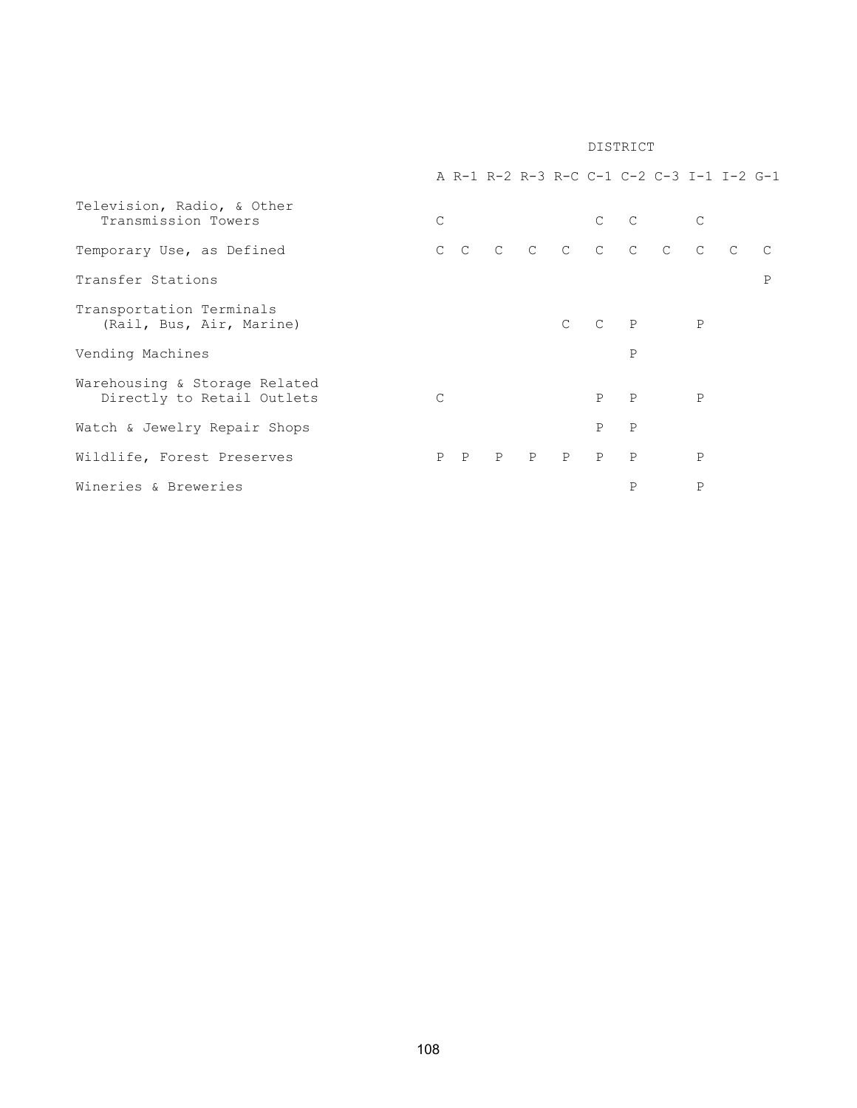|                                                             |               |   |   |              |               |              |              | A R-1 R-2 R-3 R-C C-1 C-2 C-3 I-1 I-2 G-1 |              |   |
|-------------------------------------------------------------|---------------|---|---|--------------|---------------|--------------|--------------|-------------------------------------------|--------------|---|
| Television, Radio, & Other<br>Transmission Towers           | $\mathcal{C}$ |   |   |              |               |              |              | $C$ $C$                                   | $\mathsf{C}$ |   |
| Temporary Use, as Defined                                   |               |   |   |              |               |              |              | CCCCCCCCCC                                |              |   |
| Transfer Stations                                           |               |   |   |              |               |              |              |                                           |              | P |
| Transportation Terminals<br>(Rail, Bus, Air, Marine)        |               |   |   |              | $\mathcal{C}$ |              | $C$ $P$      |                                           | $\mathbf{P}$ |   |
| Vending Machines                                            |               |   |   |              |               |              | $\mathsf{P}$ |                                           |              |   |
| Warehousing & Storage Related<br>Directly to Retail Outlets | $\mathcal{C}$ |   |   |              |               | P            | $\mathbf{P}$ |                                           | $\mathbf{P}$ |   |
| Watch & Jewelry Repair Shops                                |               |   |   |              |               | $\mathsf{P}$ | $\mathsf{P}$ |                                           |              |   |
| Wildlife, Forest Preserves                                  | P             | P | P | $\mathbf{P}$ | P             | P            | $\mathsf{P}$ |                                           | P            |   |
| Wineries & Breweries                                        |               |   |   |              |               |              | $\mathsf{P}$ |                                           | Ρ            |   |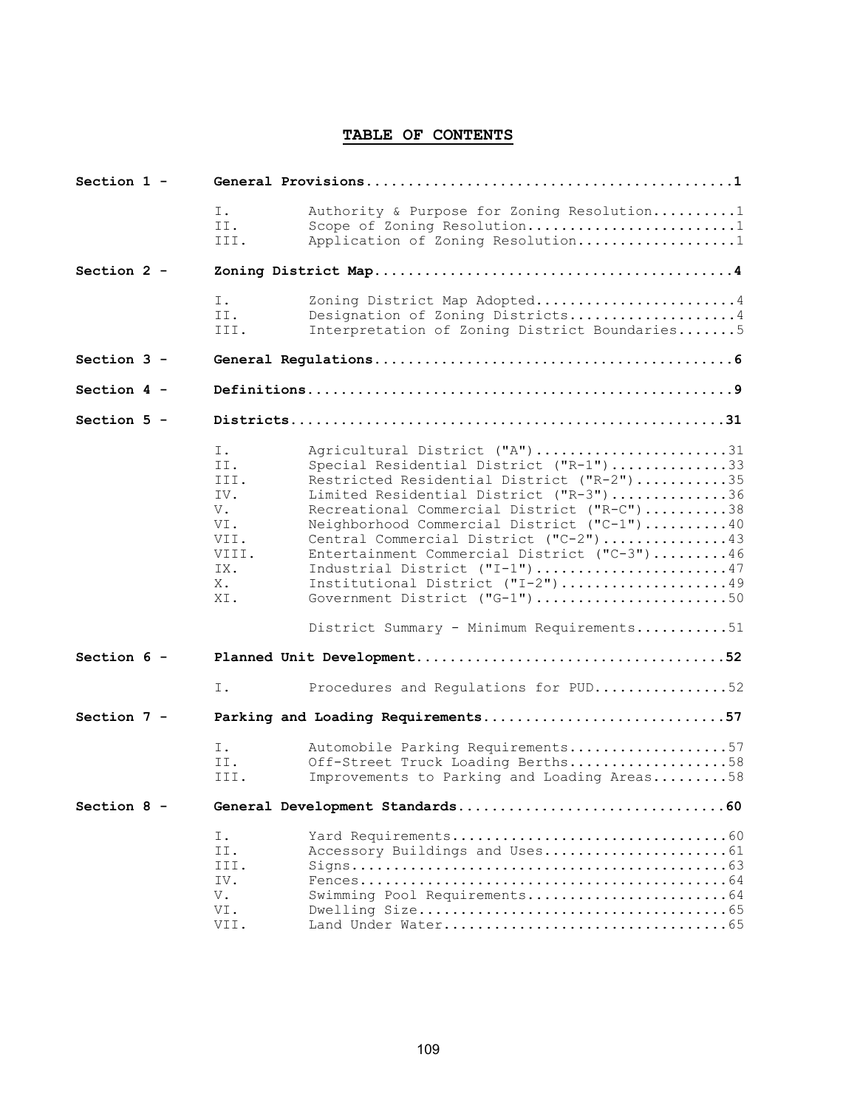## TABLE OF CONTENTS

| Section $1 -$ |  |                                                                            |                                                                                                                                                                                                                                                                                                                                                                                                                                                                                                       |  |
|---------------|--|----------------------------------------------------------------------------|-------------------------------------------------------------------------------------------------------------------------------------------------------------------------------------------------------------------------------------------------------------------------------------------------------------------------------------------------------------------------------------------------------------------------------------------------------------------------------------------------------|--|
|               |  | Ι.<br>II.<br>III.                                                          | Authority & Purpose for Zoning Resolution1<br>Scope of Zoning Resolution1<br>Application of Zoning Resolution1                                                                                                                                                                                                                                                                                                                                                                                        |  |
| Section $2 -$ |  |                                                                            |                                                                                                                                                                                                                                                                                                                                                                                                                                                                                                       |  |
|               |  | Ι.<br>II.<br>III.                                                          | Zoning District Map Adopted4<br>Designation of Zoning Districts4<br>Interpretation of Zoning District Boundaries5                                                                                                                                                                                                                                                                                                                                                                                     |  |
| Section $3 -$ |  |                                                                            |                                                                                                                                                                                                                                                                                                                                                                                                                                                                                                       |  |
| Section $4 -$ |  |                                                                            |                                                                                                                                                                                                                                                                                                                                                                                                                                                                                                       |  |
| Section 5 -   |  |                                                                            |                                                                                                                                                                                                                                                                                                                                                                                                                                                                                                       |  |
|               |  | Ι.<br>II.<br>III.<br>IV.<br>V.<br>VI.<br>VII.<br>VIII.<br>IX.<br>X.<br>XI. | Agricultural District ("A")31<br>Special Residential District ("R-1")33<br>Restricted Residential District ("R-2")35<br>Limited Residential District ("R-3")36<br>Recreational Commercial District ("R-C")38<br>Neighborhood Commercial District ("C-1")40<br>Central Commercial District ("C-2")43<br>Entertainment Commercial District ("C-3")46<br>Industrial District ("I-1")47<br>Institutional District ("I-2")49<br>Government District ("G-1")50<br>District Summary - Minimum Requirements51 |  |
| Section $6 -$ |  | Ι.                                                                         | Procedures and Regulations for PUD52                                                                                                                                                                                                                                                                                                                                                                                                                                                                  |  |
| Section 7 -   |  |                                                                            | Parking and Loading Requirements57                                                                                                                                                                                                                                                                                                                                                                                                                                                                    |  |
|               |  | Ι.<br>II.<br>III.                                                          | Automobile Parking Requirements57<br>Off-Street Truck Loading Berths58<br>Improvements to Parking and Loading Areas58                                                                                                                                                                                                                                                                                                                                                                                 |  |
| Section 8 -   |  |                                                                            |                                                                                                                                                                                                                                                                                                                                                                                                                                                                                                       |  |
|               |  | Ι.<br>II.<br>III.<br>IV.<br>V.<br>VI.<br>VII.                              | Swimming Pool Requirements64                                                                                                                                                                                                                                                                                                                                                                                                                                                                          |  |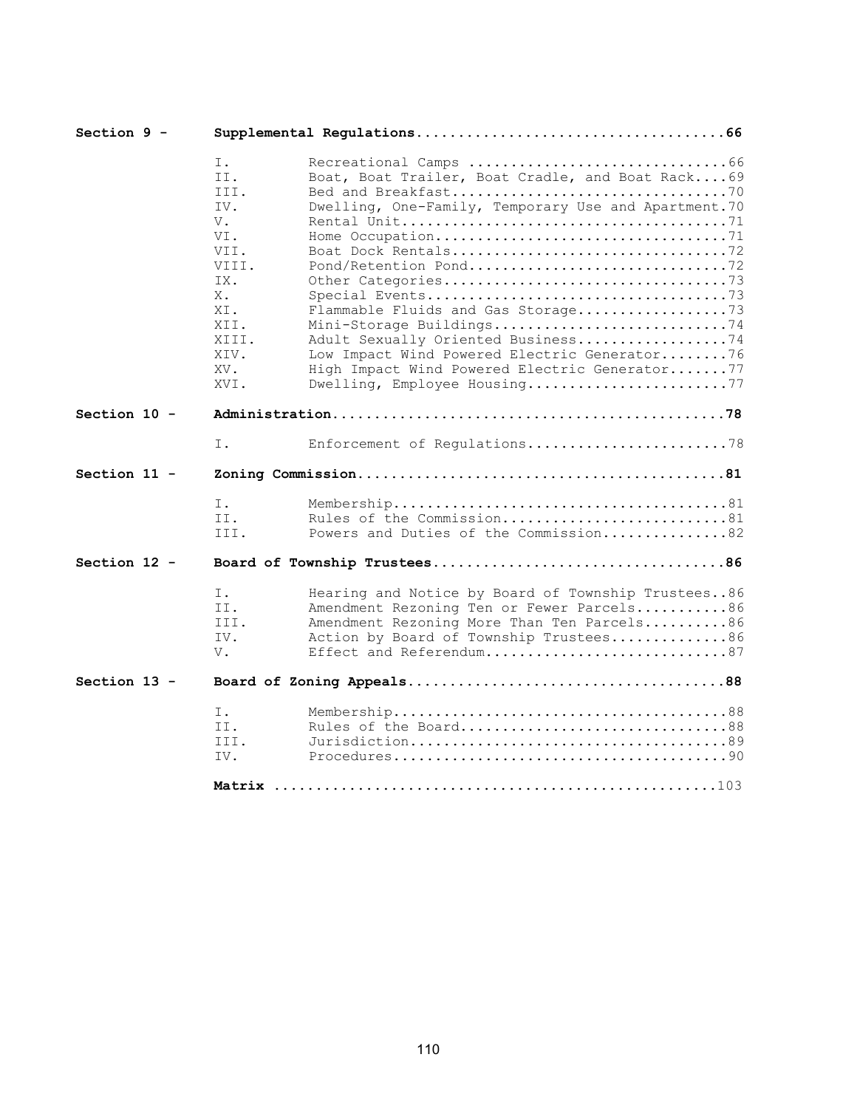| Section 9 -    |                                                                                                                    |                                                                                                                                                                                                                                                                                                                                                                           |  |
|----------------|--------------------------------------------------------------------------------------------------------------------|---------------------------------------------------------------------------------------------------------------------------------------------------------------------------------------------------------------------------------------------------------------------------------------------------------------------------------------------------------------------------|--|
|                | Ι.<br>II.<br>III.<br>IV.<br>V.<br>VI.<br>VII.<br>VIII.<br>IX.<br>Х.<br>XI.<br>XII.<br>XIII.<br>XIV.<br>XV.<br>XVI. | Boat, Boat Trailer, Boat Cradle, and Boat Rack69<br>Dwelling, One-Family, Temporary Use and Apartment. 70<br>Boat Dock Rentals72<br>Flammable Fluids and Gas Storage73<br>Mini-Storage Buildings74<br>Adult Sexually Oriented Business74<br>Low Impact Wind Powered Electric Generator76<br>High Impact Wind Powered Electric Generator77<br>Dwelling, Employee Housing77 |  |
| Section $10 -$ |                                                                                                                    |                                                                                                                                                                                                                                                                                                                                                                           |  |
|                | Ι.                                                                                                                 | Enforcement of Regulations78                                                                                                                                                                                                                                                                                                                                              |  |
| Section $11 -$ |                                                                                                                    |                                                                                                                                                                                                                                                                                                                                                                           |  |
|                | Ι.<br>II.<br>III.                                                                                                  | Rules of the Commission81<br>Powers and Duties of the Commission82                                                                                                                                                                                                                                                                                                        |  |
| Section $12 -$ |                                                                                                                    |                                                                                                                                                                                                                                                                                                                                                                           |  |
|                | Ι.<br>II.<br>III.<br>IV.<br>V.                                                                                     | Hearing and Notice by Board of Township Trustees86<br>Amendment Rezoning Ten or Fewer Parcels86<br>Amendment Rezoning More Than Ten Parcels86<br>Action by Board of Township Trustees86<br>Effect and Referendum87                                                                                                                                                        |  |
| Section 13 -   |                                                                                                                    |                                                                                                                                                                                                                                                                                                                                                                           |  |
|                | Ι.<br>II.<br>III.<br>IV.                                                                                           | Rules of the Board88                                                                                                                                                                                                                                                                                                                                                      |  |
|                | Matrix                                                                                                             |                                                                                                                                                                                                                                                                                                                                                                           |  |